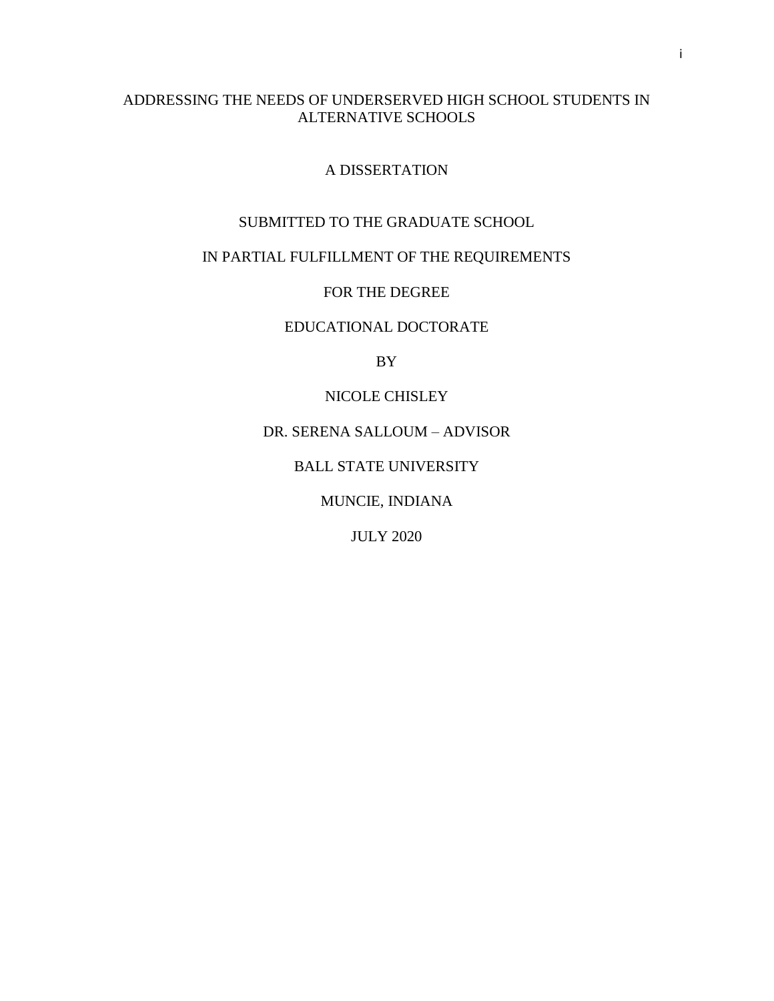# ADDRESSING THE NEEDS OF UNDERSERVED HIGH SCHOOL STUDENTS IN ALTERNATIVE SCHOOLS

# A DISSERTATION

# SUBMITTED TO THE GRADUATE SCHOOL

# IN PARTIAL FULFILLMENT OF THE REQUIREMENTS

# FOR THE DEGREE

# EDUCATIONAL DOCTORATE

BY

# NICOLE CHISLEY

# DR. SERENA SALLOUM – ADVISOR

# BALL STATE UNIVERSITY

# MUNCIE, INDIANA

# JULY 2020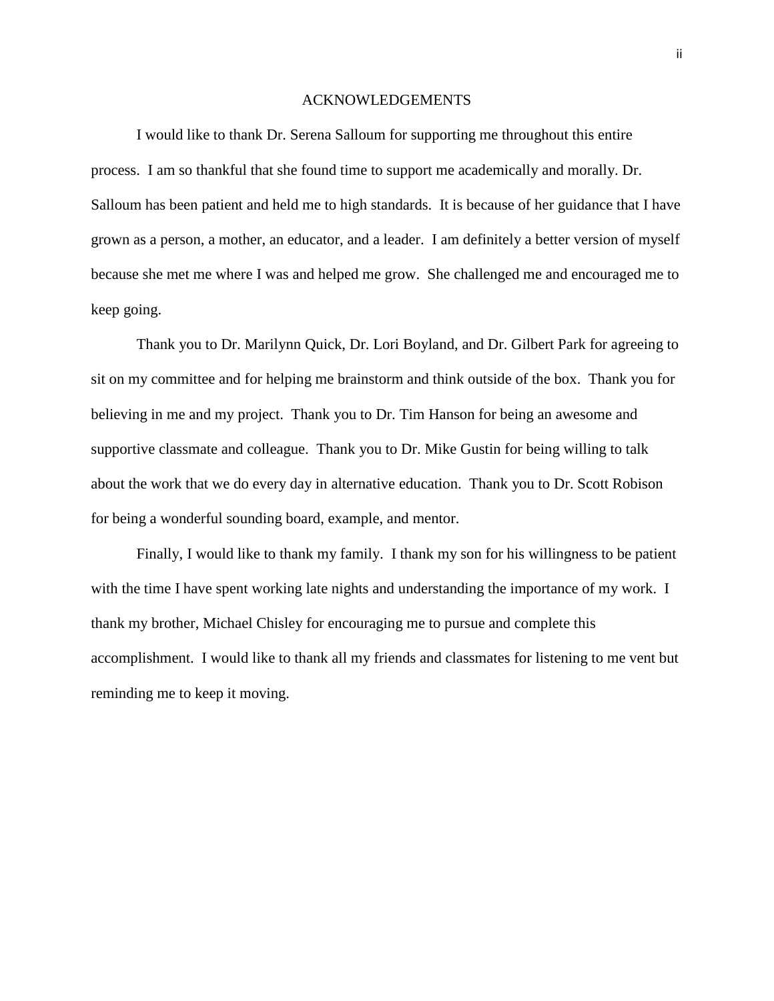#### ACKNOWLEDGEMENTS

I would like to thank Dr. Serena Salloum for supporting me throughout this entire process. I am so thankful that she found time to support me academically and morally. Dr. Salloum has been patient and held me to high standards. It is because of her guidance that I have grown as a person, a mother, an educator, and a leader. I am definitely a better version of myself because she met me where I was and helped me grow. She challenged me and encouraged me to keep going.

Thank you to Dr. Marilynn Quick, Dr. Lori Boyland, and Dr. Gilbert Park for agreeing to sit on my committee and for helping me brainstorm and think outside of the box. Thank you for believing in me and my project. Thank you to Dr. Tim Hanson for being an awesome and supportive classmate and colleague. Thank you to Dr. Mike Gustin for being willing to talk about the work that we do every day in alternative education. Thank you to Dr. Scott Robison for being a wonderful sounding board, example, and mentor.

Finally, I would like to thank my family. I thank my son for his willingness to be patient with the time I have spent working late nights and understanding the importance of my work. I thank my brother, Michael Chisley for encouraging me to pursue and complete this accomplishment. I would like to thank all my friends and classmates for listening to me vent but reminding me to keep it moving.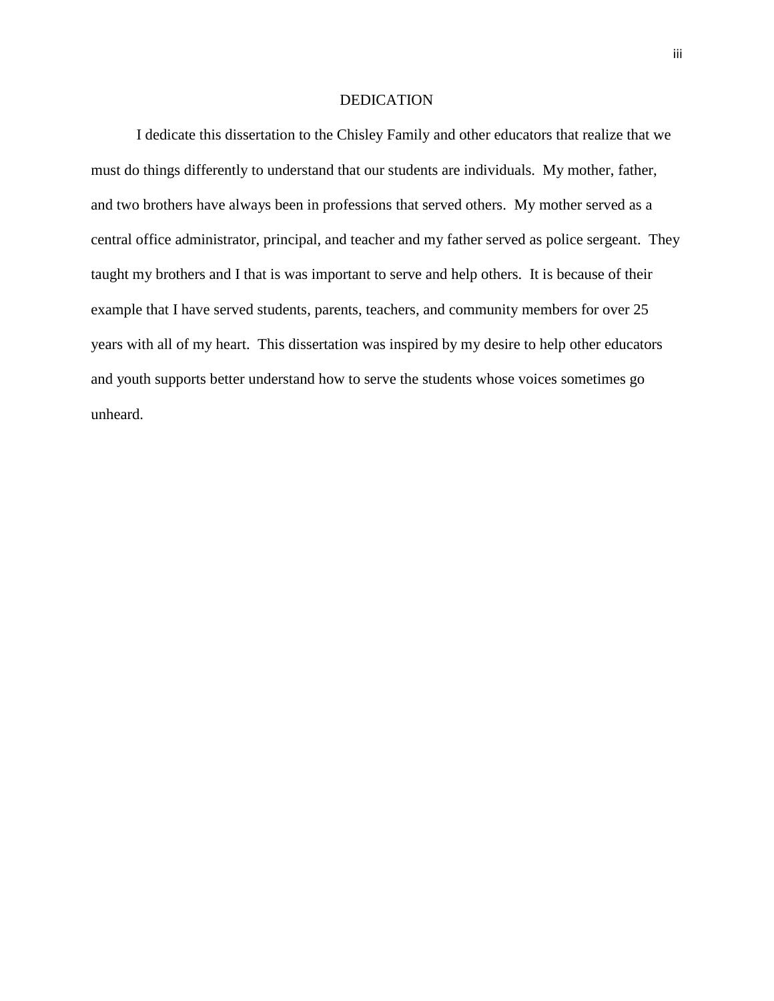#### DEDICATION

I dedicate this dissertation to the Chisley Family and other educators that realize that we must do things differently to understand that our students are individuals. My mother, father, and two brothers have always been in professions that served others. My mother served as a central office administrator, principal, and teacher and my father served as police sergeant. They taught my brothers and I that is was important to serve and help others. It is because of their example that I have served students, parents, teachers, and community members for over 25 years with all of my heart. This dissertation was inspired by my desire to help other educators and youth supports better understand how to serve the students whose voices sometimes go unheard.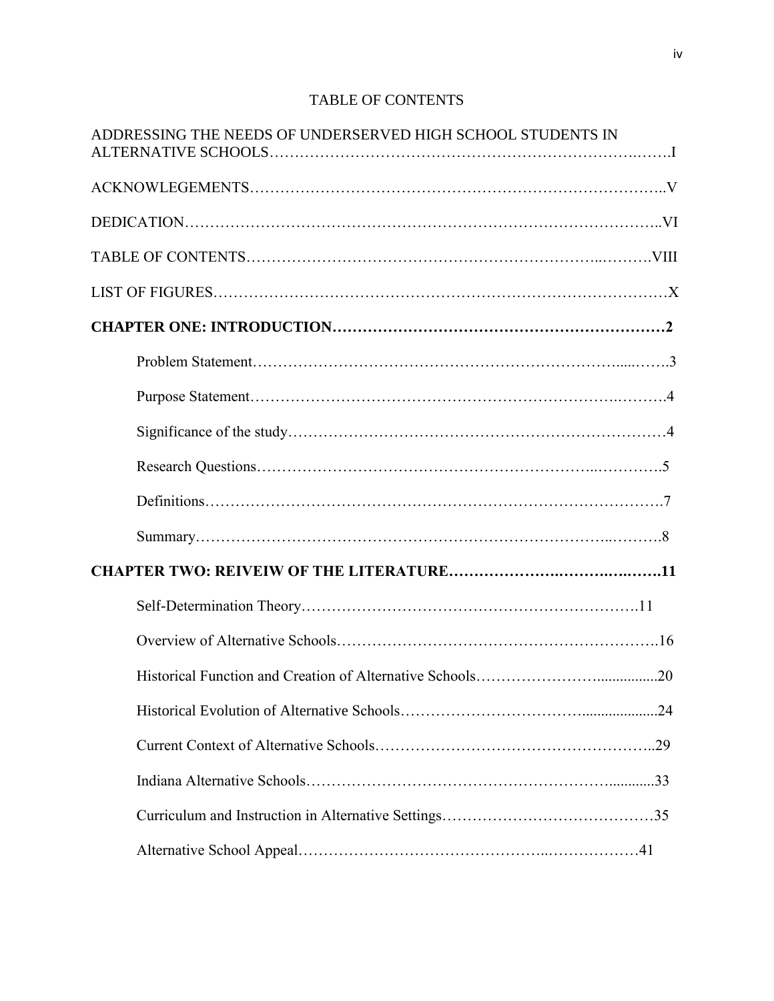# TABLE OF CONTENTS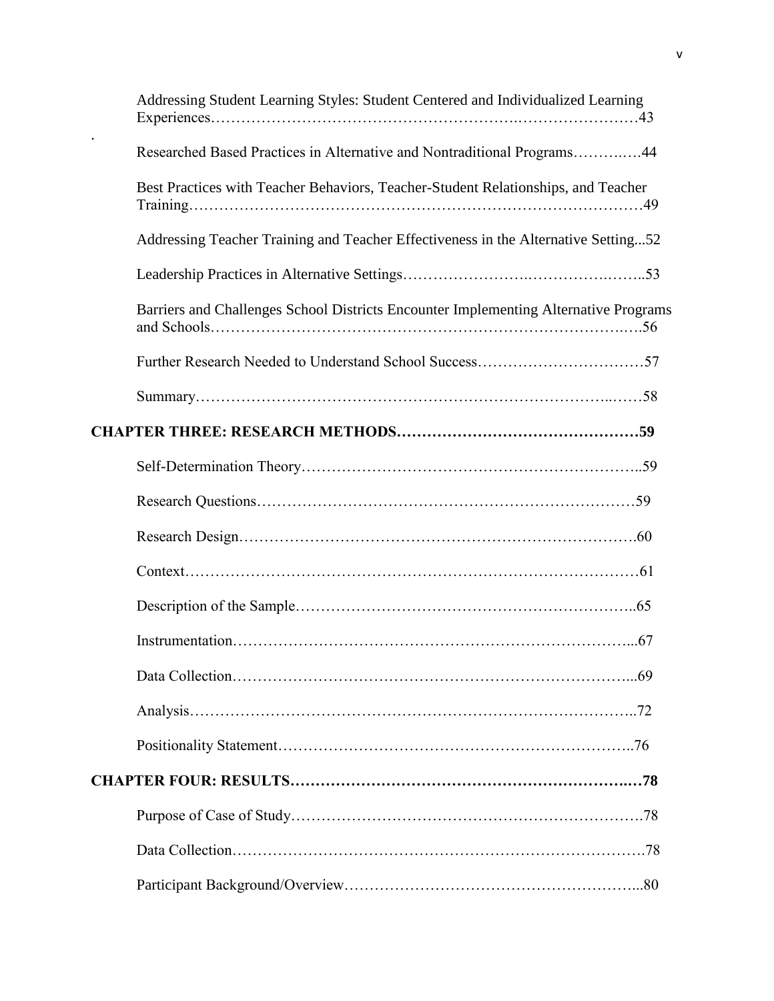| Addressing Student Learning Styles: Student Centered and Individualized Learning     |
|--------------------------------------------------------------------------------------|
| Researched Based Practices in Alternative and Nontraditional Programs44              |
| Best Practices with Teacher Behaviors, Teacher-Student Relationships, and Teacher    |
| Addressing Teacher Training and Teacher Effectiveness in the Alternative Setting52   |
|                                                                                      |
| Barriers and Challenges School Districts Encounter Implementing Alternative Programs |
|                                                                                      |
|                                                                                      |
|                                                                                      |
|                                                                                      |
|                                                                                      |
|                                                                                      |
|                                                                                      |
|                                                                                      |
|                                                                                      |
|                                                                                      |
|                                                                                      |
|                                                                                      |
|                                                                                      |
|                                                                                      |
|                                                                                      |
|                                                                                      |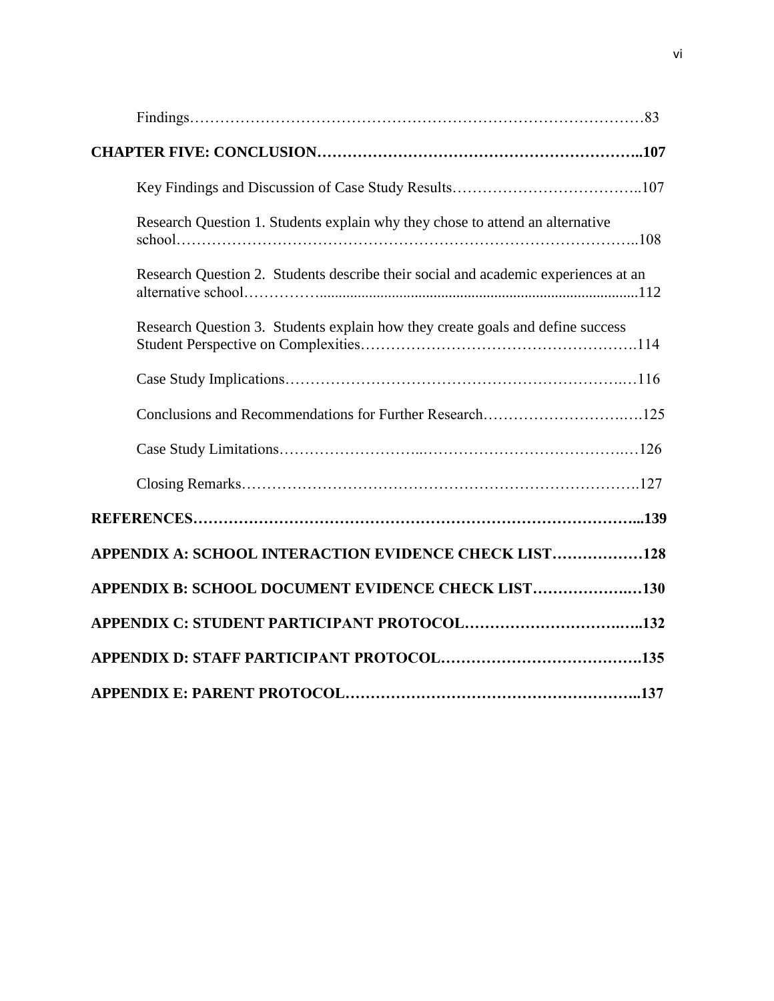| Research Question 1. Students explain why they chose to attend an alternative      |
|------------------------------------------------------------------------------------|
| Research Question 2. Students describe their social and academic experiences at an |
| Research Question 3. Students explain how they create goals and define success     |
|                                                                                    |
|                                                                                    |
|                                                                                    |
|                                                                                    |
|                                                                                    |
| APPENDIX A: SCHOOL INTERACTION EVIDENCE CHECK LIST128                              |
| APPENDIX B: SCHOOL DOCUMENT EVIDENCE CHECK LIST130                                 |
|                                                                                    |
|                                                                                    |
|                                                                                    |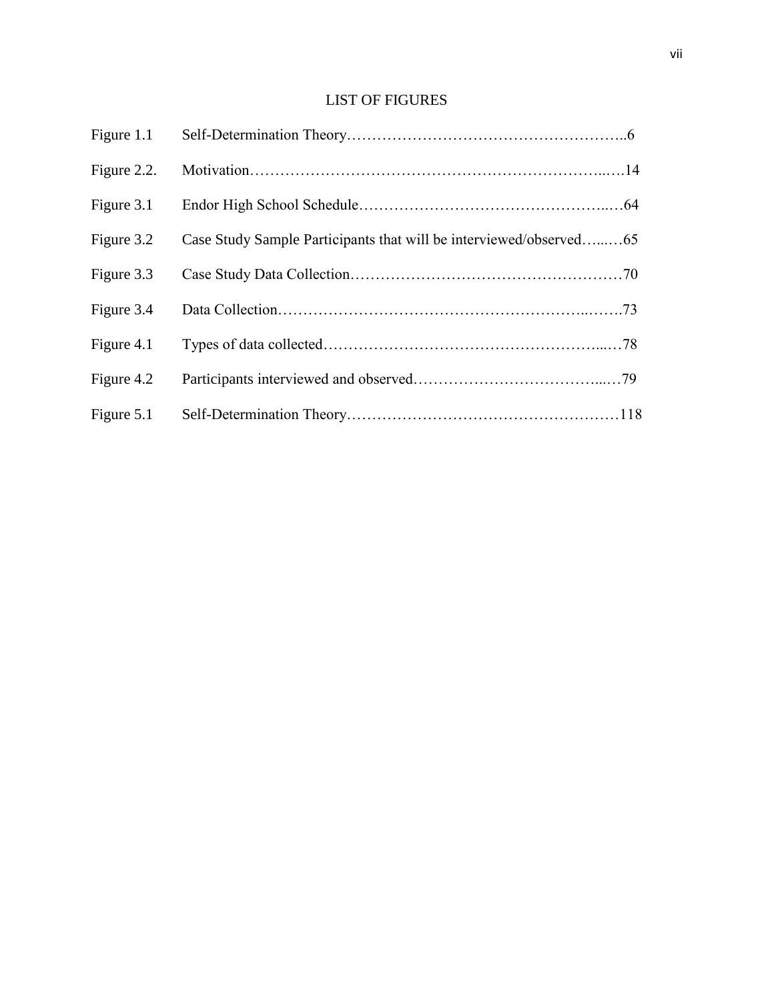# LIST OF FIGURES

| Figure 2.2. |                                                                    |  |
|-------------|--------------------------------------------------------------------|--|
| Figure 3.1  |                                                                    |  |
| Figure 3.2  | Case Study Sample Participants that will be interviewed/observed65 |  |
| Figure 3.3  |                                                                    |  |
| Figure 3.4  |                                                                    |  |
| Figure 4.1  |                                                                    |  |
| Figure 4.2  |                                                                    |  |
| Figure 5.1  |                                                                    |  |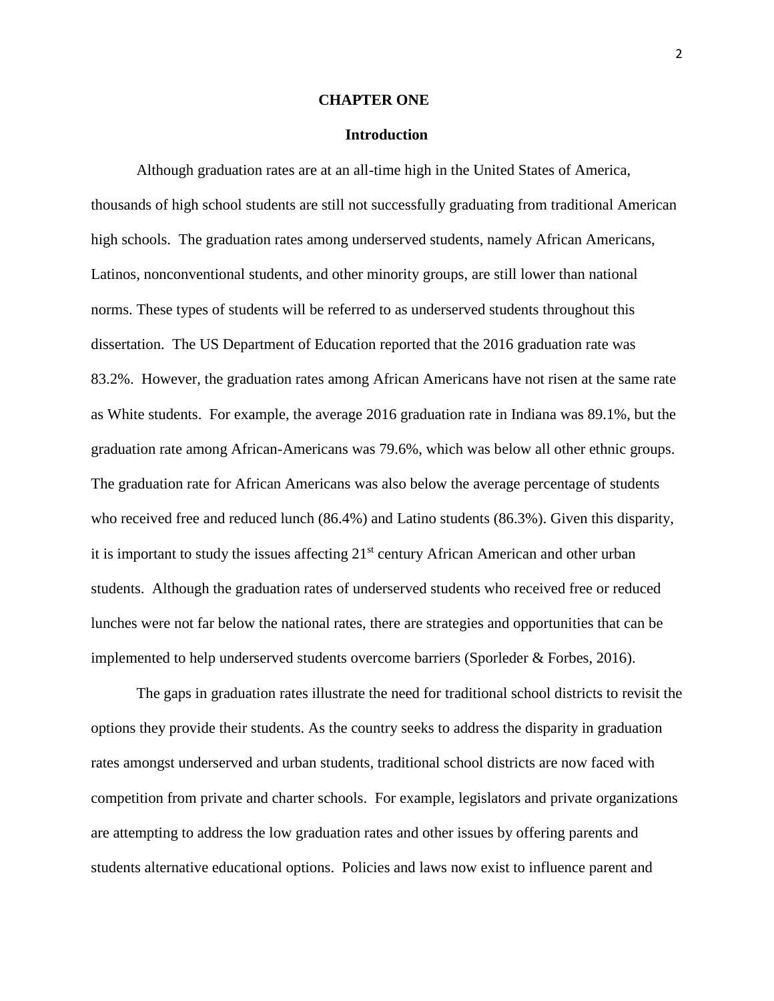#### **CHAPTER ONE**

#### **Introduction**

Although graduation rates are at an all-time high in the United States of America, thousands of high school students are still not successfully graduating from traditional American high schools. The graduation rates among underserved students, namely African Americans, Latinos, nonconventional students, and other minority groups, are still lower than national norms. These types of students will be referred to as underserved students throughout this dissertation. The US Department of Education reported that the 2016 graduation rate was 83.2%. However, the graduation rates among African Americans have not risen at the same rate as White students. For example, the average 2016 graduation rate in Indiana was 89.1%, but the graduation rate among African-Americans was 79.6%, which was below all other ethnic groups. The graduation rate for African Americans was also below the average percentage of students who received free and reduced lunch (86.4%) and Latino students (86.3%). Given this disparity, it is important to study the issues affecting 21<sup>st</sup> century African American and other urban students. Although the graduation rates of underserved students who received free or reduced lunches were not far below the national rates, there are strategies and opportunities that can be implemented to help underserved students overcome barriers (Sporleder & Forbes, 2016).

The gaps in graduation rates illustrate the need for traditional school districts to revisit the options they provide their students. As the country seeks to address the disparity in graduation rates amongst underserved and urban students, traditional school districts are now faced with competition from private and charter schools. For example, legislators and private organizations are attempting to address the low graduation rates and other issues by offering parents and students alternative educational options. Policies and laws now exist to influence parent and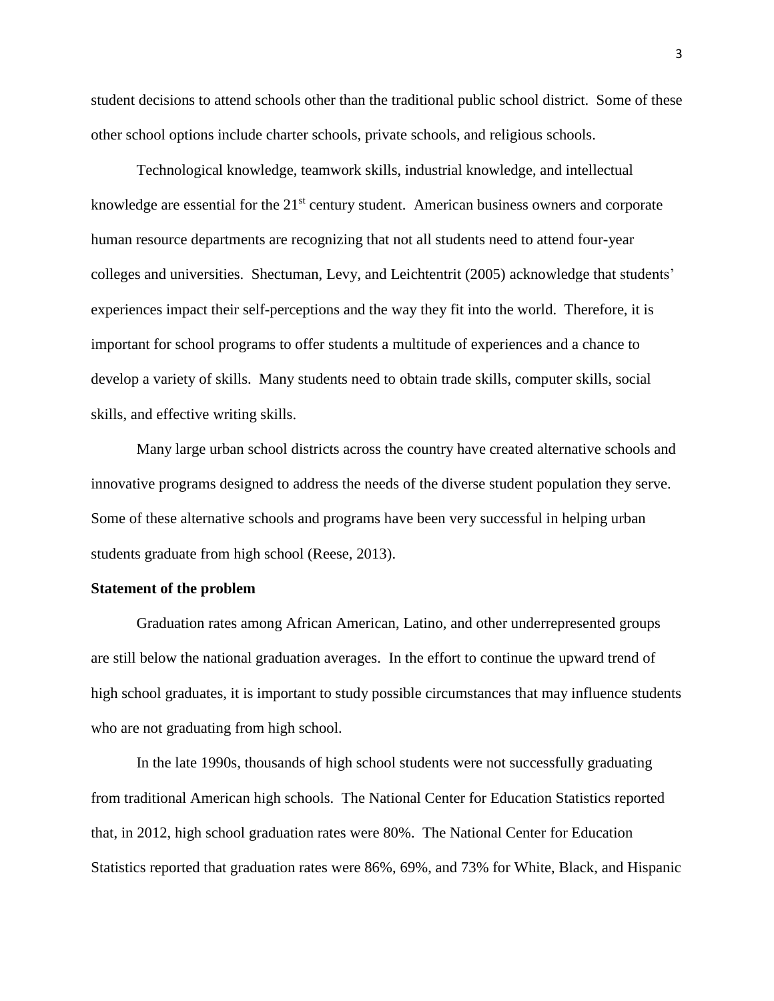student decisions to attend schools other than the traditional public school district. Some of these other school options include charter schools, private schools, and religious schools.

Technological knowledge, teamwork skills, industrial knowledge, and intellectual knowledge are essential for the  $21<sup>st</sup>$  century student. American business owners and corporate human resource departments are recognizing that not all students need to attend four-year colleges and universities. Shectuman, Levy, and Leichtentrit (2005) acknowledge that students' experiences impact their self-perceptions and the way they fit into the world. Therefore, it is important for school programs to offer students a multitude of experiences and a chance to develop a variety of skills. Many students need to obtain trade skills, computer skills, social skills, and effective writing skills.

Many large urban school districts across the country have created alternative schools and innovative programs designed to address the needs of the diverse student population they serve. Some of these alternative schools and programs have been very successful in helping urban students graduate from high school (Reese, 2013).

#### **Statement of the problem**

Graduation rates among African American, Latino, and other underrepresented groups are still below the national graduation averages. In the effort to continue the upward trend of high school graduates, it is important to study possible circumstances that may influence students who are not graduating from high school.

In the late 1990s, thousands of high school students were not successfully graduating from traditional American high schools. The National Center for Education Statistics reported that, in 2012, high school graduation rates were 80%. The National Center for Education Statistics reported that graduation rates were 86%, 69%, and 73% for White, Black, and Hispanic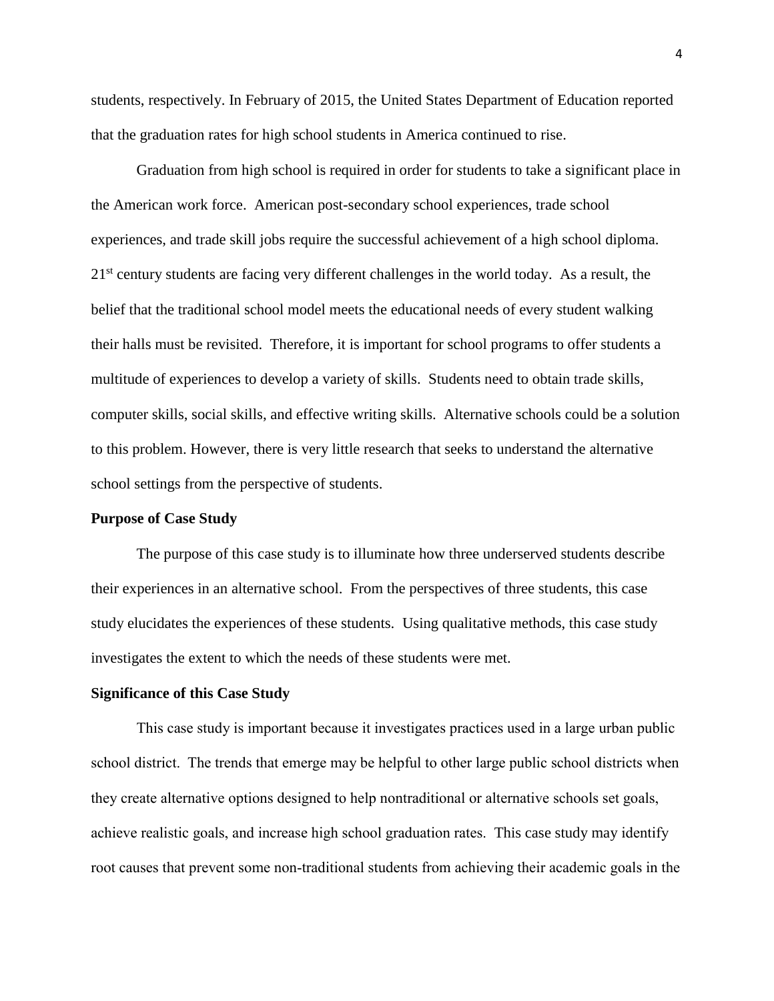students, respectively. In February of 2015, the United States Department of Education reported that the graduation rates for high school students in America continued to rise.

Graduation from high school is required in order for students to take a significant place in the American work force. American post-secondary school experiences, trade school experiences, and trade skill jobs require the successful achievement of a high school diploma. 21<sup>st</sup> century students are facing very different challenges in the world today. As a result, the belief that the traditional school model meets the educational needs of every student walking their halls must be revisited. Therefore, it is important for school programs to offer students a multitude of experiences to develop a variety of skills. Students need to obtain trade skills, computer skills, social skills, and effective writing skills. Alternative schools could be a solution to this problem. However, there is very little research that seeks to understand the alternative school settings from the perspective of students.

## **Purpose of Case Study**

The purpose of this case study is to illuminate how three underserved students describe their experiences in an alternative school. From the perspectives of three students, this case study elucidates the experiences of these students. Using qualitative methods, this case study investigates the extent to which the needs of these students were met.

#### **Significance of this Case Study**

This case study is important because it investigates practices used in a large urban public school district. The trends that emerge may be helpful to other large public school districts when they create alternative options designed to help nontraditional or alternative schools set goals, achieve realistic goals, and increase high school graduation rates. This case study may identify root causes that prevent some non-traditional students from achieving their academic goals in the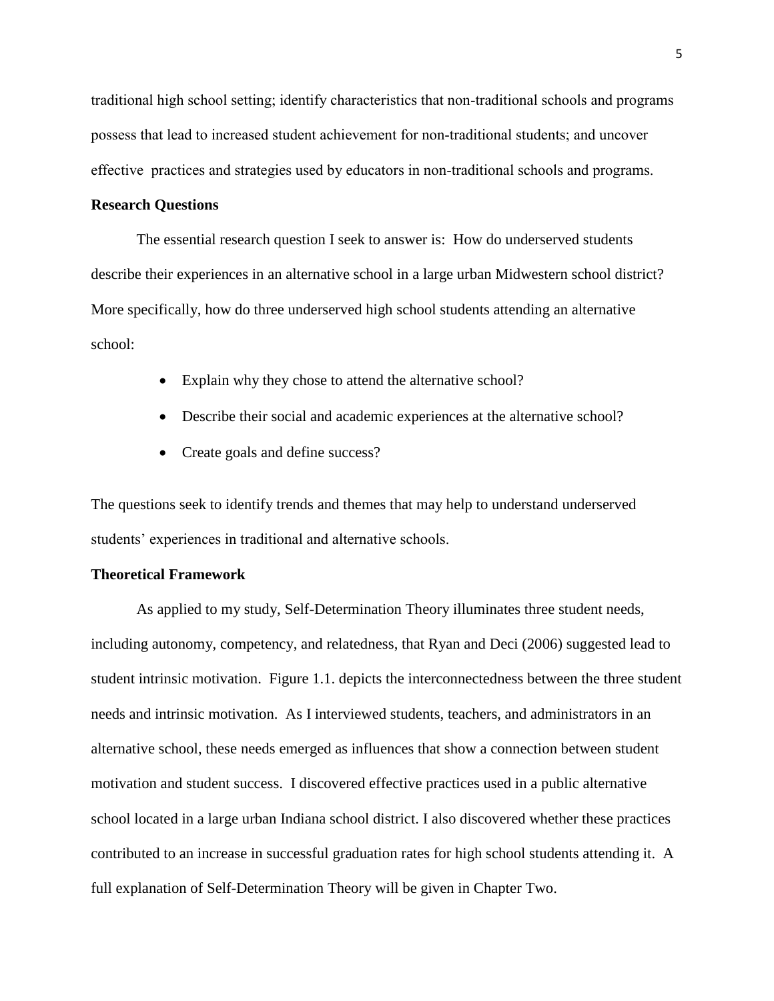traditional high school setting; identify characteristics that non-traditional schools and programs possess that lead to increased student achievement for non-traditional students; and uncover effective practices and strategies used by educators in non-traditional schools and programs.

# **Research Questions**

The essential research question I seek to answer is: How do underserved students describe their experiences in an alternative school in a large urban Midwestern school district? More specifically, how do three underserved high school students attending an alternative school:

- Explain why they chose to attend the alternative school?
- Describe their social and academic experiences at the alternative school?
- Create goals and define success?

The questions seek to identify trends and themes that may help to understand underserved students' experiences in traditional and alternative schools.

# **Theoretical Framework**

As applied to my study, Self-Determination Theory illuminates three student needs, including autonomy, competency, and relatedness, that Ryan and Deci (2006) suggested lead to student intrinsic motivation. Figure 1.1. depicts the interconnectedness between the three student needs and intrinsic motivation. As I interviewed students, teachers, and administrators in an alternative school, these needs emerged as influences that show a connection between student motivation and student success. I discovered effective practices used in a public alternative school located in a large urban Indiana school district. I also discovered whether these practices contributed to an increase in successful graduation rates for high school students attending it. A full explanation of Self-Determination Theory will be given in Chapter Two.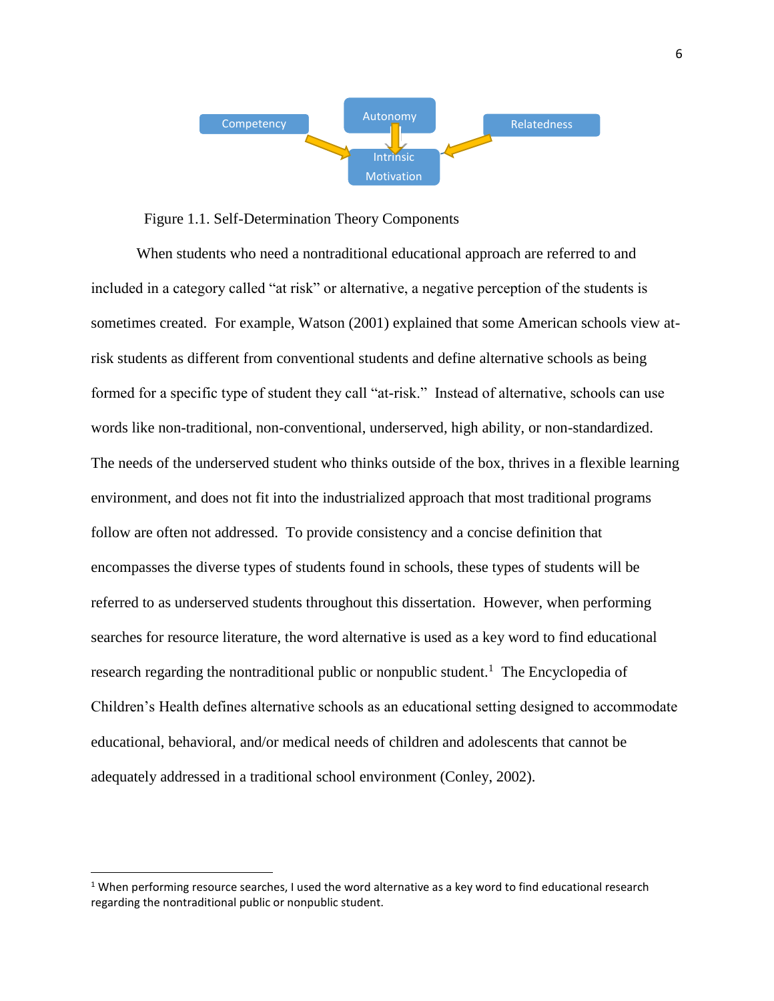

# Figure 1.1. Self-Determination Theory Components

When students who need a nontraditional educational approach are referred to and included in a category called "at risk" or alternative, a negative perception of the students is sometimes created. For example, Watson (2001) explained that some American schools view atrisk students as different from conventional students and define alternative schools as being formed for a specific type of student they call "at-risk." Instead of alternative, schools can use words like non-traditional, non-conventional, underserved, high ability, or non-standardized. The needs of the underserved student who thinks outside of the box, thrives in a flexible learning environment, and does not fit into the industrialized approach that most traditional programs follow are often not addressed. To provide consistency and a concise definition that encompasses the diverse types of students found in schools, these types of students will be referred to as underserved students throughout this dissertation. However, when performing searches for resource literature, the word alternative is used as a key word to find educational research regarding the nontraditional public or nonpublic student.<sup>1</sup> The Encyclopedia of Children's Health defines alternative schools as an educational setting designed to accommodate educational, behavioral, and/or medical needs of children and adolescents that cannot be adequately addressed in a traditional school environment (Conley, 2002).

 $\overline{\phantom{a}}$ 

 $1$  When performing resource searches, I used the word alternative as a key word to find educational research regarding the nontraditional public or nonpublic student.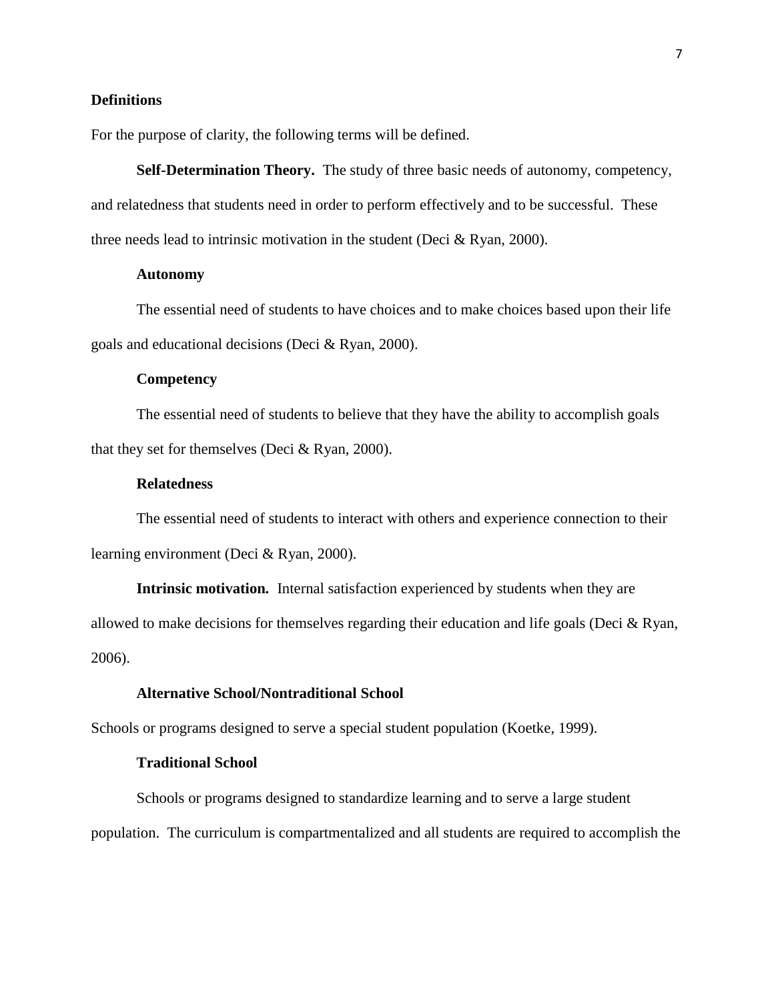## **Definitions**

For the purpose of clarity, the following terms will be defined.

**Self-Determination Theory.** The study of three basic needs of autonomy, competency, and relatedness that students need in order to perform effectively and to be successful. These three needs lead to intrinsic motivation in the student (Deci  $\&$  Ryan, 2000).

## **Autonomy**

The essential need of students to have choices and to make choices based upon their life goals and educational decisions (Deci & Ryan, 2000).

#### **Competency**

The essential need of students to believe that they have the ability to accomplish goals that they set for themselves (Deci & Ryan, 2000).

## **Relatedness**

The essential need of students to interact with others and experience connection to their learning environment (Deci & Ryan, 2000).

**Intrinsic motivation***.* Internal satisfaction experienced by students when they are allowed to make decisions for themselves regarding their education and life goals (Deci & Ryan, 2006).

## **Alternative School/Nontraditional School**

Schools or programs designed to serve a special student population (Koetke, 1999).

#### **Traditional School**

Schools or programs designed to standardize learning and to serve a large student population. The curriculum is compartmentalized and all students are required to accomplish the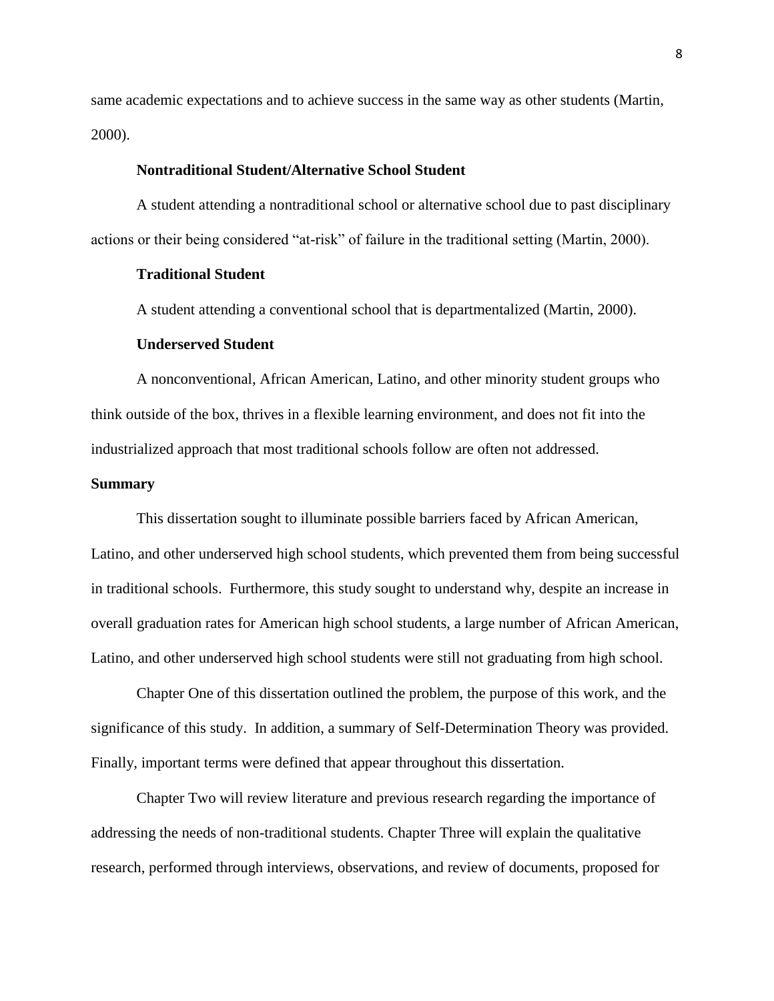same academic expectations and to achieve success in the same way as other students (Martin, 2000).

## **Nontraditional Student/Alternative School Student**

A student attending a nontraditional school or alternative school due to past disciplinary actions or their being considered "at-risk" of failure in the traditional setting (Martin, 2000).

## **Traditional Student**

A student attending a conventional school that is departmentalized (Martin, 2000).

#### **Underserved Student**

A nonconventional, African American, Latino, and other minority student groups who think outside of the box, thrives in a flexible learning environment, and does not fit into the industrialized approach that most traditional schools follow are often not addressed.

#### **Summary**

This dissertation sought to illuminate possible barriers faced by African American, Latino, and other underserved high school students, which prevented them from being successful in traditional schools. Furthermore, this study sought to understand why, despite an increase in overall graduation rates for American high school students, a large number of African American, Latino, and other underserved high school students were still not graduating from high school.

Chapter One of this dissertation outlined the problem, the purpose of this work, and the significance of this study. In addition, a summary of Self-Determination Theory was provided. Finally, important terms were defined that appear throughout this dissertation.

Chapter Two will review literature and previous research regarding the importance of addressing the needs of non-traditional students. Chapter Three will explain the qualitative research, performed through interviews, observations, and review of documents, proposed for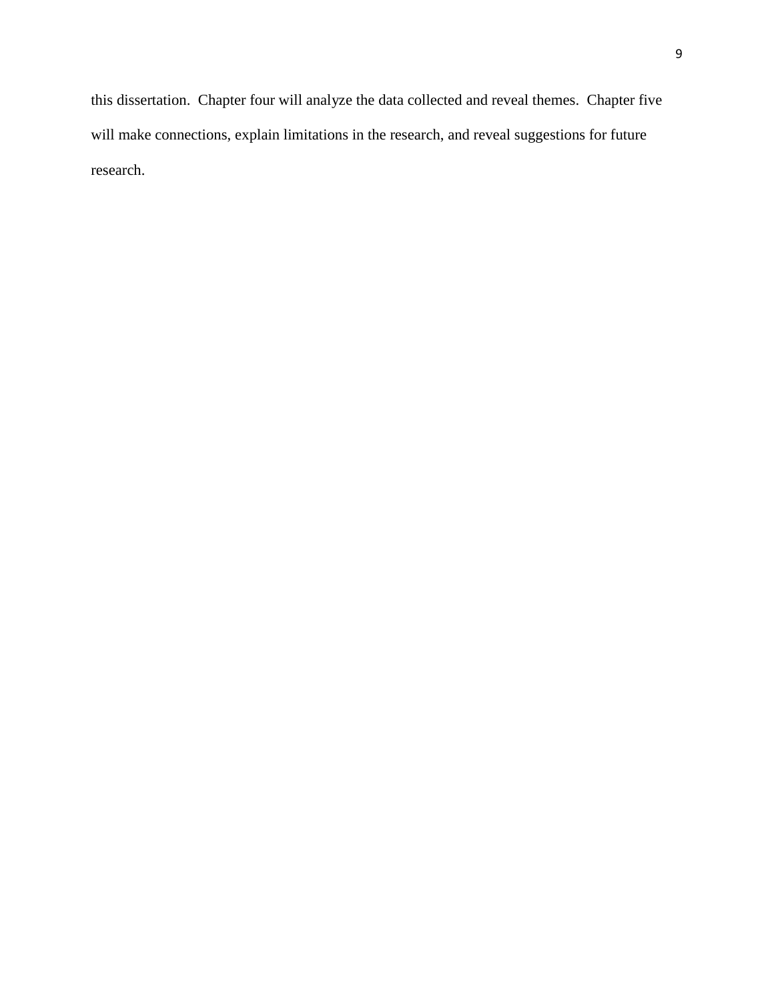this dissertation. Chapter four will analyze the data collected and reveal themes. Chapter five will make connections, explain limitations in the research, and reveal suggestions for future research.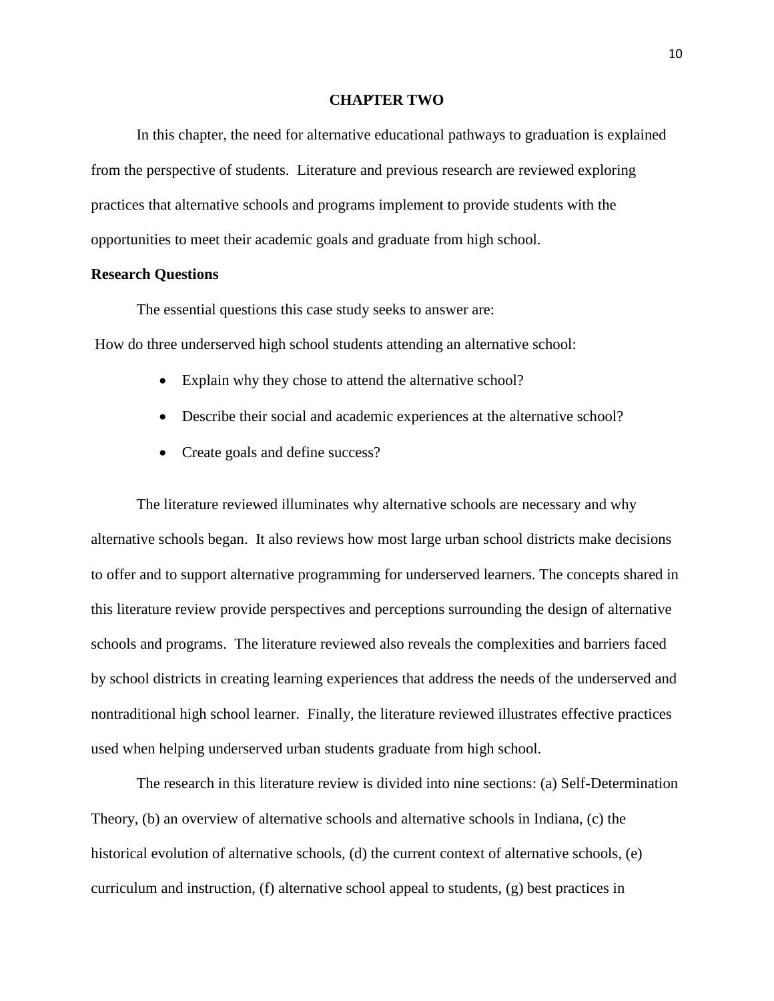#### **CHAPTER TWO**

In this chapter, the need for alternative educational pathways to graduation is explained from the perspective of students. Literature and previous research are reviewed exploring practices that alternative schools and programs implement to provide students with the opportunities to meet their academic goals and graduate from high school.

## **Research Questions**

The essential questions this case study seeks to answer are:

How do three underserved high school students attending an alternative school:

- Explain why they chose to attend the alternative school?
- Describe their social and academic experiences at the alternative school?
- Create goals and define success?

The literature reviewed illuminates why alternative schools are necessary and why alternative schools began. It also reviews how most large urban school districts make decisions to offer and to support alternative programming for underserved learners. The concepts shared in this literature review provide perspectives and perceptions surrounding the design of alternative schools and programs. The literature reviewed also reveals the complexities and barriers faced by school districts in creating learning experiences that address the needs of the underserved and nontraditional high school learner. Finally, the literature reviewed illustrates effective practices used when helping underserved urban students graduate from high school.

The research in this literature review is divided into nine sections: (a) Self-Determination Theory, (b) an overview of alternative schools and alternative schools in Indiana, (c) the historical evolution of alternative schools, (d) the current context of alternative schools, (e) curriculum and instruction, (f) alternative school appeal to students, (g) best practices in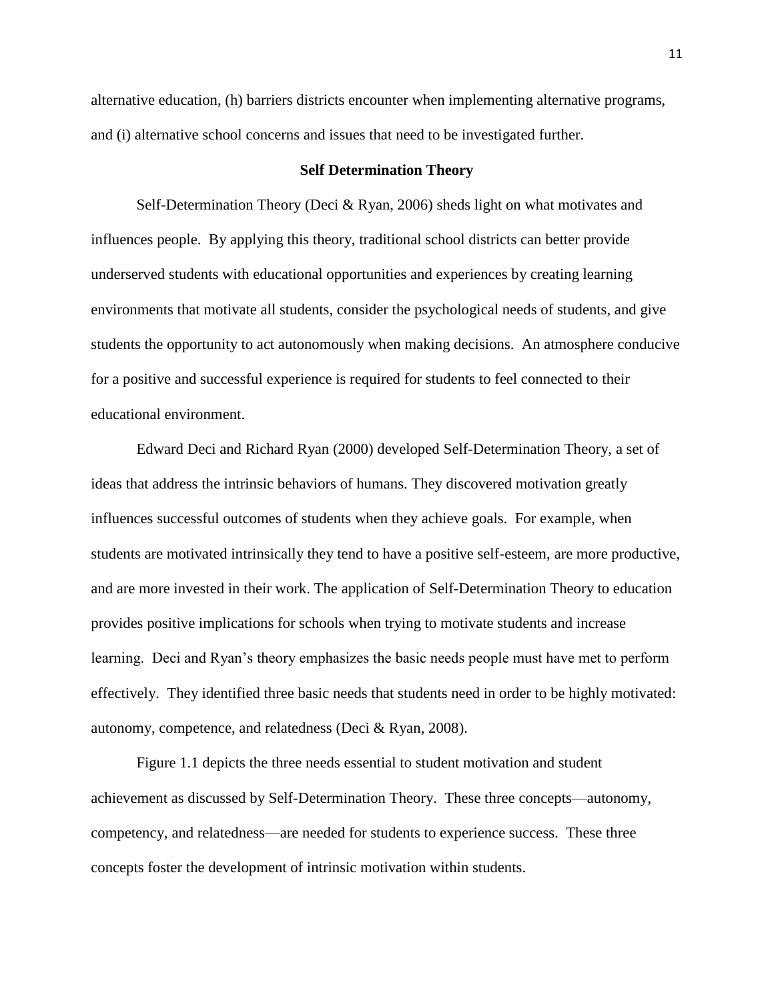alternative education, (h) barriers districts encounter when implementing alternative programs, and (i) alternative school concerns and issues that need to be investigated further.

## **Self Determination Theory**

Self-Determination Theory (Deci & Ryan, 2006) sheds light on what motivates and influences people. By applying this theory, traditional school districts can better provide underserved students with educational opportunities and experiences by creating learning environments that motivate all students, consider the psychological needs of students, and give students the opportunity to act autonomously when making decisions. An atmosphere conducive for a positive and successful experience is required for students to feel connected to their educational environment.

Edward Deci and Richard Ryan (2000) developed Self-Determination Theory, a set of ideas that address the intrinsic behaviors of humans. They discovered motivation greatly influences successful outcomes of students when they achieve goals. For example, when students are motivated intrinsically they tend to have a positive self-esteem, are more productive, and are more invested in their work. The application of Self-Determination Theory to education provides positive implications for schools when trying to motivate students and increase learning. Deci and Ryan's theory emphasizes the basic needs people must have met to perform effectively. They identified three basic needs that students need in order to be highly motivated: autonomy, competence, and relatedness (Deci & Ryan, 2008).

Figure 1.1 depicts the three needs essential to student motivation and student achievement as discussed by Self-Determination Theory. These three concepts—autonomy, competency, and relatedness—are needed for students to experience success. These three concepts foster the development of intrinsic motivation within students.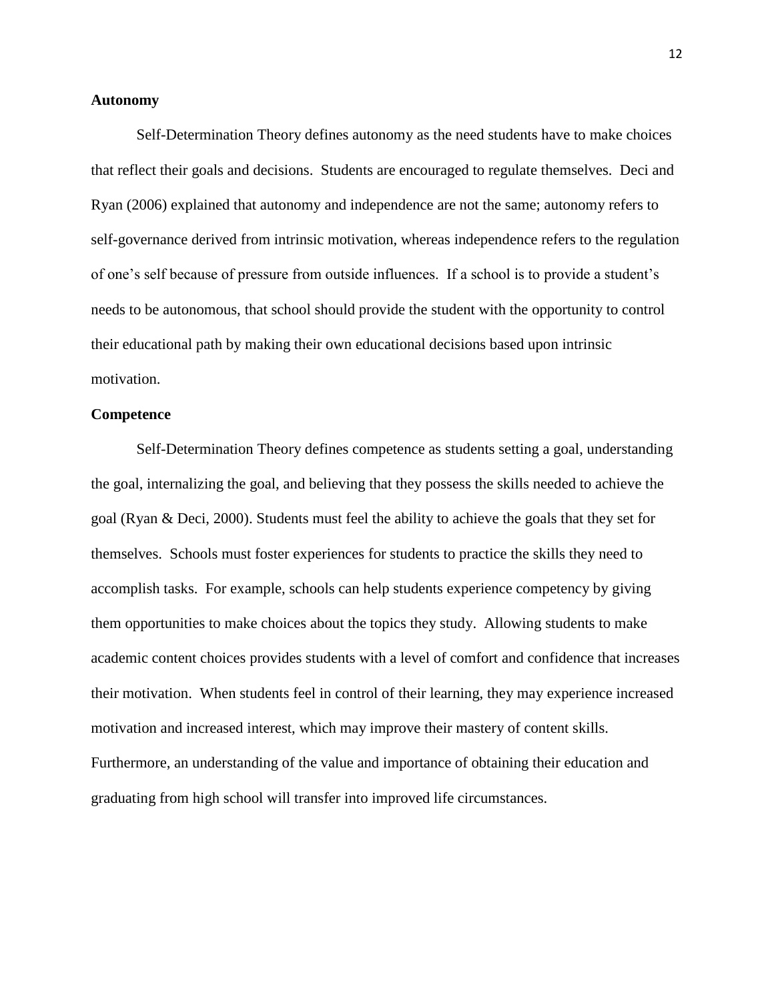#### **Autonomy**

Self-Determination Theory defines autonomy as the need students have to make choices that reflect their goals and decisions. Students are encouraged to regulate themselves. Deci and Ryan (2006) explained that autonomy and independence are not the same; autonomy refers to self-governance derived from intrinsic motivation, whereas independence refers to the regulation of one's self because of pressure from outside influences. If a school is to provide a student's needs to be autonomous, that school should provide the student with the opportunity to control their educational path by making their own educational decisions based upon intrinsic motivation.

## **Competence**

Self-Determination Theory defines competence as students setting a goal, understanding the goal, internalizing the goal, and believing that they possess the skills needed to achieve the goal (Ryan & Deci, 2000). Students must feel the ability to achieve the goals that they set for themselves. Schools must foster experiences for students to practice the skills they need to accomplish tasks. For example, schools can help students experience competency by giving them opportunities to make choices about the topics they study. Allowing students to make academic content choices provides students with a level of comfort and confidence that increases their motivation. When students feel in control of their learning, they may experience increased motivation and increased interest, which may improve their mastery of content skills. Furthermore, an understanding of the value and importance of obtaining their education and graduating from high school will transfer into improved life circumstances.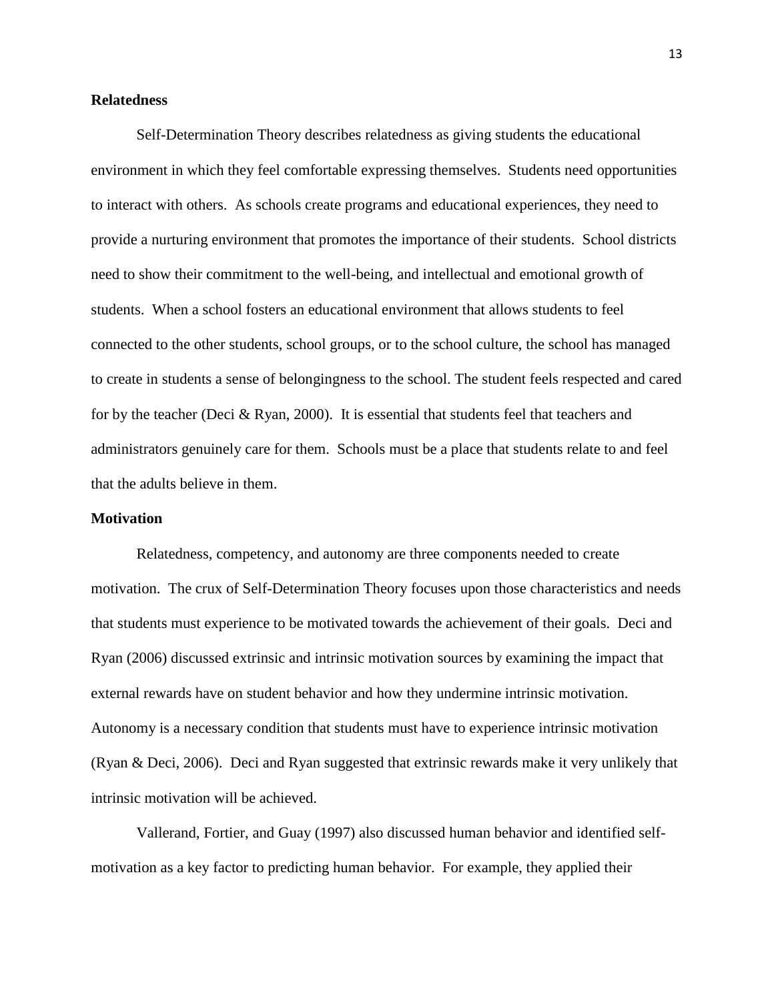## **Relatedness**

Self-Determination Theory describes relatedness as giving students the educational environment in which they feel comfortable expressing themselves. Students need opportunities to interact with others. As schools create programs and educational experiences, they need to provide a nurturing environment that promotes the importance of their students. School districts need to show their commitment to the well-being, and intellectual and emotional growth of students. When a school fosters an educational environment that allows students to feel connected to the other students, school groups, or to the school culture, the school has managed to create in students a sense of belongingness to the school. The student feels respected and cared for by the teacher (Deci & Ryan, 2000). It is essential that students feel that teachers and administrators genuinely care for them. Schools must be a place that students relate to and feel that the adults believe in them.

## **Motivation**

Relatedness, competency, and autonomy are three components needed to create motivation. The crux of Self-Determination Theory focuses upon those characteristics and needs that students must experience to be motivated towards the achievement of their goals. Deci and Ryan (2006) discussed extrinsic and intrinsic motivation sources by examining the impact that external rewards have on student behavior and how they undermine intrinsic motivation. Autonomy is a necessary condition that students must have to experience intrinsic motivation (Ryan & Deci, 2006). Deci and Ryan suggested that extrinsic rewards make it very unlikely that intrinsic motivation will be achieved.

Vallerand, Fortier, and Guay (1997) also discussed human behavior and identified selfmotivation as a key factor to predicting human behavior. For example, they applied their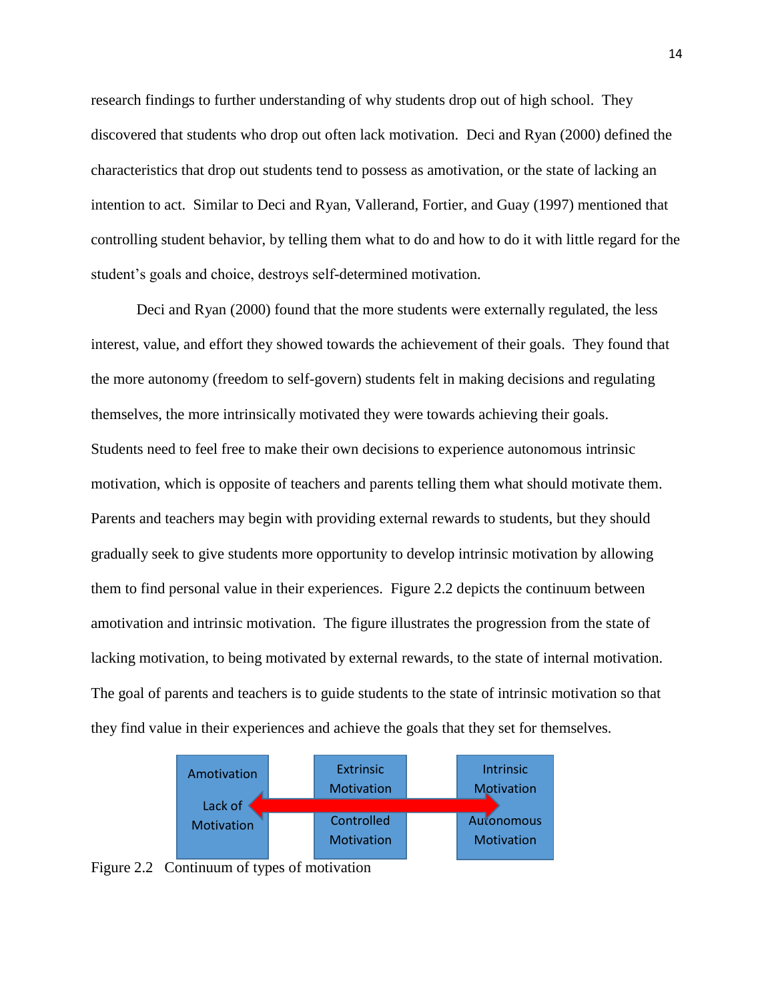research findings to further understanding of why students drop out of high school. They discovered that students who drop out often lack motivation. Deci and Ryan (2000) defined the characteristics that drop out students tend to possess as amotivation, or the state of lacking an intention to act. Similar to Deci and Ryan, Vallerand, Fortier, and Guay (1997) mentioned that controlling student behavior, by telling them what to do and how to do it with little regard for the student's goals and choice, destroys self-determined motivation.

Deci and Ryan (2000) found that the more students were externally regulated, the less interest, value, and effort they showed towards the achievement of their goals. They found that the more autonomy (freedom to self-govern) students felt in making decisions and regulating themselves, the more intrinsically motivated they were towards achieving their goals. Students need to feel free to make their own decisions to experience autonomous intrinsic motivation, which is opposite of teachers and parents telling them what should motivate them. Parents and teachers may begin with providing external rewards to students, but they should gradually seek to give students more opportunity to develop intrinsic motivation by allowing them to find personal value in their experiences. Figure 2.2 depicts the continuum between amotivation and intrinsic motivation. The figure illustrates the progression from the state of lacking motivation, to being motivated by external rewards, to the state of internal motivation. The goal of parents and teachers is to guide students to the state of intrinsic motivation so that they find value in their experiences and achieve the goals that they set for themselves.



Figure 2.2 Continuum of types of motivation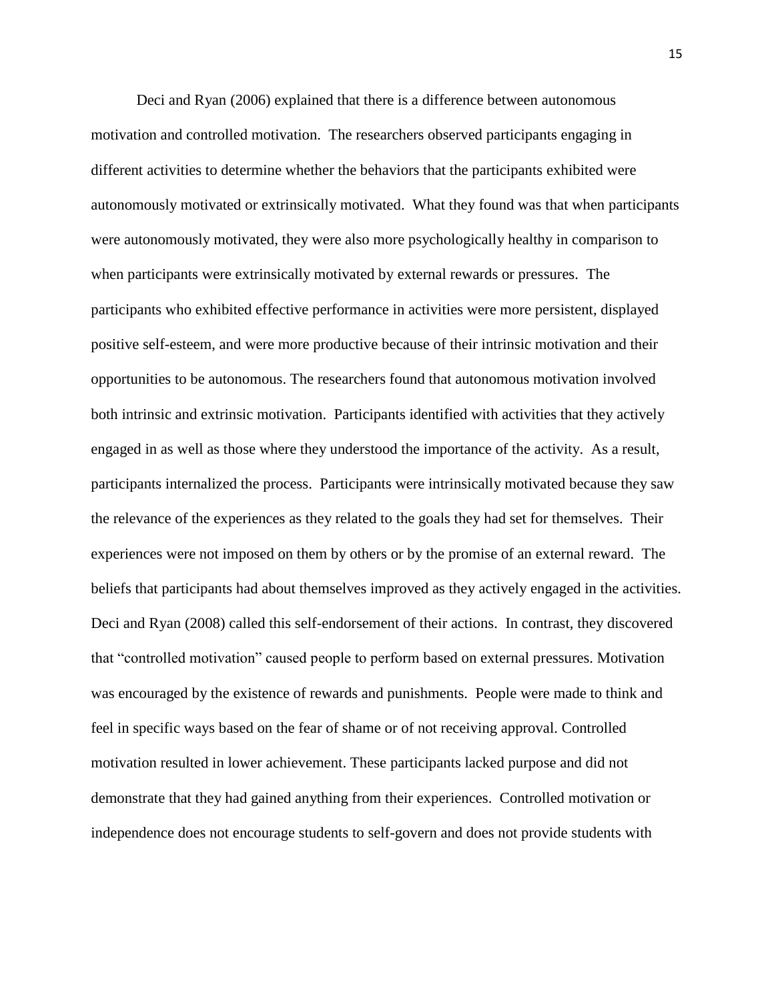Deci and Ryan (2006) explained that there is a difference between autonomous motivation and controlled motivation. The researchers observed participants engaging in different activities to determine whether the behaviors that the participants exhibited were autonomously motivated or extrinsically motivated. What they found was that when participants were autonomously motivated, they were also more psychologically healthy in comparison to when participants were extrinsically motivated by external rewards or pressures. The participants who exhibited effective performance in activities were more persistent, displayed positive self-esteem, and were more productive because of their intrinsic motivation and their opportunities to be autonomous. The researchers found that autonomous motivation involved both intrinsic and extrinsic motivation. Participants identified with activities that they actively engaged in as well as those where they understood the importance of the activity. As a result, participants internalized the process. Participants were intrinsically motivated because they saw the relevance of the experiences as they related to the goals they had set for themselves. Their experiences were not imposed on them by others or by the promise of an external reward. The beliefs that participants had about themselves improved as they actively engaged in the activities. Deci and Ryan (2008) called this self-endorsement of their actions. In contrast, they discovered that "controlled motivation" caused people to perform based on external pressures. Motivation was encouraged by the existence of rewards and punishments. People were made to think and feel in specific ways based on the fear of shame or of not receiving approval. Controlled motivation resulted in lower achievement. These participants lacked purpose and did not demonstrate that they had gained anything from their experiences. Controlled motivation or independence does not encourage students to self-govern and does not provide students with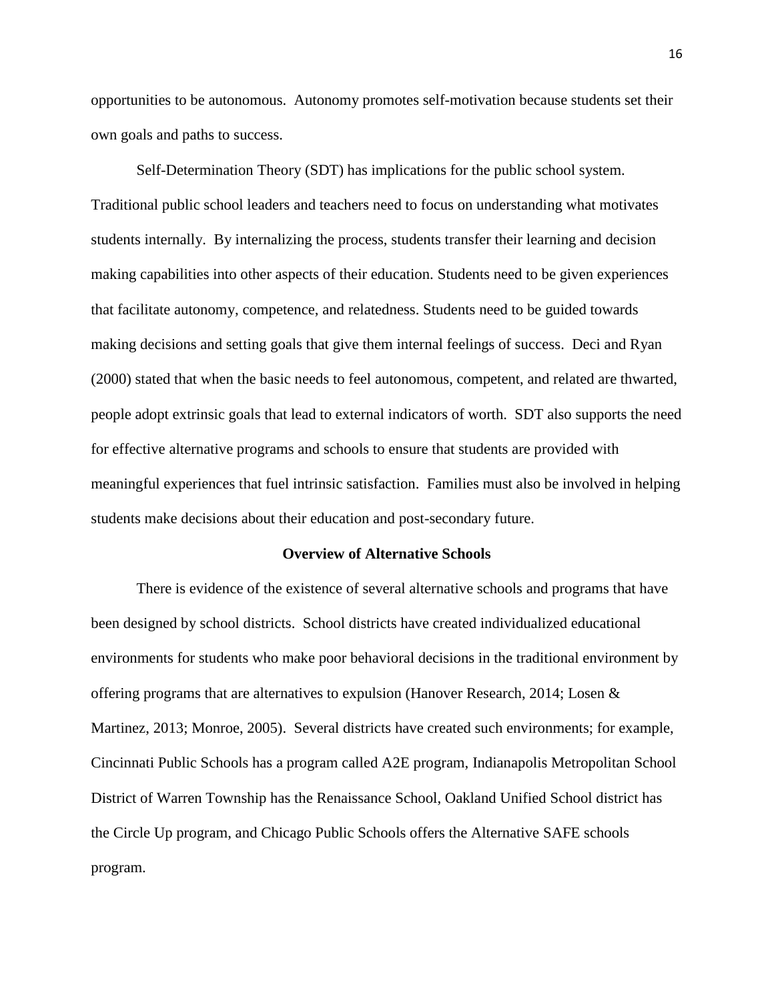opportunities to be autonomous. Autonomy promotes self-motivation because students set their own goals and paths to success.

Self-Determination Theory (SDT) has implications for the public school system. Traditional public school leaders and teachers need to focus on understanding what motivates students internally. By internalizing the process, students transfer their learning and decision making capabilities into other aspects of their education. Students need to be given experiences that facilitate autonomy, competence, and relatedness. Students need to be guided towards making decisions and setting goals that give them internal feelings of success. Deci and Ryan (2000) stated that when the basic needs to feel autonomous, competent, and related are thwarted, people adopt extrinsic goals that lead to external indicators of worth. SDT also supports the need for effective alternative programs and schools to ensure that students are provided with meaningful experiences that fuel intrinsic satisfaction. Families must also be involved in helping students make decisions about their education and post-secondary future.

#### **Overview of Alternative Schools**

There is evidence of the existence of several alternative schools and programs that have been designed by school districts. School districts have created individualized educational environments for students who make poor behavioral decisions in the traditional environment by offering programs that are alternatives to expulsion (Hanover Research, 2014; Losen & Martinez, 2013; Monroe, 2005). Several districts have created such environments; for example, Cincinnati Public Schools has a program called A2E program, Indianapolis Metropolitan School District of Warren Township has the Renaissance School, Oakland Unified School district has the Circle Up program, and Chicago Public Schools offers the Alternative SAFE schools program.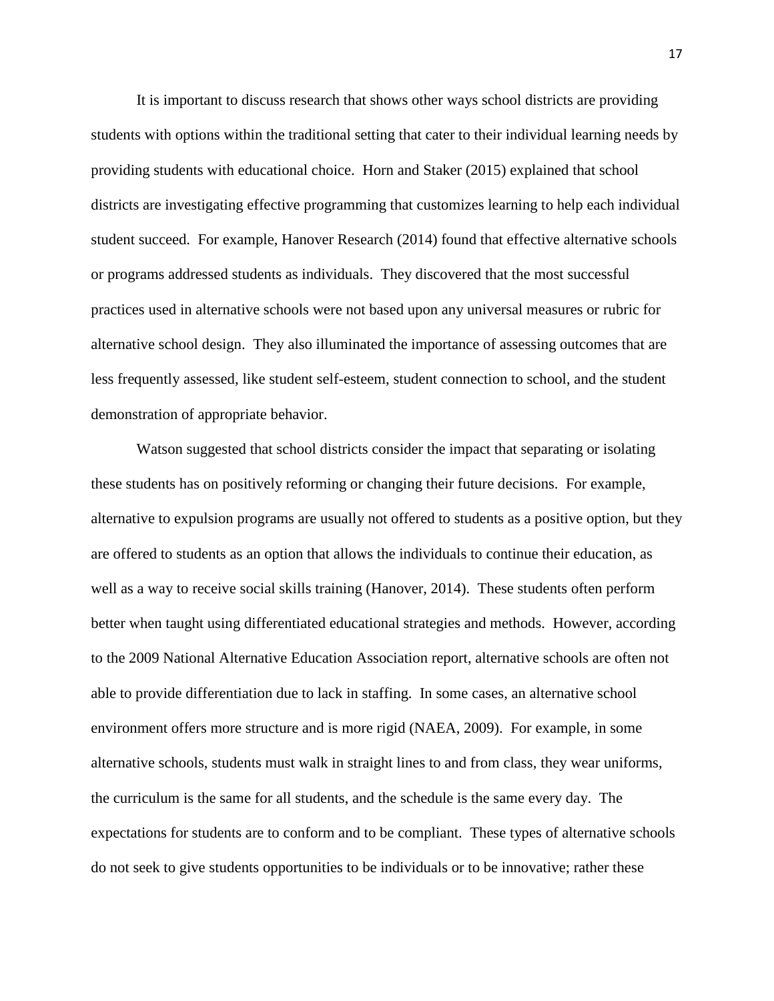It is important to discuss research that shows other ways school districts are providing students with options within the traditional setting that cater to their individual learning needs by providing students with educational choice. Horn and Staker (2015) explained that school districts are investigating effective programming that customizes learning to help each individual student succeed. For example, Hanover Research (2014) found that effective alternative schools or programs addressed students as individuals. They discovered that the most successful practices used in alternative schools were not based upon any universal measures or rubric for alternative school design. They also illuminated the importance of assessing outcomes that are less frequently assessed, like student self-esteem, student connection to school, and the student demonstration of appropriate behavior.

Watson suggested that school districts consider the impact that separating or isolating these students has on positively reforming or changing their future decisions. For example, alternative to expulsion programs are usually not offered to students as a positive option, but they are offered to students as an option that allows the individuals to continue their education, as well as a way to receive social skills training (Hanover, 2014). These students often perform better when taught using differentiated educational strategies and methods. However, according to the 2009 National Alternative Education Association report, alternative schools are often not able to provide differentiation due to lack in staffing. In some cases, an alternative school environment offers more structure and is more rigid (NAEA, 2009). For example, in some alternative schools, students must walk in straight lines to and from class, they wear uniforms, the curriculum is the same for all students, and the schedule is the same every day. The expectations for students are to conform and to be compliant. These types of alternative schools do not seek to give students opportunities to be individuals or to be innovative; rather these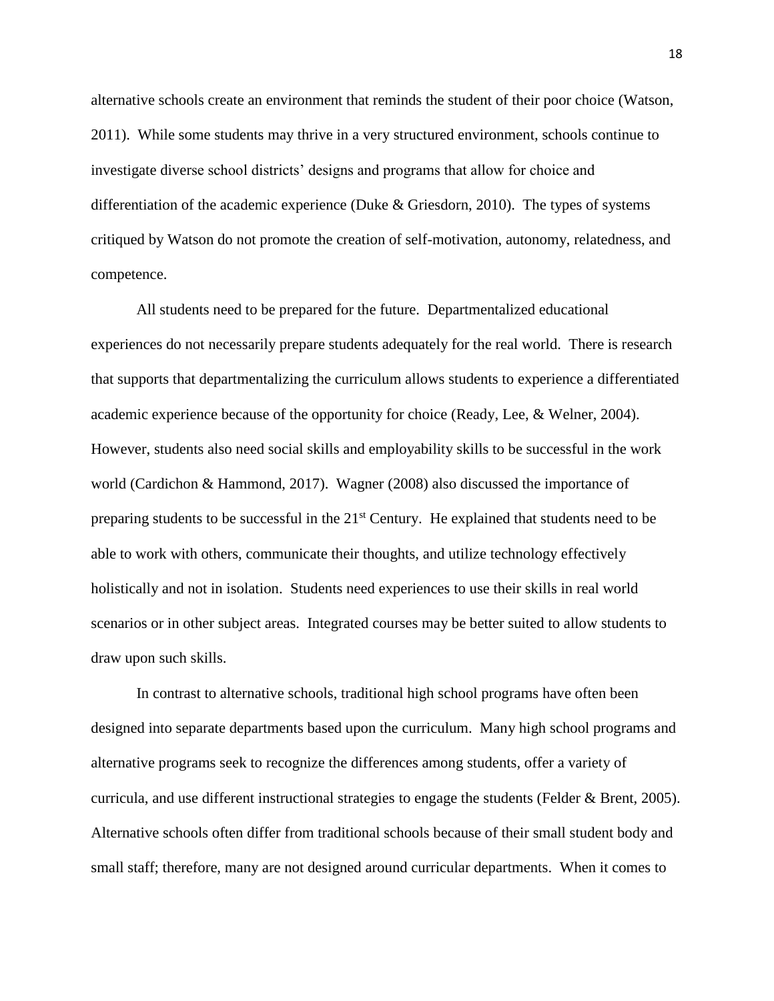alternative schools create an environment that reminds the student of their poor choice (Watson, 2011). While some students may thrive in a very structured environment, schools continue to investigate diverse school districts' designs and programs that allow for choice and differentiation of the academic experience (Duke & Griesdorn, 2010). The types of systems critiqued by Watson do not promote the creation of self-motivation, autonomy, relatedness, and competence.

All students need to be prepared for the future. Departmentalized educational experiences do not necessarily prepare students adequately for the real world. There is research that supports that departmentalizing the curriculum allows students to experience a differentiated academic experience because of the opportunity for choice (Ready, Lee, & Welner, 2004). However, students also need social skills and employability skills to be successful in the work world (Cardichon & Hammond, 2017). Wagner (2008) also discussed the importance of preparing students to be successful in the 21<sup>st</sup> Century. He explained that students need to be able to work with others, communicate their thoughts, and utilize technology effectively holistically and not in isolation. Students need experiences to use their skills in real world scenarios or in other subject areas. Integrated courses may be better suited to allow students to draw upon such skills.

In contrast to alternative schools, traditional high school programs have often been designed into separate departments based upon the curriculum. Many high school programs and alternative programs seek to recognize the differences among students, offer a variety of curricula, and use different instructional strategies to engage the students (Felder & Brent, 2005). Alternative schools often differ from traditional schools because of their small student body and small staff; therefore, many are not designed around curricular departments. When it comes to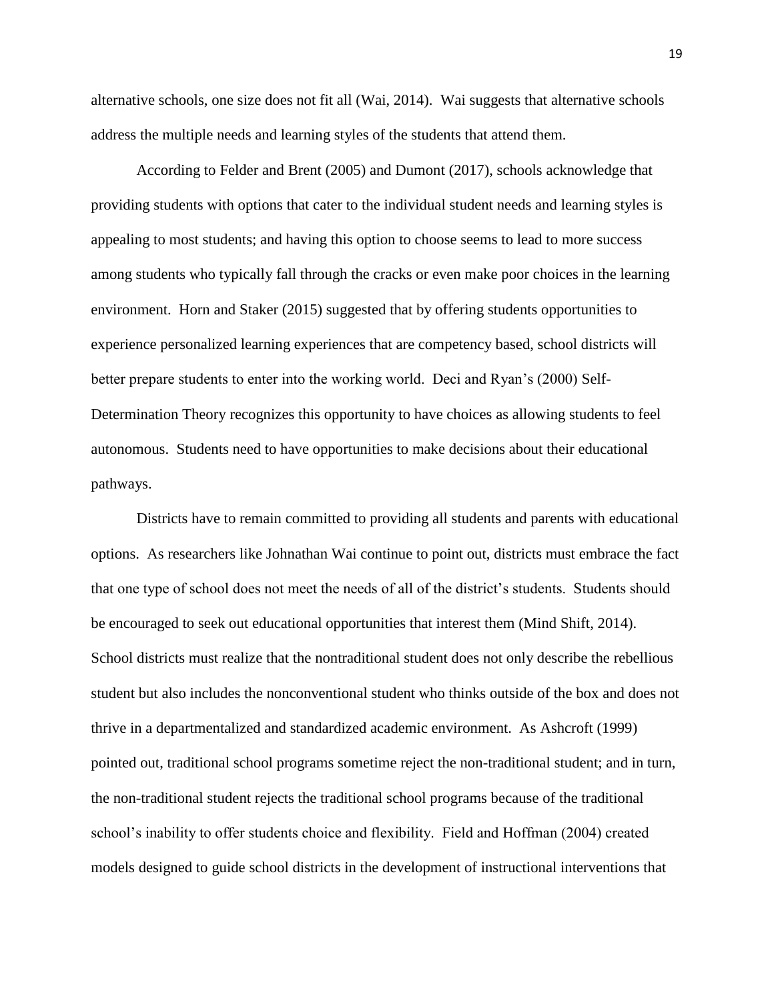alternative schools, one size does not fit all (Wai, 2014). Wai suggests that alternative schools address the multiple needs and learning styles of the students that attend them.

According to Felder and Brent (2005) and Dumont (2017), schools acknowledge that providing students with options that cater to the individual student needs and learning styles is appealing to most students; and having this option to choose seems to lead to more success among students who typically fall through the cracks or even make poor choices in the learning environment. Horn and Staker (2015) suggested that by offering students opportunities to experience personalized learning experiences that are competency based, school districts will better prepare students to enter into the working world. Deci and Ryan's (2000) Self-Determination Theory recognizes this opportunity to have choices as allowing students to feel autonomous. Students need to have opportunities to make decisions about their educational pathways.

Districts have to remain committed to providing all students and parents with educational options. As researchers like Johnathan Wai continue to point out, districts must embrace the fact that one type of school does not meet the needs of all of the district's students. Students should be encouraged to seek out educational opportunities that interest them (Mind Shift, 2014). School districts must realize that the nontraditional student does not only describe the rebellious student but also includes the nonconventional student who thinks outside of the box and does not thrive in a departmentalized and standardized academic environment. As Ashcroft (1999) pointed out, traditional school programs sometime reject the non-traditional student; and in turn, the non-traditional student rejects the traditional school programs because of the traditional school's inability to offer students choice and flexibility. Field and Hoffman (2004) created models designed to guide school districts in the development of instructional interventions that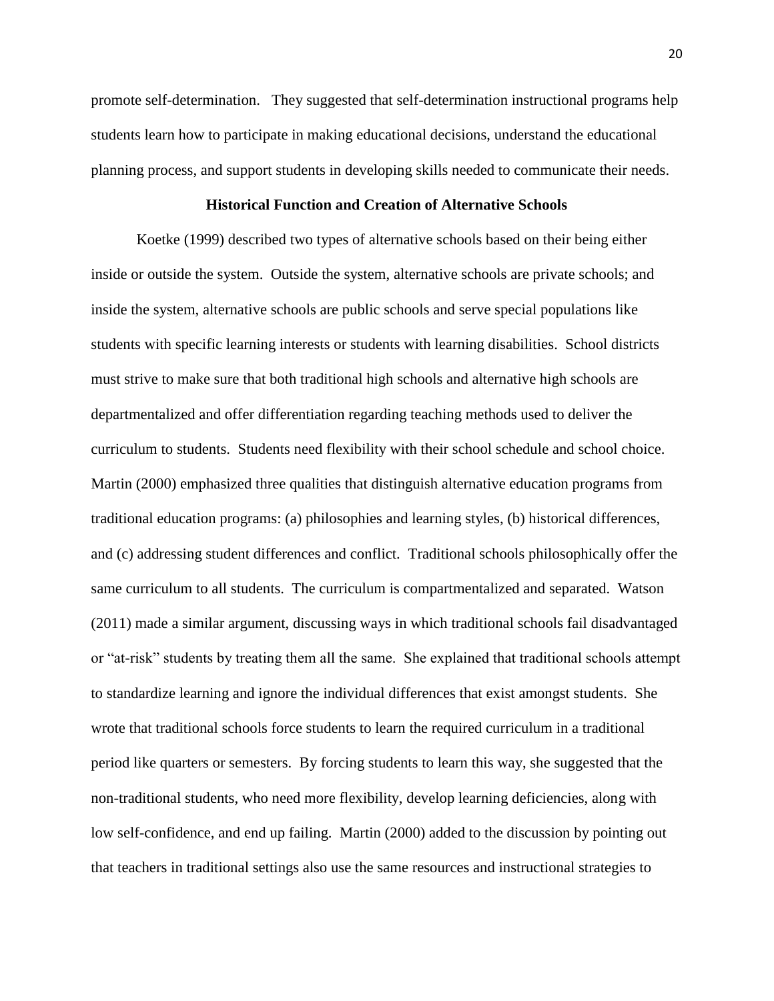promote self-determination. They suggested that self-determination instructional programs help students learn how to participate in making educational decisions, understand the educational planning process, and support students in developing skills needed to communicate their needs.

## **Historical Function and Creation of Alternative Schools**

Koetke (1999) described two types of alternative schools based on their being either inside or outside the system. Outside the system, alternative schools are private schools; and inside the system, alternative schools are public schools and serve special populations like students with specific learning interests or students with learning disabilities. School districts must strive to make sure that both traditional high schools and alternative high schools are departmentalized and offer differentiation regarding teaching methods used to deliver the curriculum to students. Students need flexibility with their school schedule and school choice. Martin (2000) emphasized three qualities that distinguish alternative education programs from traditional education programs: (a) philosophies and learning styles, (b) historical differences, and (c) addressing student differences and conflict. Traditional schools philosophically offer the same curriculum to all students. The curriculum is compartmentalized and separated. Watson (2011) made a similar argument, discussing ways in which traditional schools fail disadvantaged or "at-risk" students by treating them all the same. She explained that traditional schools attempt to standardize learning and ignore the individual differences that exist amongst students. She wrote that traditional schools force students to learn the required curriculum in a traditional period like quarters or semesters. By forcing students to learn this way, she suggested that the non-traditional students, who need more flexibility, develop learning deficiencies, along with low self-confidence, and end up failing. Martin (2000) added to the discussion by pointing out that teachers in traditional settings also use the same resources and instructional strategies to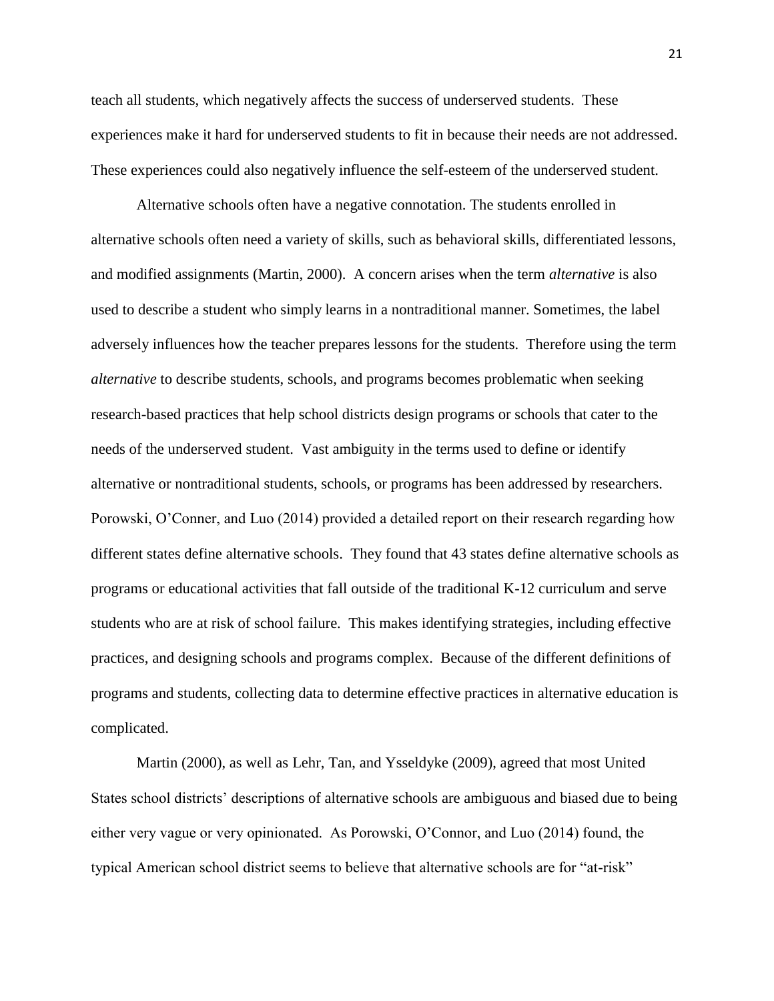teach all students, which negatively affects the success of underserved students. These experiences make it hard for underserved students to fit in because their needs are not addressed. These experiences could also negatively influence the self-esteem of the underserved student.

Alternative schools often have a negative connotation. The students enrolled in alternative schools often need a variety of skills, such as behavioral skills, differentiated lessons, and modified assignments (Martin, 2000). A concern arises when the term *alternative* is also used to describe a student who simply learns in a nontraditional manner. Sometimes, the label adversely influences how the teacher prepares lessons for the students. Therefore using the term *alternative* to describe students, schools, and programs becomes problematic when seeking research-based practices that help school districts design programs or schools that cater to the needs of the underserved student. Vast ambiguity in the terms used to define or identify alternative or nontraditional students, schools, or programs has been addressed by researchers. Porowski, O'Conner, and Luo (2014) provided a detailed report on their research regarding how different states define alternative schools. They found that 43 states define alternative schools as programs or educational activities that fall outside of the traditional K-12 curriculum and serve students who are at risk of school failure. This makes identifying strategies, including effective practices, and designing schools and programs complex. Because of the different definitions of programs and students, collecting data to determine effective practices in alternative education is complicated.

Martin (2000), as well as Lehr, Tan, and Ysseldyke (2009), agreed that most United States school districts' descriptions of alternative schools are ambiguous and biased due to being either very vague or very opinionated. As Porowski, O'Connor, and Luo (2014) found, the typical American school district seems to believe that alternative schools are for "at-risk"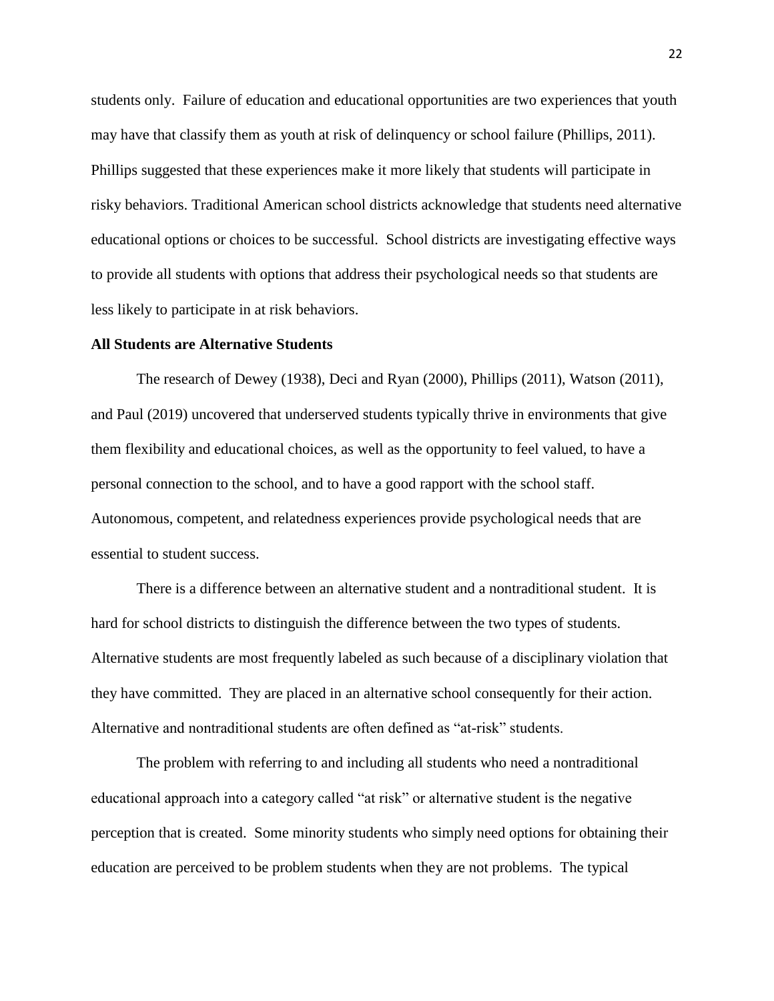students only. Failure of education and educational opportunities are two experiences that youth may have that classify them as youth at risk of delinquency or school failure (Phillips, 2011). Phillips suggested that these experiences make it more likely that students will participate in risky behaviors. Traditional American school districts acknowledge that students need alternative educational options or choices to be successful. School districts are investigating effective ways to provide all students with options that address their psychological needs so that students are less likely to participate in at risk behaviors.

#### **All Students are Alternative Students**

The research of Dewey (1938), Deci and Ryan (2000), Phillips (2011), Watson (2011), and Paul (2019) uncovered that underserved students typically thrive in environments that give them flexibility and educational choices, as well as the opportunity to feel valued, to have a personal connection to the school, and to have a good rapport with the school staff. Autonomous, competent, and relatedness experiences provide psychological needs that are essential to student success.

There is a difference between an alternative student and a nontraditional student. It is hard for school districts to distinguish the difference between the two types of students. Alternative students are most frequently labeled as such because of a disciplinary violation that they have committed. They are placed in an alternative school consequently for their action. Alternative and nontraditional students are often defined as "at-risk" students.

The problem with referring to and including all students who need a nontraditional educational approach into a category called "at risk" or alternative student is the negative perception that is created. Some minority students who simply need options for obtaining their education are perceived to be problem students when they are not problems. The typical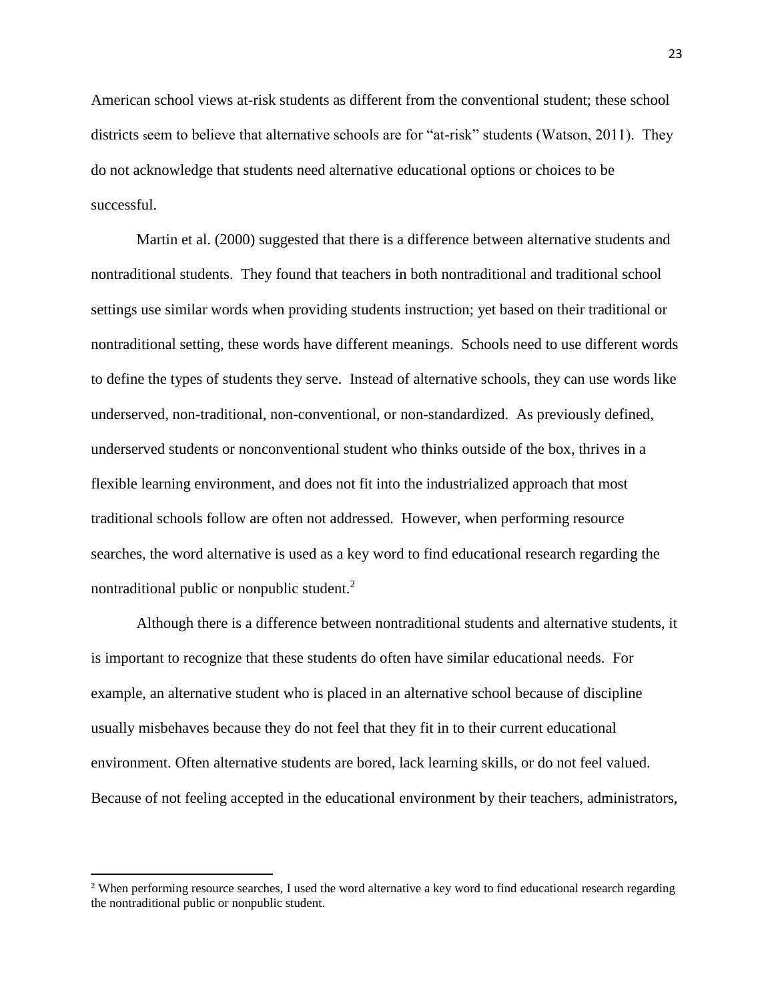American school views at-risk students as different from the conventional student; these school districts seem to believe that alternative schools are for "at-risk" students (Watson, 2011). They do not acknowledge that students need alternative educational options or choices to be successful.

Martin et al. (2000) suggested that there is a difference between alternative students and nontraditional students. They found that teachers in both nontraditional and traditional school settings use similar words when providing students instruction; yet based on their traditional or nontraditional setting, these words have different meanings. Schools need to use different words to define the types of students they serve. Instead of alternative schools, they can use words like underserved, non-traditional, non-conventional, or non-standardized. As previously defined, underserved students or nonconventional student who thinks outside of the box, thrives in a flexible learning environment, and does not fit into the industrialized approach that most traditional schools follow are often not addressed. However, when performing resource searches, the word alternative is used as a key word to find educational research regarding the nontraditional public or nonpublic student.<sup>2</sup>

Although there is a difference between nontraditional students and alternative students, it is important to recognize that these students do often have similar educational needs. For example, an alternative student who is placed in an alternative school because of discipline usually misbehaves because they do not feel that they fit in to their current educational environment. Often alternative students are bored, lack learning skills, or do not feel valued. Because of not feeling accepted in the educational environment by their teachers, administrators,

 $\overline{a}$ 

<sup>&</sup>lt;sup>2</sup> When performing resource searches, I used the word alternative a key word to find educational research regarding the nontraditional public or nonpublic student.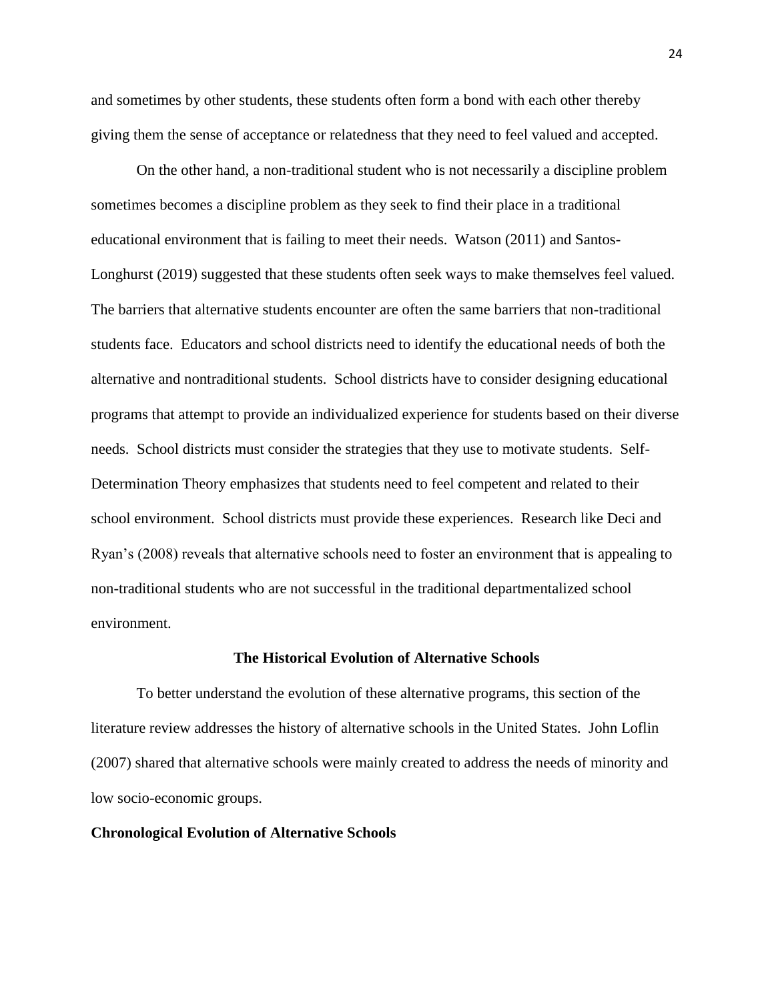and sometimes by other students, these students often form a bond with each other thereby giving them the sense of acceptance or relatedness that they need to feel valued and accepted.

On the other hand, a non-traditional student who is not necessarily a discipline problem sometimes becomes a discipline problem as they seek to find their place in a traditional educational environment that is failing to meet their needs. Watson (2011) and Santos-Longhurst (2019) suggested that these students often seek ways to make themselves feel valued. The barriers that alternative students encounter are often the same barriers that non-traditional students face. Educators and school districts need to identify the educational needs of both the alternative and nontraditional students. School districts have to consider designing educational programs that attempt to provide an individualized experience for students based on their diverse needs. School districts must consider the strategies that they use to motivate students. Self-Determination Theory emphasizes that students need to feel competent and related to their school environment. School districts must provide these experiences. Research like Deci and Ryan's (2008) reveals that alternative schools need to foster an environment that is appealing to non-traditional students who are not successful in the traditional departmentalized school environment.

## **The Historical Evolution of Alternative Schools**

To better understand the evolution of these alternative programs, this section of the literature review addresses the history of alternative schools in the United States. John Loflin (2007) shared that alternative schools were mainly created to address the needs of minority and low socio-economic groups.

## **Chronological Evolution of Alternative Schools**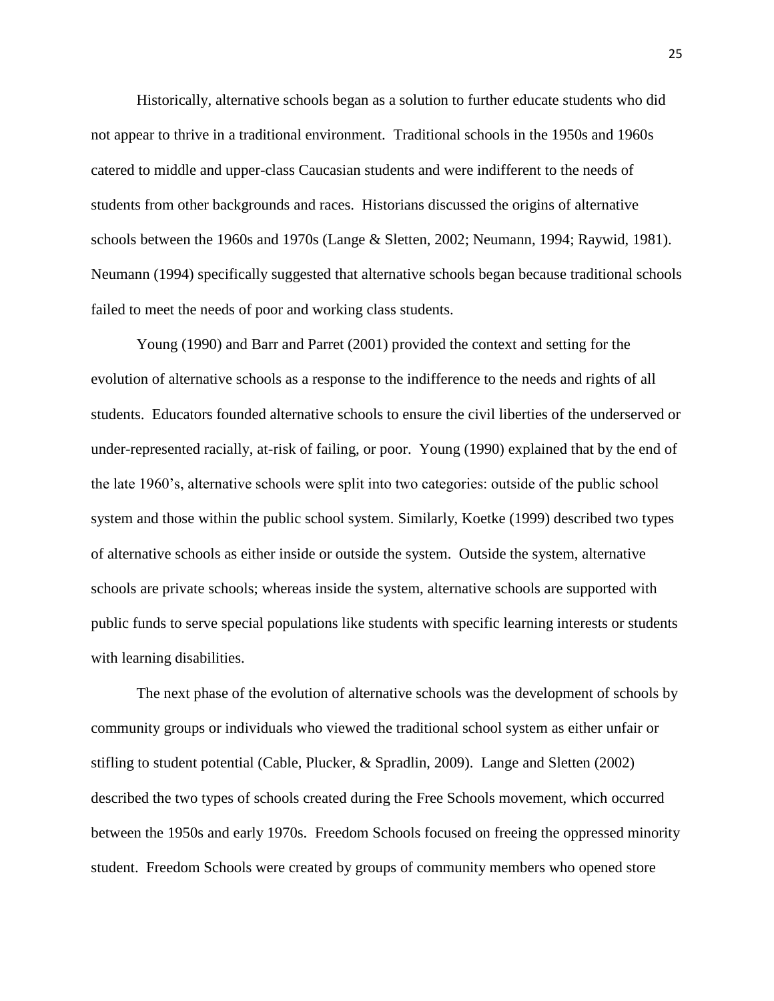Historically, alternative schools began as a solution to further educate students who did not appear to thrive in a traditional environment. Traditional schools in the 1950s and 1960s catered to middle and upper-class Caucasian students and were indifferent to the needs of students from other backgrounds and races. Historians discussed the origins of alternative schools between the 1960s and 1970s (Lange & Sletten, 2002; Neumann, 1994; Raywid, 1981). Neumann (1994) specifically suggested that alternative schools began because traditional schools failed to meet the needs of poor and working class students.

Young (1990) and Barr and Parret (2001) provided the context and setting for the evolution of alternative schools as a response to the indifference to the needs and rights of all students. Educators founded alternative schools to ensure the civil liberties of the underserved or under-represented racially, at-risk of failing, or poor. Young (1990) explained that by the end of the late 1960's, alternative schools were split into two categories: outside of the public school system and those within the public school system. Similarly, Koetke (1999) described two types of alternative schools as either inside or outside the system. Outside the system, alternative schools are private schools; whereas inside the system, alternative schools are supported with public funds to serve special populations like students with specific learning interests or students with learning disabilities.

The next phase of the evolution of alternative schools was the development of schools by community groups or individuals who viewed the traditional school system as either unfair or stifling to student potential (Cable, Plucker, & Spradlin, 2009). Lange and Sletten (2002) described the two types of schools created during the Free Schools movement, which occurred between the 1950s and early 1970s. Freedom Schools focused on freeing the oppressed minority student. Freedom Schools were created by groups of community members who opened store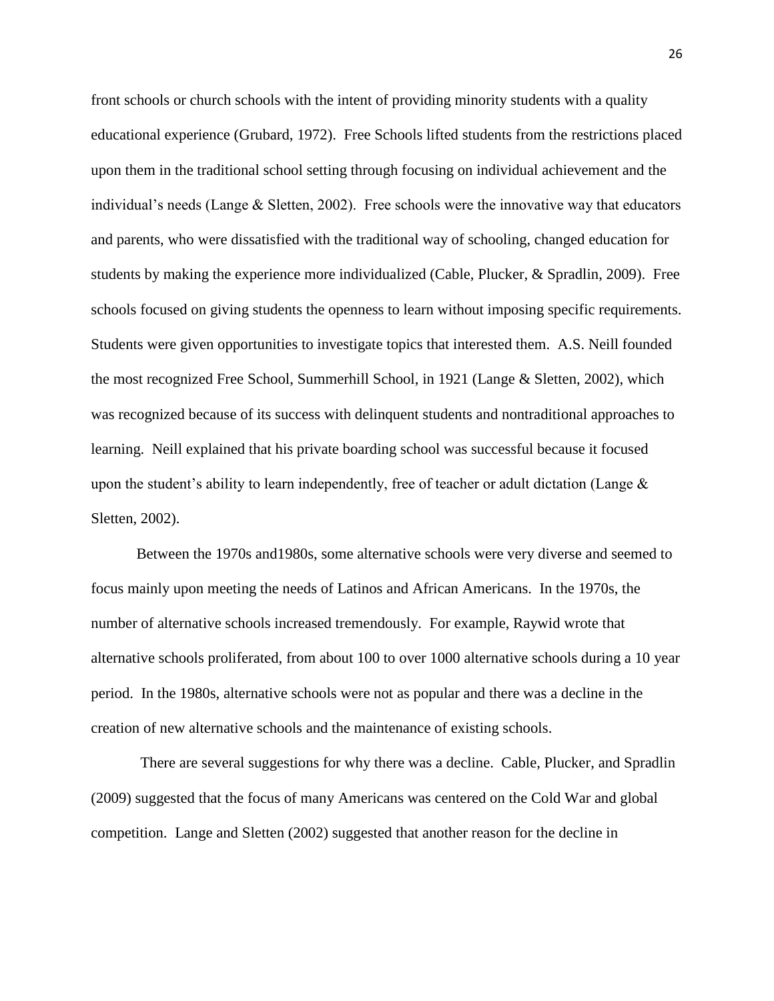front schools or church schools with the intent of providing minority students with a quality educational experience (Grubard, 1972). Free Schools lifted students from the restrictions placed upon them in the traditional school setting through focusing on individual achievement and the individual's needs (Lange & Sletten, 2002). Free schools were the innovative way that educators and parents, who were dissatisfied with the traditional way of schooling, changed education for students by making the experience more individualized (Cable, Plucker, & Spradlin, 2009). Free schools focused on giving students the openness to learn without imposing specific requirements. Students were given opportunities to investigate topics that interested them. A.S. Neill founded the most recognized Free School, Summerhill School, in 1921 (Lange & Sletten, 2002), which was recognized because of its success with delinquent students and nontraditional approaches to learning. Neill explained that his private boarding school was successful because it focused upon the student's ability to learn independently, free of teacher or adult dictation (Lange & Sletten, 2002).

Between the 1970s and1980s, some alternative schools were very diverse and seemed to focus mainly upon meeting the needs of Latinos and African Americans. In the 1970s, the number of alternative schools increased tremendously. For example, Raywid wrote that alternative schools proliferated, from about 100 to over 1000 alternative schools during a 10 year period. In the 1980s, alternative schools were not as popular and there was a decline in the creation of new alternative schools and the maintenance of existing schools.

There are several suggestions for why there was a decline. Cable, Plucker, and Spradlin (2009) suggested that the focus of many Americans was centered on the Cold War and global competition. Lange and Sletten (2002) suggested that another reason for the decline in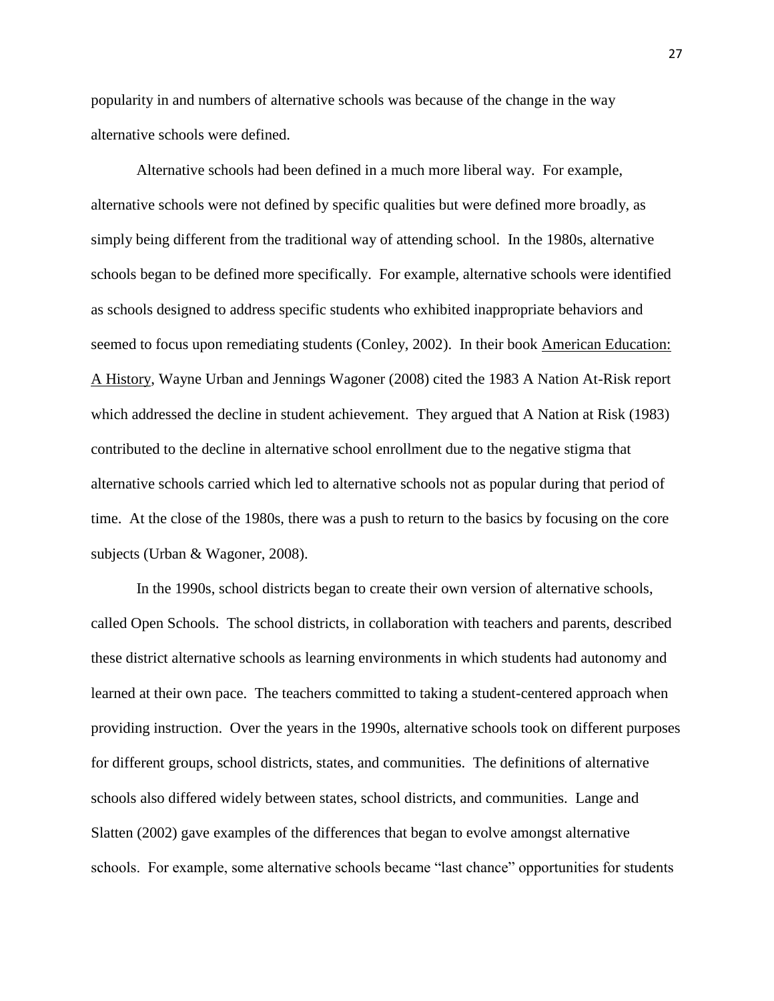popularity in and numbers of alternative schools was because of the change in the way alternative schools were defined.

Alternative schools had been defined in a much more liberal way. For example, alternative schools were not defined by specific qualities but were defined more broadly, as simply being different from the traditional way of attending school. In the 1980s, alternative schools began to be defined more specifically. For example, alternative schools were identified as schools designed to address specific students who exhibited inappropriate behaviors and seemed to focus upon remediating students (Conley, 2002). In their book American Education: A History, Wayne Urban and Jennings Wagoner (2008) cited the 1983 A Nation At-Risk report which addressed the decline in student achievement. They argued that A Nation at Risk (1983) contributed to the decline in alternative school enrollment due to the negative stigma that alternative schools carried which led to alternative schools not as popular during that period of time. At the close of the 1980s, there was a push to return to the basics by focusing on the core subjects (Urban & Wagoner, 2008).

In the 1990s, school districts began to create their own version of alternative schools, called Open Schools. The school districts, in collaboration with teachers and parents, described these district alternative schools as learning environments in which students had autonomy and learned at their own pace. The teachers committed to taking a student-centered approach when providing instruction. Over the years in the 1990s, alternative schools took on different purposes for different groups, school districts, states, and communities. The definitions of alternative schools also differed widely between states, school districts, and communities. Lange and Slatten (2002) gave examples of the differences that began to evolve amongst alternative schools. For example, some alternative schools became "last chance" opportunities for students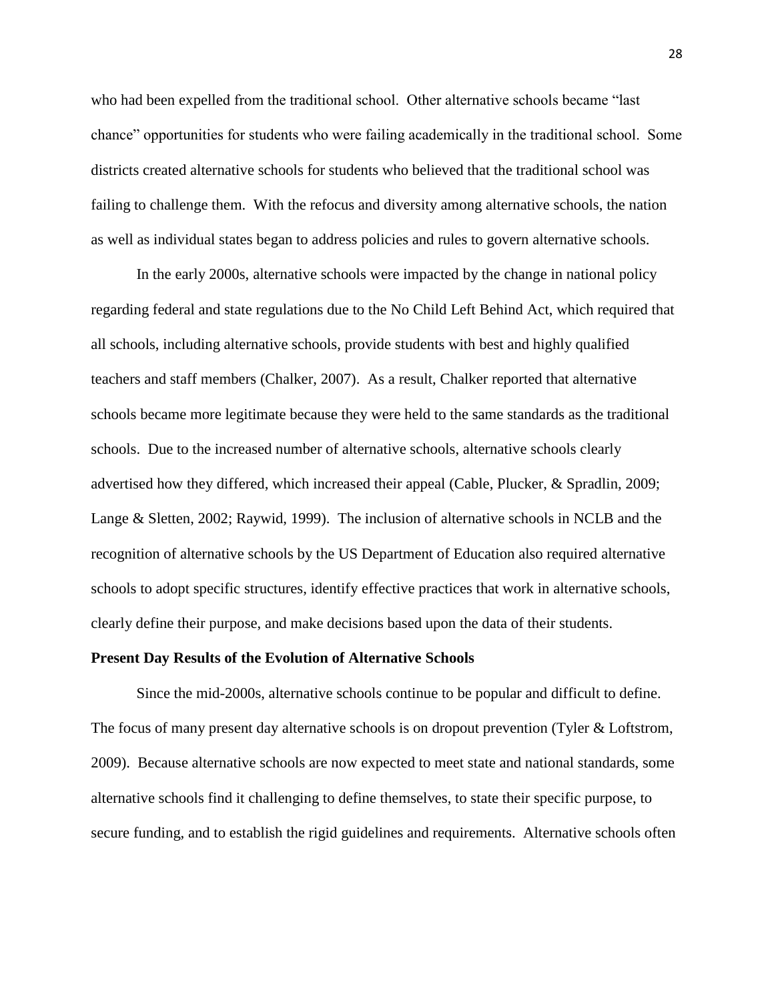who had been expelled from the traditional school. Other alternative schools became "last chance" opportunities for students who were failing academically in the traditional school. Some districts created alternative schools for students who believed that the traditional school was failing to challenge them. With the refocus and diversity among alternative schools, the nation as well as individual states began to address policies and rules to govern alternative schools.

In the early 2000s, alternative schools were impacted by the change in national policy regarding federal and state regulations due to the No Child Left Behind Act, which required that all schools, including alternative schools, provide students with best and highly qualified teachers and staff members (Chalker, 2007). As a result, Chalker reported that alternative schools became more legitimate because they were held to the same standards as the traditional schools. Due to the increased number of alternative schools, alternative schools clearly advertised how they differed, which increased their appeal (Cable, Plucker, & Spradlin, 2009; Lange & Sletten, 2002; Raywid, 1999). The inclusion of alternative schools in NCLB and the recognition of alternative schools by the US Department of Education also required alternative schools to adopt specific structures, identify effective practices that work in alternative schools, clearly define their purpose, and make decisions based upon the data of their students.

#### **Present Day Results of the Evolution of Alternative Schools**

Since the mid-2000s, alternative schools continue to be popular and difficult to define. The focus of many present day alternative schools is on dropout prevention (Tyler & Loftstrom, 2009). Because alternative schools are now expected to meet state and national standards, some alternative schools find it challenging to define themselves, to state their specific purpose, to secure funding, and to establish the rigid guidelines and requirements. Alternative schools often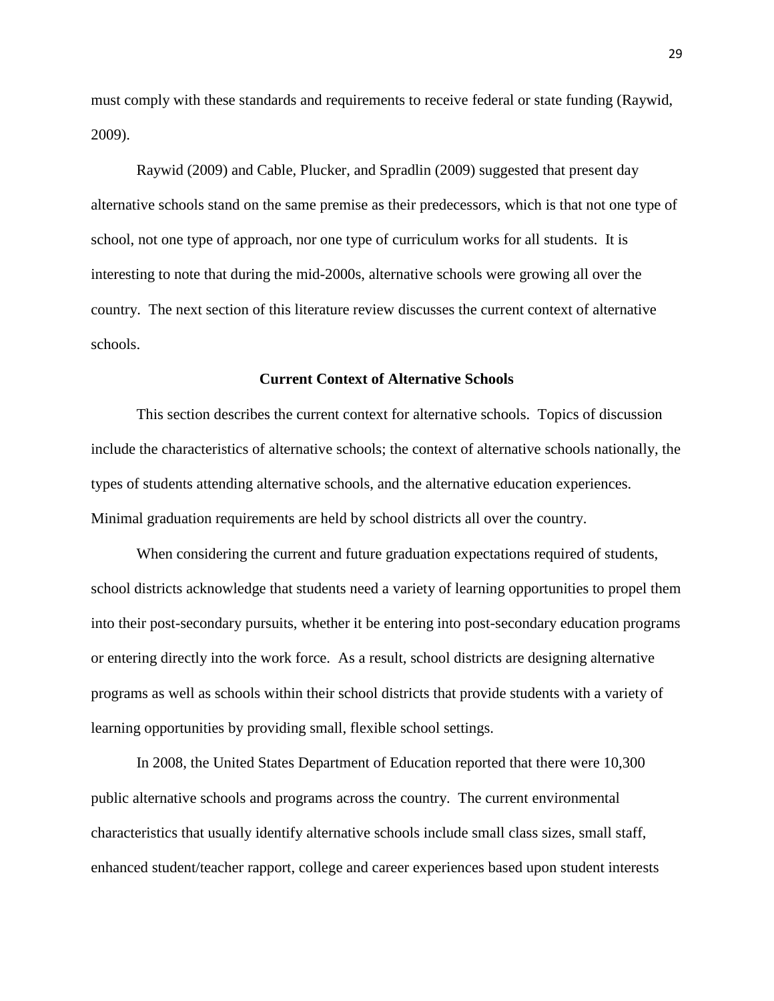must comply with these standards and requirements to receive federal or state funding (Raywid, 2009).

Raywid (2009) and Cable, Plucker, and Spradlin (2009) suggested that present day alternative schools stand on the same premise as their predecessors, which is that not one type of school, not one type of approach, nor one type of curriculum works for all students. It is interesting to note that during the mid-2000s, alternative schools were growing all over the country. The next section of this literature review discusses the current context of alternative schools.

#### **Current Context of Alternative Schools**

This section describes the current context for alternative schools. Topics of discussion include the characteristics of alternative schools; the context of alternative schools nationally, the types of students attending alternative schools, and the alternative education experiences. Minimal graduation requirements are held by school districts all over the country.

When considering the current and future graduation expectations required of students, school districts acknowledge that students need a variety of learning opportunities to propel them into their post-secondary pursuits, whether it be entering into post-secondary education programs or entering directly into the work force. As a result, school districts are designing alternative programs as well as schools within their school districts that provide students with a variety of learning opportunities by providing small, flexible school settings.

In 2008, the United States Department of Education reported that there were 10,300 public alternative schools and programs across the country. The current environmental characteristics that usually identify alternative schools include small class sizes, small staff, enhanced student/teacher rapport, college and career experiences based upon student interests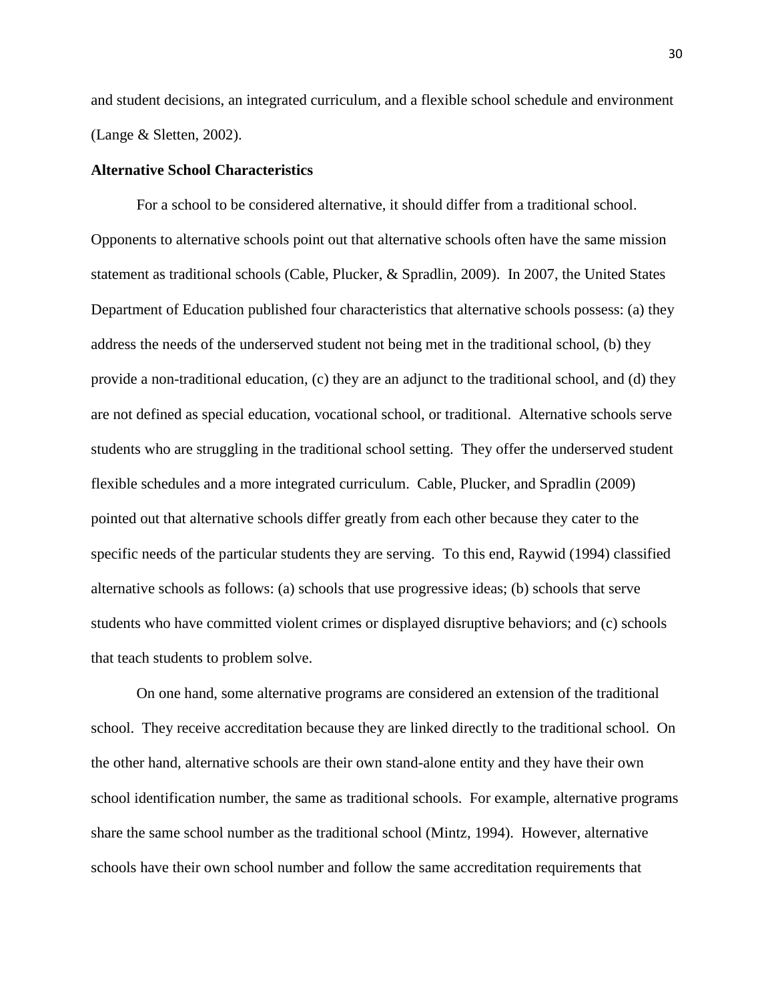and student decisions, an integrated curriculum, and a flexible school schedule and environment (Lange & Sletten, 2002).

## **Alternative School Characteristics**

For a school to be considered alternative, it should differ from a traditional school. Opponents to alternative schools point out that alternative schools often have the same mission statement as traditional schools (Cable, Plucker, & Spradlin, 2009). In 2007, the United States Department of Education published four characteristics that alternative schools possess: (a) they address the needs of the underserved student not being met in the traditional school, (b) they provide a non-traditional education, (c) they are an adjunct to the traditional school, and (d) they are not defined as special education, vocational school, or traditional. Alternative schools serve students who are struggling in the traditional school setting. They offer the underserved student flexible schedules and a more integrated curriculum. Cable, Plucker, and Spradlin (2009) pointed out that alternative schools differ greatly from each other because they cater to the specific needs of the particular students they are serving. To this end, Raywid (1994) classified alternative schools as follows: (a) schools that use progressive ideas; (b) schools that serve students who have committed violent crimes or displayed disruptive behaviors; and (c) schools that teach students to problem solve.

On one hand, some alternative programs are considered an extension of the traditional school. They receive accreditation because they are linked directly to the traditional school. On the other hand, alternative schools are their own stand-alone entity and they have their own school identification number, the same as traditional schools. For example, alternative programs share the same school number as the traditional school (Mintz, 1994). However, alternative schools have their own school number and follow the same accreditation requirements that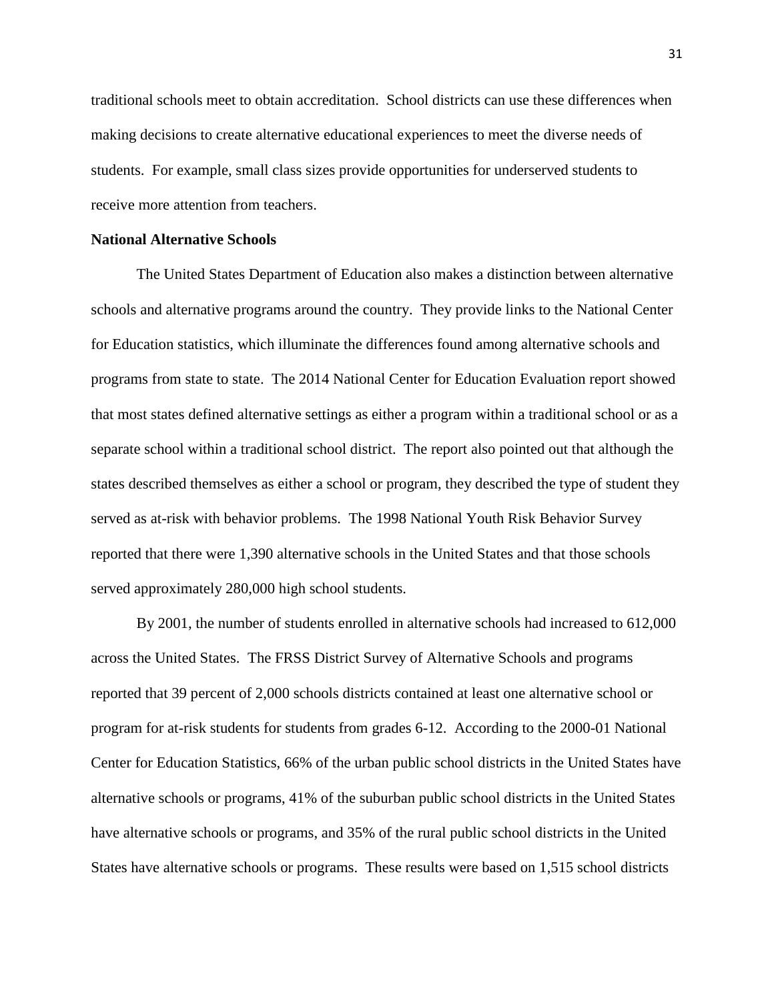traditional schools meet to obtain accreditation. School districts can use these differences when making decisions to create alternative educational experiences to meet the diverse needs of students. For example, small class sizes provide opportunities for underserved students to receive more attention from teachers.

# **National Alternative Schools**

The United States Department of Education also makes a distinction between alternative schools and alternative programs around the country. They provide links to the National Center for Education statistics, which illuminate the differences found among alternative schools and programs from state to state. The 2014 National Center for Education Evaluation report showed that most states defined alternative settings as either a program within a traditional school or as a separate school within a traditional school district. The report also pointed out that although the states described themselves as either a school or program, they described the type of student they served as at-risk with behavior problems. The 1998 National Youth Risk Behavior Survey reported that there were 1,390 alternative schools in the United States and that those schools served approximately 280,000 high school students.

By 2001, the number of students enrolled in alternative schools had increased to 612,000 across the United States. The FRSS District Survey of Alternative Schools and programs reported that 39 percent of 2,000 schools districts contained at least one alternative school or program for at-risk students for students from grades 6-12. According to the 2000-01 National Center for Education Statistics, 66% of the urban public school districts in the United States have alternative schools or programs, 41% of the suburban public school districts in the United States have alternative schools or programs, and 35% of the rural public school districts in the United States have alternative schools or programs. These results were based on 1,515 school districts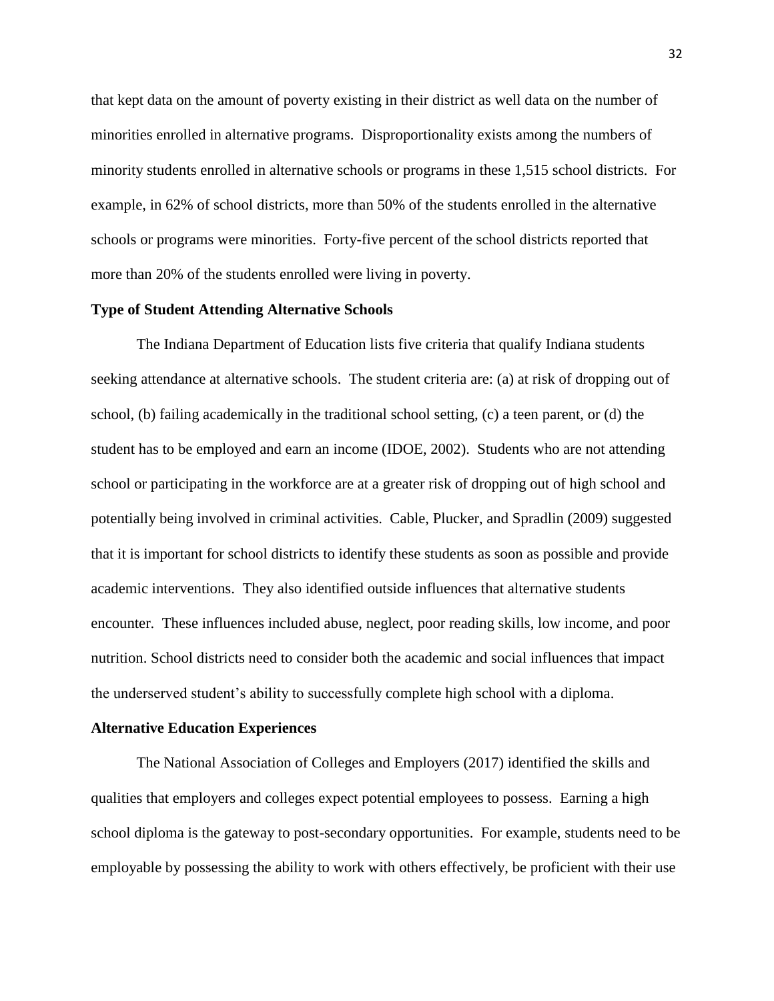that kept data on the amount of poverty existing in their district as well data on the number of minorities enrolled in alternative programs. Disproportionality exists among the numbers of minority students enrolled in alternative schools or programs in these 1,515 school districts. For example, in 62% of school districts, more than 50% of the students enrolled in the alternative schools or programs were minorities. Forty-five percent of the school districts reported that more than 20% of the students enrolled were living in poverty.

#### **Type of Student Attending Alternative Schools**

The Indiana Department of Education lists five criteria that qualify Indiana students seeking attendance at alternative schools. The student criteria are: (a) at risk of dropping out of school, (b) failing academically in the traditional school setting, (c) a teen parent, or (d) the student has to be employed and earn an income (IDOE, 2002). Students who are not attending school or participating in the workforce are at a greater risk of dropping out of high school and potentially being involved in criminal activities. Cable, Plucker, and Spradlin (2009) suggested that it is important for school districts to identify these students as soon as possible and provide academic interventions. They also identified outside influences that alternative students encounter. These influences included abuse, neglect, poor reading skills, low income, and poor nutrition. School districts need to consider both the academic and social influences that impact the underserved student's ability to successfully complete high school with a diploma.

#### **Alternative Education Experiences**

The National Association of Colleges and Employers (2017) identified the skills and qualities that employers and colleges expect potential employees to possess. Earning a high school diploma is the gateway to post-secondary opportunities. For example, students need to be employable by possessing the ability to work with others effectively, be proficient with their use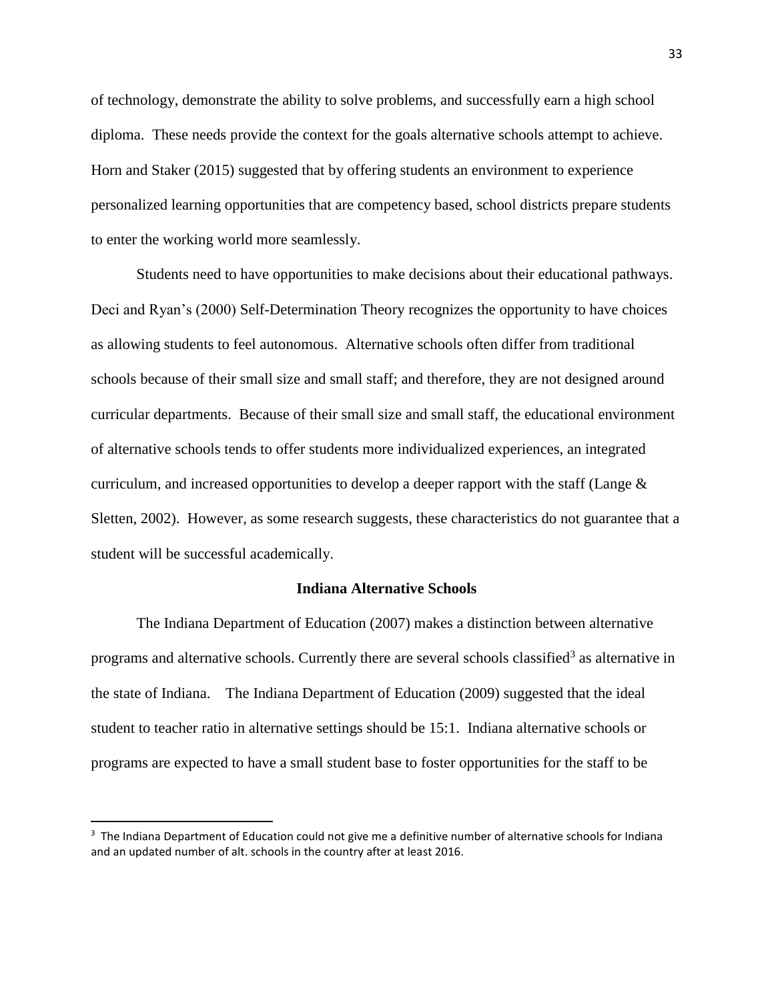of technology, demonstrate the ability to solve problems, and successfully earn a high school diploma. These needs provide the context for the goals alternative schools attempt to achieve. Horn and Staker (2015) suggested that by offering students an environment to experience personalized learning opportunities that are competency based, school districts prepare students to enter the working world more seamlessly.

Students need to have opportunities to make decisions about their educational pathways. Deci and Ryan's (2000) Self-Determination Theory recognizes the opportunity to have choices as allowing students to feel autonomous. Alternative schools often differ from traditional schools because of their small size and small staff; and therefore, they are not designed around curricular departments. Because of their small size and small staff, the educational environment of alternative schools tends to offer students more individualized experiences, an integrated curriculum, and increased opportunities to develop a deeper rapport with the staff (Lange & Sletten, 2002). However, as some research suggests, these characteristics do not guarantee that a student will be successful academically.

### **Indiana Alternative Schools**

The Indiana Department of Education (2007) makes a distinction between alternative programs and alternative schools. Currently there are several schools classified<sup>3</sup> as alternative in the state of Indiana. The Indiana Department of Education (2009) suggested that the ideal student to teacher ratio in alternative settings should be 15:1. Indiana alternative schools or programs are expected to have a small student base to foster opportunities for the staff to be

 $\overline{\phantom{a}}$ 

 $3$  The Indiana Department of Education could not give me a definitive number of alternative schools for Indiana and an updated number of alt. schools in the country after at least 2016.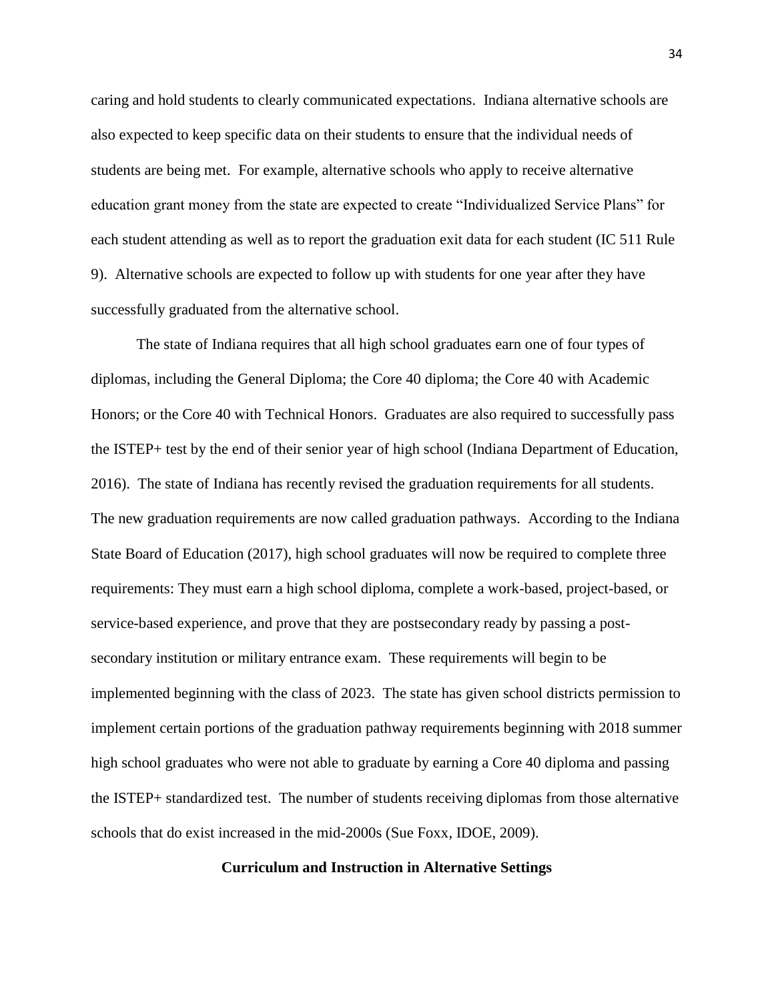caring and hold students to clearly communicated expectations. Indiana alternative schools are also expected to keep specific data on their students to ensure that the individual needs of students are being met. For example, alternative schools who apply to receive alternative education grant money from the state are expected to create "Individualized Service Plans" for each student attending as well as to report the graduation exit data for each student (IC 511 Rule 9). Alternative schools are expected to follow up with students for one year after they have successfully graduated from the alternative school.

The state of Indiana requires that all high school graduates earn one of four types of diplomas, including the General Diploma; the Core 40 diploma; the Core 40 with Academic Honors; or the Core 40 with Technical Honors. Graduates are also required to successfully pass the ISTEP+ test by the end of their senior year of high school (Indiana Department of Education, 2016). The state of Indiana has recently revised the graduation requirements for all students. The new graduation requirements are now called graduation pathways. According to the Indiana State Board of Education (2017), high school graduates will now be required to complete three requirements: They must earn a high school diploma, complete a work-based, project-based, or service-based experience, and prove that they are postsecondary ready by passing a postsecondary institution or military entrance exam. These requirements will begin to be implemented beginning with the class of 2023. The state has given school districts permission to implement certain portions of the graduation pathway requirements beginning with 2018 summer high school graduates who were not able to graduate by earning a Core 40 diploma and passing the ISTEP+ standardized test. The number of students receiving diplomas from those alternative schools that do exist increased in the mid-2000s (Sue Foxx, IDOE, 2009).

# **Curriculum and Instruction in Alternative Settings**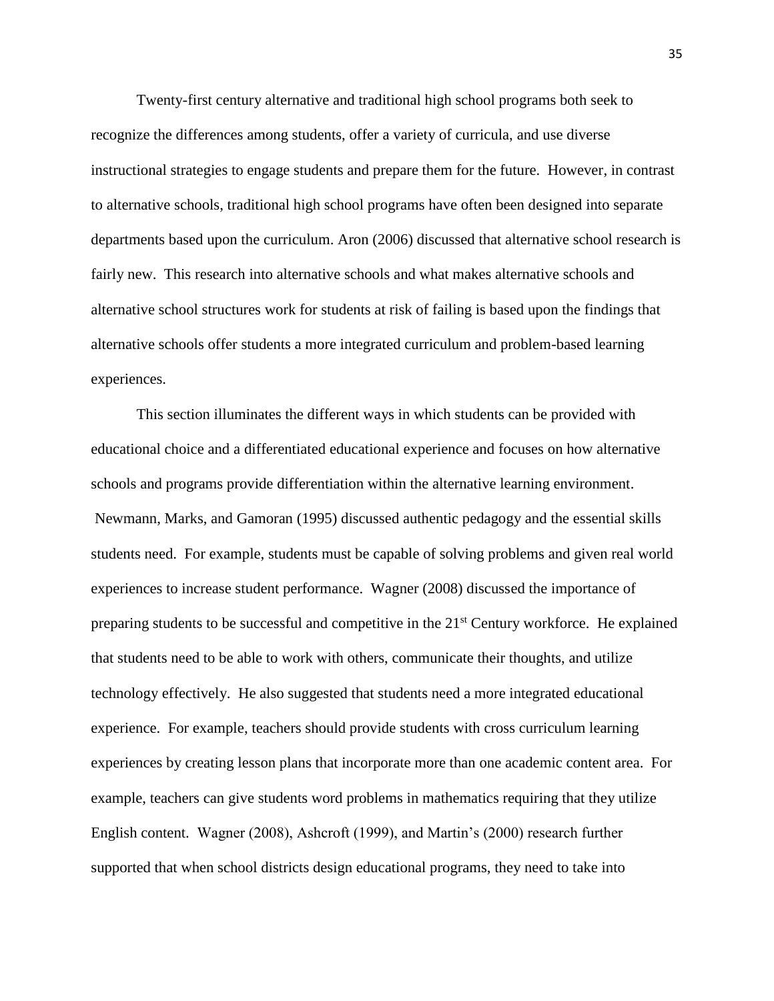Twenty-first century alternative and traditional high school programs both seek to recognize the differences among students, offer a variety of curricula, and use diverse instructional strategies to engage students and prepare them for the future. However, in contrast to alternative schools, traditional high school programs have often been designed into separate departments based upon the curriculum. Aron (2006) discussed that alternative school research is fairly new. This research into alternative schools and what makes alternative schools and alternative school structures work for students at risk of failing is based upon the findings that alternative schools offer students a more integrated curriculum and problem-based learning experiences.

This section illuminates the different ways in which students can be provided with educational choice and a differentiated educational experience and focuses on how alternative schools and programs provide differentiation within the alternative learning environment. Newmann, Marks, and Gamoran (1995) discussed authentic pedagogy and the essential skills students need. For example, students must be capable of solving problems and given real world experiences to increase student performance. Wagner (2008) discussed the importance of preparing students to be successful and competitive in the 21<sup>st</sup> Century workforce. He explained that students need to be able to work with others, communicate their thoughts, and utilize technology effectively. He also suggested that students need a more integrated educational experience. For example, teachers should provide students with cross curriculum learning experiences by creating lesson plans that incorporate more than one academic content area. For example, teachers can give students word problems in mathematics requiring that they utilize English content. Wagner (2008), Ashcroft (1999), and Martin's (2000) research further supported that when school districts design educational programs, they need to take into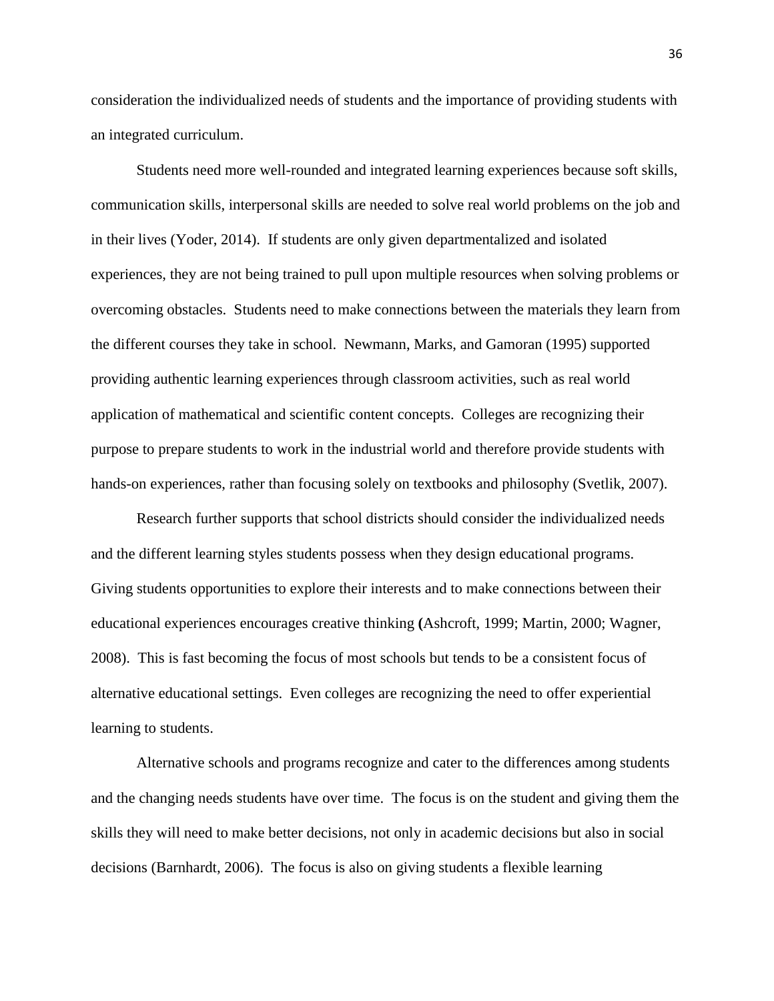consideration the individualized needs of students and the importance of providing students with an integrated curriculum.

Students need more well-rounded and integrated learning experiences because soft skills, communication skills, interpersonal skills are needed to solve real world problems on the job and in their lives (Yoder, 2014). If students are only given departmentalized and isolated experiences, they are not being trained to pull upon multiple resources when solving problems or overcoming obstacles. Students need to make connections between the materials they learn from the different courses they take in school. Newmann, Marks, and Gamoran (1995) supported providing authentic learning experiences through classroom activities, such as real world application of mathematical and scientific content concepts. Colleges are recognizing their purpose to prepare students to work in the industrial world and therefore provide students with hands-on experiences, rather than focusing solely on textbooks and philosophy (Svetlik, 2007).

Research further supports that school districts should consider the individualized needs and the different learning styles students possess when they design educational programs. Giving students opportunities to explore their interests and to make connections between their educational experiences encourages creative thinking **(**Ashcroft, 1999; Martin, 2000; Wagner, 2008). This is fast becoming the focus of most schools but tends to be a consistent focus of alternative educational settings. Even colleges are recognizing the need to offer experiential learning to students.

Alternative schools and programs recognize and cater to the differences among students and the changing needs students have over time. The focus is on the student and giving them the skills they will need to make better decisions, not only in academic decisions but also in social decisions (Barnhardt, 2006). The focus is also on giving students a flexible learning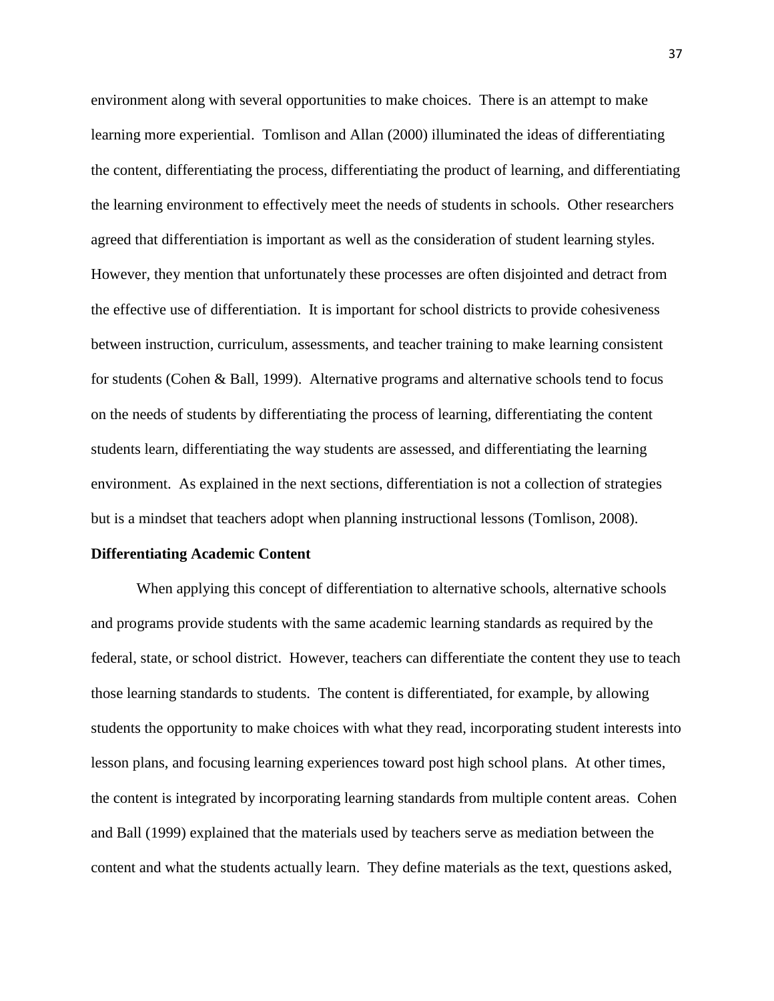environment along with several opportunities to make choices. There is an attempt to make learning more experiential. Tomlison and Allan (2000) illuminated the ideas of differentiating the content, differentiating the process, differentiating the product of learning, and differentiating the learning environment to effectively meet the needs of students in schools. Other researchers agreed that differentiation is important as well as the consideration of student learning styles. However, they mention that unfortunately these processes are often disjointed and detract from the effective use of differentiation. It is important for school districts to provide cohesiveness between instruction, curriculum, assessments, and teacher training to make learning consistent for students (Cohen & Ball, 1999). Alternative programs and alternative schools tend to focus on the needs of students by differentiating the process of learning, differentiating the content students learn, differentiating the way students are assessed, and differentiating the learning environment. As explained in the next sections, differentiation is not a collection of strategies but is a mindset that teachers adopt when planning instructional lessons (Tomlison, 2008).

#### **Differentiating Academic Content**

When applying this concept of differentiation to alternative schools, alternative schools and programs provide students with the same academic learning standards as required by the federal, state, or school district. However, teachers can differentiate the content they use to teach those learning standards to students. The content is differentiated, for example, by allowing students the opportunity to make choices with what they read, incorporating student interests into lesson plans, and focusing learning experiences toward post high school plans. At other times, the content is integrated by incorporating learning standards from multiple content areas. Cohen and Ball (1999) explained that the materials used by teachers serve as mediation between the content and what the students actually learn. They define materials as the text, questions asked,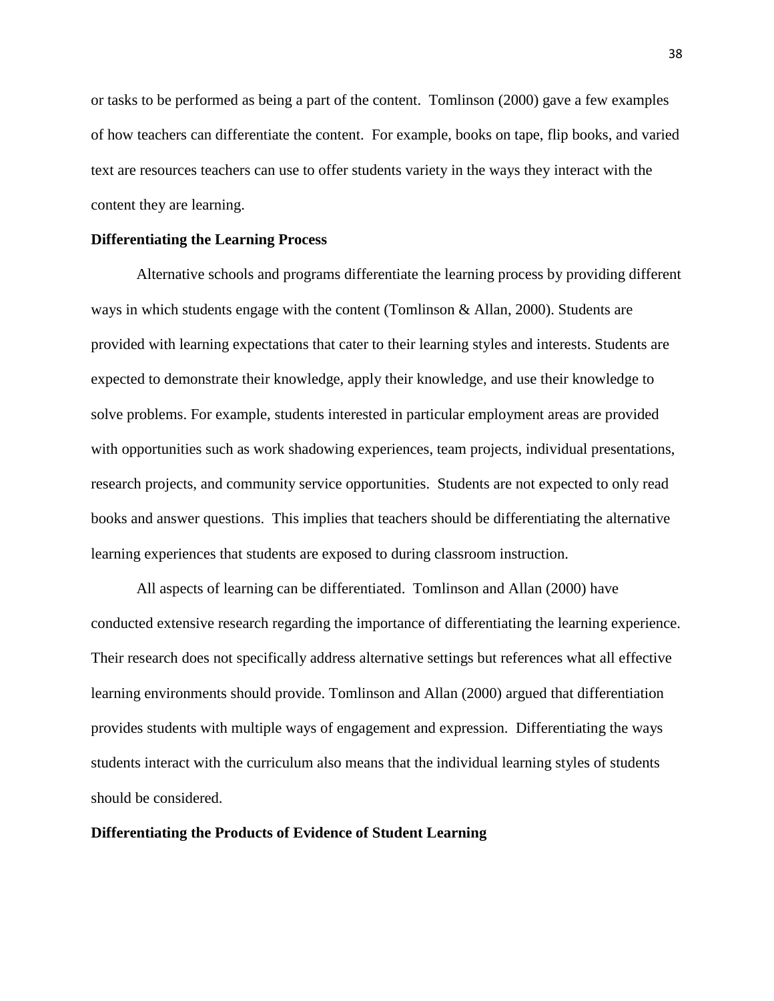or tasks to be performed as being a part of the content. Tomlinson (2000) gave a few examples of how teachers can differentiate the content. For example, books on tape, flip books, and varied text are resources teachers can use to offer students variety in the ways they interact with the content they are learning.

#### **Differentiating the Learning Process**

Alternative schools and programs differentiate the learning process by providing different ways in which students engage with the content (Tomlinson & Allan, 2000). Students are provided with learning expectations that cater to their learning styles and interests. Students are expected to demonstrate their knowledge, apply their knowledge, and use their knowledge to solve problems. For example, students interested in particular employment areas are provided with opportunities such as work shadowing experiences, team projects, individual presentations, research projects, and community service opportunities. Students are not expected to only read books and answer questions. This implies that teachers should be differentiating the alternative learning experiences that students are exposed to during classroom instruction.

All aspects of learning can be differentiated. Tomlinson and Allan (2000) have conducted extensive research regarding the importance of differentiating the learning experience. Their research does not specifically address alternative settings but references what all effective learning environments should provide. Tomlinson and Allan (2000) argued that differentiation provides students with multiple ways of engagement and expression. Differentiating the ways students interact with the curriculum also means that the individual learning styles of students should be considered.

# **Differentiating the Products of Evidence of Student Learning**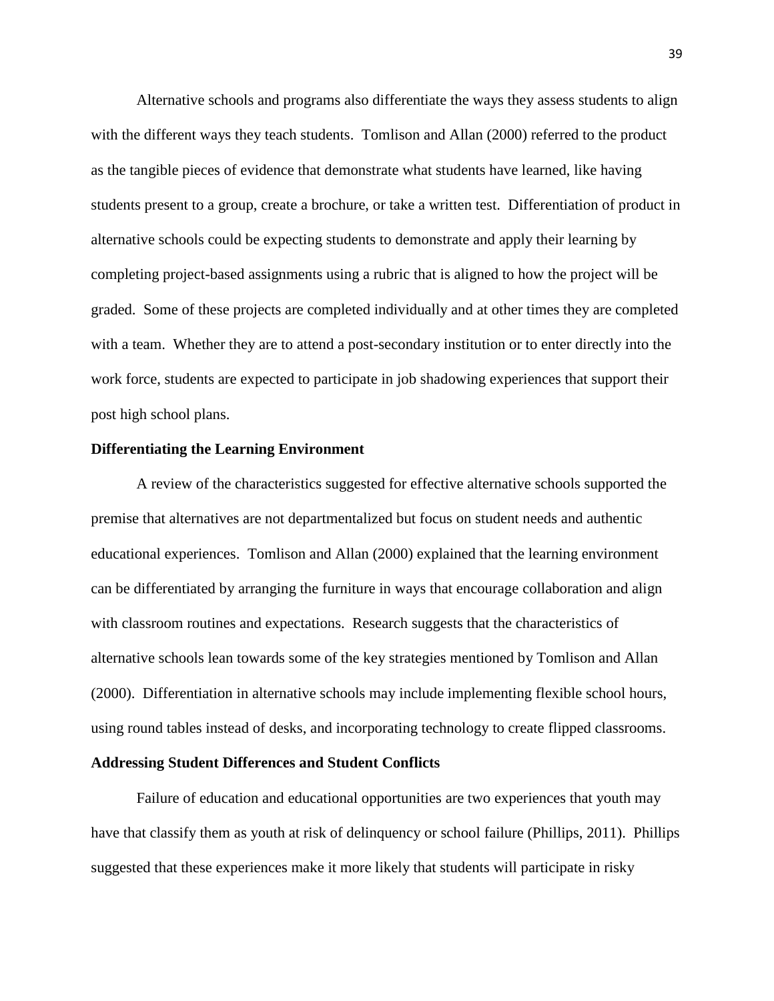Alternative schools and programs also differentiate the ways they assess students to align with the different ways they teach students. Tomlison and Allan (2000) referred to the product as the tangible pieces of evidence that demonstrate what students have learned, like having students present to a group, create a brochure, or take a written test. Differentiation of product in alternative schools could be expecting students to demonstrate and apply their learning by completing project-based assignments using a rubric that is aligned to how the project will be graded. Some of these projects are completed individually and at other times they are completed with a team. Whether they are to attend a post-secondary institution or to enter directly into the work force, students are expected to participate in job shadowing experiences that support their post high school plans.

#### **Differentiating the Learning Environment**

A review of the characteristics suggested for effective alternative schools supported the premise that alternatives are not departmentalized but focus on student needs and authentic educational experiences. Tomlison and Allan (2000) explained that the learning environment can be differentiated by arranging the furniture in ways that encourage collaboration and align with classroom routines and expectations. Research suggests that the characteristics of alternative schools lean towards some of the key strategies mentioned by Tomlison and Allan (2000). Differentiation in alternative schools may include implementing flexible school hours, using round tables instead of desks, and incorporating technology to create flipped classrooms.

#### **Addressing Student Differences and Student Conflicts**

Failure of education and educational opportunities are two experiences that youth may have that classify them as youth at risk of delinquency or school failure (Phillips, 2011). Phillips suggested that these experiences make it more likely that students will participate in risky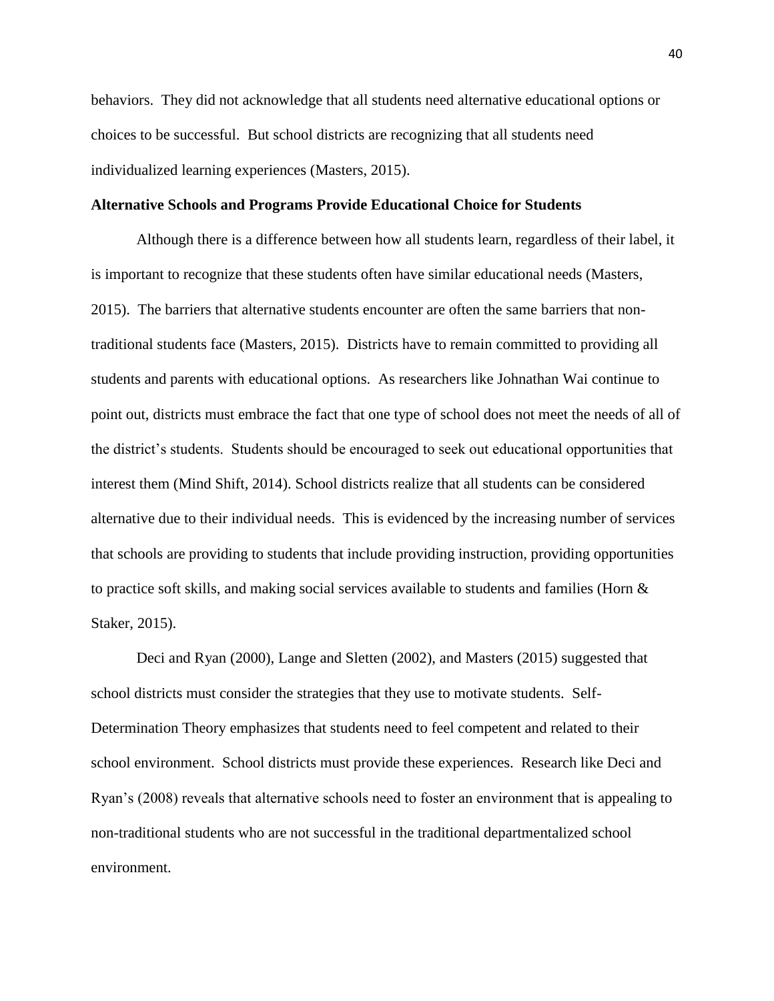behaviors. They did not acknowledge that all students need alternative educational options or choices to be successful. But school districts are recognizing that all students need individualized learning experiences (Masters, 2015).

# **Alternative Schools and Programs Provide Educational Choice for Students**

Although there is a difference between how all students learn, regardless of their label, it is important to recognize that these students often have similar educational needs (Masters, 2015). The barriers that alternative students encounter are often the same barriers that nontraditional students face (Masters, 2015). Districts have to remain committed to providing all students and parents with educational options. As researchers like Johnathan Wai continue to point out, districts must embrace the fact that one type of school does not meet the needs of all of the district's students. Students should be encouraged to seek out educational opportunities that interest them (Mind Shift, 2014). School districts realize that all students can be considered alternative due to their individual needs. This is evidenced by the increasing number of services that schools are providing to students that include providing instruction, providing opportunities to practice soft skills, and making social services available to students and families (Horn  $\&$ Staker, 2015).

Deci and Ryan (2000), Lange and Sletten (2002), and Masters (2015) suggested that school districts must consider the strategies that they use to motivate students. Self-Determination Theory emphasizes that students need to feel competent and related to their school environment. School districts must provide these experiences. Research like Deci and Ryan's (2008) reveals that alternative schools need to foster an environment that is appealing to non-traditional students who are not successful in the traditional departmentalized school environment.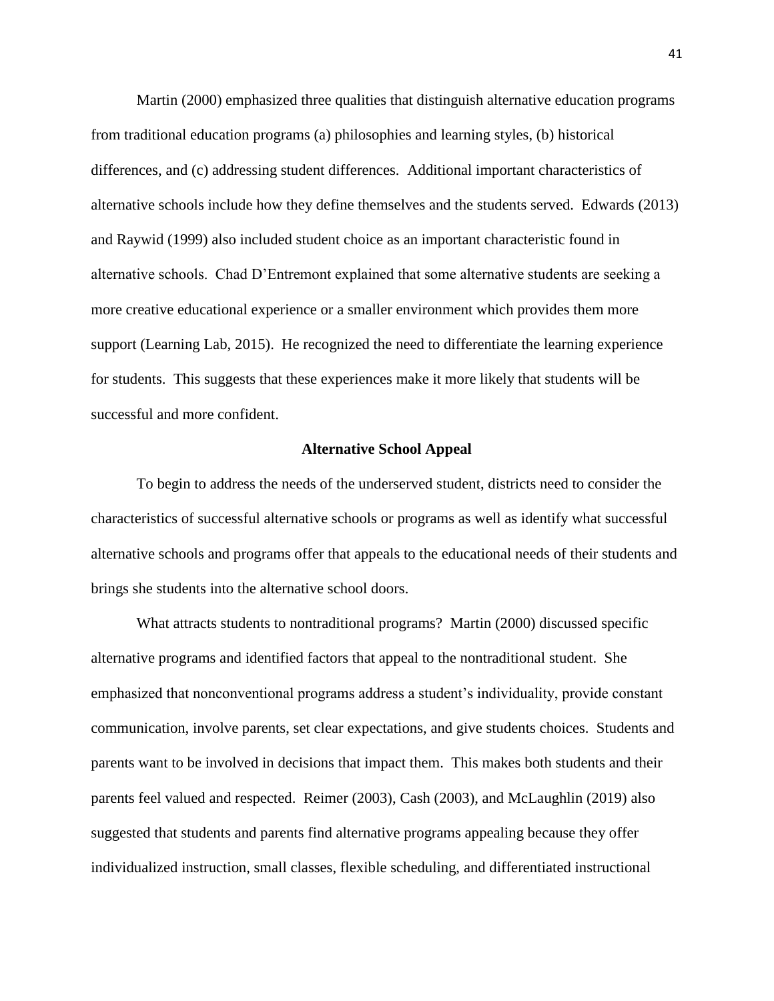Martin (2000) emphasized three qualities that distinguish alternative education programs from traditional education programs (a) philosophies and learning styles, (b) historical differences, and (c) addressing student differences. Additional important characteristics of alternative schools include how they define themselves and the students served. Edwards (2013) and Raywid (1999) also included student choice as an important characteristic found in alternative schools. Chad D'Entremont explained that some alternative students are seeking a more creative educational experience or a smaller environment which provides them more support (Learning Lab, 2015). He recognized the need to differentiate the learning experience for students. This suggests that these experiences make it more likely that students will be successful and more confident.

#### **Alternative School Appeal**

To begin to address the needs of the underserved student, districts need to consider the characteristics of successful alternative schools or programs as well as identify what successful alternative schools and programs offer that appeals to the educational needs of their students and brings she students into the alternative school doors.

What attracts students to nontraditional programs? Martin (2000) discussed specific alternative programs and identified factors that appeal to the nontraditional student. She emphasized that nonconventional programs address a student's individuality, provide constant communication, involve parents, set clear expectations, and give students choices. Students and parents want to be involved in decisions that impact them. This makes both students and their parents feel valued and respected. Reimer (2003), Cash (2003), and McLaughlin (2019) also suggested that students and parents find alternative programs appealing because they offer individualized instruction, small classes, flexible scheduling, and differentiated instructional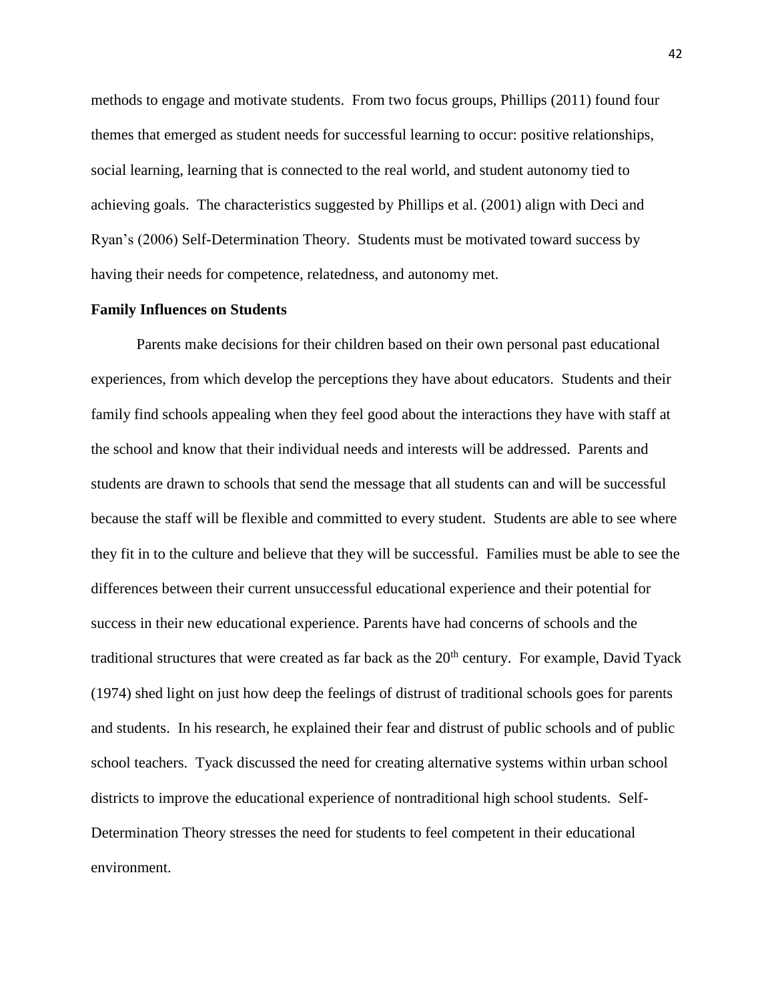methods to engage and motivate students. From two focus groups, Phillips (2011) found four themes that emerged as student needs for successful learning to occur: positive relationships, social learning, learning that is connected to the real world, and student autonomy tied to achieving goals. The characteristics suggested by Phillips et al. (2001) align with Deci and Ryan's (2006) Self-Determination Theory. Students must be motivated toward success by having their needs for competence, relatedness, and autonomy met.

### **Family Influences on Students**

Parents make decisions for their children based on their own personal past educational experiences, from which develop the perceptions they have about educators. Students and their family find schools appealing when they feel good about the interactions they have with staff at the school and know that their individual needs and interests will be addressed. Parents and students are drawn to schools that send the message that all students can and will be successful because the staff will be flexible and committed to every student. Students are able to see where they fit in to the culture and believe that they will be successful. Families must be able to see the differences between their current unsuccessful educational experience and their potential for success in their new educational experience. Parents have had concerns of schools and the traditional structures that were created as far back as the  $20<sup>th</sup>$  century. For example, David Tyack (1974) shed light on just how deep the feelings of distrust of traditional schools goes for parents and students. In his research, he explained their fear and distrust of public schools and of public school teachers. Tyack discussed the need for creating alternative systems within urban school districts to improve the educational experience of nontraditional high school students. Self-Determination Theory stresses the need for students to feel competent in their educational environment.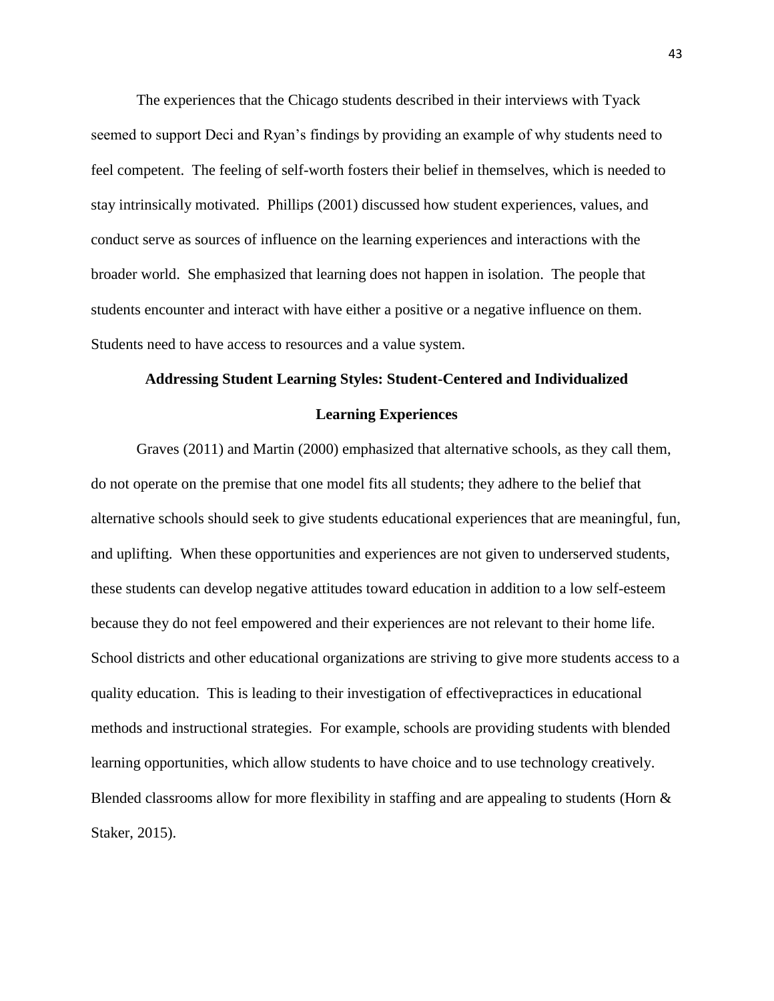The experiences that the Chicago students described in their interviews with Tyack seemed to support Deci and Ryan's findings by providing an example of why students need to feel competent. The feeling of self-worth fosters their belief in themselves, which is needed to stay intrinsically motivated. Phillips (2001) discussed how student experiences, values, and conduct serve as sources of influence on the learning experiences and interactions with the broader world. She emphasized that learning does not happen in isolation. The people that students encounter and interact with have either a positive or a negative influence on them. Students need to have access to resources and a value system.

# **Addressing Student Learning Styles: Student-Centered and Individualized Learning Experiences**

Graves (2011) and Martin (2000) emphasized that alternative schools, as they call them, do not operate on the premise that one model fits all students; they adhere to the belief that alternative schools should seek to give students educational experiences that are meaningful, fun, and uplifting. When these opportunities and experiences are not given to underserved students, these students can develop negative attitudes toward education in addition to a low self-esteem because they do not feel empowered and their experiences are not relevant to their home life. School districts and other educational organizations are striving to give more students access to a quality education. This is leading to their investigation of effectivepractices in educational methods and instructional strategies. For example, schools are providing students with blended learning opportunities, which allow students to have choice and to use technology creatively. Blended classrooms allow for more flexibility in staffing and are appealing to students (Horn  $\&$ Staker, 2015).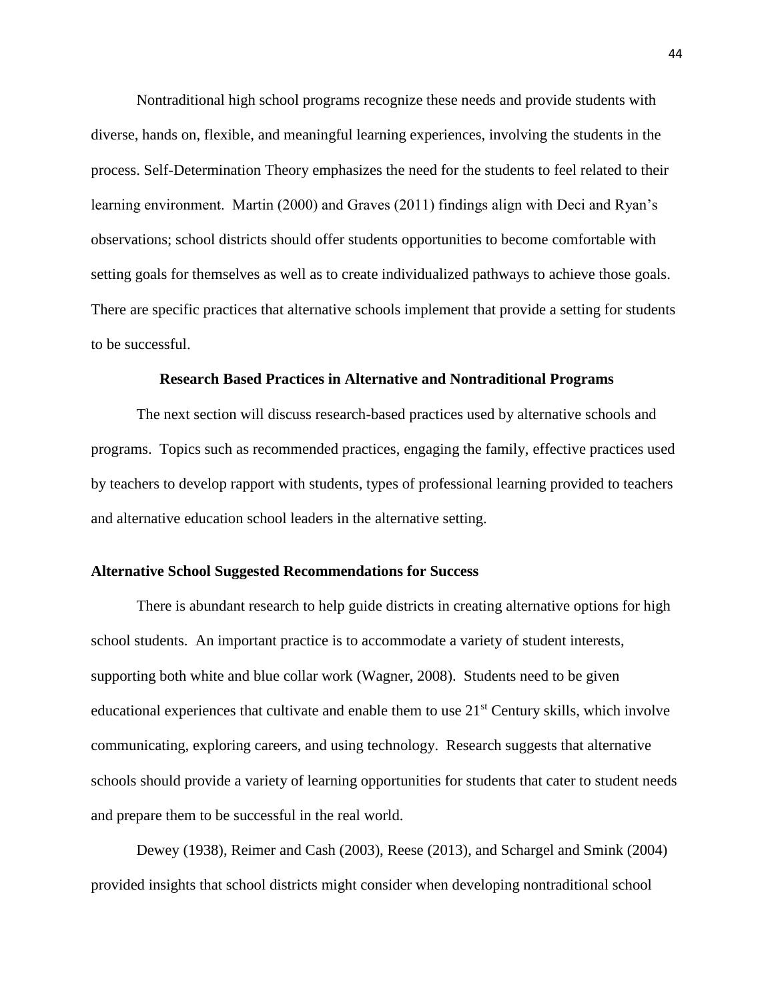Nontraditional high school programs recognize these needs and provide students with diverse, hands on, flexible, and meaningful learning experiences, involving the students in the process. Self-Determination Theory emphasizes the need for the students to feel related to their learning environment. Martin (2000) and Graves (2011) findings align with Deci and Ryan's observations; school districts should offer students opportunities to become comfortable with setting goals for themselves as well as to create individualized pathways to achieve those goals. There are specific practices that alternative schools implement that provide a setting for students to be successful.

#### **Research Based Practices in Alternative and Nontraditional Programs**

The next section will discuss research-based practices used by alternative schools and programs. Topics such as recommended practices, engaging the family, effective practices used by teachers to develop rapport with students, types of professional learning provided to teachers and alternative education school leaders in the alternative setting.

# **Alternative School Suggested Recommendations for Success**

There is abundant research to help guide districts in creating alternative options for high school students. An important practice is to accommodate a variety of student interests, supporting both white and blue collar work (Wagner, 2008). Students need to be given educational experiences that cultivate and enable them to use  $21<sup>st</sup>$  Century skills, which involve communicating, exploring careers, and using technology. Research suggests that alternative schools should provide a variety of learning opportunities for students that cater to student needs and prepare them to be successful in the real world.

Dewey (1938), Reimer and Cash (2003), Reese (2013), and Schargel and Smink (2004) provided insights that school districts might consider when developing nontraditional school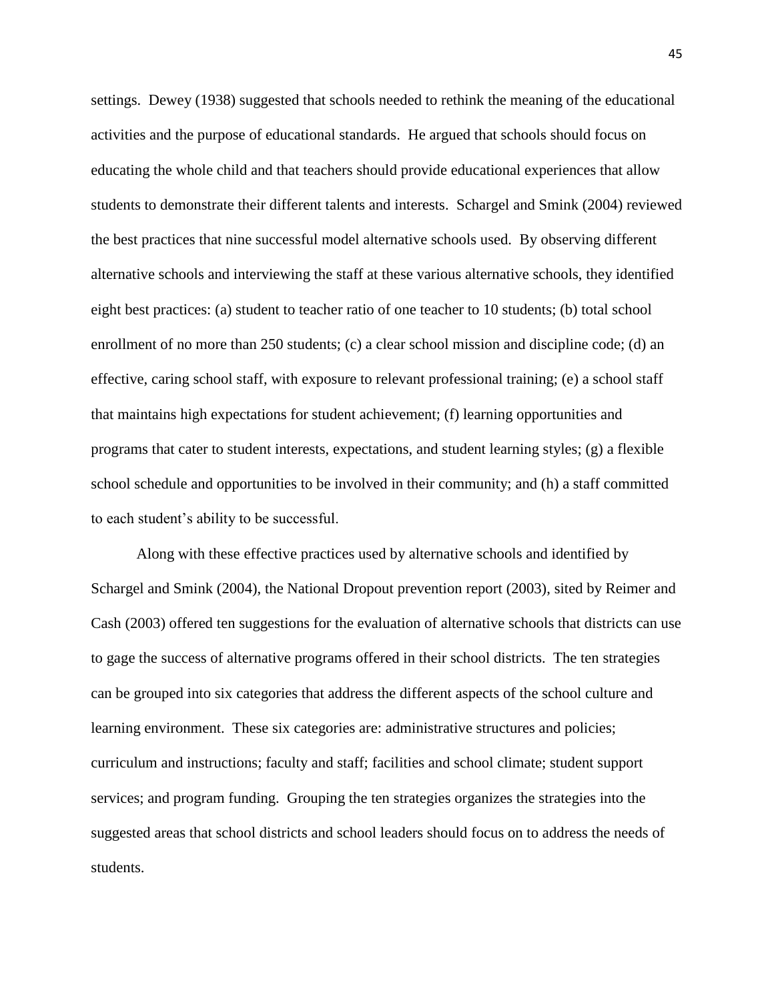settings. Dewey (1938) suggested that schools needed to rethink the meaning of the educational activities and the purpose of educational standards. He argued that schools should focus on educating the whole child and that teachers should provide educational experiences that allow students to demonstrate their different talents and interests. Schargel and Smink (2004) reviewed the best practices that nine successful model alternative schools used. By observing different alternative schools and interviewing the staff at these various alternative schools, they identified eight best practices: (a) student to teacher ratio of one teacher to 10 students; (b) total school enrollment of no more than 250 students; (c) a clear school mission and discipline code; (d) an effective, caring school staff, with exposure to relevant professional training; (e) a school staff that maintains high expectations for student achievement; (f) learning opportunities and programs that cater to student interests, expectations, and student learning styles; (g) a flexible school schedule and opportunities to be involved in their community; and (h) a staff committed to each student's ability to be successful.

Along with these effective practices used by alternative schools and identified by Schargel and Smink (2004), the National Dropout prevention report (2003), sited by Reimer and Cash (2003) offered ten suggestions for the evaluation of alternative schools that districts can use to gage the success of alternative programs offered in their school districts. The ten strategies can be grouped into six categories that address the different aspects of the school culture and learning environment. These six categories are: administrative structures and policies; curriculum and instructions; faculty and staff; facilities and school climate; student support services; and program funding. Grouping the ten strategies organizes the strategies into the suggested areas that school districts and school leaders should focus on to address the needs of students.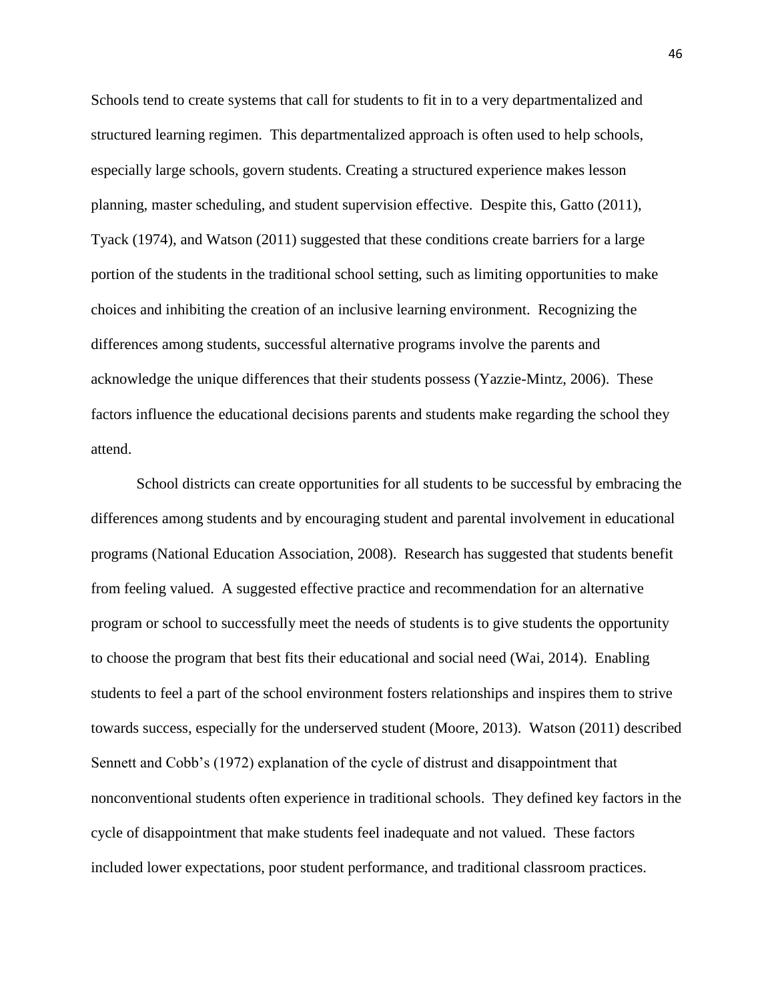Schools tend to create systems that call for students to fit in to a very departmentalized and structured learning regimen. This departmentalized approach is often used to help schools, especially large schools, govern students. Creating a structured experience makes lesson planning, master scheduling, and student supervision effective. Despite this, Gatto (2011), Tyack (1974), and Watson (2011) suggested that these conditions create barriers for a large portion of the students in the traditional school setting, such as limiting opportunities to make choices and inhibiting the creation of an inclusive learning environment. Recognizing the differences among students, successful alternative programs involve the parents and acknowledge the unique differences that their students possess (Yazzie-Mintz, 2006). These factors influence the educational decisions parents and students make regarding the school they attend.

School districts can create opportunities for all students to be successful by embracing the differences among students and by encouraging student and parental involvement in educational programs (National Education Association, 2008). Research has suggested that students benefit from feeling valued. A suggested effective practice and recommendation for an alternative program or school to successfully meet the needs of students is to give students the opportunity to choose the program that best fits their educational and social need (Wai, 2014). Enabling students to feel a part of the school environment fosters relationships and inspires them to strive towards success, especially for the underserved student (Moore, 2013). Watson (2011) described Sennett and Cobb's (1972) explanation of the cycle of distrust and disappointment that nonconventional students often experience in traditional schools. They defined key factors in the cycle of disappointment that make students feel inadequate and not valued. These factors included lower expectations, poor student performance, and traditional classroom practices.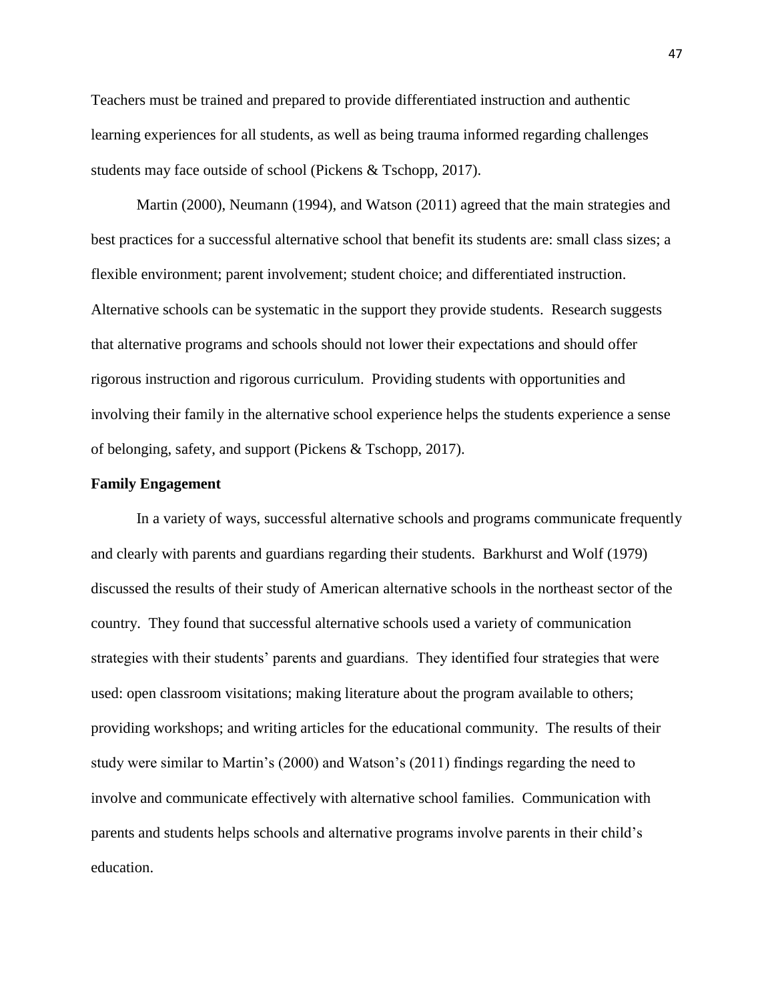Teachers must be trained and prepared to provide differentiated instruction and authentic learning experiences for all students, as well as being trauma informed regarding challenges students may face outside of school (Pickens & Tschopp, 2017).

Martin (2000), Neumann (1994), and Watson (2011) agreed that the main strategies and best practices for a successful alternative school that benefit its students are: small class sizes; a flexible environment; parent involvement; student choice; and differentiated instruction. Alternative schools can be systematic in the support they provide students. Research suggests that alternative programs and schools should not lower their expectations and should offer rigorous instruction and rigorous curriculum. Providing students with opportunities and involving their family in the alternative school experience helps the students experience a sense of belonging, safety, and support (Pickens & Tschopp, 2017).

# **Family Engagement**

In a variety of ways, successful alternative schools and programs communicate frequently and clearly with parents and guardians regarding their students. Barkhurst and Wolf (1979) discussed the results of their study of American alternative schools in the northeast sector of the country. They found that successful alternative schools used a variety of communication strategies with their students' parents and guardians. They identified four strategies that were used: open classroom visitations; making literature about the program available to others; providing workshops; and writing articles for the educational community. The results of their study were similar to Martin's (2000) and Watson's (2011) findings regarding the need to involve and communicate effectively with alternative school families. Communication with parents and students helps schools and alternative programs involve parents in their child's education.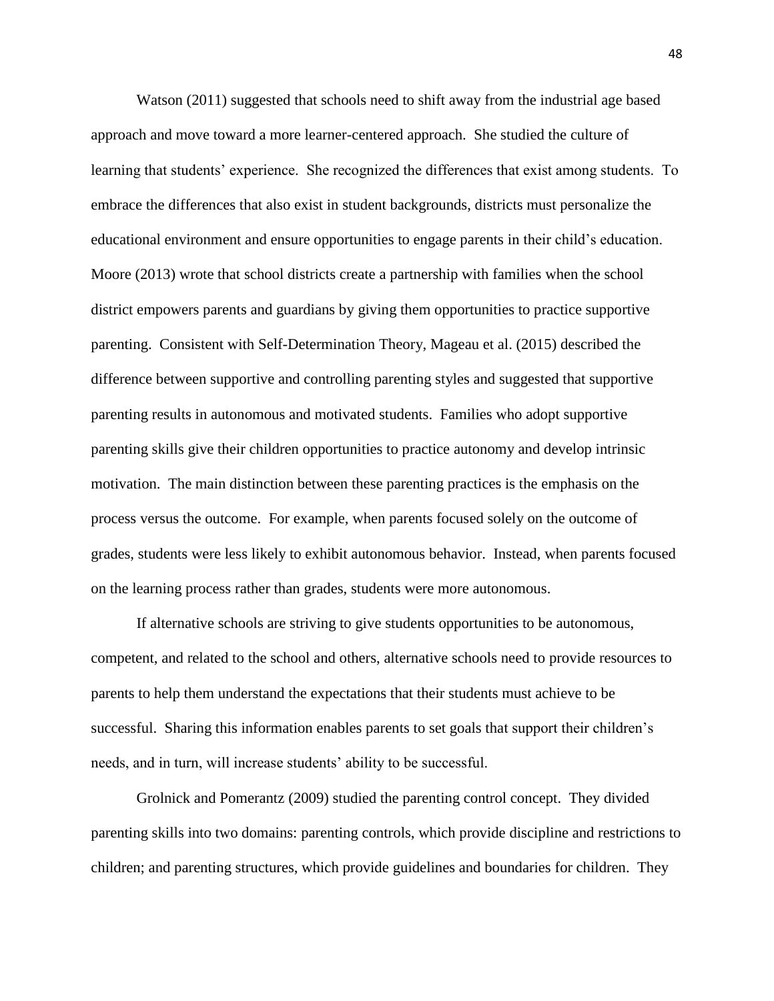Watson (2011) suggested that schools need to shift away from the industrial age based approach and move toward a more learner-centered approach. She studied the culture of learning that students' experience. She recognized the differences that exist among students. To embrace the differences that also exist in student backgrounds, districts must personalize the educational environment and ensure opportunities to engage parents in their child's education. Moore (2013) wrote that school districts create a partnership with families when the school district empowers parents and guardians by giving them opportunities to practice supportive parenting. Consistent with Self-Determination Theory, Mageau et al. (2015) described the difference between supportive and controlling parenting styles and suggested that supportive parenting results in autonomous and motivated students. Families who adopt supportive parenting skills give their children opportunities to practice autonomy and develop intrinsic motivation. The main distinction between these parenting practices is the emphasis on the process versus the outcome. For example, when parents focused solely on the outcome of grades, students were less likely to exhibit autonomous behavior. Instead, when parents focused on the learning process rather than grades, students were more autonomous.

If alternative schools are striving to give students opportunities to be autonomous, competent, and related to the school and others, alternative schools need to provide resources to parents to help them understand the expectations that their students must achieve to be successful. Sharing this information enables parents to set goals that support their children's needs, and in turn, will increase students' ability to be successful.

Grolnick and Pomerantz (2009) studied the parenting control concept. They divided parenting skills into two domains: parenting controls, which provide discipline and restrictions to children; and parenting structures, which provide guidelines and boundaries for children. They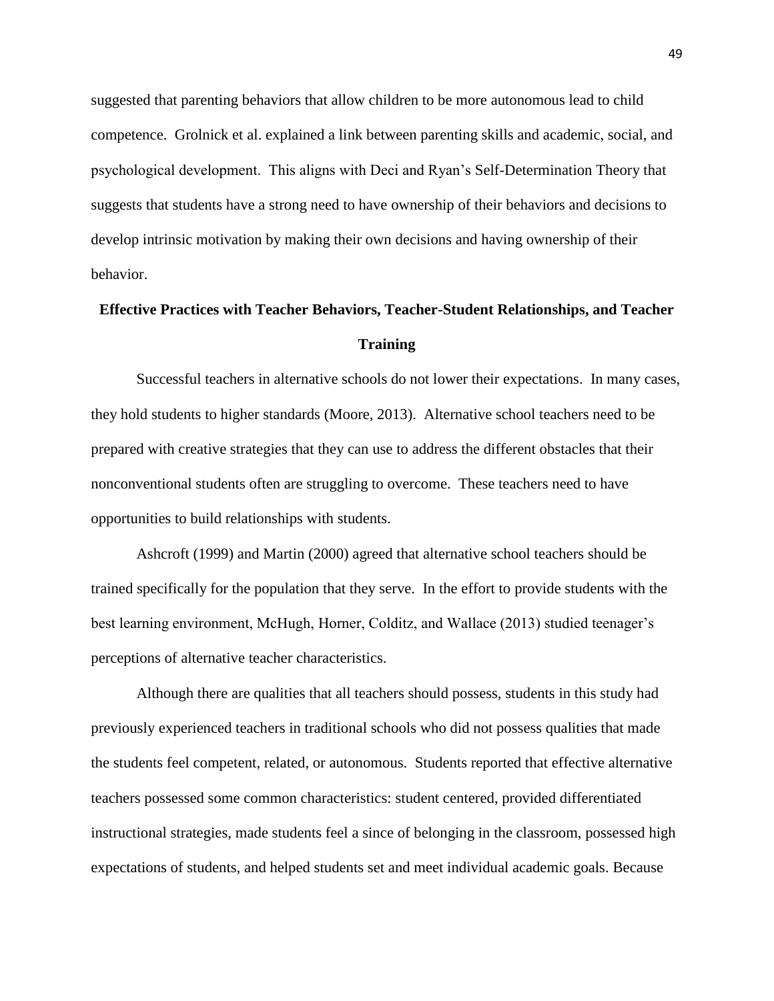suggested that parenting behaviors that allow children to be more autonomous lead to child competence. Grolnick et al. explained a link between parenting skills and academic, social, and psychological development. This aligns with Deci and Ryan's Self-Determination Theory that suggests that students have a strong need to have ownership of their behaviors and decisions to develop intrinsic motivation by making their own decisions and having ownership of their behavior.

# **Effective Practices with Teacher Behaviors, Teacher-Student Relationships, and Teacher Training**

Successful teachers in alternative schools do not lower their expectations. In many cases, they hold students to higher standards (Moore, 2013). Alternative school teachers need to be prepared with creative strategies that they can use to address the different obstacles that their nonconventional students often are struggling to overcome. These teachers need to have opportunities to build relationships with students.

Ashcroft (1999) and Martin (2000) agreed that alternative school teachers should be trained specifically for the population that they serve. In the effort to provide students with the best learning environment, McHugh, Horner, Colditz, and Wallace (2013) studied teenager's perceptions of alternative teacher characteristics.

Although there are qualities that all teachers should possess, students in this study had previously experienced teachers in traditional schools who did not possess qualities that made the students feel competent, related, or autonomous. Students reported that effective alternative teachers possessed some common characteristics: student centered, provided differentiated instructional strategies, made students feel a since of belonging in the classroom, possessed high expectations of students, and helped students set and meet individual academic goals. Because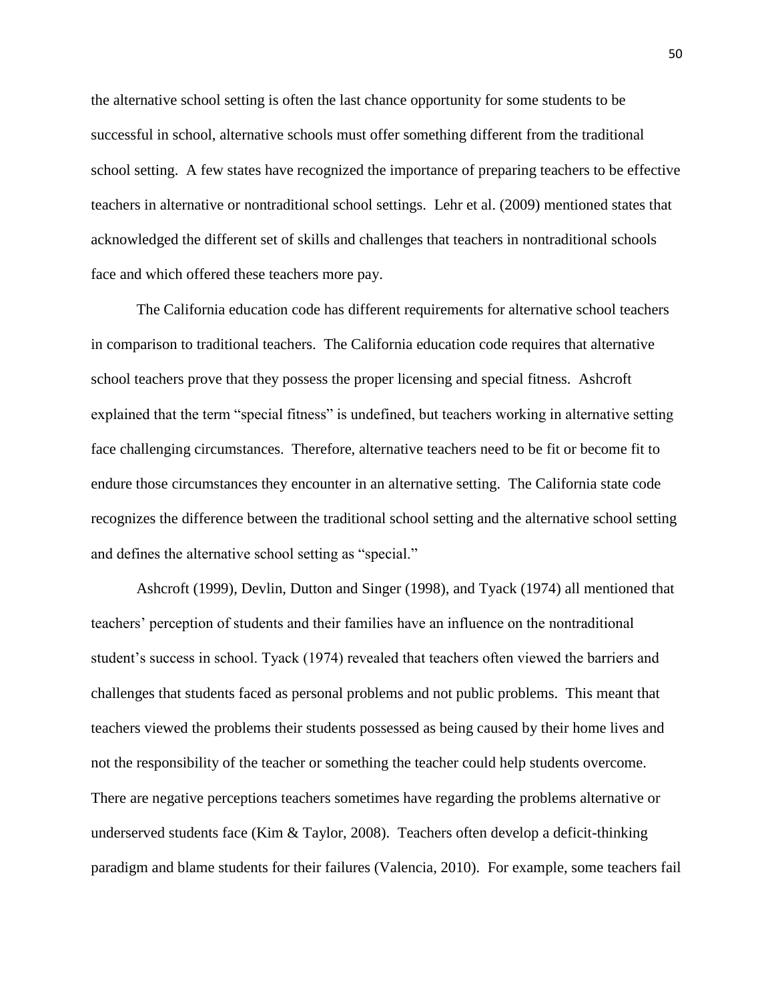the alternative school setting is often the last chance opportunity for some students to be successful in school, alternative schools must offer something different from the traditional school setting. A few states have recognized the importance of preparing teachers to be effective teachers in alternative or nontraditional school settings. Lehr et al. (2009) mentioned states that acknowledged the different set of skills and challenges that teachers in nontraditional schools face and which offered these teachers more pay.

The California education code has different requirements for alternative school teachers in comparison to traditional teachers. The California education code requires that alternative school teachers prove that they possess the proper licensing and special fitness. Ashcroft explained that the term "special fitness" is undefined, but teachers working in alternative setting face challenging circumstances. Therefore, alternative teachers need to be fit or become fit to endure those circumstances they encounter in an alternative setting. The California state code recognizes the difference between the traditional school setting and the alternative school setting and defines the alternative school setting as "special."

Ashcroft (1999), Devlin, Dutton and Singer (1998), and Tyack (1974) all mentioned that teachers' perception of students and their families have an influence on the nontraditional student's success in school. Tyack (1974) revealed that teachers often viewed the barriers and challenges that students faced as personal problems and not public problems. This meant that teachers viewed the problems their students possessed as being caused by their home lives and not the responsibility of the teacher or something the teacher could help students overcome. There are negative perceptions teachers sometimes have regarding the problems alternative or underserved students face (Kim & Taylor, 2008). Teachers often develop a deficit-thinking paradigm and blame students for their failures (Valencia, 2010). For example, some teachers fail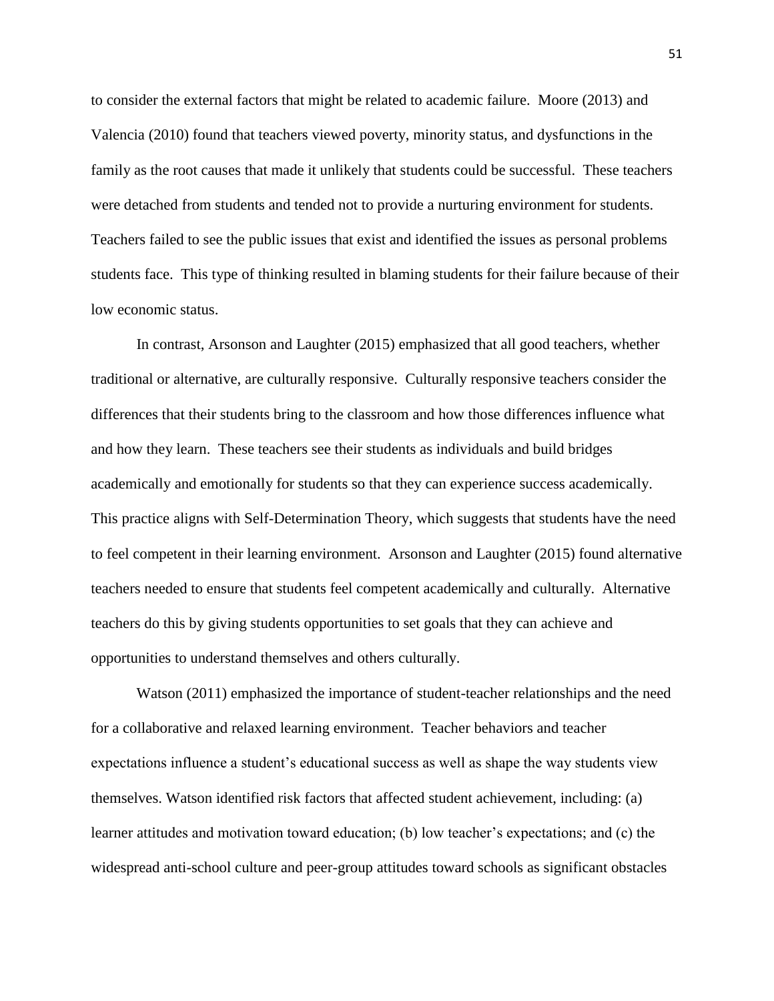to consider the external factors that might be related to academic failure. Moore (2013) and Valencia (2010) found that teachers viewed poverty, minority status, and dysfunctions in the family as the root causes that made it unlikely that students could be successful. These teachers were detached from students and tended not to provide a nurturing environment for students. Teachers failed to see the public issues that exist and identified the issues as personal problems students face. This type of thinking resulted in blaming students for their failure because of their low economic status.

In contrast, Arsonson and Laughter (2015) emphasized that all good teachers, whether traditional or alternative, are culturally responsive. Culturally responsive teachers consider the differences that their students bring to the classroom and how those differences influence what and how they learn. These teachers see their students as individuals and build bridges academically and emotionally for students so that they can experience success academically. This practice aligns with Self-Determination Theory, which suggests that students have the need to feel competent in their learning environment. Arsonson and Laughter (2015) found alternative teachers needed to ensure that students feel competent academically and culturally. Alternative teachers do this by giving students opportunities to set goals that they can achieve and opportunities to understand themselves and others culturally.

Watson (2011) emphasized the importance of student-teacher relationships and the need for a collaborative and relaxed learning environment. Teacher behaviors and teacher expectations influence a student's educational success as well as shape the way students view themselves. Watson identified risk factors that affected student achievement, including: (a) learner attitudes and motivation toward education; (b) low teacher's expectations; and (c) the widespread anti-school culture and peer-group attitudes toward schools as significant obstacles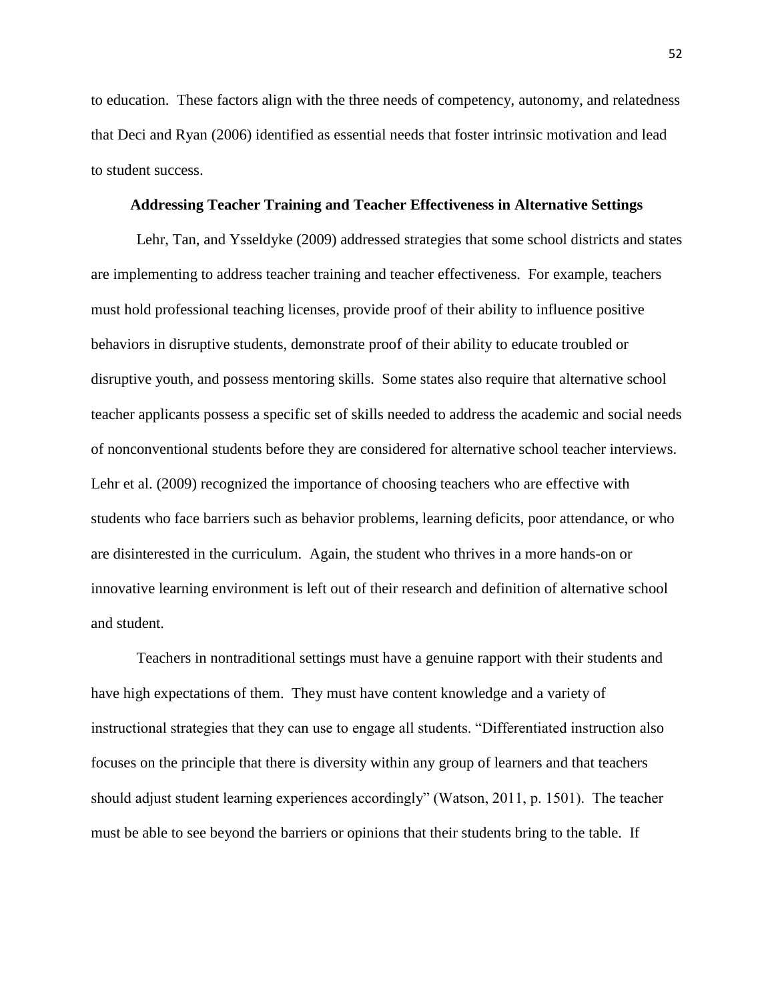to education. These factors align with the three needs of competency, autonomy, and relatedness that Deci and Ryan (2006) identified as essential needs that foster intrinsic motivation and lead to student success.

#### **Addressing Teacher Training and Teacher Effectiveness in Alternative Settings**

Lehr, Tan, and Ysseldyke (2009) addressed strategies that some school districts and states are implementing to address teacher training and teacher effectiveness. For example, teachers must hold professional teaching licenses, provide proof of their ability to influence positive behaviors in disruptive students, demonstrate proof of their ability to educate troubled or disruptive youth, and possess mentoring skills. Some states also require that alternative school teacher applicants possess a specific set of skills needed to address the academic and social needs of nonconventional students before they are considered for alternative school teacher interviews. Lehr et al. (2009) recognized the importance of choosing teachers who are effective with students who face barriers such as behavior problems, learning deficits, poor attendance, or who are disinterested in the curriculum. Again, the student who thrives in a more hands-on or innovative learning environment is left out of their research and definition of alternative school and student.

Teachers in nontraditional settings must have a genuine rapport with their students and have high expectations of them. They must have content knowledge and a variety of instructional strategies that they can use to engage all students. "Differentiated instruction also focuses on the principle that there is diversity within any group of learners and that teachers should adjust student learning experiences accordingly" (Watson, 2011, p. 1501). The teacher must be able to see beyond the barriers or opinions that their students bring to the table. If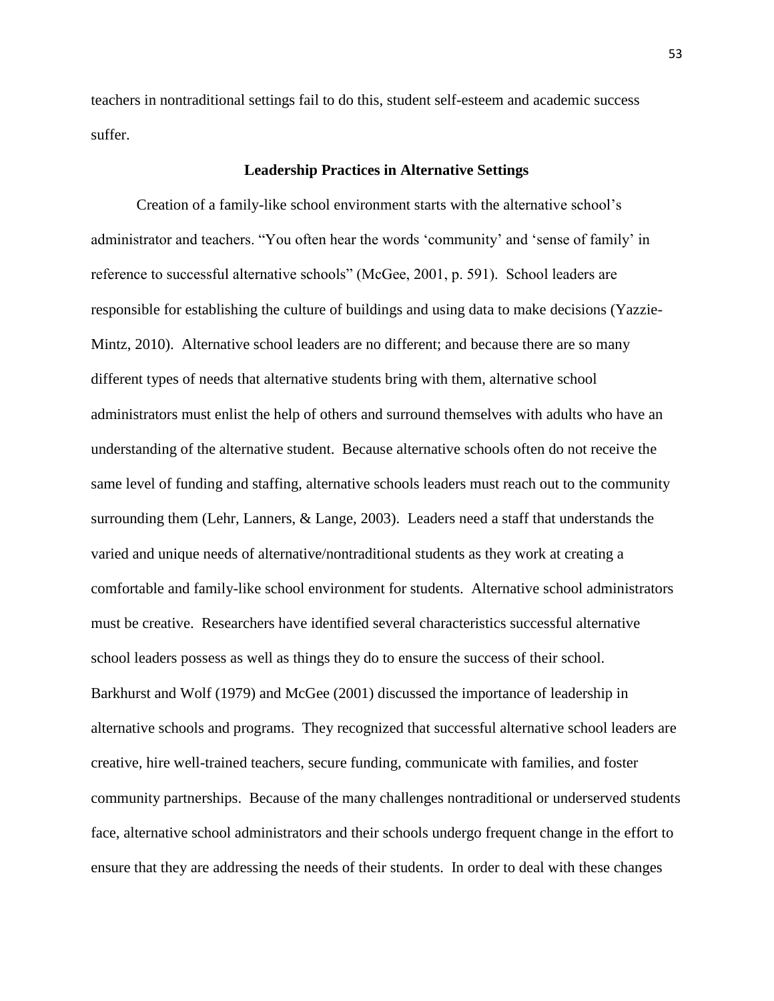teachers in nontraditional settings fail to do this, student self-esteem and academic success suffer.

# **Leadership Practices in Alternative Settings**

Creation of a family-like school environment starts with the alternative school's administrator and teachers. "You often hear the words 'community' and 'sense of family' in reference to successful alternative schools" (McGee, 2001, p. 591). School leaders are responsible for establishing the culture of buildings and using data to make decisions (Yazzie-Mintz, 2010). Alternative school leaders are no different; and because there are so many different types of needs that alternative students bring with them, alternative school administrators must enlist the help of others and surround themselves with adults who have an understanding of the alternative student. Because alternative schools often do not receive the same level of funding and staffing, alternative schools leaders must reach out to the community surrounding them (Lehr, Lanners, & Lange, 2003). Leaders need a staff that understands the varied and unique needs of alternative/nontraditional students as they work at creating a comfortable and family-like school environment for students. Alternative school administrators must be creative. Researchers have identified several characteristics successful alternative school leaders possess as well as things they do to ensure the success of their school. Barkhurst and Wolf (1979) and McGee (2001) discussed the importance of leadership in alternative schools and programs. They recognized that successful alternative school leaders are creative, hire well-trained teachers, secure funding, communicate with families, and foster community partnerships. Because of the many challenges nontraditional or underserved students face, alternative school administrators and their schools undergo frequent change in the effort to ensure that they are addressing the needs of their students. In order to deal with these changes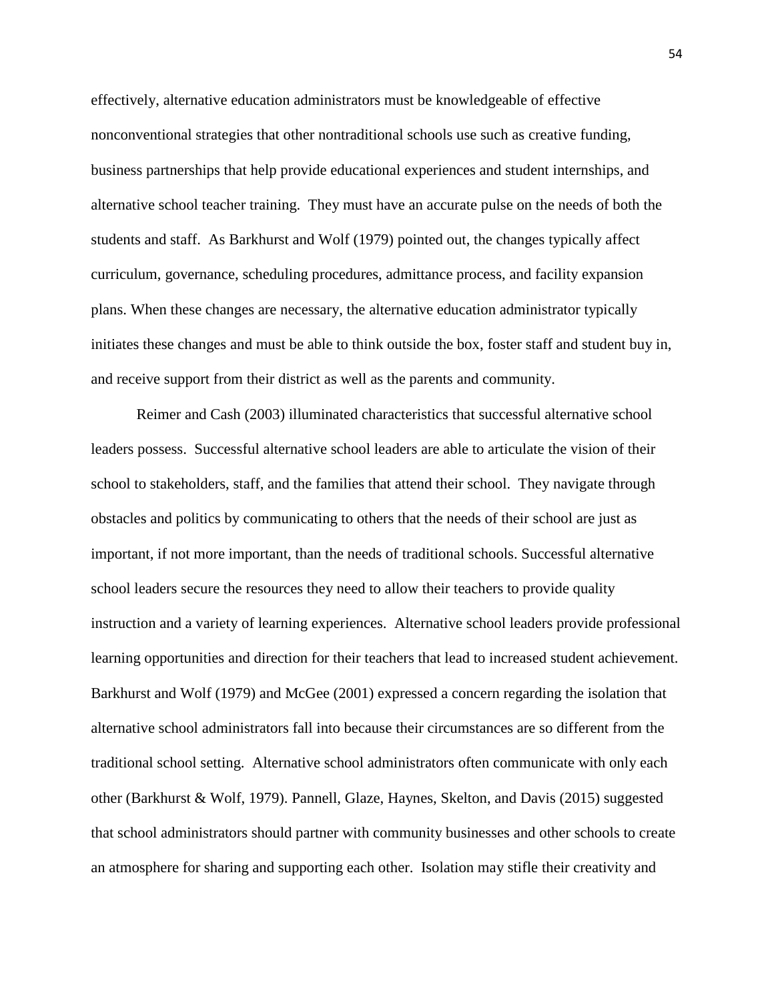effectively, alternative education administrators must be knowledgeable of effective nonconventional strategies that other nontraditional schools use such as creative funding, business partnerships that help provide educational experiences and student internships, and alternative school teacher training. They must have an accurate pulse on the needs of both the students and staff. As Barkhurst and Wolf (1979) pointed out, the changes typically affect curriculum, governance, scheduling procedures, admittance process, and facility expansion plans. When these changes are necessary, the alternative education administrator typically initiates these changes and must be able to think outside the box, foster staff and student buy in, and receive support from their district as well as the parents and community.

Reimer and Cash (2003) illuminated characteristics that successful alternative school leaders possess. Successful alternative school leaders are able to articulate the vision of their school to stakeholders, staff, and the families that attend their school. They navigate through obstacles and politics by communicating to others that the needs of their school are just as important, if not more important, than the needs of traditional schools. Successful alternative school leaders secure the resources they need to allow their teachers to provide quality instruction and a variety of learning experiences. Alternative school leaders provide professional learning opportunities and direction for their teachers that lead to increased student achievement. Barkhurst and Wolf (1979) and McGee (2001) expressed a concern regarding the isolation that alternative school administrators fall into because their circumstances are so different from the traditional school setting. Alternative school administrators often communicate with only each other (Barkhurst & Wolf, 1979). Pannell, Glaze, Haynes, Skelton, and Davis (2015) suggested that school administrators should partner with community businesses and other schools to create an atmosphere for sharing and supporting each other. Isolation may stifle their creativity and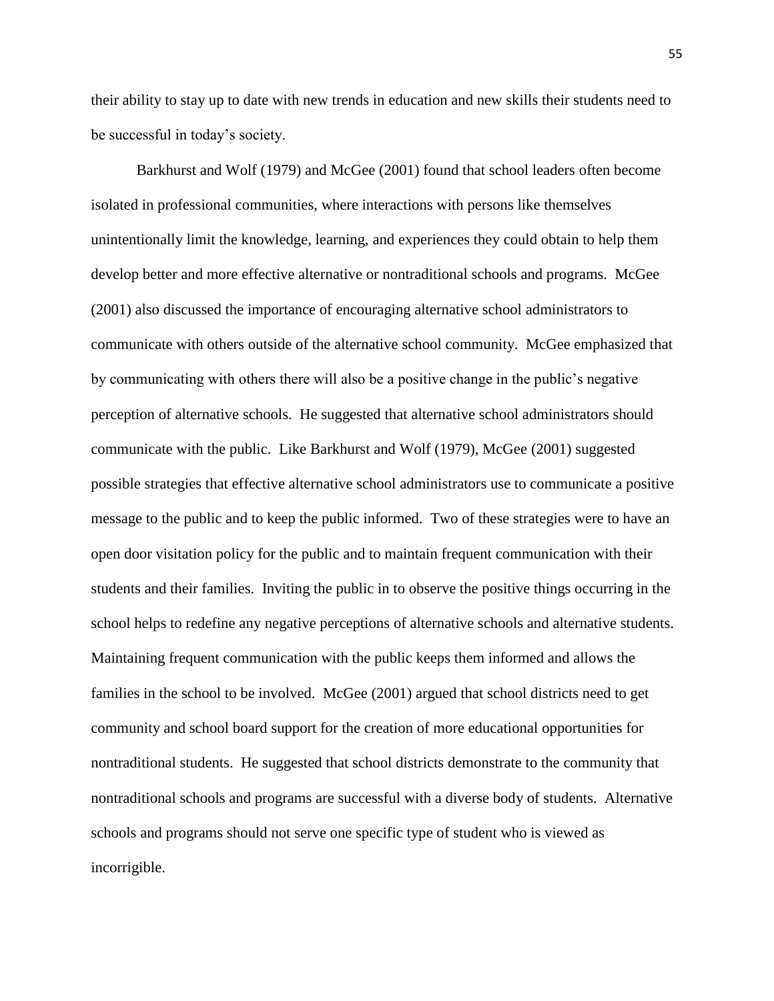their ability to stay up to date with new trends in education and new skills their students need to be successful in today's society.

Barkhurst and Wolf (1979) and McGee (2001) found that school leaders often become isolated in professional communities, where interactions with persons like themselves unintentionally limit the knowledge, learning, and experiences they could obtain to help them develop better and more effective alternative or nontraditional schools and programs. McGee (2001) also discussed the importance of encouraging alternative school administrators to communicate with others outside of the alternative school community. McGee emphasized that by communicating with others there will also be a positive change in the public's negative perception of alternative schools. He suggested that alternative school administrators should communicate with the public. Like Barkhurst and Wolf (1979), McGee (2001) suggested possible strategies that effective alternative school administrators use to communicate a positive message to the public and to keep the public informed. Two of these strategies were to have an open door visitation policy for the public and to maintain frequent communication with their students and their families. Inviting the public in to observe the positive things occurring in the school helps to redefine any negative perceptions of alternative schools and alternative students. Maintaining frequent communication with the public keeps them informed and allows the families in the school to be involved. McGee (2001) argued that school districts need to get community and school board support for the creation of more educational opportunities for nontraditional students. He suggested that school districts demonstrate to the community that nontraditional schools and programs are successful with a diverse body of students. Alternative schools and programs should not serve one specific type of student who is viewed as incorrigible.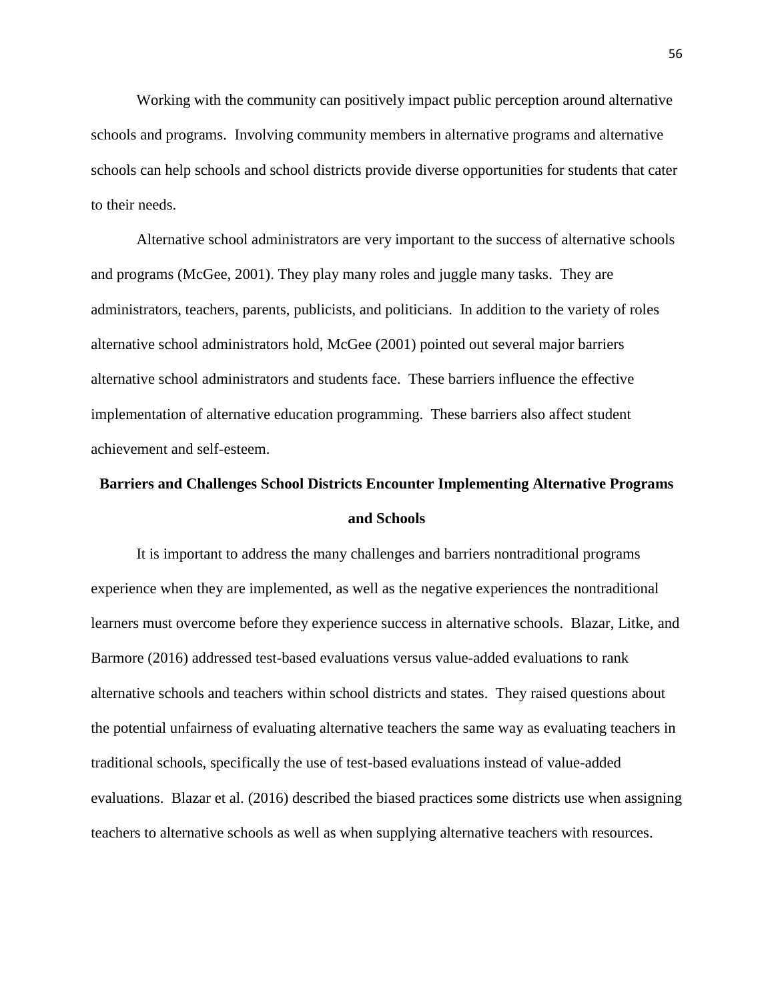Working with the community can positively impact public perception around alternative schools and programs. Involving community members in alternative programs and alternative schools can help schools and school districts provide diverse opportunities for students that cater to their needs.

Alternative school administrators are very important to the success of alternative schools and programs (McGee, 2001). They play many roles and juggle many tasks. They are administrators, teachers, parents, publicists, and politicians. In addition to the variety of roles alternative school administrators hold, McGee (2001) pointed out several major barriers alternative school administrators and students face. These barriers influence the effective implementation of alternative education programming. These barriers also affect student achievement and self-esteem.

# **Barriers and Challenges School Districts Encounter Implementing Alternative Programs and Schools**

It is important to address the many challenges and barriers nontraditional programs experience when they are implemented, as well as the negative experiences the nontraditional learners must overcome before they experience success in alternative schools. Blazar, Litke, and Barmore (2016) addressed test-based evaluations versus value-added evaluations to rank alternative schools and teachers within school districts and states. They raised questions about the potential unfairness of evaluating alternative teachers the same way as evaluating teachers in traditional schools, specifically the use of test-based evaluations instead of value-added evaluations. Blazar et al. (2016) described the biased practices some districts use when assigning teachers to alternative schools as well as when supplying alternative teachers with resources.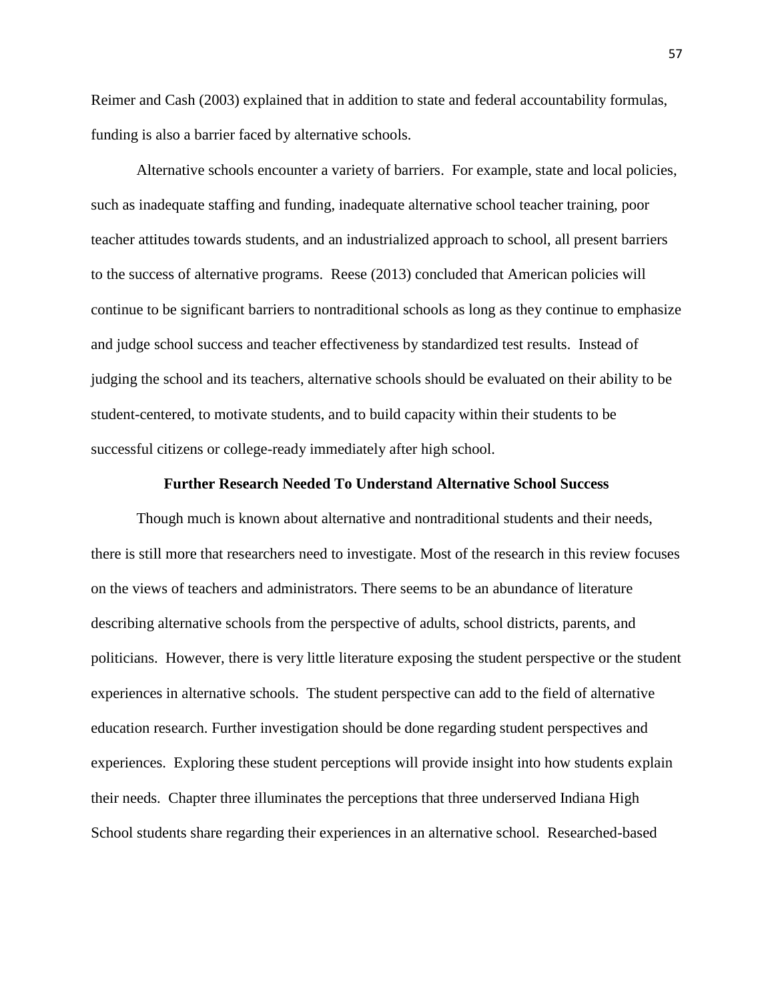Reimer and Cash (2003) explained that in addition to state and federal accountability formulas, funding is also a barrier faced by alternative schools.

Alternative schools encounter a variety of barriers. For example, state and local policies, such as inadequate staffing and funding, inadequate alternative school teacher training, poor teacher attitudes towards students, and an industrialized approach to school, all present barriers to the success of alternative programs. Reese (2013) concluded that American policies will continue to be significant barriers to nontraditional schools as long as they continue to emphasize and judge school success and teacher effectiveness by standardized test results. Instead of judging the school and its teachers, alternative schools should be evaluated on their ability to be student-centered, to motivate students, and to build capacity within their students to be successful citizens or college-ready immediately after high school.

# **Further Research Needed To Understand Alternative School Success**

Though much is known about alternative and nontraditional students and their needs, there is still more that researchers need to investigate. Most of the research in this review focuses on the views of teachers and administrators. There seems to be an abundance of literature describing alternative schools from the perspective of adults, school districts, parents, and politicians. However, there is very little literature exposing the student perspective or the student experiences in alternative schools. The student perspective can add to the field of alternative education research. Further investigation should be done regarding student perspectives and experiences. Exploring these student perceptions will provide insight into how students explain their needs. Chapter three illuminates the perceptions that three underserved Indiana High School students share regarding their experiences in an alternative school. Researched-based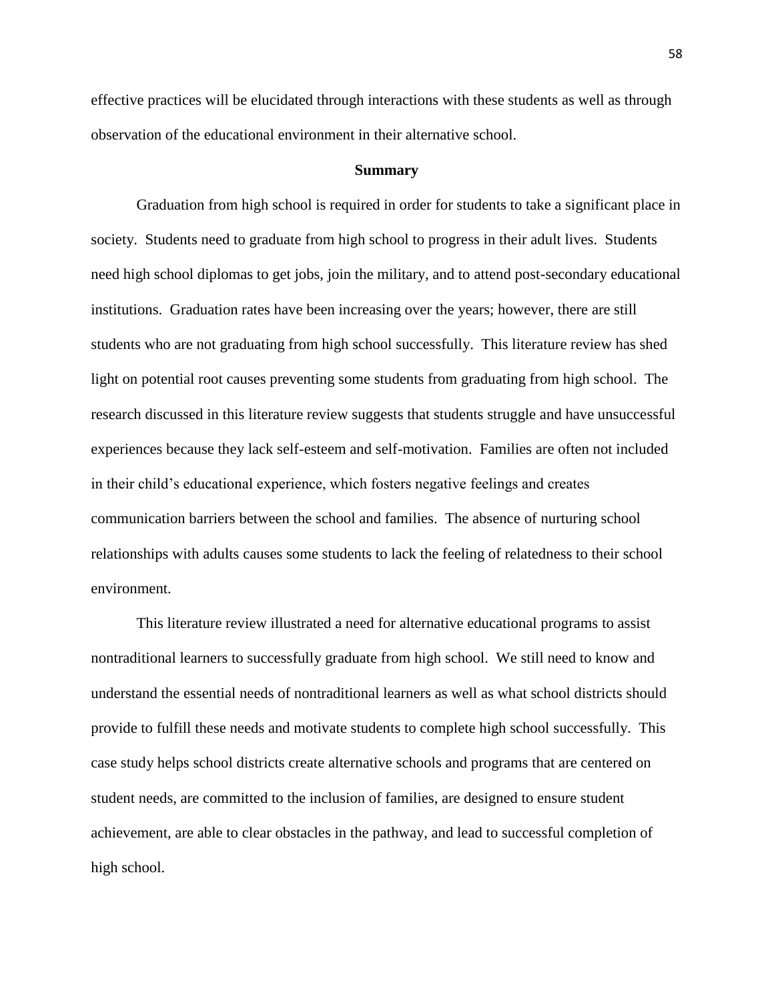effective practices will be elucidated through interactions with these students as well as through observation of the educational environment in their alternative school.

#### **Summary**

Graduation from high school is required in order for students to take a significant place in society. Students need to graduate from high school to progress in their adult lives. Students need high school diplomas to get jobs, join the military, and to attend post-secondary educational institutions. Graduation rates have been increasing over the years; however, there are still students who are not graduating from high school successfully. This literature review has shed light on potential root causes preventing some students from graduating from high school. The research discussed in this literature review suggests that students struggle and have unsuccessful experiences because they lack self-esteem and self-motivation. Families are often not included in their child's educational experience, which fosters negative feelings and creates communication barriers between the school and families. The absence of nurturing school relationships with adults causes some students to lack the feeling of relatedness to their school environment.

This literature review illustrated a need for alternative educational programs to assist nontraditional learners to successfully graduate from high school. We still need to know and understand the essential needs of nontraditional learners as well as what school districts should provide to fulfill these needs and motivate students to complete high school successfully. This case study helps school districts create alternative schools and programs that are centered on student needs, are committed to the inclusion of families, are designed to ensure student achievement, are able to clear obstacles in the pathway, and lead to successful completion of high school.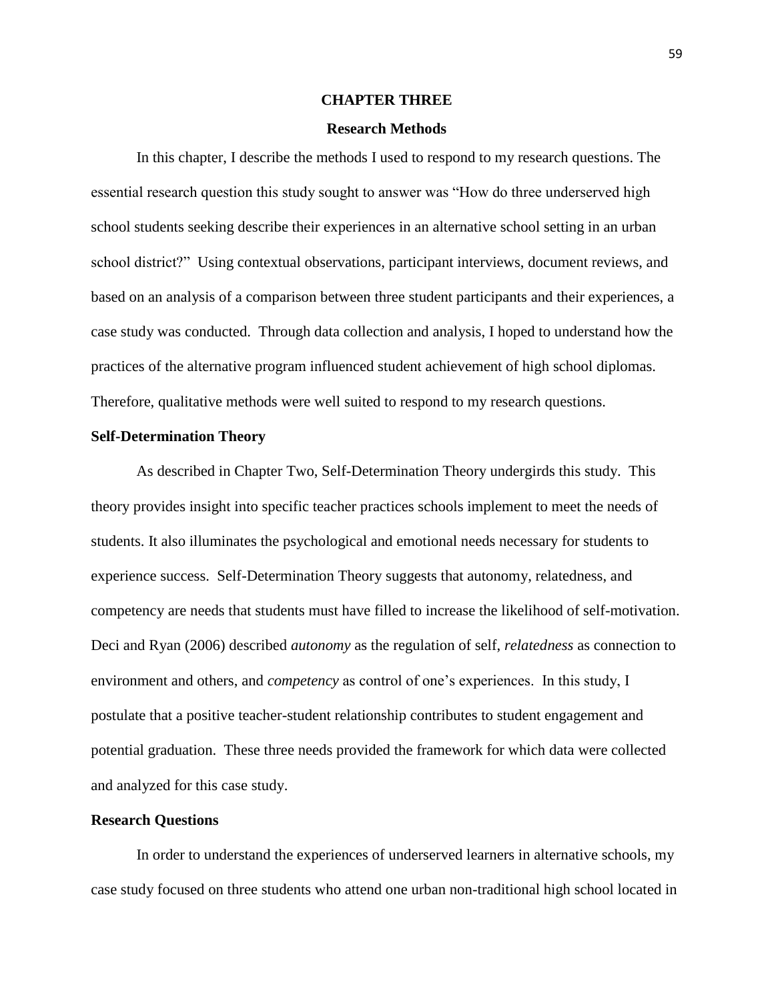# **CHAPTER THREE**

#### **Research Methods**

In this chapter, I describe the methods I used to respond to my research questions. The essential research question this study sought to answer was "How do three underserved high school students seeking describe their experiences in an alternative school setting in an urban school district?" Using contextual observations, participant interviews, document reviews, and based on an analysis of a comparison between three student participants and their experiences, a case study was conducted. Through data collection and analysis, I hoped to understand how the practices of the alternative program influenced student achievement of high school diplomas. Therefore, qualitative methods were well suited to respond to my research questions.

#### **Self-Determination Theory**

As described in Chapter Two, Self-Determination Theory undergirds this study. This theory provides insight into specific teacher practices schools implement to meet the needs of students. It also illuminates the psychological and emotional needs necessary for students to experience success. Self-Determination Theory suggests that autonomy, relatedness, and competency are needs that students must have filled to increase the likelihood of self-motivation. Deci and Ryan (2006) described *autonomy* as the regulation of self, *relatedness* as connection to environment and others, and *competency* as control of one's experiences. In this study, I postulate that a positive teacher-student relationship contributes to student engagement and potential graduation. These three needs provided the framework for which data were collected and analyzed for this case study.

# **Research Questions**

In order to understand the experiences of underserved learners in alternative schools, my case study focused on three students who attend one urban non-traditional high school located in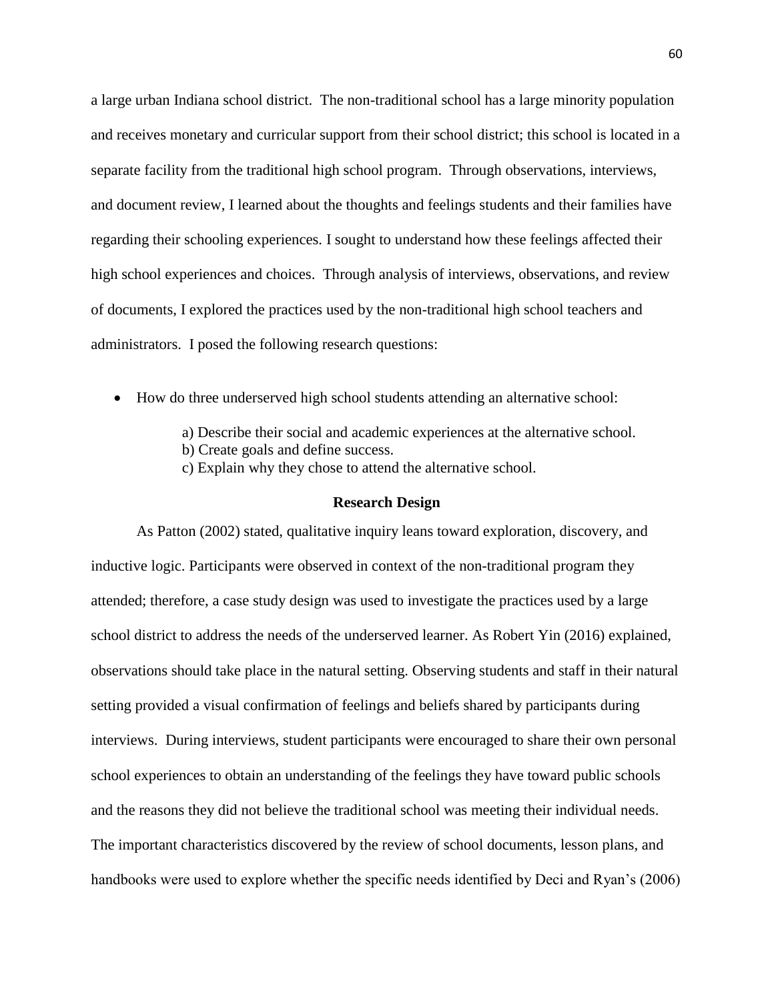a large urban Indiana school district. The non-traditional school has a large minority population and receives monetary and curricular support from their school district; this school is located in a separate facility from the traditional high school program. Through observations, interviews, and document review, I learned about the thoughts and feelings students and their families have regarding their schooling experiences. I sought to understand how these feelings affected their high school experiences and choices. Through analysis of interviews, observations, and review of documents, I explored the practices used by the non-traditional high school teachers and administrators. I posed the following research questions:

- How do three underserved high school students attending an alternative school:
	- a) Describe their social and academic experiences at the alternative school.
	- b) Create goals and define success.
	- c) Explain why they chose to attend the alternative school.

#### **Research Design**

As Patton (2002) stated, qualitative inquiry leans toward exploration, discovery, and inductive logic. Participants were observed in context of the non-traditional program they attended; therefore, a case study design was used to investigate the practices used by a large school district to address the needs of the underserved learner. As Robert Yin (2016) explained, observations should take place in the natural setting. Observing students and staff in their natural setting provided a visual confirmation of feelings and beliefs shared by participants during interviews. During interviews, student participants were encouraged to share their own personal school experiences to obtain an understanding of the feelings they have toward public schools and the reasons they did not believe the traditional school was meeting their individual needs. The important characteristics discovered by the review of school documents, lesson plans, and handbooks were used to explore whether the specific needs identified by Deci and Ryan's (2006)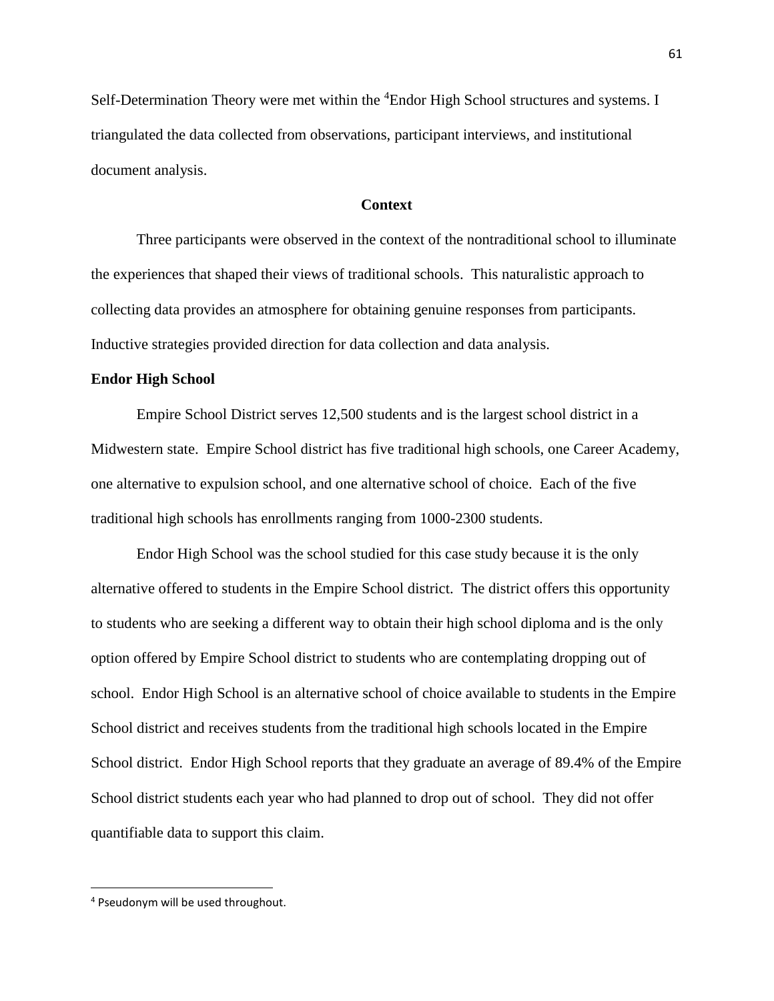Self-Determination Theory were met within the <sup>4</sup>Endor High School structures and systems. I triangulated the data collected from observations, participant interviews, and institutional document analysis.

# **Context**

Three participants were observed in the context of the nontraditional school to illuminate the experiences that shaped their views of traditional schools. This naturalistic approach to collecting data provides an atmosphere for obtaining genuine responses from participants. Inductive strategies provided direction for data collection and data analysis.

#### **Endor High School**

Empire School District serves 12,500 students and is the largest school district in a Midwestern state. Empire School district has five traditional high schools, one Career Academy, one alternative to expulsion school, and one alternative school of choice. Each of the five traditional high schools has enrollments ranging from 1000-2300 students.

Endor High School was the school studied for this case study because it is the only alternative offered to students in the Empire School district. The district offers this opportunity to students who are seeking a different way to obtain their high school diploma and is the only option offered by Empire School district to students who are contemplating dropping out of school. Endor High School is an alternative school of choice available to students in the Empire School district and receives students from the traditional high schools located in the Empire School district. Endor High School reports that they graduate an average of 89.4% of the Empire School district students each year who had planned to drop out of school. They did not offer quantifiable data to support this claim.

 $\overline{\phantom{a}}$ 

<sup>4</sup> Pseudonym will be used throughout.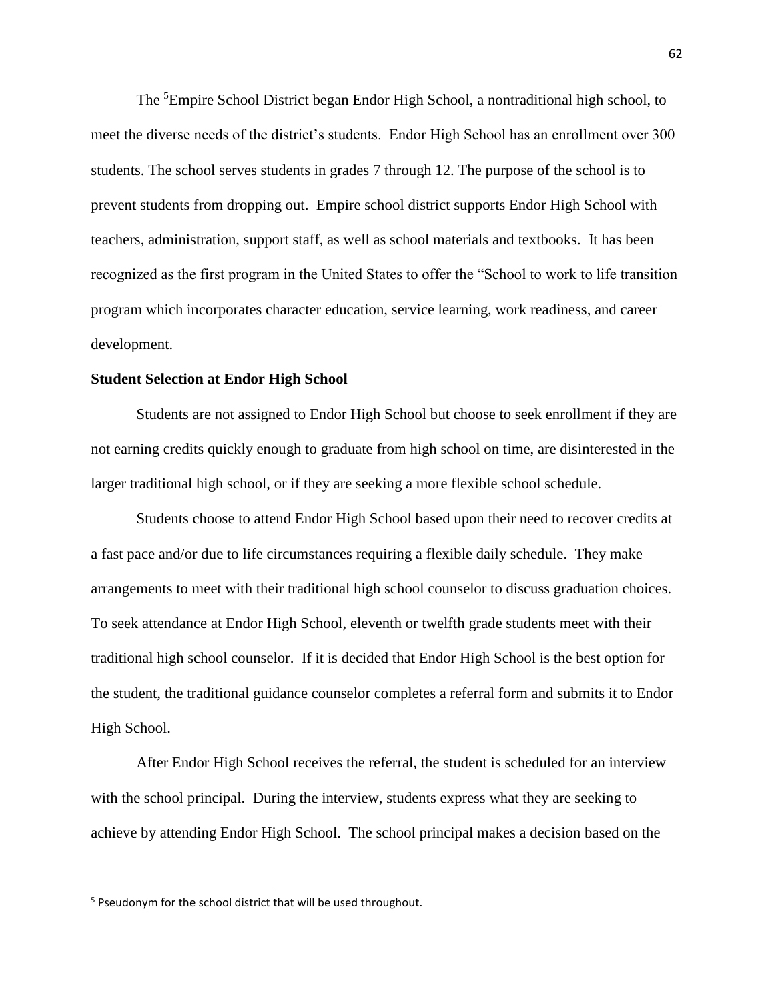The <sup>5</sup>Empire School District began Endor High School, a nontraditional high school, to meet the diverse needs of the district's students. Endor High School has an enrollment over 300 students. The school serves students in grades 7 through 12. The purpose of the school is to prevent students from dropping out. Empire school district supports Endor High School with teachers, administration, support staff, as well as school materials and textbooks. It has been recognized as the first program in the United States to offer the "School to work to life transition program which incorporates character education, service learning, work readiness, and career development.

#### **Student Selection at Endor High School**

Students are not assigned to Endor High School but choose to seek enrollment if they are not earning credits quickly enough to graduate from high school on time, are disinterested in the larger traditional high school, or if they are seeking a more flexible school schedule.

Students choose to attend Endor High School based upon their need to recover credits at a fast pace and/or due to life circumstances requiring a flexible daily schedule. They make arrangements to meet with their traditional high school counselor to discuss graduation choices. To seek attendance at Endor High School, eleventh or twelfth grade students meet with their traditional high school counselor. If it is decided that Endor High School is the best option for the student, the traditional guidance counselor completes a referral form and submits it to Endor High School.

After Endor High School receives the referral, the student is scheduled for an interview with the school principal. During the interview, students express what they are seeking to achieve by attending Endor High School. The school principal makes a decision based on the

 $\overline{\phantom{a}}$ 

<sup>5</sup> Pseudonym for the school district that will be used throughout.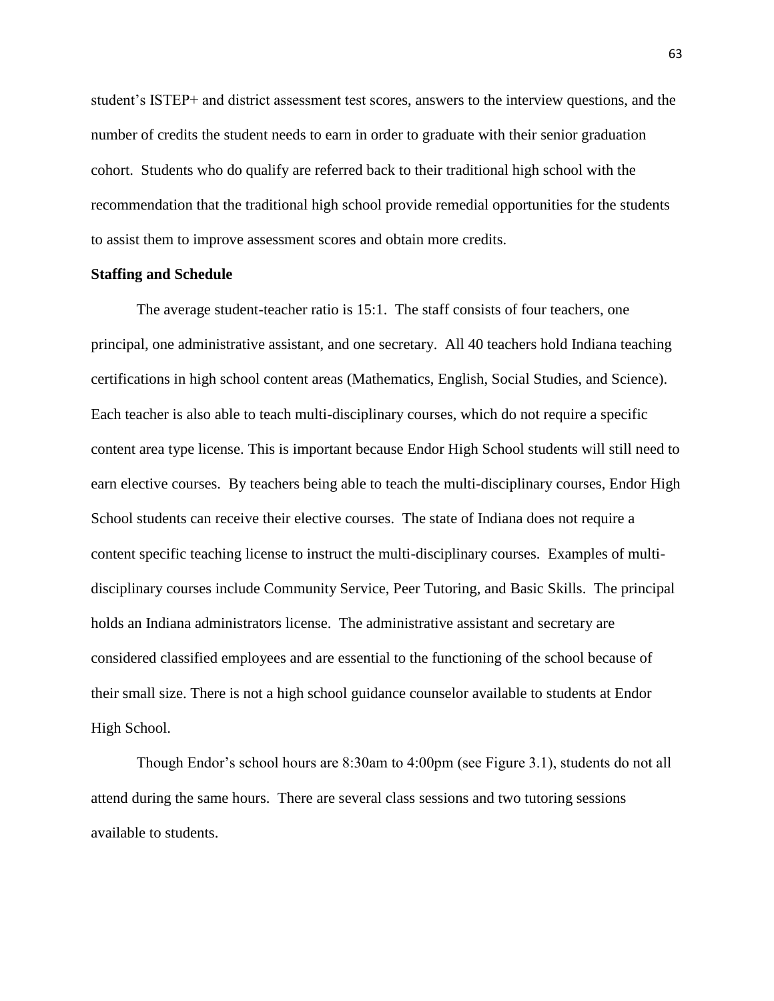student's ISTEP+ and district assessment test scores, answers to the interview questions, and the number of credits the student needs to earn in order to graduate with their senior graduation cohort. Students who do qualify are referred back to their traditional high school with the recommendation that the traditional high school provide remedial opportunities for the students to assist them to improve assessment scores and obtain more credits.

# **Staffing and Schedule**

The average student-teacher ratio is 15:1. The staff consists of four teachers, one principal, one administrative assistant, and one secretary. All 40 teachers hold Indiana teaching certifications in high school content areas (Mathematics, English, Social Studies, and Science). Each teacher is also able to teach multi-disciplinary courses, which do not require a specific content area type license. This is important because Endor High School students will still need to earn elective courses. By teachers being able to teach the multi-disciplinary courses, Endor High School students can receive their elective courses. The state of Indiana does not require a content specific teaching license to instruct the multi-disciplinary courses. Examples of multidisciplinary courses include Community Service, Peer Tutoring, and Basic Skills. The principal holds an Indiana administrators license. The administrative assistant and secretary are considered classified employees and are essential to the functioning of the school because of their small size. There is not a high school guidance counselor available to students at Endor High School.

Though Endor's school hours are 8:30am to 4:00pm (see Figure 3.1), students do not all attend during the same hours. There are several class sessions and two tutoring sessions available to students.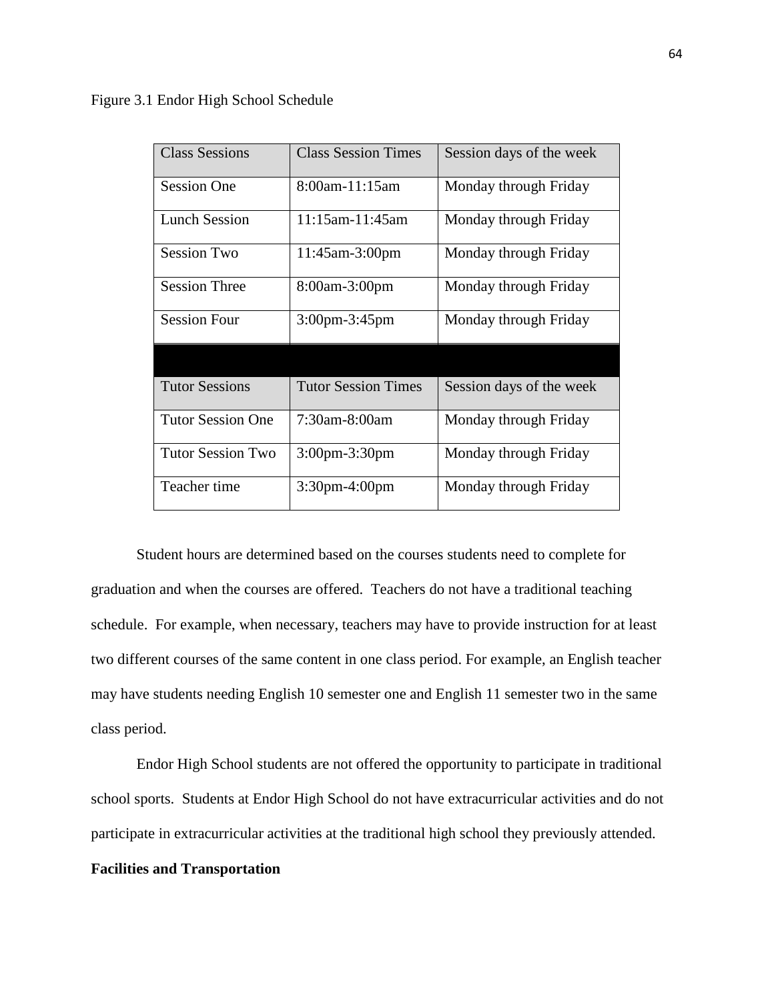Figure 3.1 Endor High School Schedule

| <b>Class Sessions</b>    | <b>Class Session Times</b> | Session days of the week |
|--------------------------|----------------------------|--------------------------|
| <b>Session One</b>       | 8:00am-11:15am             | Monday through Friday    |
| <b>Lunch Session</b>     | $11:15$ am-11:45am         | Monday through Friday    |
| <b>Session Two</b>       | 11:45am-3:00pm             | Monday through Friday    |
| <b>Session Three</b>     | 8:00am-3:00pm              | Monday through Friday    |
| <b>Session Four</b>      | $3:00$ pm $-3:45$ pm       | Monday through Friday    |
|                          |                            |                          |
| <b>Tutor Sessions</b>    | <b>Tutor Session Times</b> | Session days of the week |
| <b>Tutor Session One</b> | 7:30am-8:00am              | Monday through Friday    |
| <b>Tutor Session Two</b> | 3:00pm-3:30pm              | Monday through Friday    |
| Teacher time             | $3:30$ pm-4:00pm           | Monday through Friday    |

Student hours are determined based on the courses students need to complete for graduation and when the courses are offered. Teachers do not have a traditional teaching schedule. For example, when necessary, teachers may have to provide instruction for at least two different courses of the same content in one class period. For example, an English teacher may have students needing English 10 semester one and English 11 semester two in the same class period.

Endor High School students are not offered the opportunity to participate in traditional school sports. Students at Endor High School do not have extracurricular activities and do not participate in extracurricular activities at the traditional high school they previously attended.

# **Facilities and Transportation**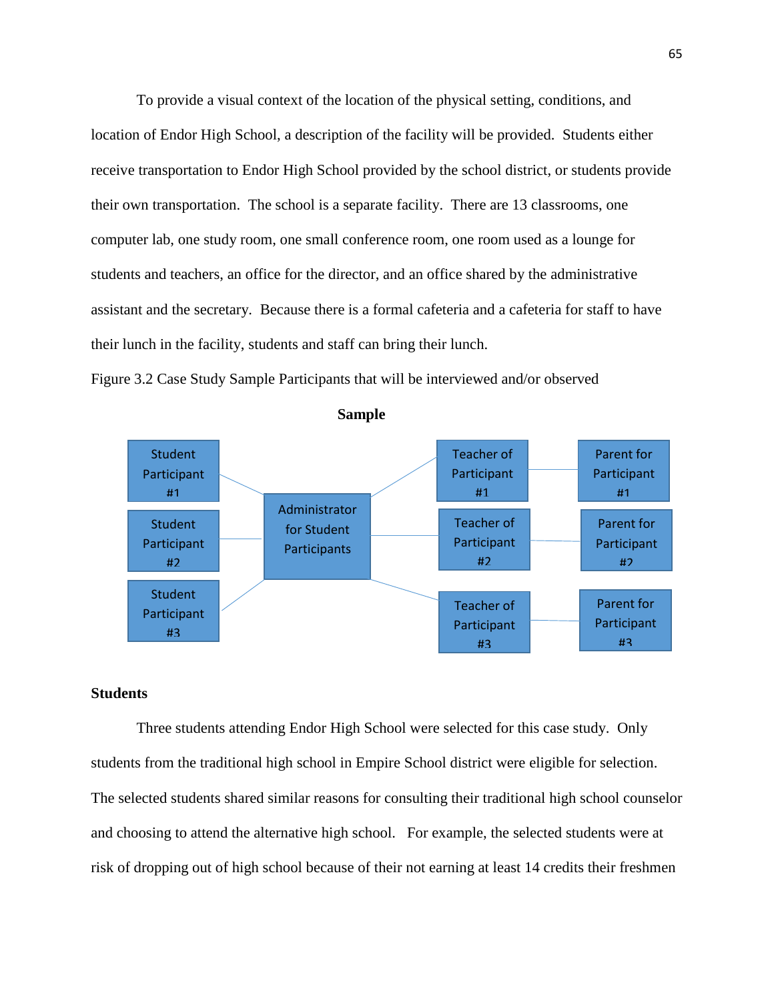To provide a visual context of the location of the physical setting, conditions, and location of Endor High School, a description of the facility will be provided. Students either receive transportation to Endor High School provided by the school district, or students provide their own transportation. The school is a separate facility. There are 13 classrooms, one computer lab, one study room, one small conference room, one room used as a lounge for students and teachers, an office for the director, and an office shared by the administrative assistant and the secretary. Because there is a formal cafeteria and a cafeteria for staff to have their lunch in the facility, students and staff can bring their lunch.







# **Students**

Three students attending Endor High School were selected for this case study. Only students from the traditional high school in Empire School district were eligible for selection. The selected students shared similar reasons for consulting their traditional high school counselor and choosing to attend the alternative high school. For example, the selected students were at risk of dropping out of high school because of their not earning at least 14 credits their freshmen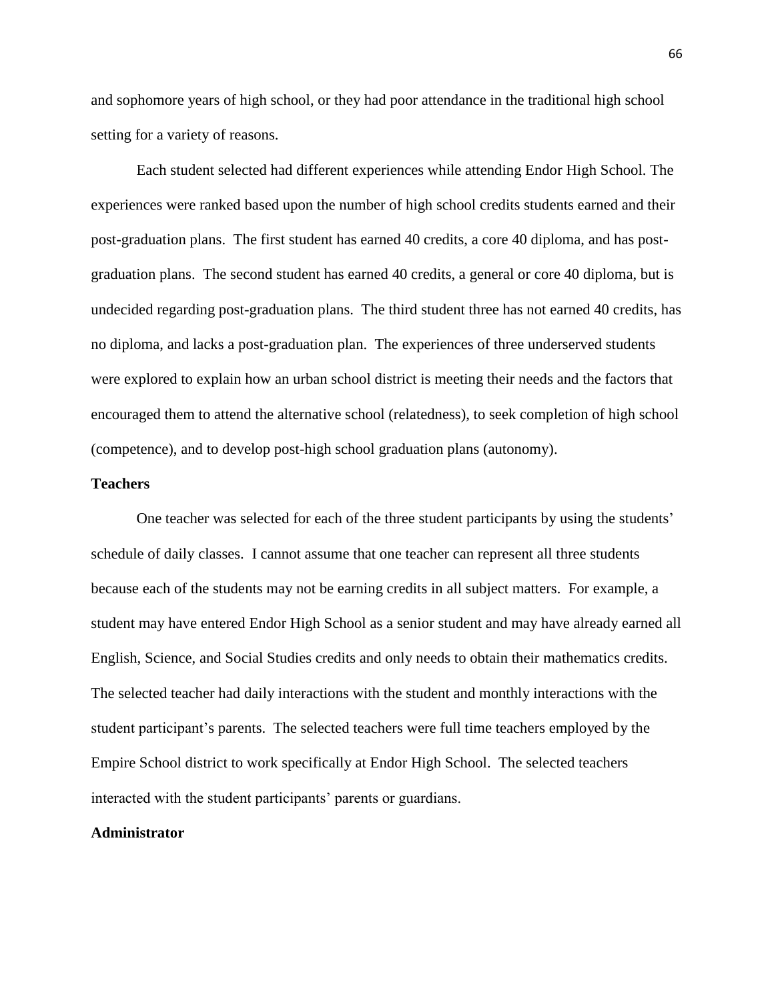and sophomore years of high school, or they had poor attendance in the traditional high school setting for a variety of reasons.

Each student selected had different experiences while attending Endor High School. The experiences were ranked based upon the number of high school credits students earned and their post-graduation plans. The first student has earned 40 credits, a core 40 diploma, and has postgraduation plans. The second student has earned 40 credits, a general or core 40 diploma, but is undecided regarding post-graduation plans. The third student three has not earned 40 credits, has no diploma, and lacks a post-graduation plan. The experiences of three underserved students were explored to explain how an urban school district is meeting their needs and the factors that encouraged them to attend the alternative school (relatedness), to seek completion of high school (competence), and to develop post-high school graduation plans (autonomy).

# **Teachers**

One teacher was selected for each of the three student participants by using the students' schedule of daily classes. I cannot assume that one teacher can represent all three students because each of the students may not be earning credits in all subject matters. For example, a student may have entered Endor High School as a senior student and may have already earned all English, Science, and Social Studies credits and only needs to obtain their mathematics credits. The selected teacher had daily interactions with the student and monthly interactions with the student participant's parents. The selected teachers were full time teachers employed by the Empire School district to work specifically at Endor High School. The selected teachers interacted with the student participants' parents or guardians.

# **Administrator**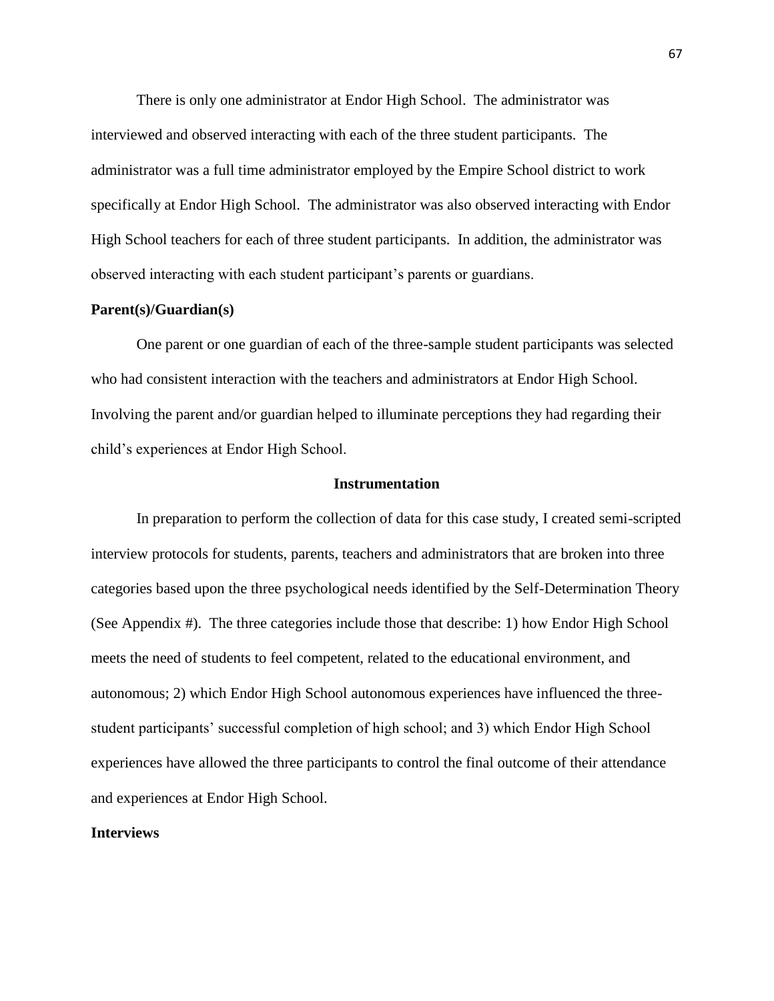There is only one administrator at Endor High School. The administrator was interviewed and observed interacting with each of the three student participants. The administrator was a full time administrator employed by the Empire School district to work specifically at Endor High School. The administrator was also observed interacting with Endor High School teachers for each of three student participants. In addition, the administrator was observed interacting with each student participant's parents or guardians.

## **Parent(s)/Guardian(s)**

One parent or one guardian of each of the three-sample student participants was selected who had consistent interaction with the teachers and administrators at Endor High School. Involving the parent and/or guardian helped to illuminate perceptions they had regarding their child's experiences at Endor High School.

## **Instrumentation**

In preparation to perform the collection of data for this case study, I created semi-scripted interview protocols for students, parents, teachers and administrators that are broken into three categories based upon the three psychological needs identified by the Self-Determination Theory (See Appendix #). The three categories include those that describe: 1) how Endor High School meets the need of students to feel competent, related to the educational environment, and autonomous; 2) which Endor High School autonomous experiences have influenced the threestudent participants' successful completion of high school; and 3) which Endor High School experiences have allowed the three participants to control the final outcome of their attendance and experiences at Endor High School.

## **Interviews**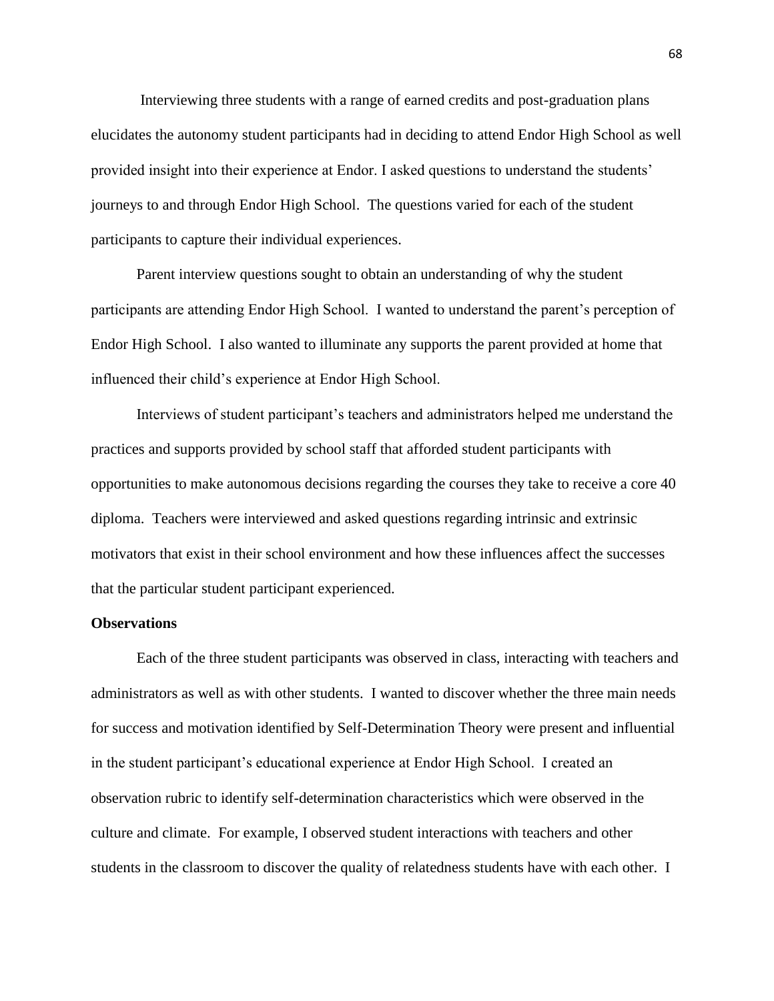Interviewing three students with a range of earned credits and post-graduation plans elucidates the autonomy student participants had in deciding to attend Endor High School as well provided insight into their experience at Endor. I asked questions to understand the students' journeys to and through Endor High School. The questions varied for each of the student participants to capture their individual experiences.

Parent interview questions sought to obtain an understanding of why the student participants are attending Endor High School. I wanted to understand the parent's perception of Endor High School. I also wanted to illuminate any supports the parent provided at home that influenced their child's experience at Endor High School.

Interviews of student participant's teachers and administrators helped me understand the practices and supports provided by school staff that afforded student participants with opportunities to make autonomous decisions regarding the courses they take to receive a core 40 diploma. Teachers were interviewed and asked questions regarding intrinsic and extrinsic motivators that exist in their school environment and how these influences affect the successes that the particular student participant experienced.

## **Observations**

Each of the three student participants was observed in class, interacting with teachers and administrators as well as with other students. I wanted to discover whether the three main needs for success and motivation identified by Self-Determination Theory were present and influential in the student participant's educational experience at Endor High School. I created an observation rubric to identify self-determination characteristics which were observed in the culture and climate. For example, I observed student interactions with teachers and other students in the classroom to discover the quality of relatedness students have with each other. I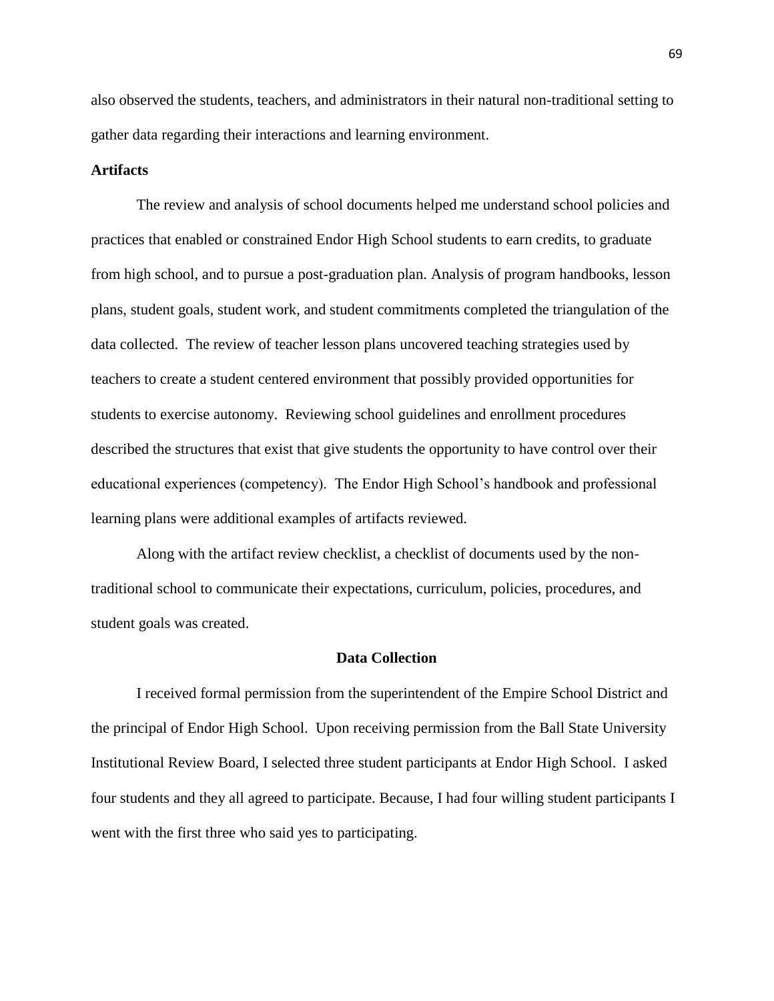also observed the students, teachers, and administrators in their natural non-traditional setting to gather data regarding their interactions and learning environment.

## **Artifacts**

The review and analysis of school documents helped me understand school policies and practices that enabled or constrained Endor High School students to earn credits, to graduate from high school, and to pursue a post-graduation plan. Analysis of program handbooks, lesson plans, student goals, student work, and student commitments completed the triangulation of the data collected. The review of teacher lesson plans uncovered teaching strategies used by teachers to create a student centered environment that possibly provided opportunities for students to exercise autonomy. Reviewing school guidelines and enrollment procedures described the structures that exist that give students the opportunity to have control over their educational experiences (competency). The Endor High School's handbook and professional learning plans were additional examples of artifacts reviewed.

Along with the artifact review checklist, a checklist of documents used by the nontraditional school to communicate their expectations, curriculum, policies, procedures, and student goals was created.

## **Data Collection**

I received formal permission from the superintendent of the Empire School District and the principal of Endor High School. Upon receiving permission from the Ball State University Institutional Review Board, I selected three student participants at Endor High School. I asked four students and they all agreed to participate. Because, I had four willing student participants I went with the first three who said yes to participating.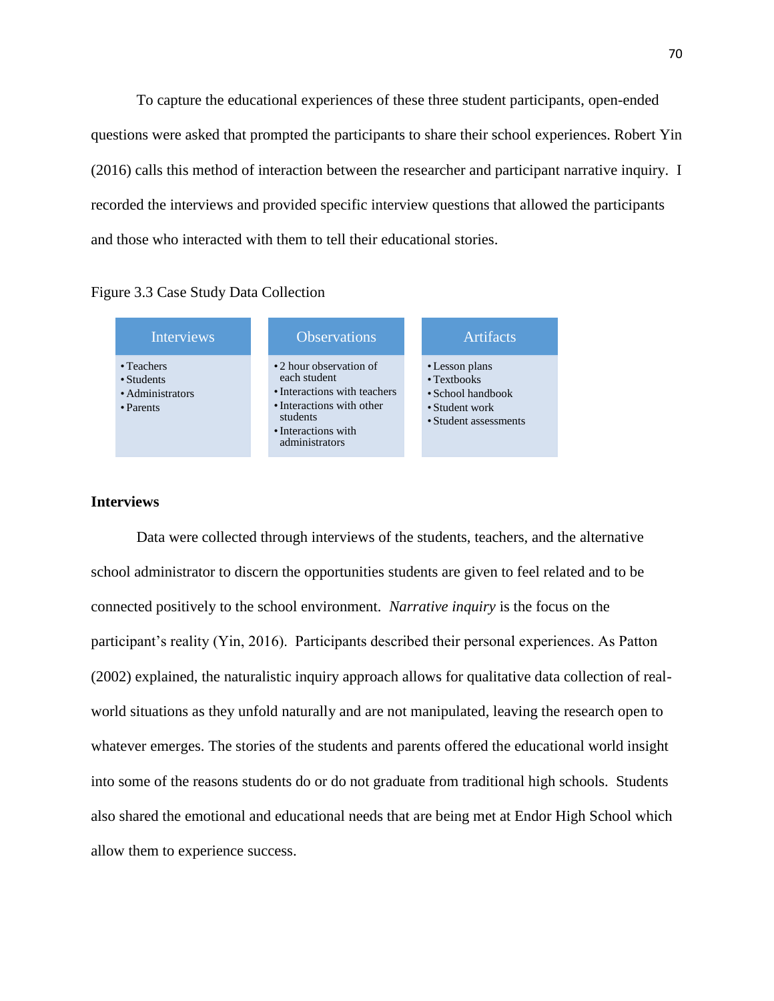To capture the educational experiences of these three student participants, open-ended questions were asked that prompted the participants to share their school experiences. Robert Yin (2016) calls this method of interaction between the researcher and participant narrative inquiry. I recorded the interviews and provided specific interview questions that allowed the participants and those who interacted with them to tell their educational stories.





# **Interviews**

Data were collected through interviews of the students, teachers, and the alternative school administrator to discern the opportunities students are given to feel related and to be connected positively to the school environment. *Narrative inquiry* is the focus on the participant's reality (Yin, 2016). Participants described their personal experiences. As Patton (2002) explained, the naturalistic inquiry approach allows for qualitative data collection of realworld situations as they unfold naturally and are not manipulated, leaving the research open to whatever emerges. The stories of the students and parents offered the educational world insight into some of the reasons students do or do not graduate from traditional high schools. Students also shared the emotional and educational needs that are being met at Endor High School which allow them to experience success.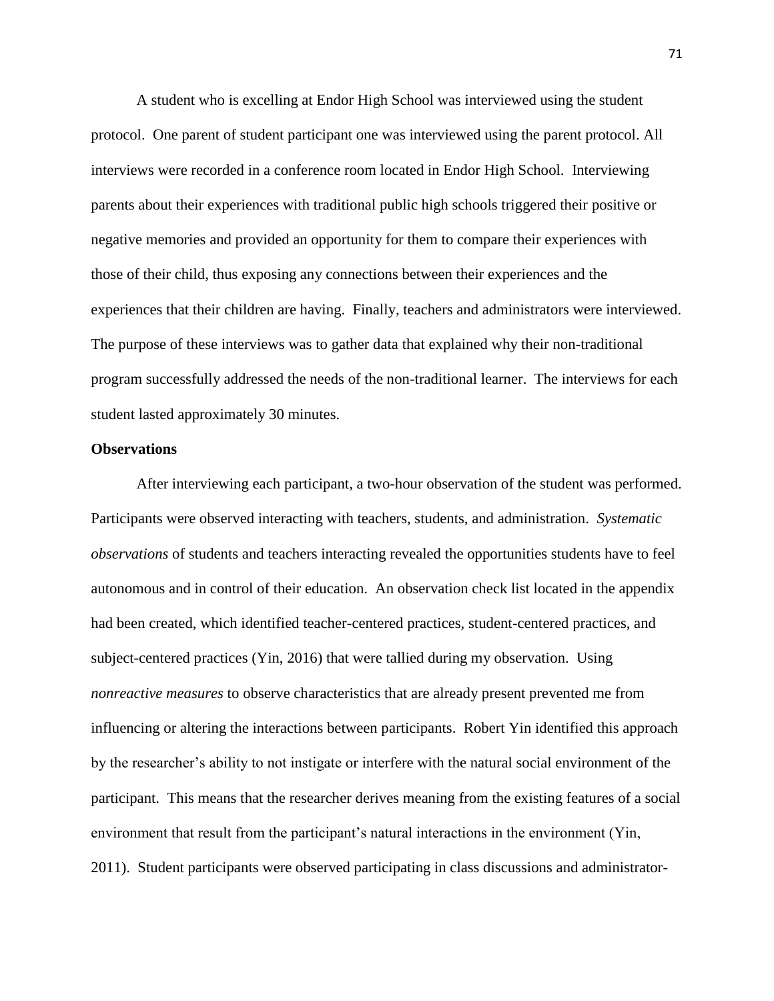A student who is excelling at Endor High School was interviewed using the student protocol. One parent of student participant one was interviewed using the parent protocol. All interviews were recorded in a conference room located in Endor High School. Interviewing parents about their experiences with traditional public high schools triggered their positive or negative memories and provided an opportunity for them to compare their experiences with those of their child, thus exposing any connections between their experiences and the experiences that their children are having. Finally, teachers and administrators were interviewed. The purpose of these interviews was to gather data that explained why their non-traditional program successfully addressed the needs of the non-traditional learner. The interviews for each student lasted approximately 30 minutes.

## **Observations**

After interviewing each participant, a two-hour observation of the student was performed. Participants were observed interacting with teachers, students, and administration. *Systematic observations* of students and teachers interacting revealed the opportunities students have to feel autonomous and in control of their education. An observation check list located in the appendix had been created, which identified teacher-centered practices, student-centered practices, and subject-centered practices (Yin, 2016) that were tallied during my observation. Using *nonreactive measures* to observe characteristics that are already present prevented me from influencing or altering the interactions between participants. Robert Yin identified this approach by the researcher's ability to not instigate or interfere with the natural social environment of the participant. This means that the researcher derives meaning from the existing features of a social environment that result from the participant's natural interactions in the environment (Yin, 2011). Student participants were observed participating in class discussions and administrator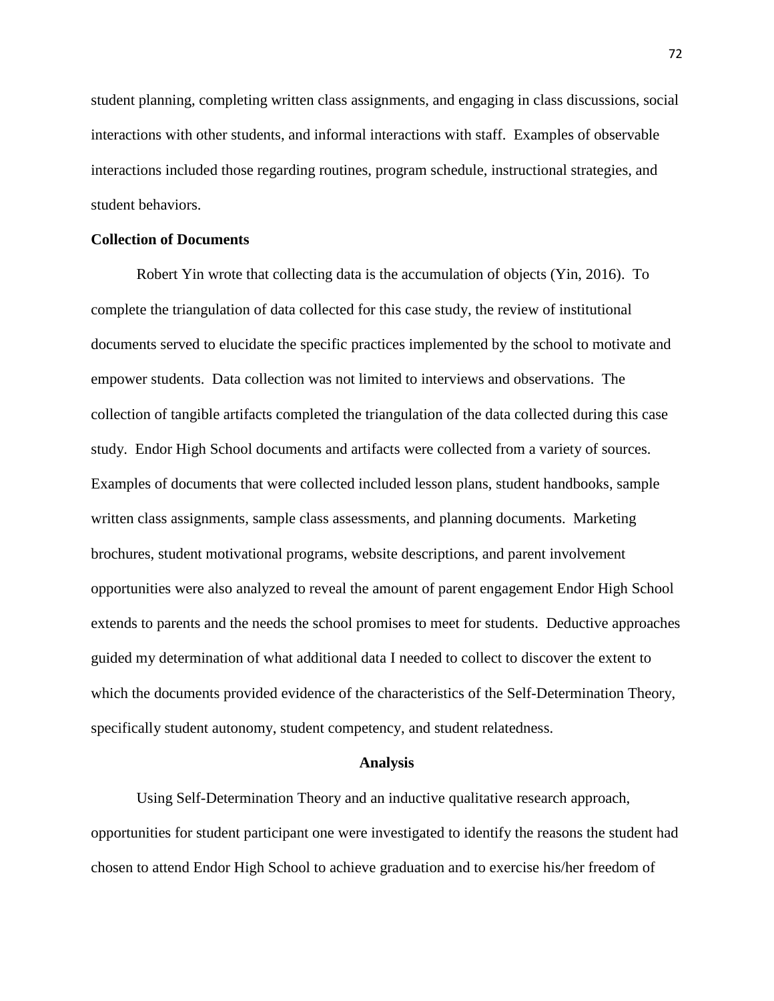student planning, completing written class assignments, and engaging in class discussions, social interactions with other students, and informal interactions with staff. Examples of observable interactions included those regarding routines, program schedule, instructional strategies, and student behaviors.

## **Collection of Documents**

Robert Yin wrote that collecting data is the accumulation of objects (Yin, 2016). To complete the triangulation of data collected for this case study, the review of institutional documents served to elucidate the specific practices implemented by the school to motivate and empower students. Data collection was not limited to interviews and observations. The collection of tangible artifacts completed the triangulation of the data collected during this case study. Endor High School documents and artifacts were collected from a variety of sources. Examples of documents that were collected included lesson plans, student handbooks, sample written class assignments, sample class assessments, and planning documents. Marketing brochures, student motivational programs, website descriptions, and parent involvement opportunities were also analyzed to reveal the amount of parent engagement Endor High School extends to parents and the needs the school promises to meet for students. Deductive approaches guided my determination of what additional data I needed to collect to discover the extent to which the documents provided evidence of the characteristics of the Self-Determination Theory, specifically student autonomy, student competency, and student relatedness.

#### **Analysis**

Using Self-Determination Theory and an inductive qualitative research approach, opportunities for student participant one were investigated to identify the reasons the student had chosen to attend Endor High School to achieve graduation and to exercise his/her freedom of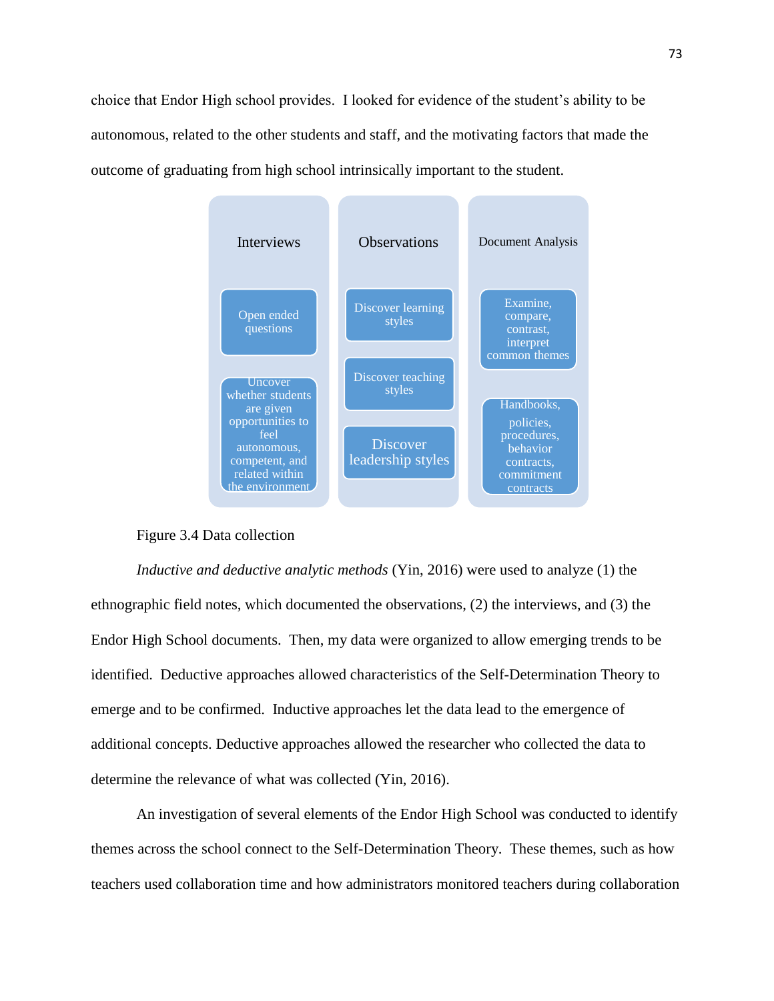choice that Endor High school provides. I looked for evidence of the student's ability to be autonomous, related to the other students and staff, and the motivating factors that made the outcome of graduating from high school intrinsically important to the student.



# Figure 3.4 Data collection

*Inductive and deductive analytic methods* (Yin, 2016) were used to analyze (1) the ethnographic field notes, which documented the observations, (2) the interviews, and (3) the Endor High School documents. Then, my data were organized to allow emerging trends to be identified. Deductive approaches allowed characteristics of the Self-Determination Theory to emerge and to be confirmed. Inductive approaches let the data lead to the emergence of additional concepts. Deductive approaches allowed the researcher who collected the data to determine the relevance of what was collected (Yin, 2016).

An investigation of several elements of the Endor High School was conducted to identify themes across the school connect to the Self-Determination Theory. These themes, such as how teachers used collaboration time and how administrators monitored teachers during collaboration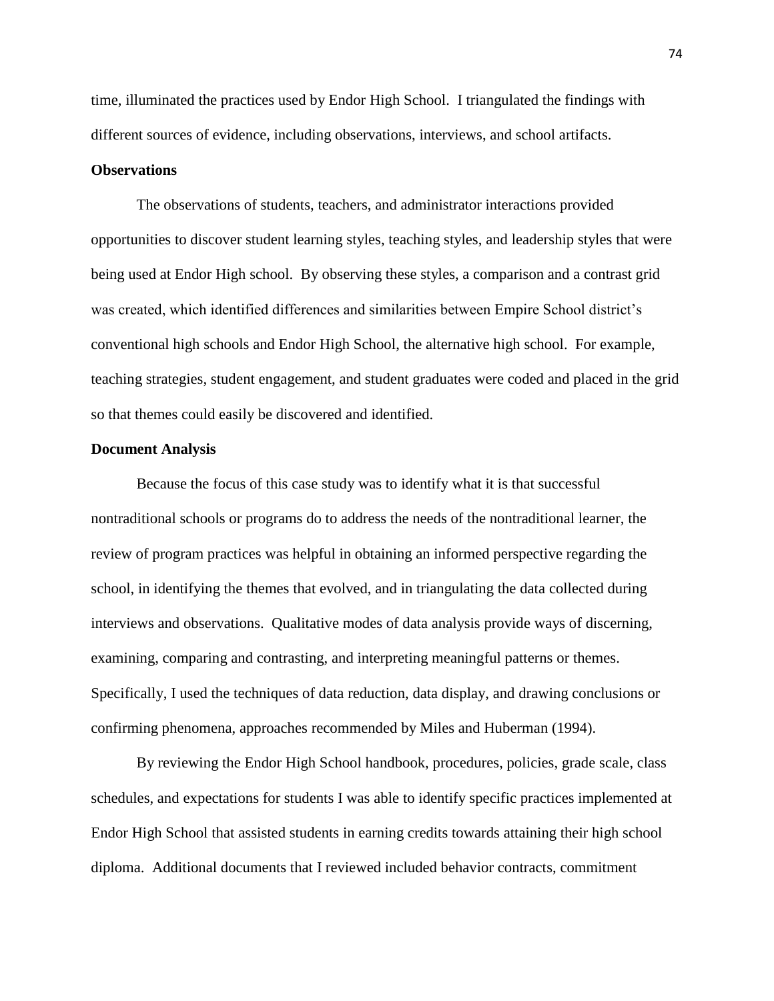time, illuminated the practices used by Endor High School. I triangulated the findings with different sources of evidence, including observations, interviews, and school artifacts.

## **Observations**

The observations of students, teachers, and administrator interactions provided opportunities to discover student learning styles, teaching styles, and leadership styles that were being used at Endor High school. By observing these styles, a comparison and a contrast grid was created, which identified differences and similarities between Empire School district's conventional high schools and Endor High School, the alternative high school. For example, teaching strategies, student engagement, and student graduates were coded and placed in the grid so that themes could easily be discovered and identified.

## **Document Analysis**

Because the focus of this case study was to identify what it is that successful nontraditional schools or programs do to address the needs of the nontraditional learner, the review of program practices was helpful in obtaining an informed perspective regarding the school, in identifying the themes that evolved, and in triangulating the data collected during interviews and observations. Qualitative modes of data analysis provide ways of discerning, examining, comparing and contrasting, and interpreting meaningful patterns or themes. Specifically, I used the techniques of data reduction, data display, and drawing conclusions or confirming phenomena, approaches recommended by Miles and Huberman (1994).

By reviewing the Endor High School handbook, procedures, policies, grade scale, class schedules, and expectations for students I was able to identify specific practices implemented at Endor High School that assisted students in earning credits towards attaining their high school diploma. Additional documents that I reviewed included behavior contracts, commitment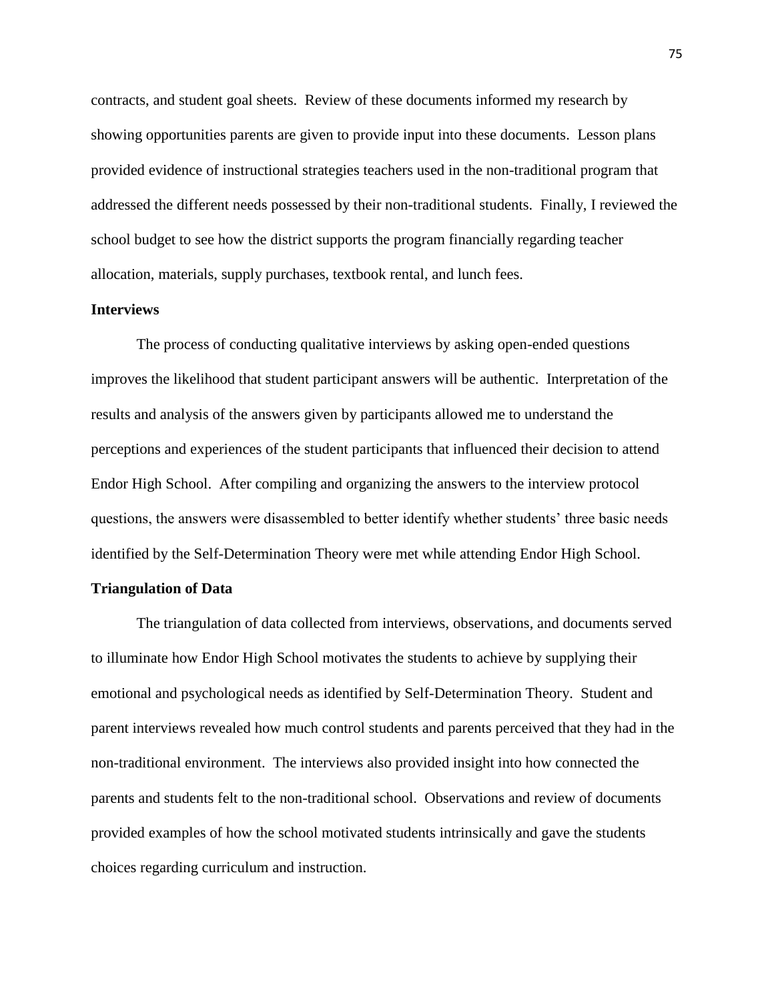contracts, and student goal sheets. Review of these documents informed my research by showing opportunities parents are given to provide input into these documents. Lesson plans provided evidence of instructional strategies teachers used in the non-traditional program that addressed the different needs possessed by their non-traditional students. Finally, I reviewed the school budget to see how the district supports the program financially regarding teacher allocation, materials, supply purchases, textbook rental, and lunch fees.

# **Interviews**

The process of conducting qualitative interviews by asking open-ended questions improves the likelihood that student participant answers will be authentic. Interpretation of the results and analysis of the answers given by participants allowed me to understand the perceptions and experiences of the student participants that influenced their decision to attend Endor High School. After compiling and organizing the answers to the interview protocol questions, the answers were disassembled to better identify whether students' three basic needs identified by the Self-Determination Theory were met while attending Endor High School.

## **Triangulation of Data**

The triangulation of data collected from interviews, observations, and documents served to illuminate how Endor High School motivates the students to achieve by supplying their emotional and psychological needs as identified by Self-Determination Theory. Student and parent interviews revealed how much control students and parents perceived that they had in the non-traditional environment. The interviews also provided insight into how connected the parents and students felt to the non-traditional school. Observations and review of documents provided examples of how the school motivated students intrinsically and gave the students choices regarding curriculum and instruction.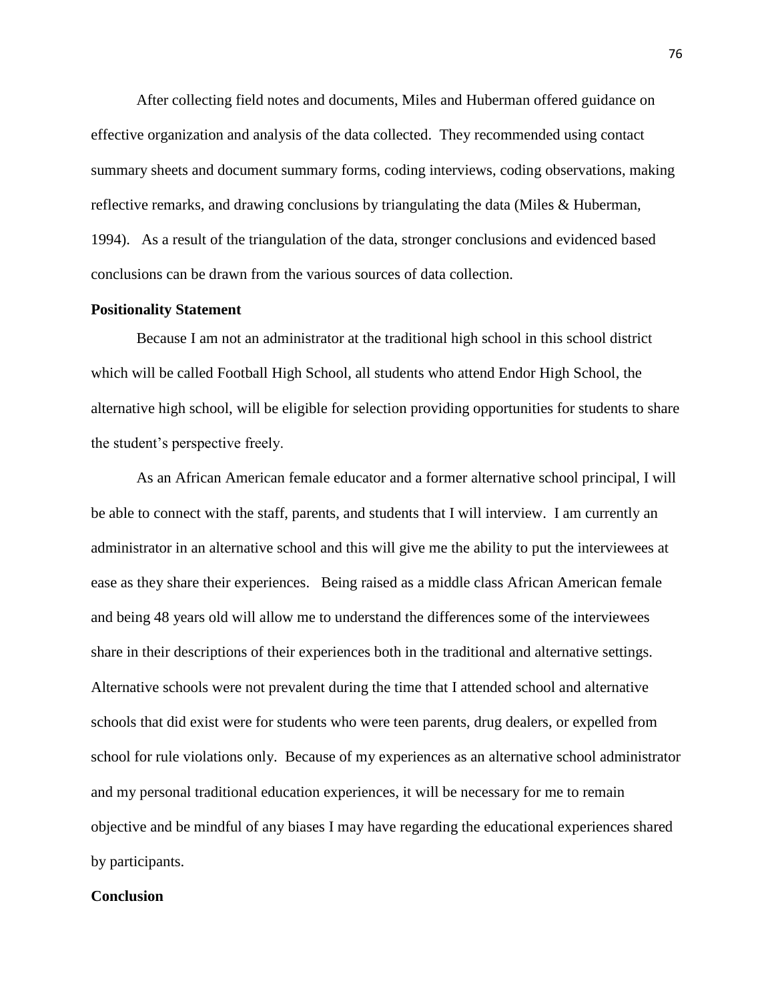After collecting field notes and documents, Miles and Huberman offered guidance on effective organization and analysis of the data collected. They recommended using contact summary sheets and document summary forms, coding interviews, coding observations, making reflective remarks, and drawing conclusions by triangulating the data (Miles & Huberman, 1994). As a result of the triangulation of the data, stronger conclusions and evidenced based conclusions can be drawn from the various sources of data collection.

### **Positionality Statement**

Because I am not an administrator at the traditional high school in this school district which will be called Football High School, all students who attend Endor High School, the alternative high school, will be eligible for selection providing opportunities for students to share the student's perspective freely.

As an African American female educator and a former alternative school principal, I will be able to connect with the staff, parents, and students that I will interview. I am currently an administrator in an alternative school and this will give me the ability to put the interviewees at ease as they share their experiences. Being raised as a middle class African American female and being 48 years old will allow me to understand the differences some of the interviewees share in their descriptions of their experiences both in the traditional and alternative settings. Alternative schools were not prevalent during the time that I attended school and alternative schools that did exist were for students who were teen parents, drug dealers, or expelled from school for rule violations only. Because of my experiences as an alternative school administrator and my personal traditional education experiences, it will be necessary for me to remain objective and be mindful of any biases I may have regarding the educational experiences shared by participants.

# **Conclusion**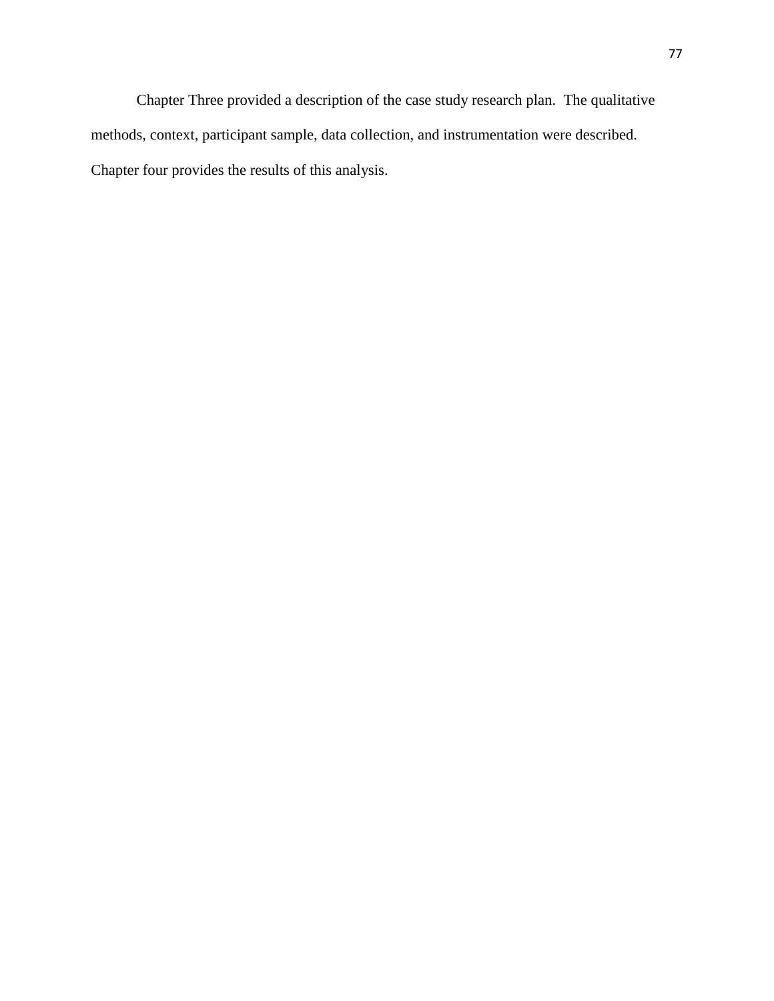Chapter Three provided a description of the case study research plan. The qualitative methods, context, participant sample, data collection, and instrumentation were described. Chapter four provides the results of this analysis.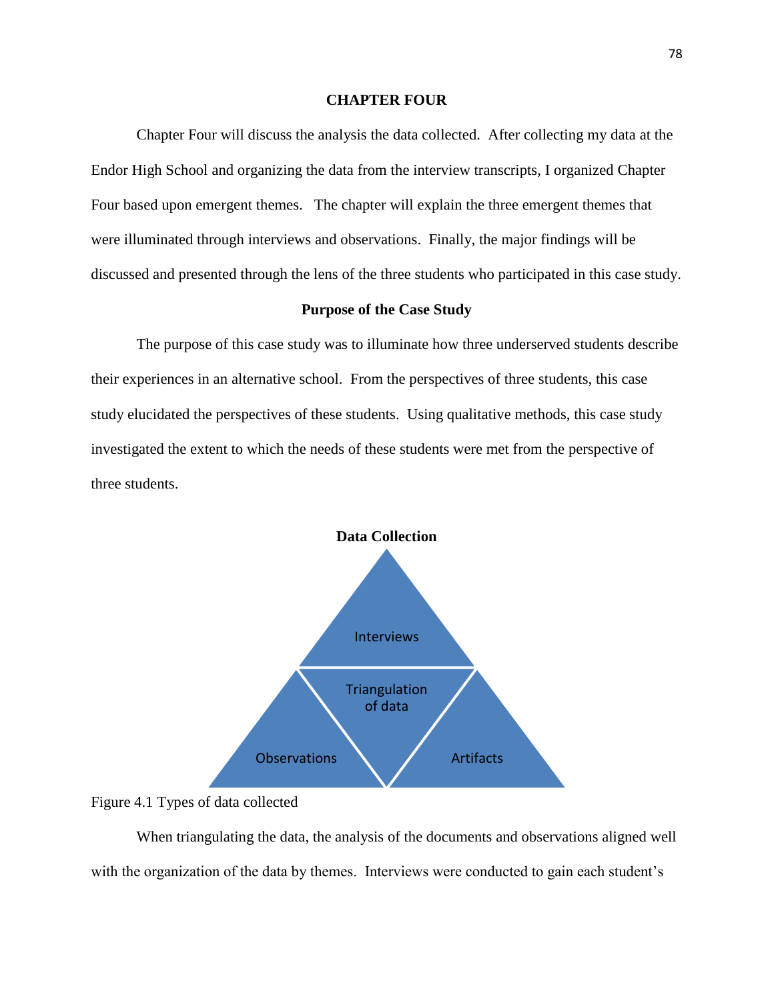## **CHAPTER FOUR**

Chapter Four will discuss the analysis the data collected. After collecting my data at the Endor High School and organizing the data from the interview transcripts, I organized Chapter Four based upon emergent themes. The chapter will explain the three emergent themes that were illuminated through interviews and observations. Finally, the major findings will be discussed and presented through the lens of the three students who participated in this case study.

## **Purpose of the Case Study**

The purpose of this case study was to illuminate how three underserved students describe their experiences in an alternative school. From the perspectives of three students, this case study elucidated the perspectives of these students. Using qualitative methods, this case study investigated the extent to which the needs of these students were met from the perspective of three students.



Figure 4.1 Types of data collected

When triangulating the data, the analysis of the documents and observations aligned well with the organization of the data by themes. Interviews were conducted to gain each student's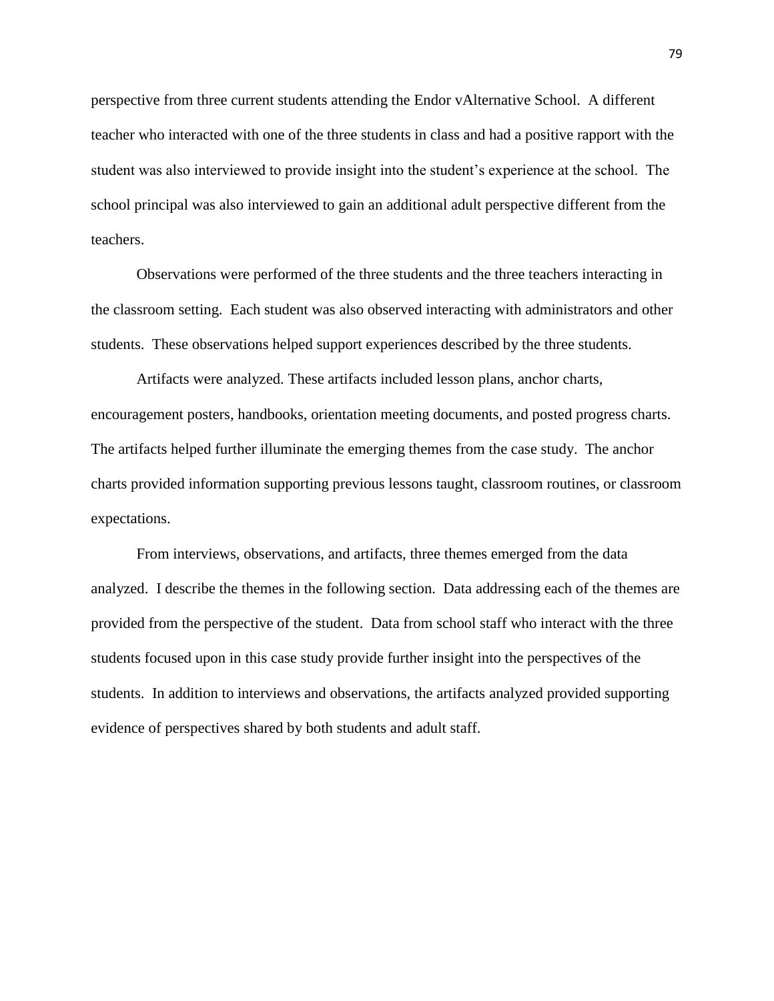perspective from three current students attending the Endor vAlternative School. A different teacher who interacted with one of the three students in class and had a positive rapport with the student was also interviewed to provide insight into the student's experience at the school. The school principal was also interviewed to gain an additional adult perspective different from the teachers.

Observations were performed of the three students and the three teachers interacting in the classroom setting. Each student was also observed interacting with administrators and other students. These observations helped support experiences described by the three students.

Artifacts were analyzed. These artifacts included lesson plans, anchor charts, encouragement posters, handbooks, orientation meeting documents, and posted progress charts. The artifacts helped further illuminate the emerging themes from the case study. The anchor charts provided information supporting previous lessons taught, classroom routines, or classroom expectations.

From interviews, observations, and artifacts, three themes emerged from the data analyzed. I describe the themes in the following section. Data addressing each of the themes are provided from the perspective of the student. Data from school staff who interact with the three students focused upon in this case study provide further insight into the perspectives of the students. In addition to interviews and observations, the artifacts analyzed provided supporting evidence of perspectives shared by both students and adult staff.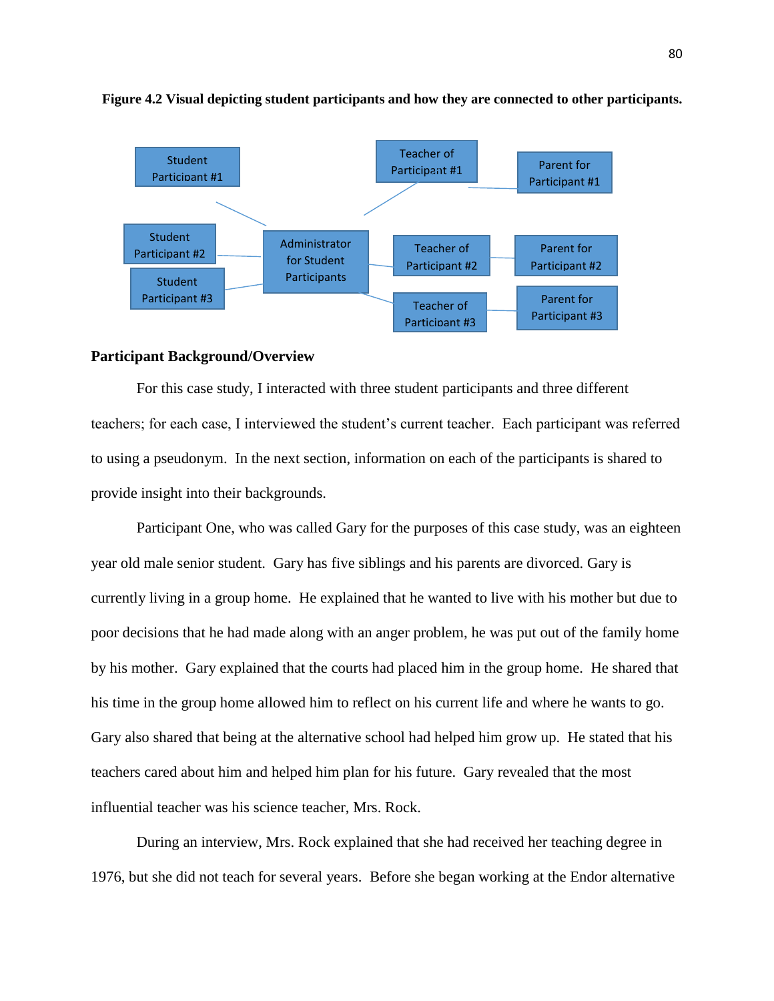

#### **Figure 4.2 Visual depicting student participants and how they are connected to other participants.**

### **Participant Background/Overview**

For this case study, I interacted with three student participants and three different teachers; for each case, I interviewed the student's current teacher. Each participant was referred to using a pseudonym. In the next section, information on each of the participants is shared to provide insight into their backgrounds.

Participant One, who was called Gary for the purposes of this case study, was an eighteen year old male senior student. Gary has five siblings and his parents are divorced. Gary is currently living in a group home. He explained that he wanted to live with his mother but due to poor decisions that he had made along with an anger problem, he was put out of the family home by his mother. Gary explained that the courts had placed him in the group home. He shared that his time in the group home allowed him to reflect on his current life and where he wants to go. Gary also shared that being at the alternative school had helped him grow up. He stated that his teachers cared about him and helped him plan for his future. Gary revealed that the most influential teacher was his science teacher, Mrs. Rock.

During an interview, Mrs. Rock explained that she had received her teaching degree in 1976, but she did not teach for several years. Before she began working at the Endor alternative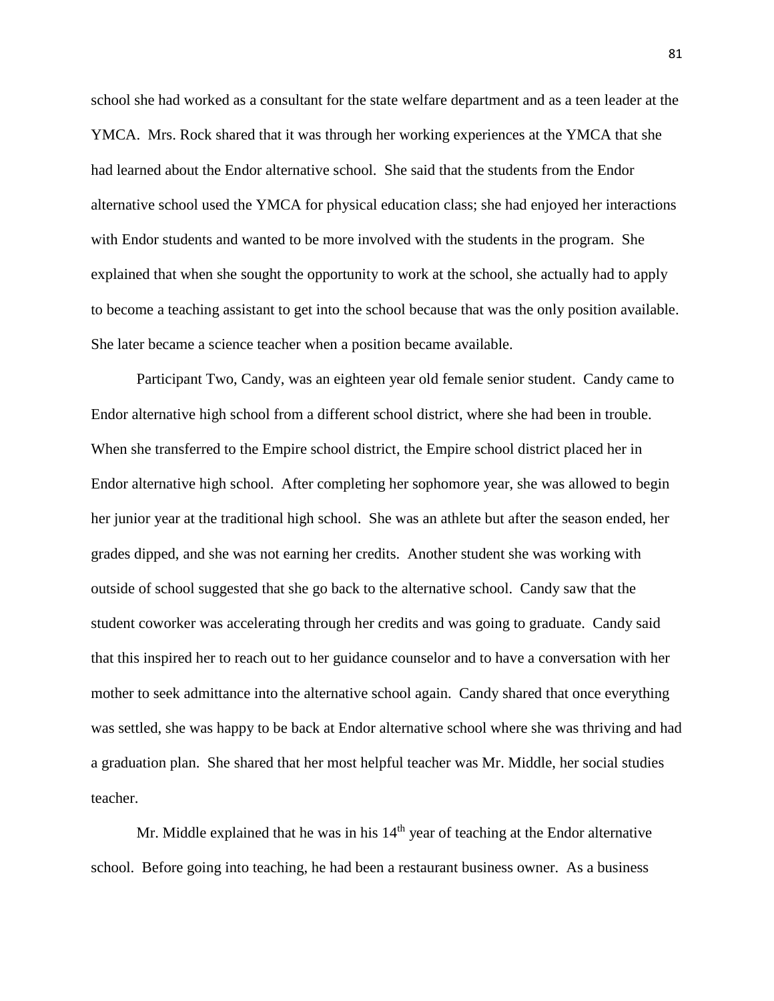school she had worked as a consultant for the state welfare department and as a teen leader at the YMCA. Mrs. Rock shared that it was through her working experiences at the YMCA that she had learned about the Endor alternative school. She said that the students from the Endor alternative school used the YMCA for physical education class; she had enjoyed her interactions with Endor students and wanted to be more involved with the students in the program. She explained that when she sought the opportunity to work at the school, she actually had to apply to become a teaching assistant to get into the school because that was the only position available. She later became a science teacher when a position became available.

Participant Two, Candy, was an eighteen year old female senior student. Candy came to Endor alternative high school from a different school district, where she had been in trouble. When she transferred to the Empire school district, the Empire school district placed her in Endor alternative high school. After completing her sophomore year, she was allowed to begin her junior year at the traditional high school. She was an athlete but after the season ended, her grades dipped, and she was not earning her credits. Another student she was working with outside of school suggested that she go back to the alternative school. Candy saw that the student coworker was accelerating through her credits and was going to graduate. Candy said that this inspired her to reach out to her guidance counselor and to have a conversation with her mother to seek admittance into the alternative school again. Candy shared that once everything was settled, she was happy to be back at Endor alternative school where she was thriving and had a graduation plan. She shared that her most helpful teacher was Mr. Middle, her social studies teacher.

Mr. Middle explained that he was in his  $14<sup>th</sup>$  year of teaching at the Endor alternative school. Before going into teaching, he had been a restaurant business owner. As a business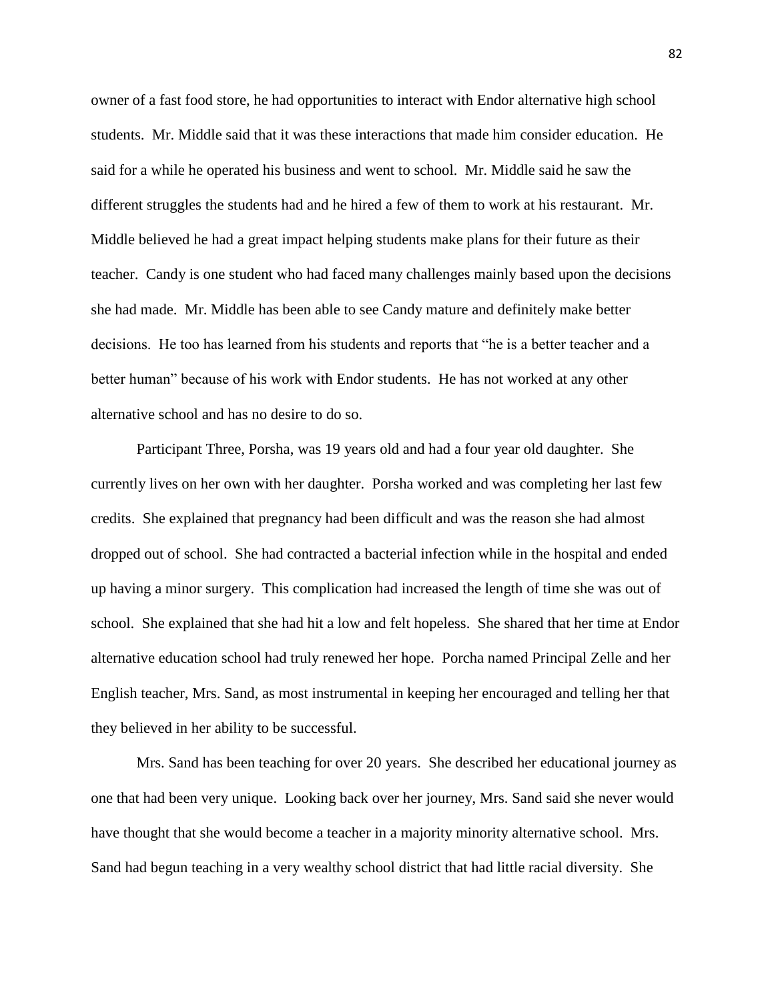owner of a fast food store, he had opportunities to interact with Endor alternative high school students. Mr. Middle said that it was these interactions that made him consider education. He said for a while he operated his business and went to school. Mr. Middle said he saw the different struggles the students had and he hired a few of them to work at his restaurant. Mr. Middle believed he had a great impact helping students make plans for their future as their teacher. Candy is one student who had faced many challenges mainly based upon the decisions she had made. Mr. Middle has been able to see Candy mature and definitely make better decisions. He too has learned from his students and reports that "he is a better teacher and a better human" because of his work with Endor students. He has not worked at any other alternative school and has no desire to do so.

Participant Three, Porsha, was 19 years old and had a four year old daughter. She currently lives on her own with her daughter. Porsha worked and was completing her last few credits. She explained that pregnancy had been difficult and was the reason she had almost dropped out of school. She had contracted a bacterial infection while in the hospital and ended up having a minor surgery. This complication had increased the length of time she was out of school. She explained that she had hit a low and felt hopeless. She shared that her time at Endor alternative education school had truly renewed her hope. Porcha named Principal Zelle and her English teacher, Mrs. Sand, as most instrumental in keeping her encouraged and telling her that they believed in her ability to be successful.

Mrs. Sand has been teaching for over 20 years. She described her educational journey as one that had been very unique. Looking back over her journey, Mrs. Sand said she never would have thought that she would become a teacher in a majority minority alternative school. Mrs. Sand had begun teaching in a very wealthy school district that had little racial diversity. She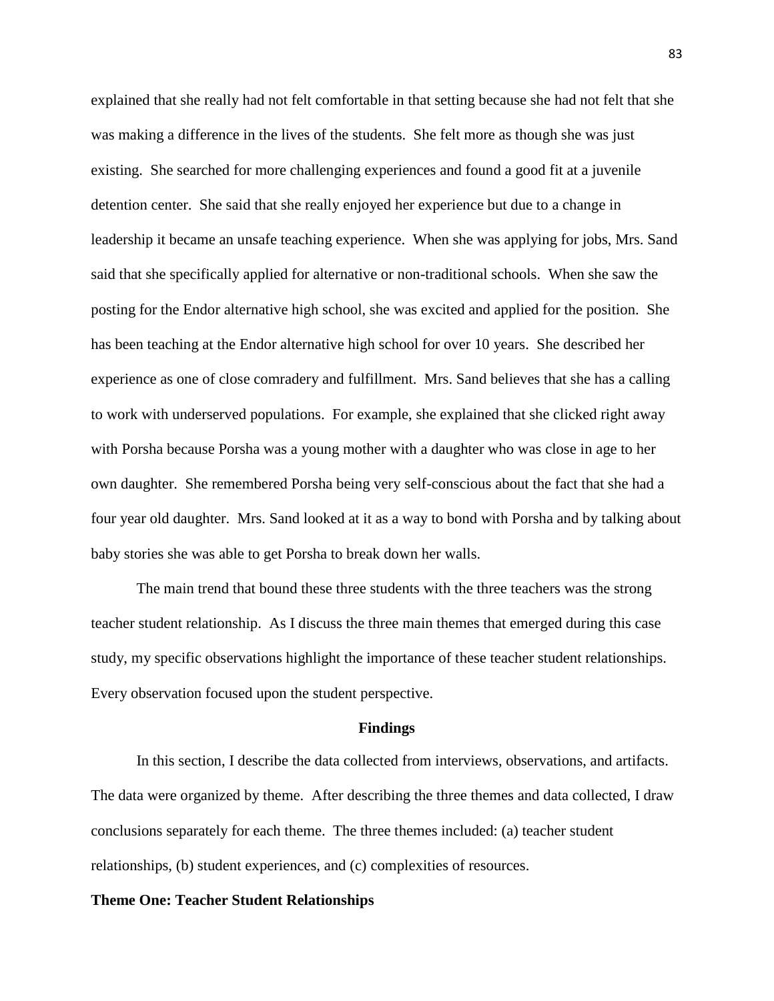explained that she really had not felt comfortable in that setting because she had not felt that she was making a difference in the lives of the students. She felt more as though she was just existing. She searched for more challenging experiences and found a good fit at a juvenile detention center. She said that she really enjoyed her experience but due to a change in leadership it became an unsafe teaching experience. When she was applying for jobs, Mrs. Sand said that she specifically applied for alternative or non-traditional schools. When she saw the posting for the Endor alternative high school, she was excited and applied for the position. She has been teaching at the Endor alternative high school for over 10 years. She described her experience as one of close comradery and fulfillment. Mrs. Sand believes that she has a calling to work with underserved populations. For example, she explained that she clicked right away with Porsha because Porsha was a young mother with a daughter who was close in age to her own daughter. She remembered Porsha being very self-conscious about the fact that she had a four year old daughter. Mrs. Sand looked at it as a way to bond with Porsha and by talking about baby stories she was able to get Porsha to break down her walls.

The main trend that bound these three students with the three teachers was the strong teacher student relationship. As I discuss the three main themes that emerged during this case study, my specific observations highlight the importance of these teacher student relationships. Every observation focused upon the student perspective.

#### **Findings**

In this section, I describe the data collected from interviews, observations, and artifacts. The data were organized by theme. After describing the three themes and data collected, I draw conclusions separately for each theme. The three themes included: (a) teacher student relationships, (b) student experiences, and (c) complexities of resources.

### **Theme One: Teacher Student Relationships**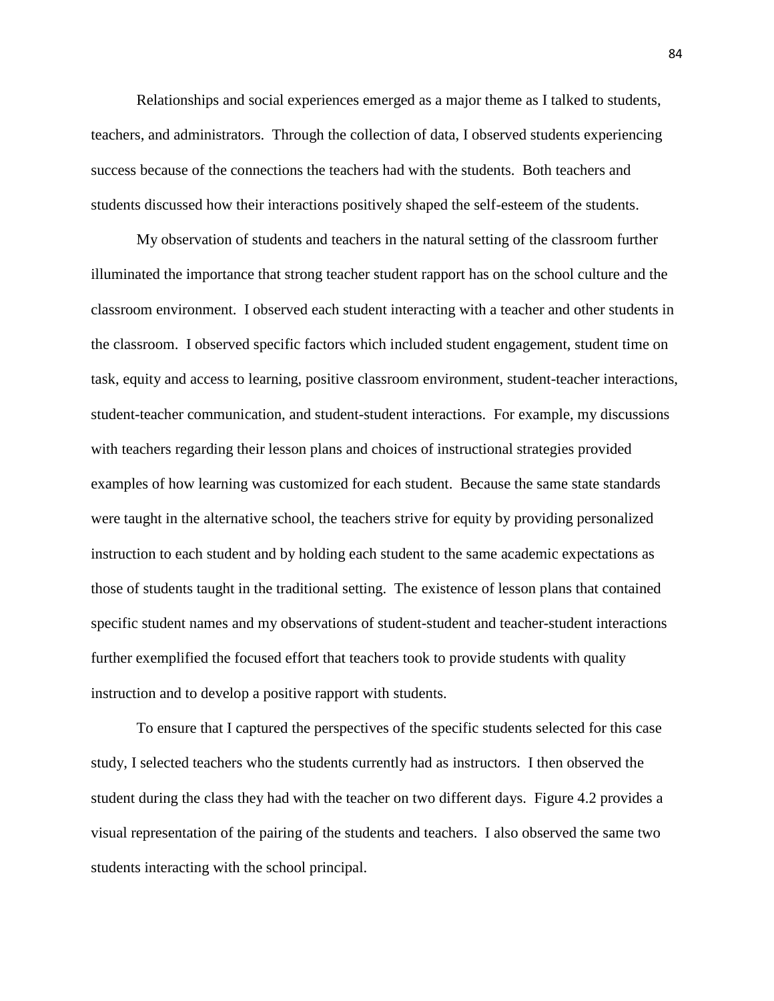Relationships and social experiences emerged as a major theme as I talked to students, teachers, and administrators. Through the collection of data, I observed students experiencing success because of the connections the teachers had with the students. Both teachers and students discussed how their interactions positively shaped the self-esteem of the students.

My observation of students and teachers in the natural setting of the classroom further illuminated the importance that strong teacher student rapport has on the school culture and the classroom environment. I observed each student interacting with a teacher and other students in the classroom. I observed specific factors which included student engagement, student time on task, equity and access to learning, positive classroom environment, student-teacher interactions, student-teacher communication, and student-student interactions. For example, my discussions with teachers regarding their lesson plans and choices of instructional strategies provided examples of how learning was customized for each student. Because the same state standards were taught in the alternative school, the teachers strive for equity by providing personalized instruction to each student and by holding each student to the same academic expectations as those of students taught in the traditional setting. The existence of lesson plans that contained specific student names and my observations of student-student and teacher-student interactions further exemplified the focused effort that teachers took to provide students with quality instruction and to develop a positive rapport with students.

To ensure that I captured the perspectives of the specific students selected for this case study, I selected teachers who the students currently had as instructors. I then observed the student during the class they had with the teacher on two different days. Figure 4.2 provides a visual representation of the pairing of the students and teachers. I also observed the same two students interacting with the school principal.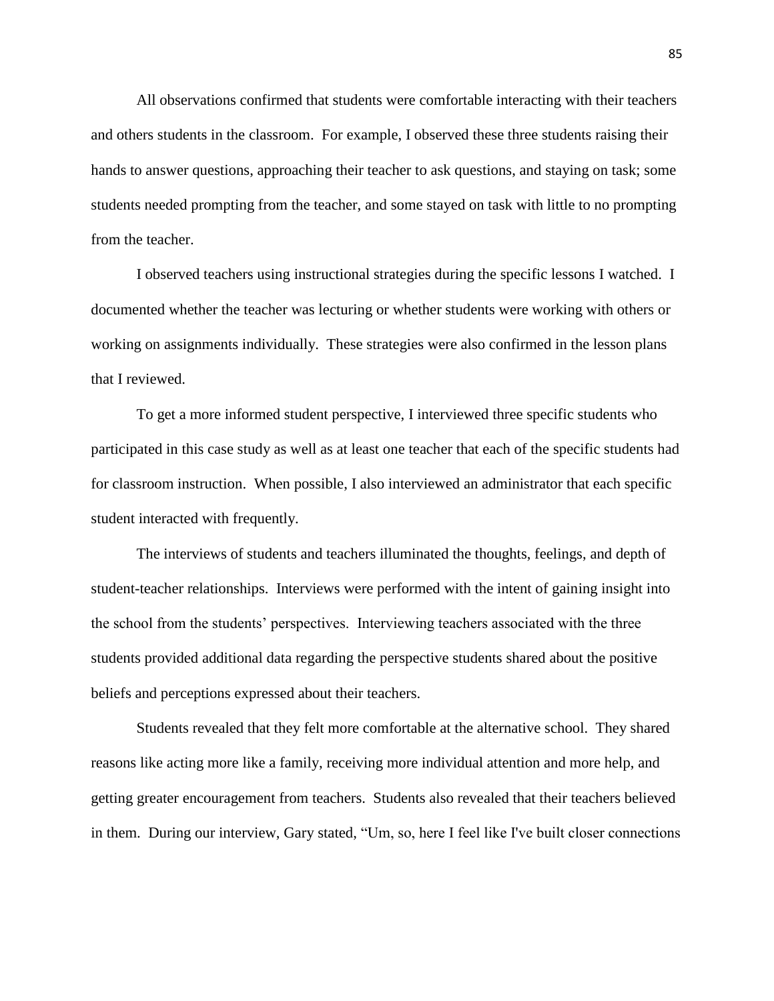All observations confirmed that students were comfortable interacting with their teachers and others students in the classroom. For example, I observed these three students raising their hands to answer questions, approaching their teacher to ask questions, and staying on task; some students needed prompting from the teacher, and some stayed on task with little to no prompting from the teacher.

I observed teachers using instructional strategies during the specific lessons I watched. I documented whether the teacher was lecturing or whether students were working with others or working on assignments individually. These strategies were also confirmed in the lesson plans that I reviewed.

To get a more informed student perspective, I interviewed three specific students who participated in this case study as well as at least one teacher that each of the specific students had for classroom instruction. When possible, I also interviewed an administrator that each specific student interacted with frequently.

The interviews of students and teachers illuminated the thoughts, feelings, and depth of student-teacher relationships. Interviews were performed with the intent of gaining insight into the school from the students' perspectives. Interviewing teachers associated with the three students provided additional data regarding the perspective students shared about the positive beliefs and perceptions expressed about their teachers.

Students revealed that they felt more comfortable at the alternative school. They shared reasons like acting more like a family, receiving more individual attention and more help, and getting greater encouragement from teachers. Students also revealed that their teachers believed in them. During our interview, Gary stated, "Um, so, here I feel like I've built closer connections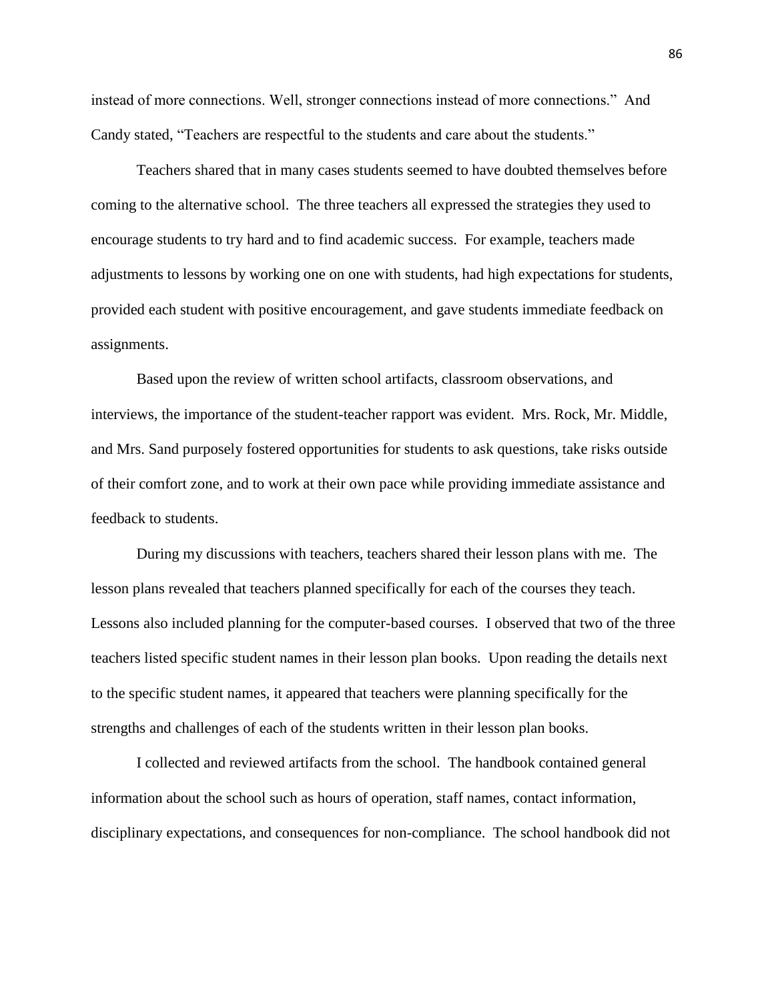instead of more connections. Well, stronger connections instead of more connections." And Candy stated, "Teachers are respectful to the students and care about the students."

Teachers shared that in many cases students seemed to have doubted themselves before coming to the alternative school. The three teachers all expressed the strategies they used to encourage students to try hard and to find academic success. For example, teachers made adjustments to lessons by working one on one with students, had high expectations for students, provided each student with positive encouragement, and gave students immediate feedback on assignments.

Based upon the review of written school artifacts, classroom observations, and interviews, the importance of the student-teacher rapport was evident. Mrs. Rock, Mr. Middle, and Mrs. Sand purposely fostered opportunities for students to ask questions, take risks outside of their comfort zone, and to work at their own pace while providing immediate assistance and feedback to students.

During my discussions with teachers, teachers shared their lesson plans with me. The lesson plans revealed that teachers planned specifically for each of the courses they teach. Lessons also included planning for the computer-based courses. I observed that two of the three teachers listed specific student names in their lesson plan books. Upon reading the details next to the specific student names, it appeared that teachers were planning specifically for the strengths and challenges of each of the students written in their lesson plan books.

I collected and reviewed artifacts from the school. The handbook contained general information about the school such as hours of operation, staff names, contact information, disciplinary expectations, and consequences for non-compliance. The school handbook did not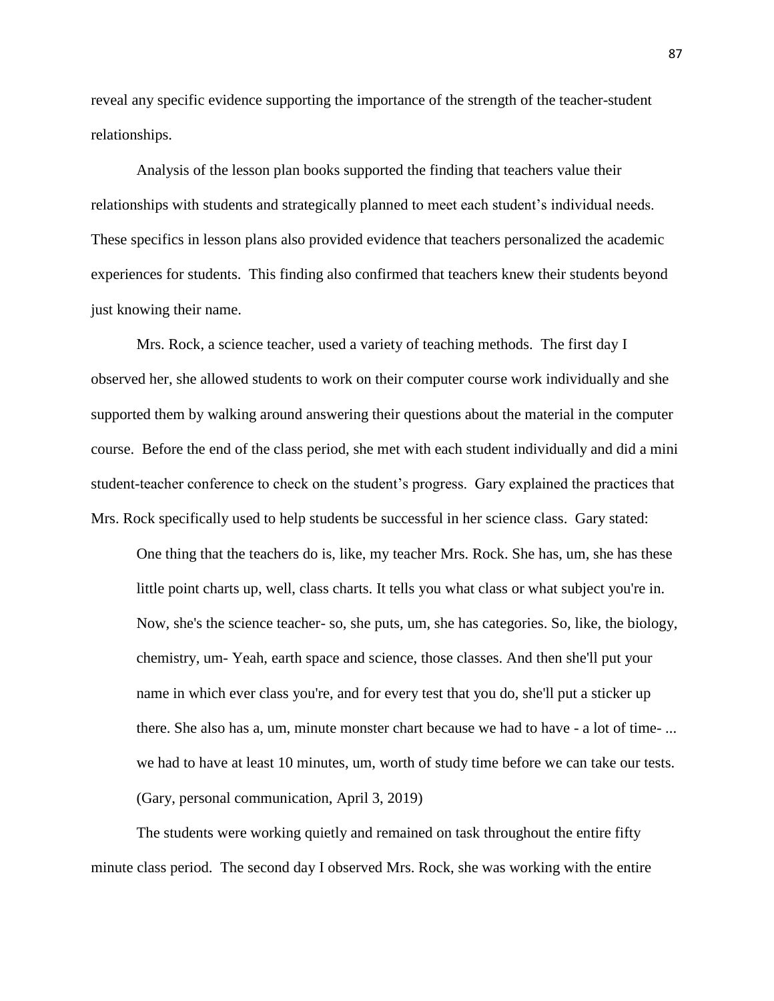reveal any specific evidence supporting the importance of the strength of the teacher-student relationships.

Analysis of the lesson plan books supported the finding that teachers value their relationships with students and strategically planned to meet each student's individual needs. These specifics in lesson plans also provided evidence that teachers personalized the academic experiences for students. This finding also confirmed that teachers knew their students beyond just knowing their name.

Mrs. Rock, a science teacher, used a variety of teaching methods. The first day I observed her, she allowed students to work on their computer course work individually and she supported them by walking around answering their questions about the material in the computer course. Before the end of the class period, she met with each student individually and did a mini student-teacher conference to check on the student's progress. Gary explained the practices that Mrs. Rock specifically used to help students be successful in her science class. Gary stated:

One thing that the teachers do is, like, my teacher Mrs. Rock. She has, um, she has these little point charts up, well, class charts. It tells you what class or what subject you're in. Now, she's the science teacher- so, she puts, um, she has categories. So, like, the biology, chemistry, um- Yeah, earth space and science, those classes. And then she'll put your name in which ever class you're, and for every test that you do, she'll put a sticker up there. She also has a, um, minute monster chart because we had to have - a lot of time- ... we had to have at least 10 minutes, um, worth of study time before we can take our tests. (Gary, personal communication, April 3, 2019)

The students were working quietly and remained on task throughout the entire fifty minute class period. The second day I observed Mrs. Rock, she was working with the entire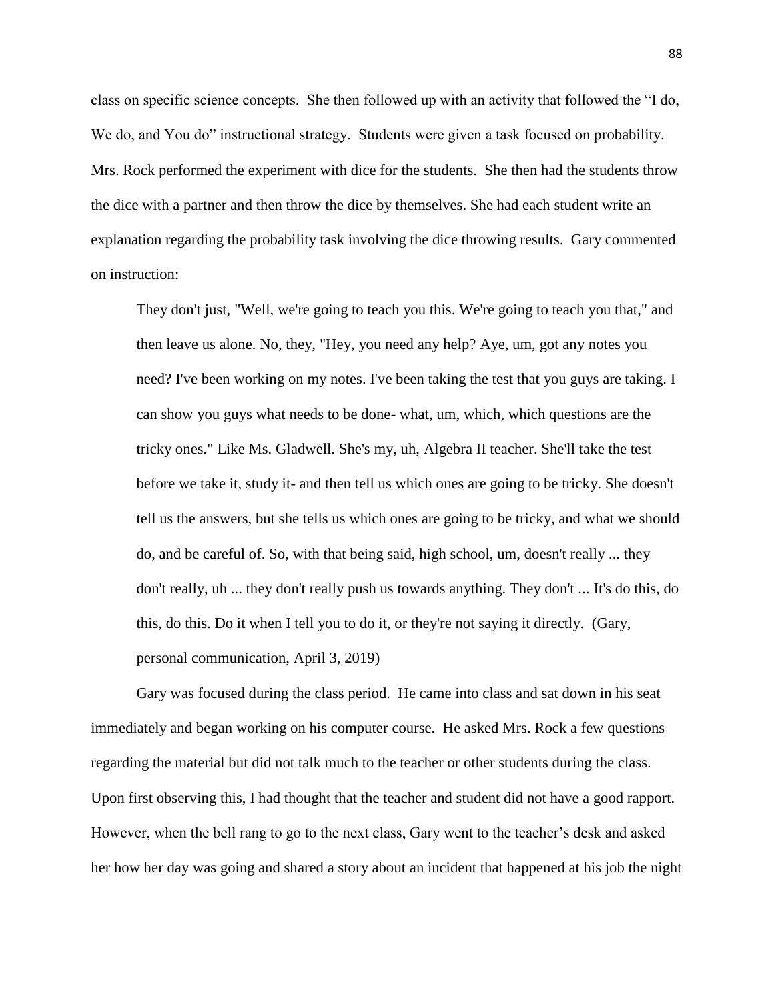class on specific science concepts. She then followed up with an activity that followed the "I do, We do, and You do" instructional strategy. Students were given a task focused on probability. Mrs. Rock performed the experiment with dice for the students. She then had the students throw the dice with a partner and then throw the dice by themselves. She had each student write an explanation regarding the probability task involving the dice throwing results. Gary commented on instruction:

They don't just, "Well, we're going to teach you this. We're going to teach you that," and then leave us alone. No, they, "Hey, you need any help? Aye, um, got any notes you need? I've been working on my notes. I've been taking the test that you guys are taking. I can show you guys what needs to be done- what, um, which, which questions are the tricky ones." Like Ms. Gladwell. She's my, uh, Algebra II teacher. She'll take the test before we take it, study it- and then tell us which ones are going to be tricky. She doesn't tell us the answers, but she tells us which ones are going to be tricky, and what we should do, and be careful of. So, with that being said, high school, um, doesn't really ... they don't really, uh ... they don't really push us towards anything. They don't ... It's do this, do this, do this. Do it when I tell you to do it, or they're not saying it directly. (Gary, personal communication, April 3, 2019)

Gary was focused during the class period. He came into class and sat down in his seat immediately and began working on his computer course. He asked Mrs. Rock a few questions regarding the material but did not talk much to the teacher or other students during the class. Upon first observing this, I had thought that the teacher and student did not have a good rapport. However, when the bell rang to go to the next class, Gary went to the teacher's desk and asked her how her day was going and shared a story about an incident that happened at his job the night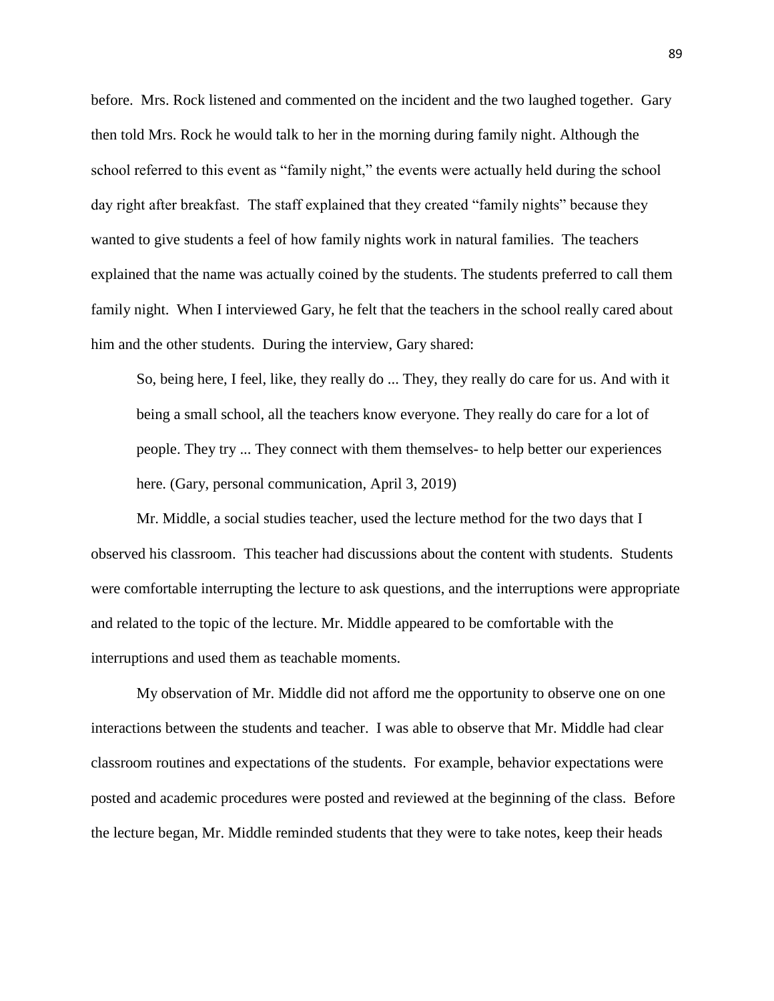before. Mrs. Rock listened and commented on the incident and the two laughed together. Gary then told Mrs. Rock he would talk to her in the morning during family night. Although the school referred to this event as "family night," the events were actually held during the school day right after breakfast. The staff explained that they created "family nights" because they wanted to give students a feel of how family nights work in natural families. The teachers explained that the name was actually coined by the students. The students preferred to call them family night. When I interviewed Gary, he felt that the teachers in the school really cared about him and the other students. During the interview, Gary shared:

So, being here, I feel, like, they really do ... They, they really do care for us. And with it being a small school, all the teachers know everyone. They really do care for a lot of people. They try ... They connect with them themselves- to help better our experiences here. (Gary, personal communication, April 3, 2019)

Mr. Middle, a social studies teacher, used the lecture method for the two days that I observed his classroom. This teacher had discussions about the content with students. Students were comfortable interrupting the lecture to ask questions, and the interruptions were appropriate and related to the topic of the lecture. Mr. Middle appeared to be comfortable with the interruptions and used them as teachable moments.

My observation of Mr. Middle did not afford me the opportunity to observe one on one interactions between the students and teacher. I was able to observe that Mr. Middle had clear classroom routines and expectations of the students. For example, behavior expectations were posted and academic procedures were posted and reviewed at the beginning of the class. Before the lecture began, Mr. Middle reminded students that they were to take notes, keep their heads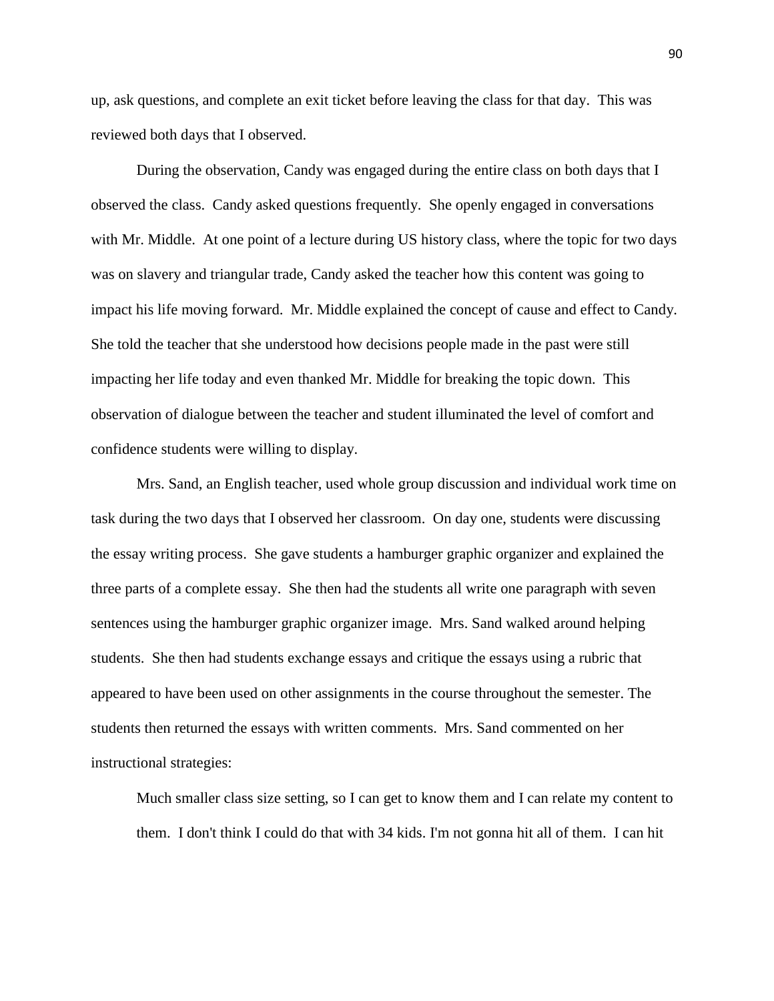up, ask questions, and complete an exit ticket before leaving the class for that day. This was reviewed both days that I observed.

During the observation, Candy was engaged during the entire class on both days that I observed the class. Candy asked questions frequently. She openly engaged in conversations with Mr. Middle. At one point of a lecture during US history class, where the topic for two days was on slavery and triangular trade, Candy asked the teacher how this content was going to impact his life moving forward. Mr. Middle explained the concept of cause and effect to Candy. She told the teacher that she understood how decisions people made in the past were still impacting her life today and even thanked Mr. Middle for breaking the topic down. This observation of dialogue between the teacher and student illuminated the level of comfort and confidence students were willing to display.

Mrs. Sand, an English teacher, used whole group discussion and individual work time on task during the two days that I observed her classroom. On day one, students were discussing the essay writing process. She gave students a hamburger graphic organizer and explained the three parts of a complete essay. She then had the students all write one paragraph with seven sentences using the hamburger graphic organizer image. Mrs. Sand walked around helping students. She then had students exchange essays and critique the essays using a rubric that appeared to have been used on other assignments in the course throughout the semester. The students then returned the essays with written comments. Mrs. Sand commented on her instructional strategies:

Much smaller class size setting, so I can get to know them and I can relate my content to them. I don't think I could do that with 34 kids. I'm not gonna hit all of them. I can hit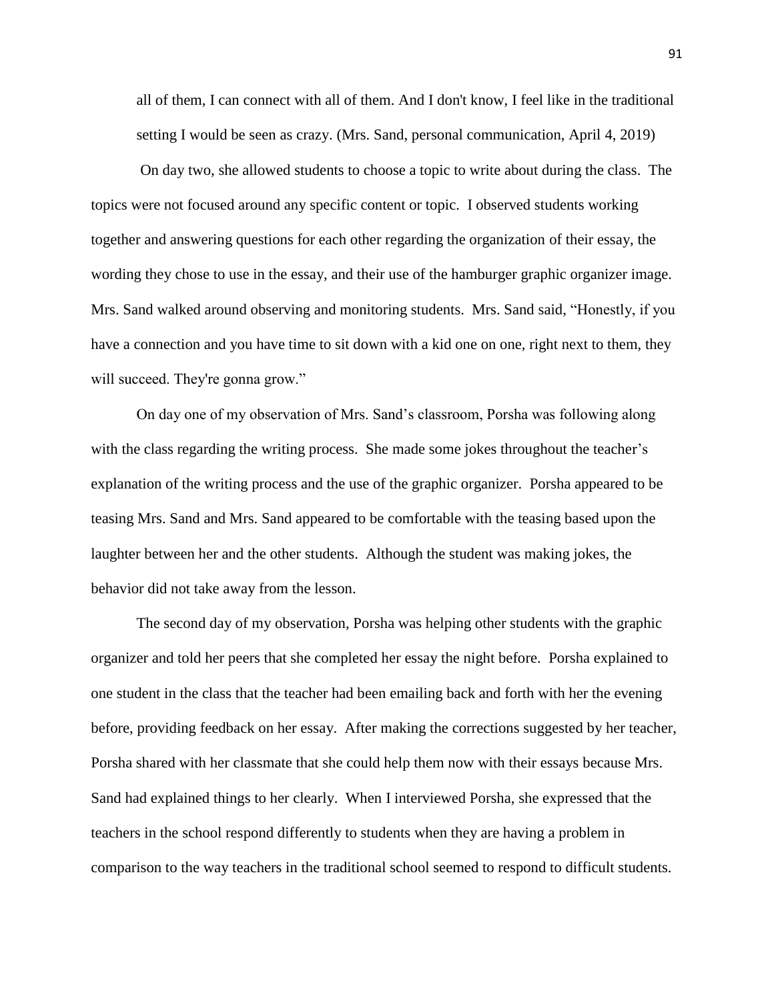all of them, I can connect with all of them. And I don't know, I feel like in the traditional setting I would be seen as crazy. (Mrs. Sand, personal communication, April 4, 2019)

On day two, she allowed students to choose a topic to write about during the class. The topics were not focused around any specific content or topic. I observed students working together and answering questions for each other regarding the organization of their essay, the wording they chose to use in the essay, and their use of the hamburger graphic organizer image. Mrs. Sand walked around observing and monitoring students. Mrs. Sand said, "Honestly, if you have a connection and you have time to sit down with a kid one on one, right next to them, they will succeed. They're gonna grow."

On day one of my observation of Mrs. Sand's classroom, Porsha was following along with the class regarding the writing process. She made some jokes throughout the teacher's explanation of the writing process and the use of the graphic organizer. Porsha appeared to be teasing Mrs. Sand and Mrs. Sand appeared to be comfortable with the teasing based upon the laughter between her and the other students. Although the student was making jokes, the behavior did not take away from the lesson.

The second day of my observation, Porsha was helping other students with the graphic organizer and told her peers that she completed her essay the night before. Porsha explained to one student in the class that the teacher had been emailing back and forth with her the evening before, providing feedback on her essay. After making the corrections suggested by her teacher, Porsha shared with her classmate that she could help them now with their essays because Mrs. Sand had explained things to her clearly. When I interviewed Porsha, she expressed that the teachers in the school respond differently to students when they are having a problem in comparison to the way teachers in the traditional school seemed to respond to difficult students.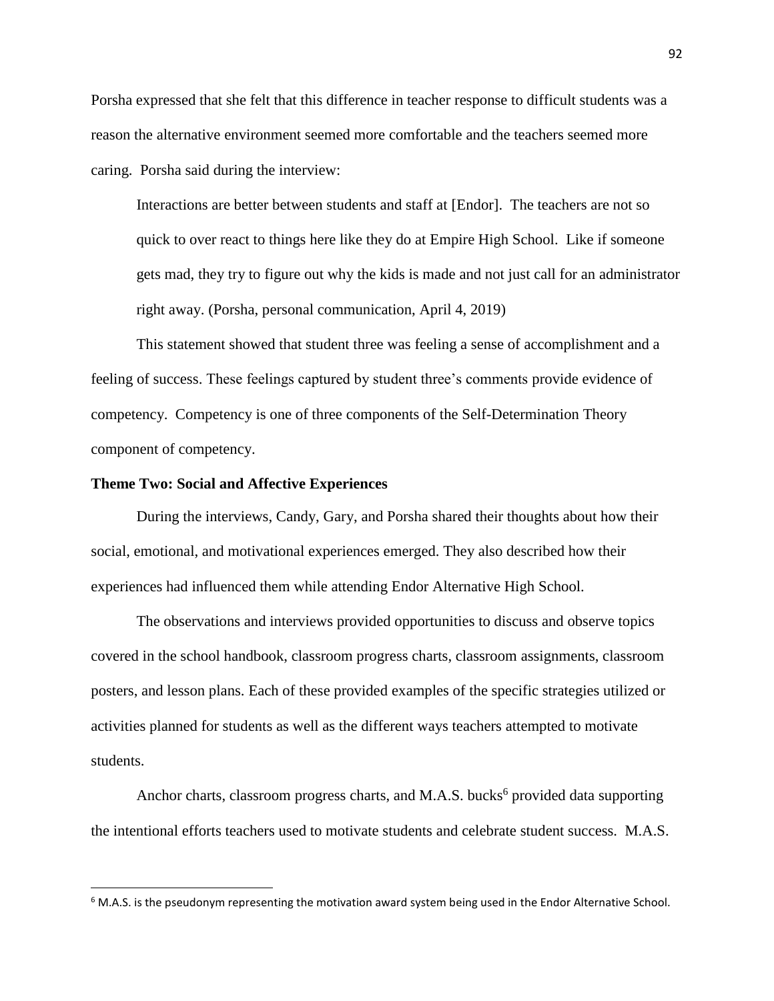Porsha expressed that she felt that this difference in teacher response to difficult students was a reason the alternative environment seemed more comfortable and the teachers seemed more caring. Porsha said during the interview:

Interactions are better between students and staff at [Endor]. The teachers are not so quick to over react to things here like they do at Empire High School. Like if someone gets mad, they try to figure out why the kids is made and not just call for an administrator right away. (Porsha, personal communication, April 4, 2019)

This statement showed that student three was feeling a sense of accomplishment and a feeling of success. These feelings captured by student three's comments provide evidence of competency. Competency is one of three components of the Self-Determination Theory component of competency.

## **Theme Two: Social and Affective Experiences**

 $\overline{\phantom{a}}$ 

During the interviews, Candy, Gary, and Porsha shared their thoughts about how their social, emotional, and motivational experiences emerged. They also described how their experiences had influenced them while attending Endor Alternative High School.

The observations and interviews provided opportunities to discuss and observe topics covered in the school handbook, classroom progress charts, classroom assignments, classroom posters, and lesson plans. Each of these provided examples of the specific strategies utilized or activities planned for students as well as the different ways teachers attempted to motivate students.

Anchor charts, classroom progress charts, and M.A.S. bucks<sup>6</sup> provided data supporting the intentional efforts teachers used to motivate students and celebrate student success. M.A.S.

<sup>&</sup>lt;sup>6</sup> M.A.S. is the pseudonym representing the motivation award system being used in the Endor Alternative School.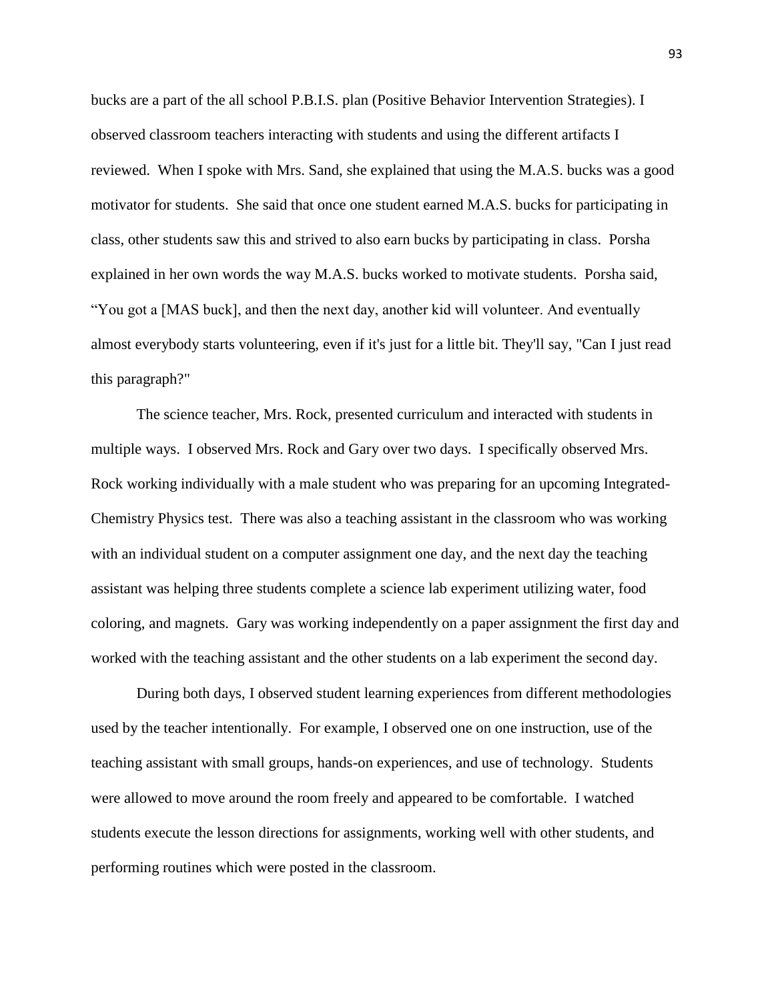bucks are a part of the all school P.B.I.S. plan (Positive Behavior Intervention Strategies). I observed classroom teachers interacting with students and using the different artifacts I reviewed. When I spoke with Mrs. Sand, she explained that using the M.A.S. bucks was a good motivator for students. She said that once one student earned M.A.S. bucks for participating in class, other students saw this and strived to also earn bucks by participating in class. Porsha explained in her own words the way M.A.S. bucks worked to motivate students. Porsha said, "You got a [MAS buck], and then the next day, another kid will volunteer. And eventually almost everybody starts volunteering, even if it's just for a little bit. They'll say, "Can I just read this paragraph?"

The science teacher, Mrs. Rock, presented curriculum and interacted with students in multiple ways. I observed Mrs. Rock and Gary over two days. I specifically observed Mrs. Rock working individually with a male student who was preparing for an upcoming Integrated-Chemistry Physics test. There was also a teaching assistant in the classroom who was working with an individual student on a computer assignment one day, and the next day the teaching assistant was helping three students complete a science lab experiment utilizing water, food coloring, and magnets. Gary was working independently on a paper assignment the first day and worked with the teaching assistant and the other students on a lab experiment the second day.

During both days, I observed student learning experiences from different methodologies used by the teacher intentionally. For example, I observed one on one instruction, use of the teaching assistant with small groups, hands-on experiences, and use of technology. Students were allowed to move around the room freely and appeared to be comfortable. I watched students execute the lesson directions for assignments, working well with other students, and performing routines which were posted in the classroom.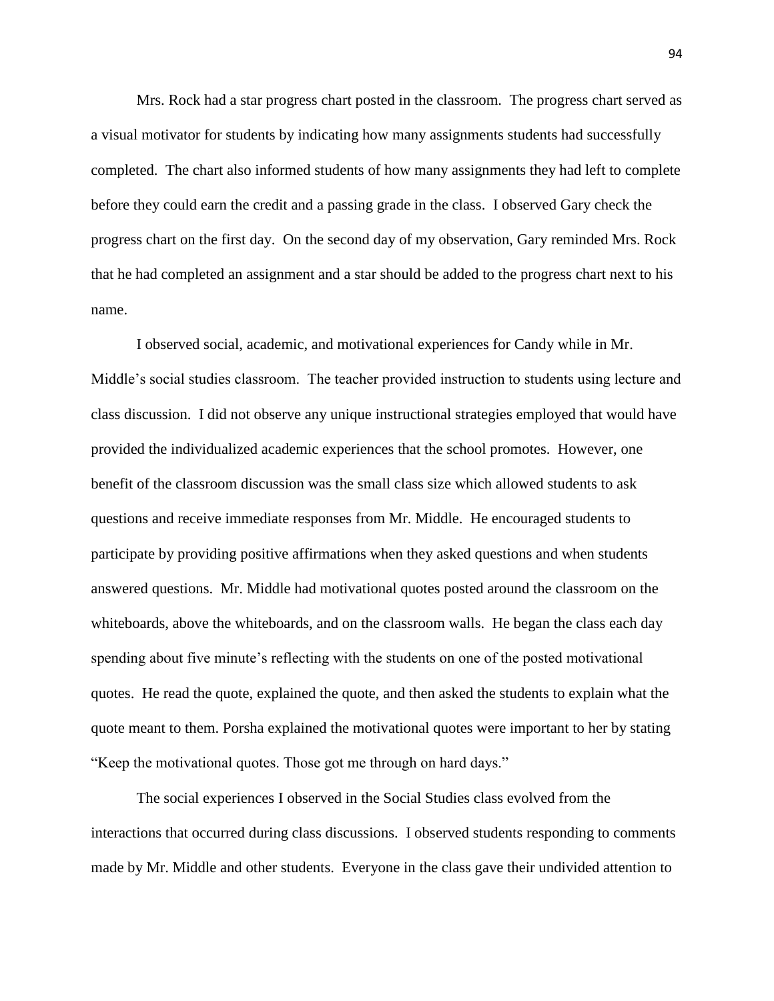Mrs. Rock had a star progress chart posted in the classroom. The progress chart served as a visual motivator for students by indicating how many assignments students had successfully completed. The chart also informed students of how many assignments they had left to complete before they could earn the credit and a passing grade in the class. I observed Gary check the progress chart on the first day. On the second day of my observation, Gary reminded Mrs. Rock that he had completed an assignment and a star should be added to the progress chart next to his name.

I observed social, academic, and motivational experiences for Candy while in Mr. Middle's social studies classroom. The teacher provided instruction to students using lecture and class discussion. I did not observe any unique instructional strategies employed that would have provided the individualized academic experiences that the school promotes. However, one benefit of the classroom discussion was the small class size which allowed students to ask questions and receive immediate responses from Mr. Middle. He encouraged students to participate by providing positive affirmations when they asked questions and when students answered questions. Mr. Middle had motivational quotes posted around the classroom on the whiteboards, above the whiteboards, and on the classroom walls. He began the class each day spending about five minute's reflecting with the students on one of the posted motivational quotes. He read the quote, explained the quote, and then asked the students to explain what the quote meant to them. Porsha explained the motivational quotes were important to her by stating "Keep the motivational quotes. Those got me through on hard days."

The social experiences I observed in the Social Studies class evolved from the interactions that occurred during class discussions. I observed students responding to comments made by Mr. Middle and other students. Everyone in the class gave their undivided attention to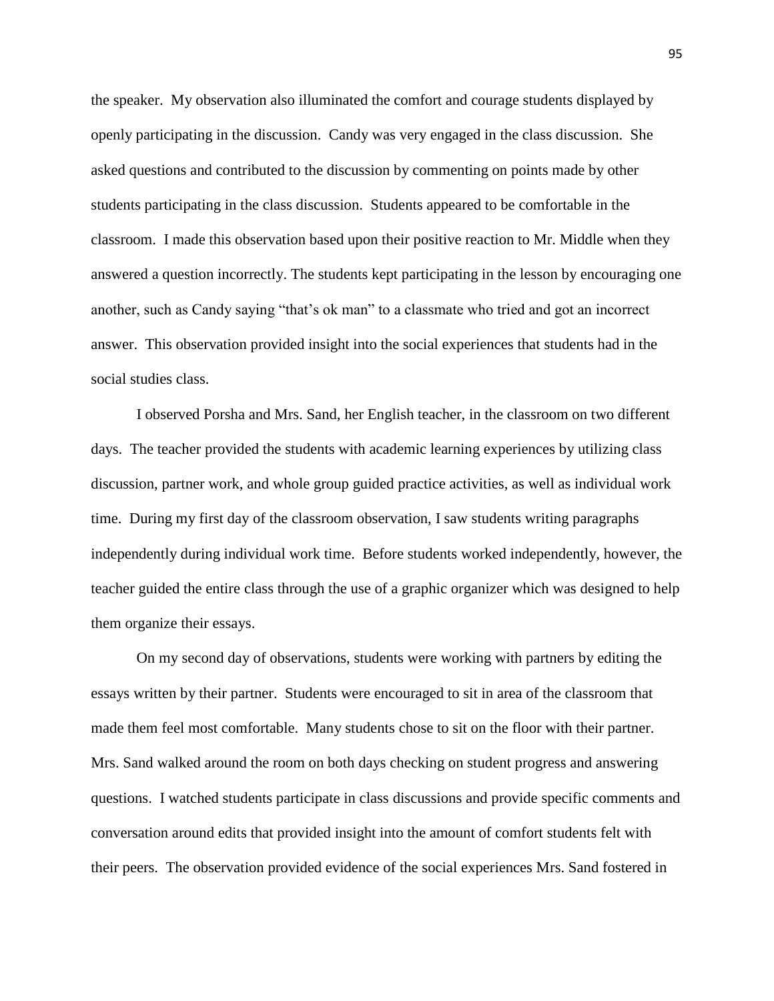the speaker. My observation also illuminated the comfort and courage students displayed by openly participating in the discussion. Candy was very engaged in the class discussion. She asked questions and contributed to the discussion by commenting on points made by other students participating in the class discussion. Students appeared to be comfortable in the classroom. I made this observation based upon their positive reaction to Mr. Middle when they answered a question incorrectly. The students kept participating in the lesson by encouraging one another, such as Candy saying "that's ok man" to a classmate who tried and got an incorrect answer. This observation provided insight into the social experiences that students had in the social studies class.

I observed Porsha and Mrs. Sand, her English teacher, in the classroom on two different days. The teacher provided the students with academic learning experiences by utilizing class discussion, partner work, and whole group guided practice activities, as well as individual work time. During my first day of the classroom observation, I saw students writing paragraphs independently during individual work time. Before students worked independently, however, the teacher guided the entire class through the use of a graphic organizer which was designed to help them organize their essays.

On my second day of observations, students were working with partners by editing the essays written by their partner. Students were encouraged to sit in area of the classroom that made them feel most comfortable. Many students chose to sit on the floor with their partner. Mrs. Sand walked around the room on both days checking on student progress and answering questions. I watched students participate in class discussions and provide specific comments and conversation around edits that provided insight into the amount of comfort students felt with their peers. The observation provided evidence of the social experiences Mrs. Sand fostered in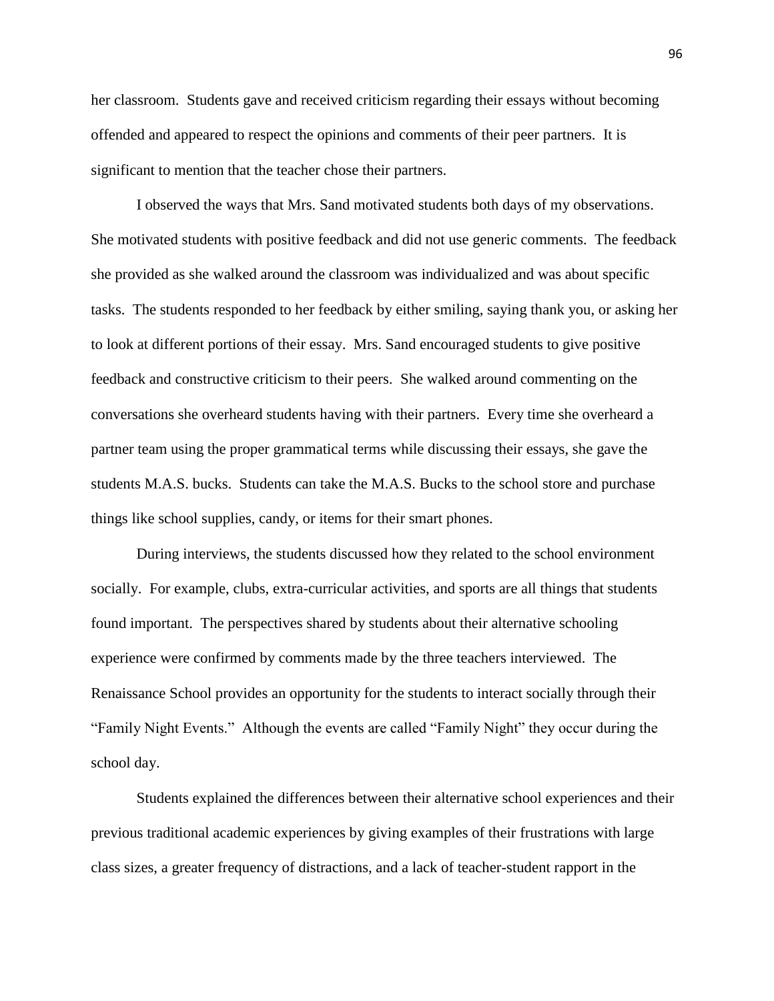her classroom. Students gave and received criticism regarding their essays without becoming offended and appeared to respect the opinions and comments of their peer partners. It is significant to mention that the teacher chose their partners.

I observed the ways that Mrs. Sand motivated students both days of my observations. She motivated students with positive feedback and did not use generic comments. The feedback she provided as she walked around the classroom was individualized and was about specific tasks. The students responded to her feedback by either smiling, saying thank you, or asking her to look at different portions of their essay. Mrs. Sand encouraged students to give positive feedback and constructive criticism to their peers. She walked around commenting on the conversations she overheard students having with their partners. Every time she overheard a partner team using the proper grammatical terms while discussing their essays, she gave the students M.A.S. bucks. Students can take the M.A.S. Bucks to the school store and purchase things like school supplies, candy, or items for their smart phones.

During interviews, the students discussed how they related to the school environment socially. For example, clubs, extra-curricular activities, and sports are all things that students found important. The perspectives shared by students about their alternative schooling experience were confirmed by comments made by the three teachers interviewed. The Renaissance School provides an opportunity for the students to interact socially through their "Family Night Events." Although the events are called "Family Night" they occur during the school day.

Students explained the differences between their alternative school experiences and their previous traditional academic experiences by giving examples of their frustrations with large class sizes, a greater frequency of distractions, and a lack of teacher-student rapport in the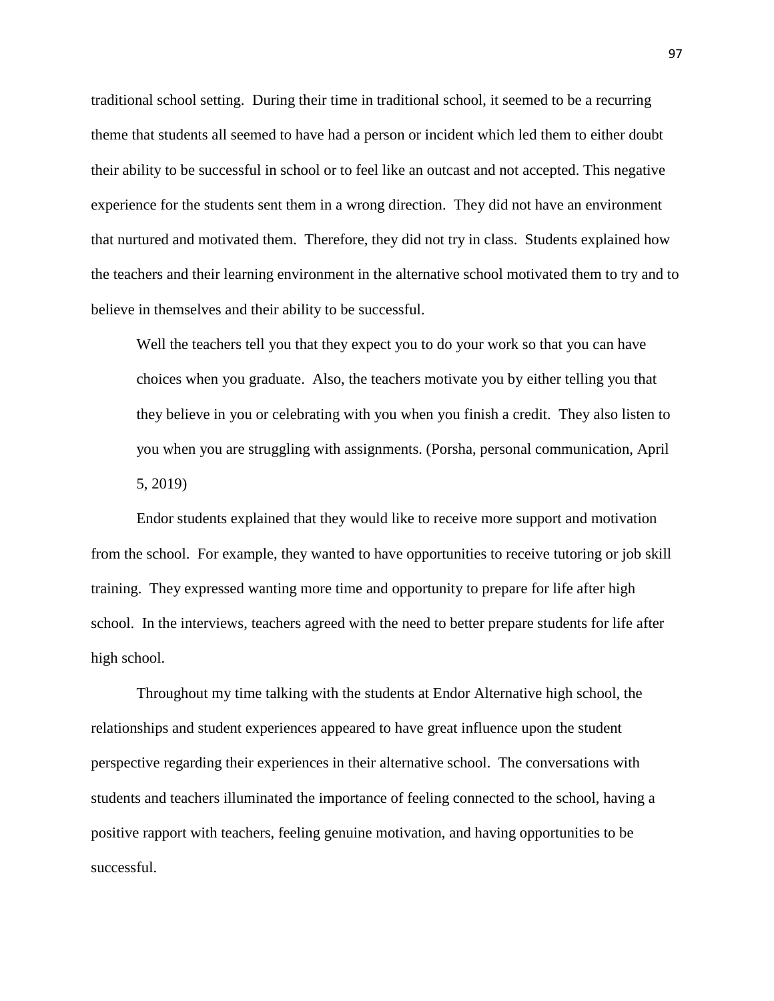traditional school setting. During their time in traditional school, it seemed to be a recurring theme that students all seemed to have had a person or incident which led them to either doubt their ability to be successful in school or to feel like an outcast and not accepted. This negative experience for the students sent them in a wrong direction. They did not have an environment that nurtured and motivated them. Therefore, they did not try in class. Students explained how the teachers and their learning environment in the alternative school motivated them to try and to believe in themselves and their ability to be successful.

Well the teachers tell you that they expect you to do your work so that you can have choices when you graduate. Also, the teachers motivate you by either telling you that they believe in you or celebrating with you when you finish a credit. They also listen to you when you are struggling with assignments. (Porsha, personal communication, April 5, 2019)

Endor students explained that they would like to receive more support and motivation from the school. For example, they wanted to have opportunities to receive tutoring or job skill training. They expressed wanting more time and opportunity to prepare for life after high school. In the interviews, teachers agreed with the need to better prepare students for life after high school.

Throughout my time talking with the students at Endor Alternative high school, the relationships and student experiences appeared to have great influence upon the student perspective regarding their experiences in their alternative school. The conversations with students and teachers illuminated the importance of feeling connected to the school, having a positive rapport with teachers, feeling genuine motivation, and having opportunities to be successful.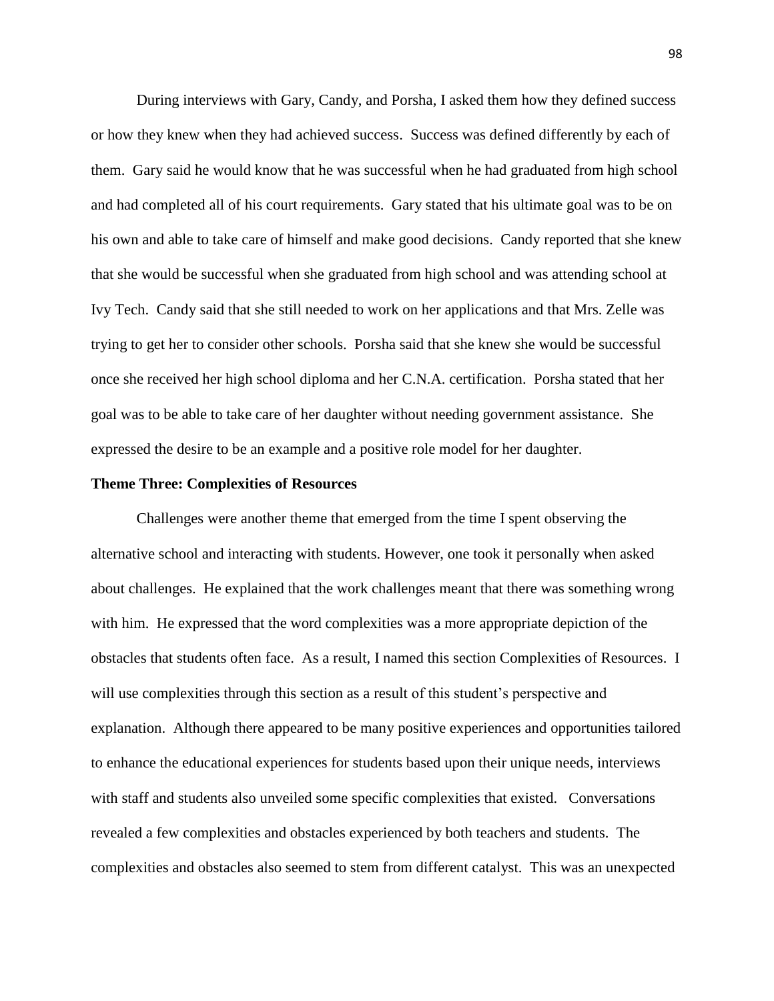During interviews with Gary, Candy, and Porsha, I asked them how they defined success or how they knew when they had achieved success. Success was defined differently by each of them. Gary said he would know that he was successful when he had graduated from high school and had completed all of his court requirements. Gary stated that his ultimate goal was to be on his own and able to take care of himself and make good decisions. Candy reported that she knew that she would be successful when she graduated from high school and was attending school at Ivy Tech. Candy said that she still needed to work on her applications and that Mrs. Zelle was trying to get her to consider other schools. Porsha said that she knew she would be successful once she received her high school diploma and her C.N.A. certification. Porsha stated that her goal was to be able to take care of her daughter without needing government assistance. She expressed the desire to be an example and a positive role model for her daughter.

#### **Theme Three: Complexities of Resources**

Challenges were another theme that emerged from the time I spent observing the alternative school and interacting with students. However, one took it personally when asked about challenges. He explained that the work challenges meant that there was something wrong with him. He expressed that the word complexities was a more appropriate depiction of the obstacles that students often face. As a result, I named this section Complexities of Resources. I will use complexities through this section as a result of this student's perspective and explanation. Although there appeared to be many positive experiences and opportunities tailored to enhance the educational experiences for students based upon their unique needs, interviews with staff and students also unveiled some specific complexities that existed. Conversations revealed a few complexities and obstacles experienced by both teachers and students. The complexities and obstacles also seemed to stem from different catalyst. This was an unexpected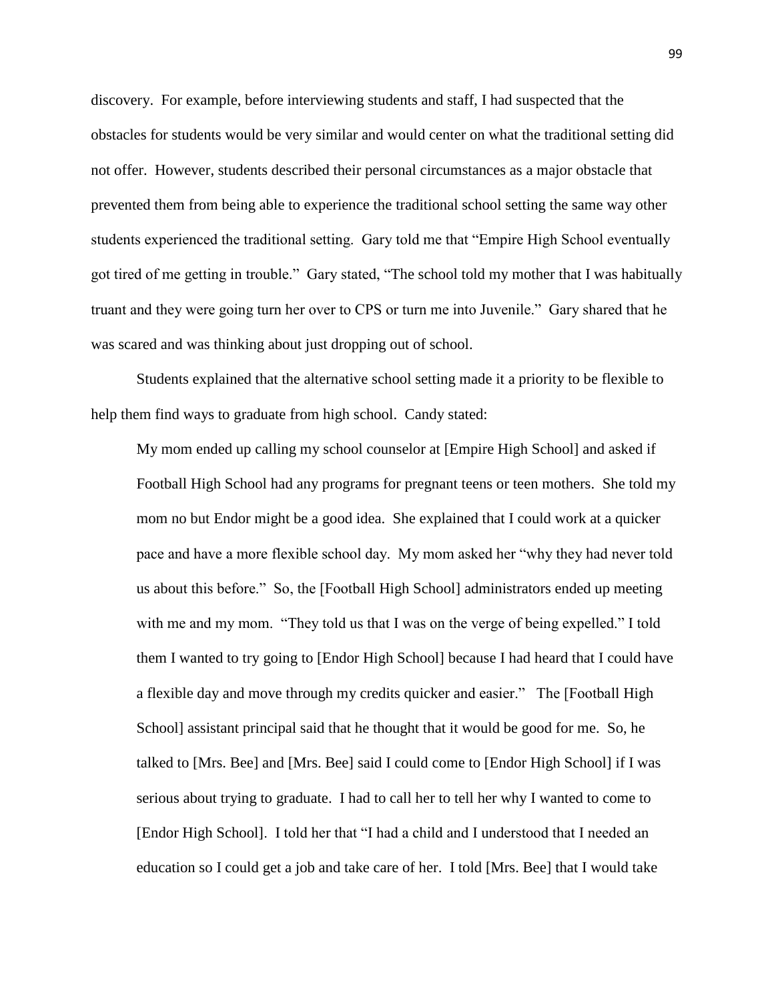discovery. For example, before interviewing students and staff, I had suspected that the obstacles for students would be very similar and would center on what the traditional setting did not offer. However, students described their personal circumstances as a major obstacle that prevented them from being able to experience the traditional school setting the same way other students experienced the traditional setting. Gary told me that "Empire High School eventually got tired of me getting in trouble." Gary stated, "The school told my mother that I was habitually truant and they were going turn her over to CPS or turn me into Juvenile." Gary shared that he was scared and was thinking about just dropping out of school.

Students explained that the alternative school setting made it a priority to be flexible to help them find ways to graduate from high school. Candy stated:

My mom ended up calling my school counselor at [Empire High School] and asked if Football High School had any programs for pregnant teens or teen mothers. She told my mom no but Endor might be a good idea. She explained that I could work at a quicker pace and have a more flexible school day. My mom asked her "why they had never told us about this before." So, the [Football High School] administrators ended up meeting with me and my mom. "They told us that I was on the verge of being expelled." I told them I wanted to try going to [Endor High School] because I had heard that I could have a flexible day and move through my credits quicker and easier." The [Football High School] assistant principal said that he thought that it would be good for me. So, he talked to [Mrs. Bee] and [Mrs. Bee] said I could come to [Endor High School] if I was serious about trying to graduate. I had to call her to tell her why I wanted to come to [Endor High School]. I told her that "I had a child and I understood that I needed an education so I could get a job and take care of her. I told [Mrs. Bee] that I would take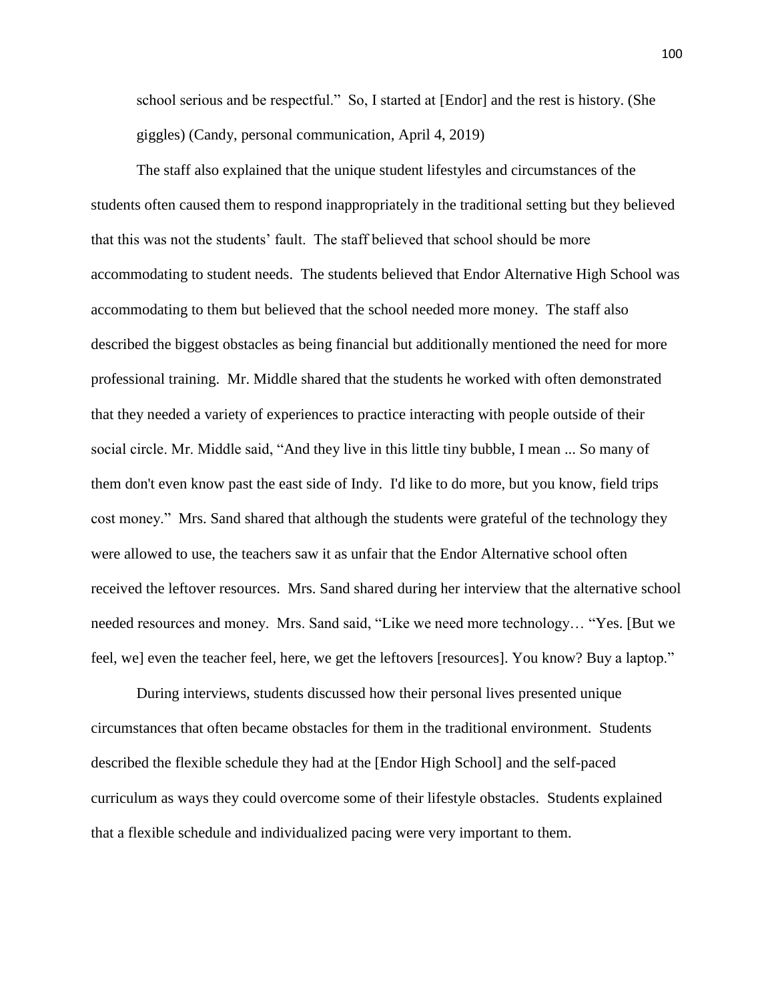school serious and be respectful." So, I started at [Endor] and the rest is history. (She giggles) (Candy, personal communication, April 4, 2019)

The staff also explained that the unique student lifestyles and circumstances of the students often caused them to respond inappropriately in the traditional setting but they believed that this was not the students' fault. The staff believed that school should be more accommodating to student needs. The students believed that Endor Alternative High School was accommodating to them but believed that the school needed more money. The staff also described the biggest obstacles as being financial but additionally mentioned the need for more professional training. Mr. Middle shared that the students he worked with often demonstrated that they needed a variety of experiences to practice interacting with people outside of their social circle. Mr. Middle said, "And they live in this little tiny bubble, I mean ... So many of them don't even know past the east side of Indy. I'd like to do more, but you know, field trips cost money." Mrs. Sand shared that although the students were grateful of the technology they were allowed to use, the teachers saw it as unfair that the Endor Alternative school often received the leftover resources. Mrs. Sand shared during her interview that the alternative school needed resources and money. Mrs. Sand said, "Like we need more technology… "Yes. [But we feel, we] even the teacher feel, here, we get the leftovers [resources]. You know? Buy a laptop."

During interviews, students discussed how their personal lives presented unique circumstances that often became obstacles for them in the traditional environment. Students described the flexible schedule they had at the [Endor High School] and the self-paced curriculum as ways they could overcome some of their lifestyle obstacles. Students explained that a flexible schedule and individualized pacing were very important to them.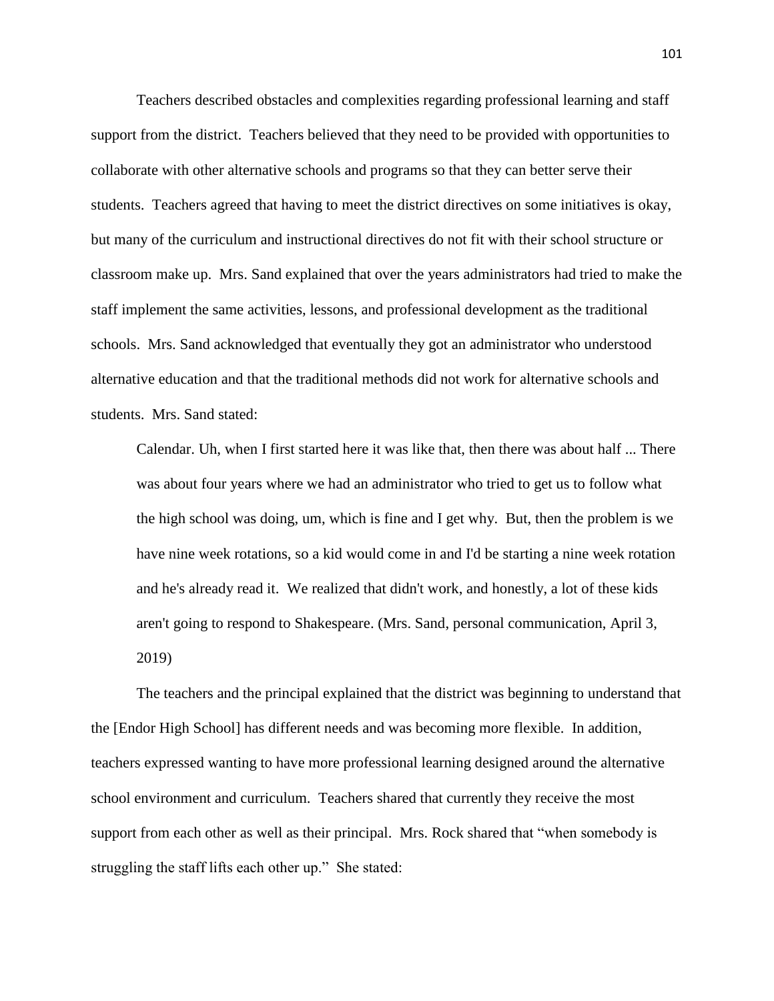Teachers described obstacles and complexities regarding professional learning and staff support from the district. Teachers believed that they need to be provided with opportunities to collaborate with other alternative schools and programs so that they can better serve their students. Teachers agreed that having to meet the district directives on some initiatives is okay, but many of the curriculum and instructional directives do not fit with their school structure or classroom make up. Mrs. Sand explained that over the years administrators had tried to make the staff implement the same activities, lessons, and professional development as the traditional schools. Mrs. Sand acknowledged that eventually they got an administrator who understood alternative education and that the traditional methods did not work for alternative schools and students. Mrs. Sand stated:

Calendar. Uh, when I first started here it was like that, then there was about half ... There was about four years where we had an administrator who tried to get us to follow what the high school was doing, um, which is fine and I get why. But, then the problem is we have nine week rotations, so a kid would come in and I'd be starting a nine week rotation and he's already read it. We realized that didn't work, and honestly, a lot of these kids aren't going to respond to Shakespeare. (Mrs. Sand, personal communication, April 3, 2019)

The teachers and the principal explained that the district was beginning to understand that the [Endor High School] has different needs and was becoming more flexible. In addition, teachers expressed wanting to have more professional learning designed around the alternative school environment and curriculum. Teachers shared that currently they receive the most support from each other as well as their principal. Mrs. Rock shared that "when somebody is struggling the staff lifts each other up." She stated: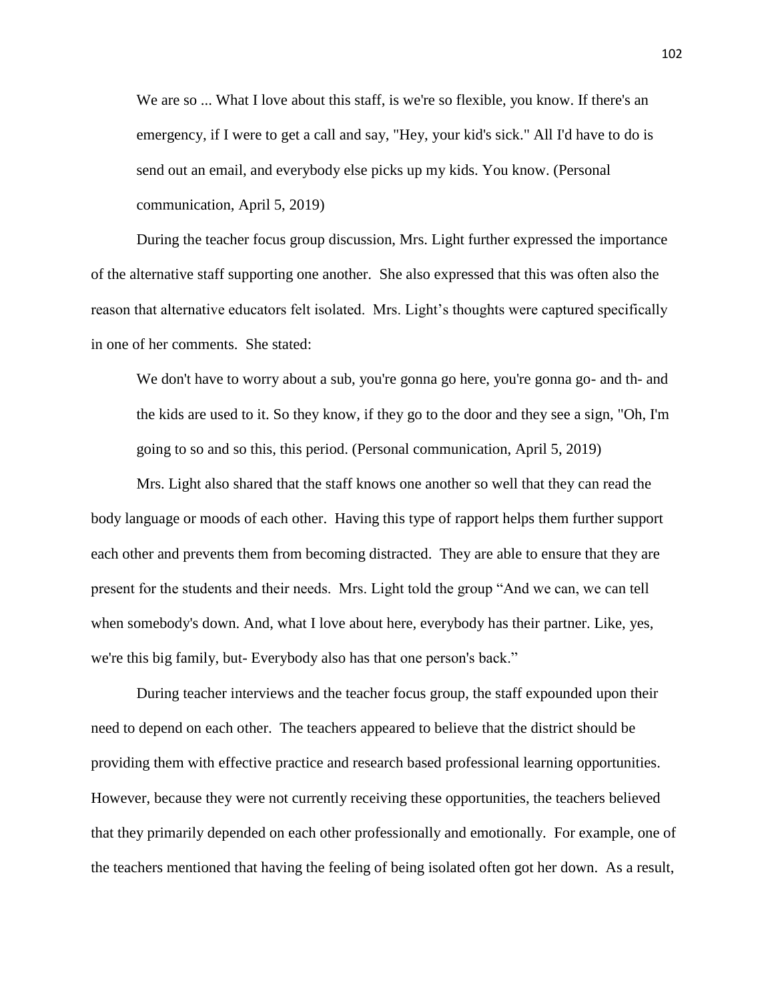We are so ... What I love about this staff, is we're so flexible, you know. If there's an emergency, if I were to get a call and say, "Hey, your kid's sick." All I'd have to do is send out an email, and everybody else picks up my kids. You know. (Personal communication, April 5, 2019)

During the teacher focus group discussion, Mrs. Light further expressed the importance of the alternative staff supporting one another. She also expressed that this was often also the reason that alternative educators felt isolated. Mrs. Light's thoughts were captured specifically in one of her comments. She stated:

We don't have to worry about a sub, you're gonna go here, you're gonna go- and th- and the kids are used to it. So they know, if they go to the door and they see a sign, "Oh, I'm going to so and so this, this period. (Personal communication, April 5, 2019)

Mrs. Light also shared that the staff knows one another so well that they can read the body language or moods of each other. Having this type of rapport helps them further support each other and prevents them from becoming distracted. They are able to ensure that they are present for the students and their needs. Mrs. Light told the group "And we can, we can tell when somebody's down. And, what I love about here, everybody has their partner. Like, yes, we're this big family, but- Everybody also has that one person's back."

During teacher interviews and the teacher focus group, the staff expounded upon their need to depend on each other. The teachers appeared to believe that the district should be providing them with effective practice and research based professional learning opportunities. However, because they were not currently receiving these opportunities, the teachers believed that they primarily depended on each other professionally and emotionally. For example, one of the teachers mentioned that having the feeling of being isolated often got her down. As a result,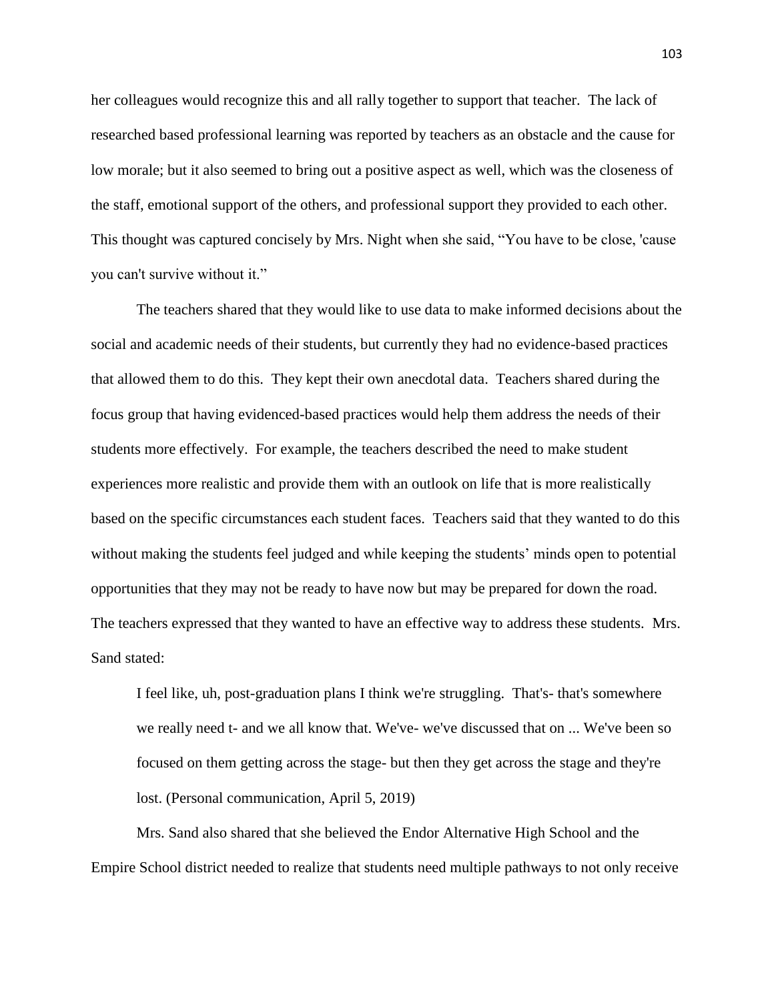her colleagues would recognize this and all rally together to support that teacher. The lack of researched based professional learning was reported by teachers as an obstacle and the cause for low morale; but it also seemed to bring out a positive aspect as well, which was the closeness of the staff, emotional support of the others, and professional support they provided to each other. This thought was captured concisely by Mrs. Night when she said, "You have to be close, 'cause you can't survive without it."

The teachers shared that they would like to use data to make informed decisions about the social and academic needs of their students, but currently they had no evidence-based practices that allowed them to do this. They kept their own anecdotal data. Teachers shared during the focus group that having evidenced-based practices would help them address the needs of their students more effectively. For example, the teachers described the need to make student experiences more realistic and provide them with an outlook on life that is more realistically based on the specific circumstances each student faces. Teachers said that they wanted to do this without making the students feel judged and while keeping the students' minds open to potential opportunities that they may not be ready to have now but may be prepared for down the road. The teachers expressed that they wanted to have an effective way to address these students. Mrs. Sand stated:

I feel like, uh, post-graduation plans I think we're struggling. That's- that's somewhere we really need t- and we all know that. We've- we've discussed that on ... We've been so focused on them getting across the stage- but then they get across the stage and they're lost. (Personal communication, April 5, 2019)

Mrs. Sand also shared that she believed the Endor Alternative High School and the Empire School district needed to realize that students need multiple pathways to not only receive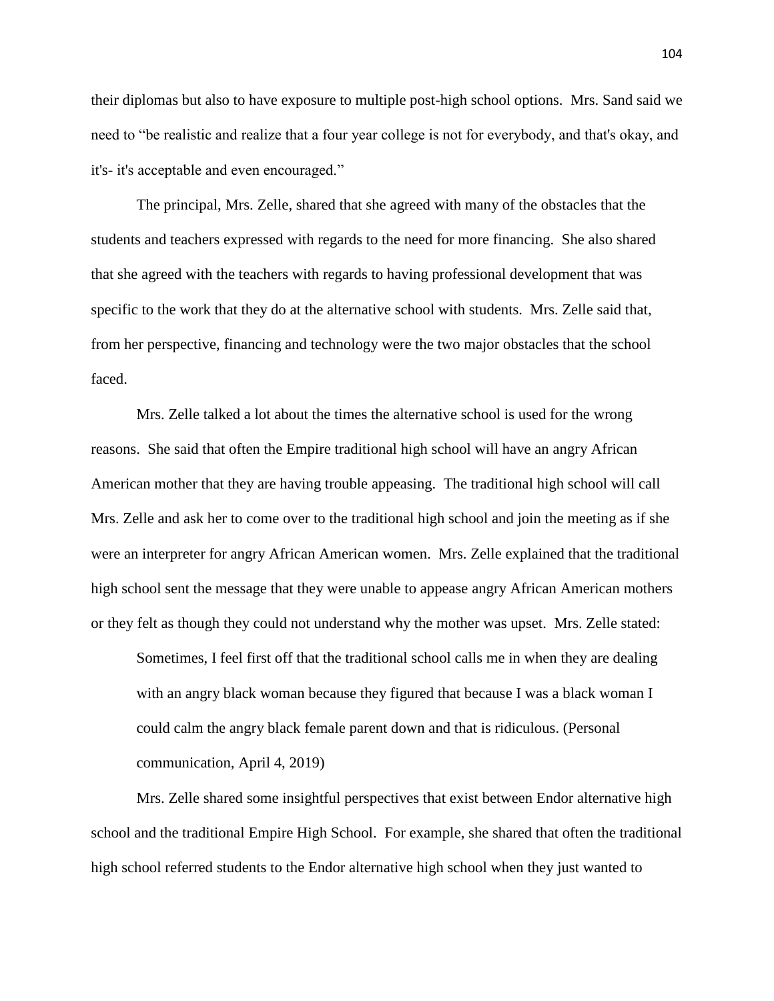their diplomas but also to have exposure to multiple post-high school options. Mrs. Sand said we need to "be realistic and realize that a four year college is not for everybody, and that's okay, and it's- it's acceptable and even encouraged."

The principal, Mrs. Zelle, shared that she agreed with many of the obstacles that the students and teachers expressed with regards to the need for more financing. She also shared that she agreed with the teachers with regards to having professional development that was specific to the work that they do at the alternative school with students. Mrs. Zelle said that, from her perspective, financing and technology were the two major obstacles that the school faced.

Mrs. Zelle talked a lot about the times the alternative school is used for the wrong reasons. She said that often the Empire traditional high school will have an angry African American mother that they are having trouble appeasing. The traditional high school will call Mrs. Zelle and ask her to come over to the traditional high school and join the meeting as if she were an interpreter for angry African American women. Mrs. Zelle explained that the traditional high school sent the message that they were unable to appease angry African American mothers or they felt as though they could not understand why the mother was upset. Mrs. Zelle stated:

Sometimes, I feel first off that the traditional school calls me in when they are dealing with an angry black woman because they figured that because I was a black woman I could calm the angry black female parent down and that is ridiculous. (Personal communication, April 4, 2019)

Mrs. Zelle shared some insightful perspectives that exist between Endor alternative high school and the traditional Empire High School. For example, she shared that often the traditional high school referred students to the Endor alternative high school when they just wanted to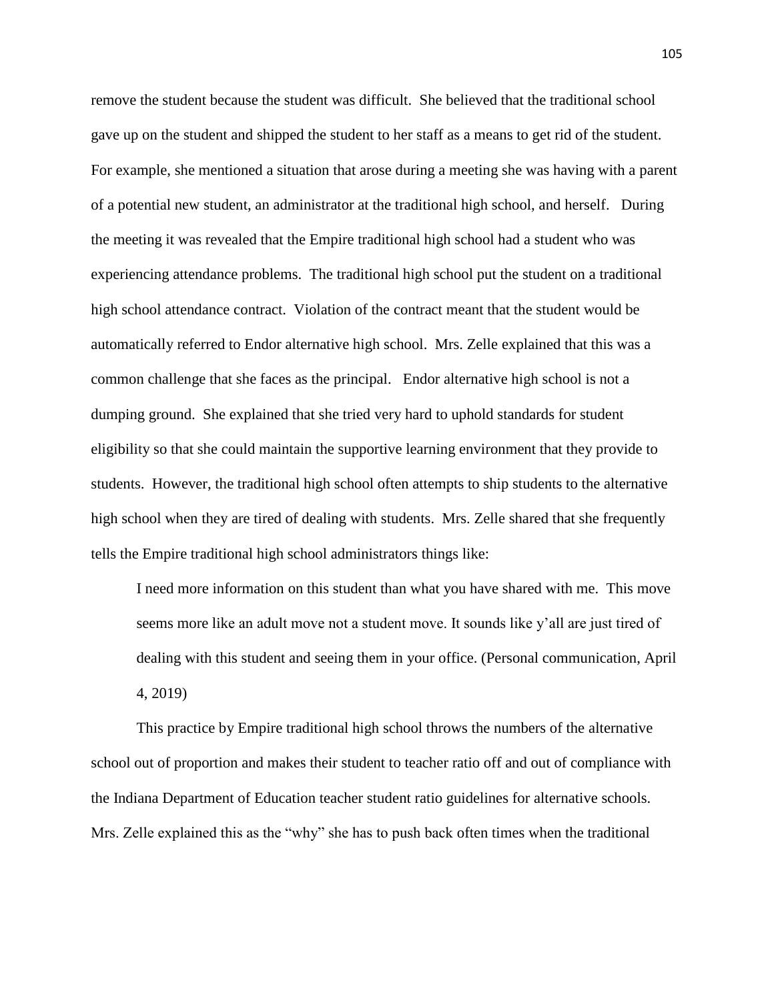remove the student because the student was difficult. She believed that the traditional school gave up on the student and shipped the student to her staff as a means to get rid of the student. For example, she mentioned a situation that arose during a meeting she was having with a parent of a potential new student, an administrator at the traditional high school, and herself. During the meeting it was revealed that the Empire traditional high school had a student who was experiencing attendance problems. The traditional high school put the student on a traditional high school attendance contract. Violation of the contract meant that the student would be automatically referred to Endor alternative high school. Mrs. Zelle explained that this was a common challenge that she faces as the principal. Endor alternative high school is not a dumping ground. She explained that she tried very hard to uphold standards for student eligibility so that she could maintain the supportive learning environment that they provide to students. However, the traditional high school often attempts to ship students to the alternative high school when they are tired of dealing with students. Mrs. Zelle shared that she frequently tells the Empire traditional high school administrators things like:

I need more information on this student than what you have shared with me. This move seems more like an adult move not a student move. It sounds like y'all are just tired of dealing with this student and seeing them in your office. (Personal communication, April 4, 2019)

This practice by Empire traditional high school throws the numbers of the alternative school out of proportion and makes their student to teacher ratio off and out of compliance with the Indiana Department of Education teacher student ratio guidelines for alternative schools. Mrs. Zelle explained this as the "why" she has to push back often times when the traditional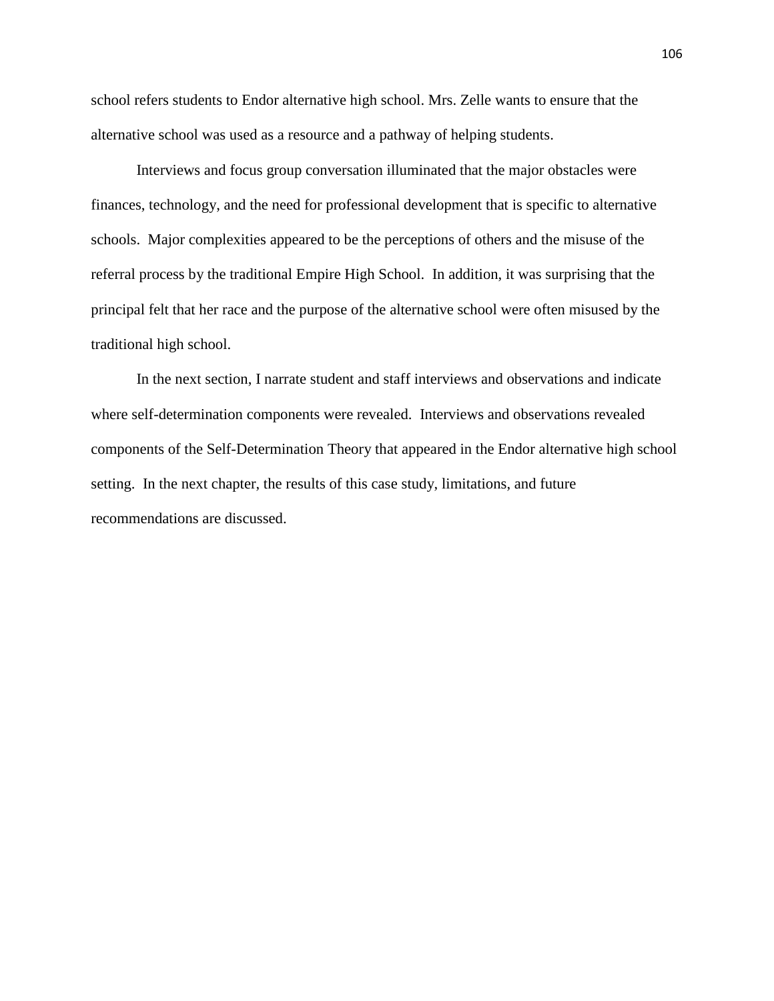school refers students to Endor alternative high school. Mrs. Zelle wants to ensure that the alternative school was used as a resource and a pathway of helping students.

Interviews and focus group conversation illuminated that the major obstacles were finances, technology, and the need for professional development that is specific to alternative schools. Major complexities appeared to be the perceptions of others and the misuse of the referral process by the traditional Empire High School. In addition, it was surprising that the principal felt that her race and the purpose of the alternative school were often misused by the traditional high school.

In the next section, I narrate student and staff interviews and observations and indicate where self-determination components were revealed. Interviews and observations revealed components of the Self-Determination Theory that appeared in the Endor alternative high school setting. In the next chapter, the results of this case study, limitations, and future recommendations are discussed.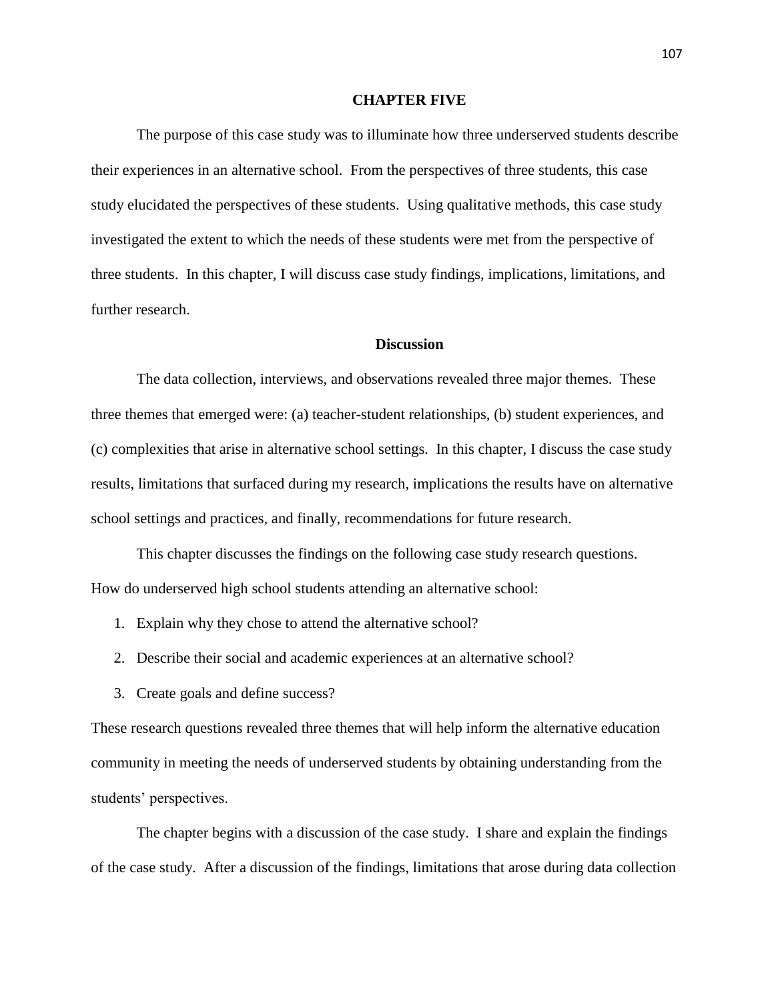#### **CHAPTER FIVE**

The purpose of this case study was to illuminate how three underserved students describe their experiences in an alternative school. From the perspectives of three students, this case study elucidated the perspectives of these students. Using qualitative methods, this case study investigated the extent to which the needs of these students were met from the perspective of three students. In this chapter, I will discuss case study findings, implications, limitations, and further research.

#### **Discussion**

The data collection, interviews, and observations revealed three major themes. These three themes that emerged were: (a) teacher-student relationships, (b) student experiences, and (c) complexities that arise in alternative school settings. In this chapter, I discuss the case study results, limitations that surfaced during my research, implications the results have on alternative school settings and practices, and finally, recommendations for future research.

This chapter discusses the findings on the following case study research questions. How do underserved high school students attending an alternative school:

- 1. Explain why they chose to attend the alternative school?
- 2. Describe their social and academic experiences at an alternative school?
- 3. Create goals and define success?

These research questions revealed three themes that will help inform the alternative education community in meeting the needs of underserved students by obtaining understanding from the students' perspectives.

The chapter begins with a discussion of the case study. I share and explain the findings of the case study. After a discussion of the findings, limitations that arose during data collection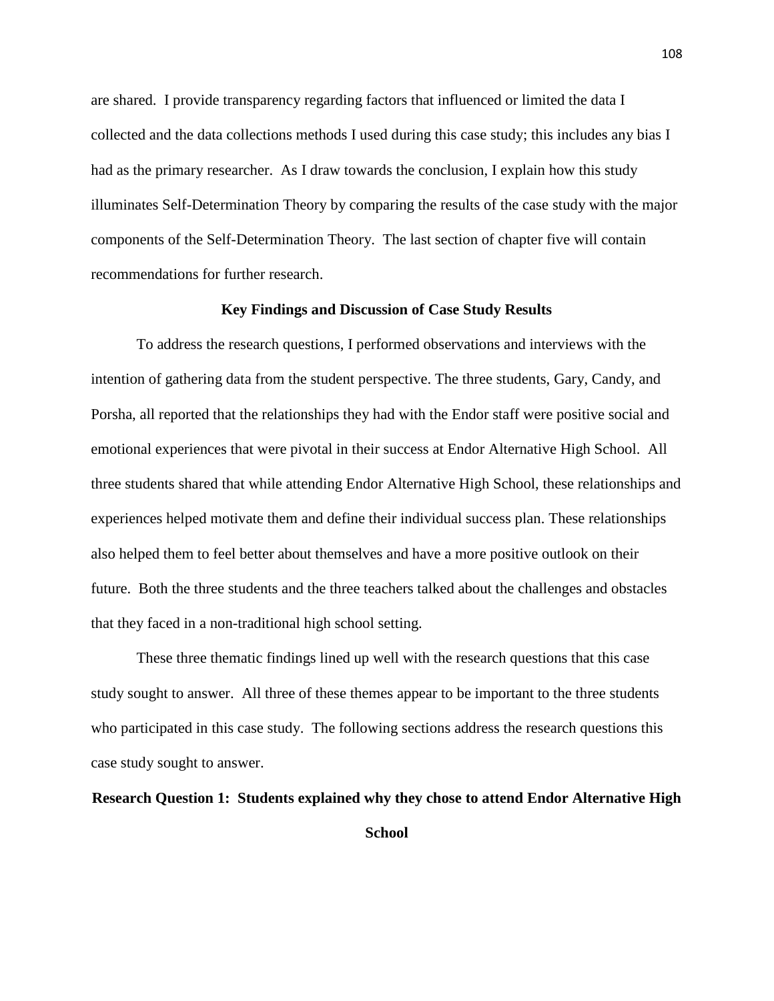are shared. I provide transparency regarding factors that influenced or limited the data I collected and the data collections methods I used during this case study; this includes any bias I had as the primary researcher. As I draw towards the conclusion, I explain how this study illuminates Self-Determination Theory by comparing the results of the case study with the major components of the Self-Determination Theory. The last section of chapter five will contain recommendations for further research.

#### **Key Findings and Discussion of Case Study Results**

To address the research questions, I performed observations and interviews with the intention of gathering data from the student perspective. The three students, Gary, Candy, and Porsha, all reported that the relationships they had with the Endor staff were positive social and emotional experiences that were pivotal in their success at Endor Alternative High School. All three students shared that while attending Endor Alternative High School, these relationships and experiences helped motivate them and define their individual success plan. These relationships also helped them to feel better about themselves and have a more positive outlook on their future. Both the three students and the three teachers talked about the challenges and obstacles that they faced in a non-traditional high school setting.

These three thematic findings lined up well with the research questions that this case study sought to answer. All three of these themes appear to be important to the three students who participated in this case study. The following sections address the research questions this case study sought to answer.

#### **Research Question 1: Students explained why they chose to attend Endor Alternative High**

**School**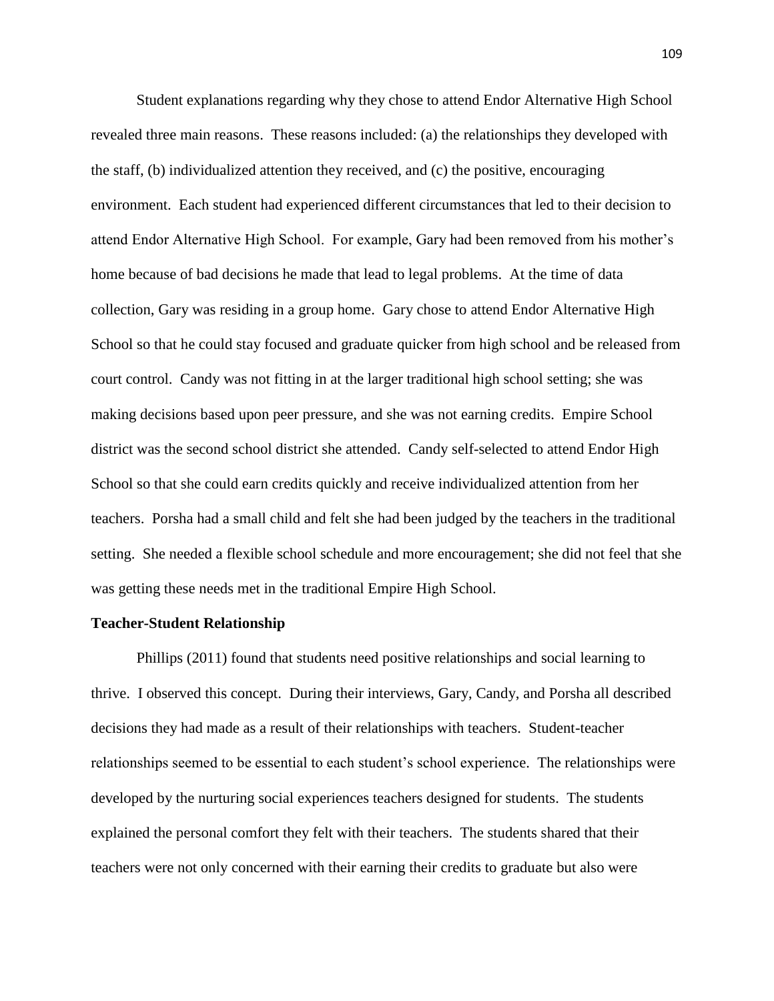Student explanations regarding why they chose to attend Endor Alternative High School revealed three main reasons. These reasons included: (a) the relationships they developed with the staff, (b) individualized attention they received, and (c) the positive, encouraging environment. Each student had experienced different circumstances that led to their decision to attend Endor Alternative High School. For example, Gary had been removed from his mother's home because of bad decisions he made that lead to legal problems. At the time of data collection, Gary was residing in a group home. Gary chose to attend Endor Alternative High School so that he could stay focused and graduate quicker from high school and be released from court control. Candy was not fitting in at the larger traditional high school setting; she was making decisions based upon peer pressure, and she was not earning credits. Empire School district was the second school district she attended. Candy self-selected to attend Endor High School so that she could earn credits quickly and receive individualized attention from her teachers. Porsha had a small child and felt she had been judged by the teachers in the traditional setting. She needed a flexible school schedule and more encouragement; she did not feel that she was getting these needs met in the traditional Empire High School.

#### **Teacher-Student Relationship**

Phillips (2011) found that students need positive relationships and social learning to thrive. I observed this concept. During their interviews, Gary, Candy, and Porsha all described decisions they had made as a result of their relationships with teachers. Student-teacher relationships seemed to be essential to each student's school experience. The relationships were developed by the nurturing social experiences teachers designed for students. The students explained the personal comfort they felt with their teachers. The students shared that their teachers were not only concerned with their earning their credits to graduate but also were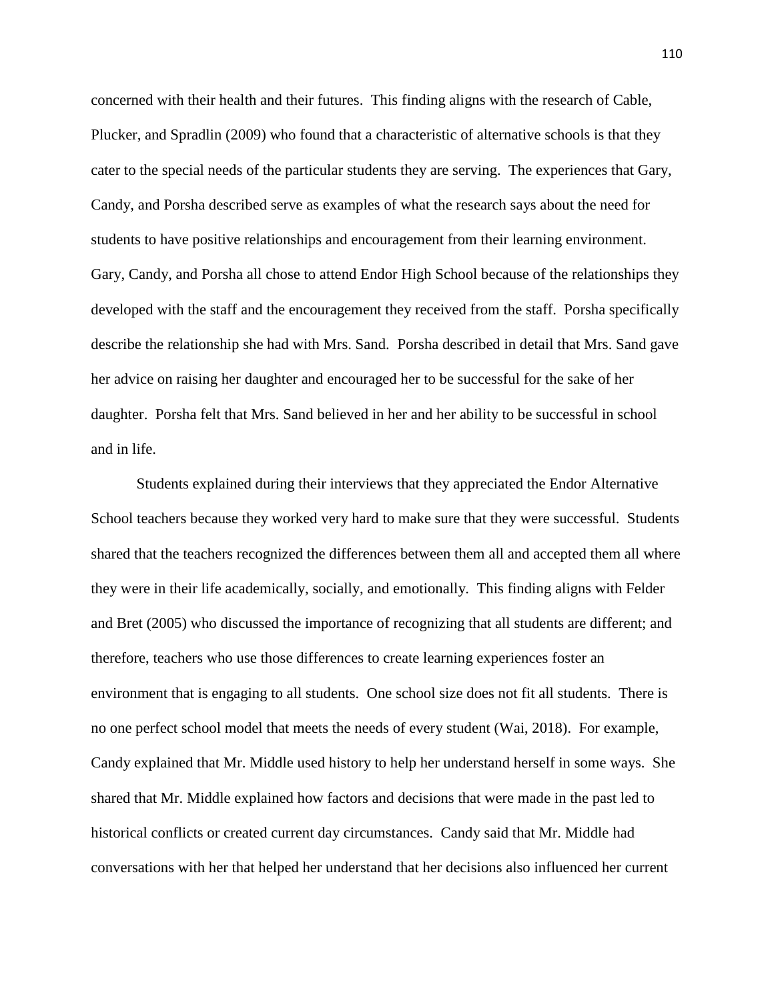concerned with their health and their futures. This finding aligns with the research of Cable, Plucker, and Spradlin (2009) who found that a characteristic of alternative schools is that they cater to the special needs of the particular students they are serving. The experiences that Gary, Candy, and Porsha described serve as examples of what the research says about the need for students to have positive relationships and encouragement from their learning environment. Gary, Candy, and Porsha all chose to attend Endor High School because of the relationships they developed with the staff and the encouragement they received from the staff. Porsha specifically describe the relationship she had with Mrs. Sand. Porsha described in detail that Mrs. Sand gave her advice on raising her daughter and encouraged her to be successful for the sake of her daughter. Porsha felt that Mrs. Sand believed in her and her ability to be successful in school and in life.

Students explained during their interviews that they appreciated the Endor Alternative School teachers because they worked very hard to make sure that they were successful. Students shared that the teachers recognized the differences between them all and accepted them all where they were in their life academically, socially, and emotionally. This finding aligns with Felder and Bret (2005) who discussed the importance of recognizing that all students are different; and therefore, teachers who use those differences to create learning experiences foster an environment that is engaging to all students. One school size does not fit all students. There is no one perfect school model that meets the needs of every student (Wai, 2018). For example, Candy explained that Mr. Middle used history to help her understand herself in some ways. She shared that Mr. Middle explained how factors and decisions that were made in the past led to historical conflicts or created current day circumstances. Candy said that Mr. Middle had conversations with her that helped her understand that her decisions also influenced her current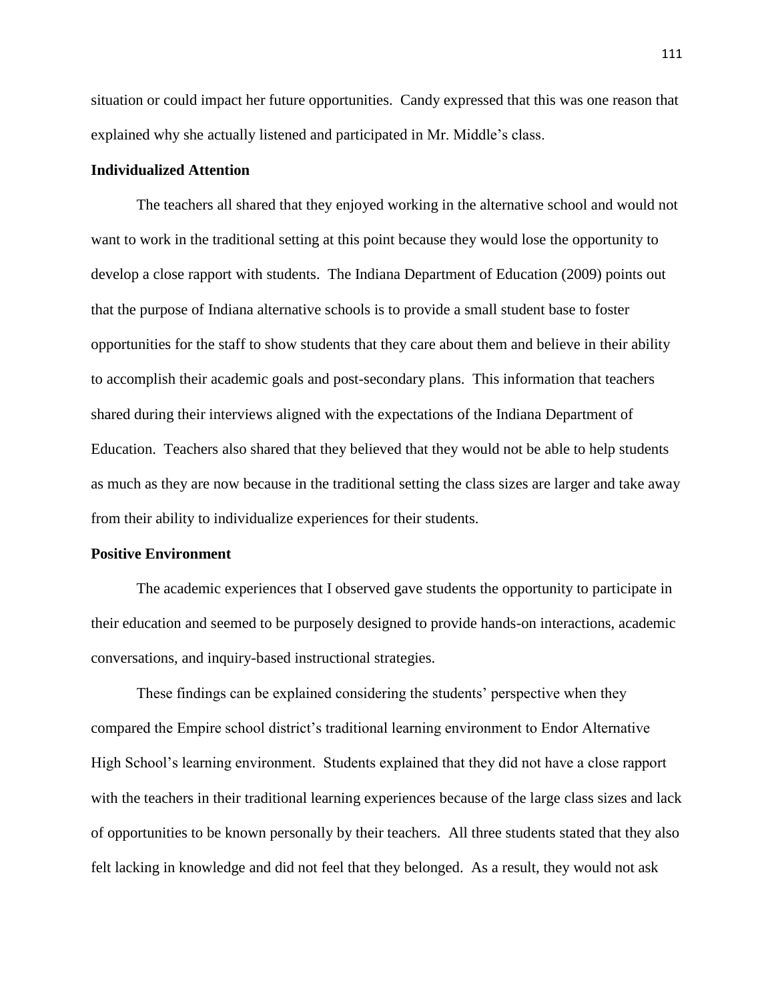situation or could impact her future opportunities. Candy expressed that this was one reason that explained why she actually listened and participated in Mr. Middle's class.

#### **Individualized Attention**

The teachers all shared that they enjoyed working in the alternative school and would not want to work in the traditional setting at this point because they would lose the opportunity to develop a close rapport with students. The Indiana Department of Education (2009) points out that the purpose of Indiana alternative schools is to provide a small student base to foster opportunities for the staff to show students that they care about them and believe in their ability to accomplish their academic goals and post-secondary plans. This information that teachers shared during their interviews aligned with the expectations of the Indiana Department of Education. Teachers also shared that they believed that they would not be able to help students as much as they are now because in the traditional setting the class sizes are larger and take away from their ability to individualize experiences for their students.

#### **Positive Environment**

The academic experiences that I observed gave students the opportunity to participate in their education and seemed to be purposely designed to provide hands-on interactions, academic conversations, and inquiry-based instructional strategies.

These findings can be explained considering the students' perspective when they compared the Empire school district's traditional learning environment to Endor Alternative High School's learning environment. Students explained that they did not have a close rapport with the teachers in their traditional learning experiences because of the large class sizes and lack of opportunities to be known personally by their teachers. All three students stated that they also felt lacking in knowledge and did not feel that they belonged. As a result, they would not ask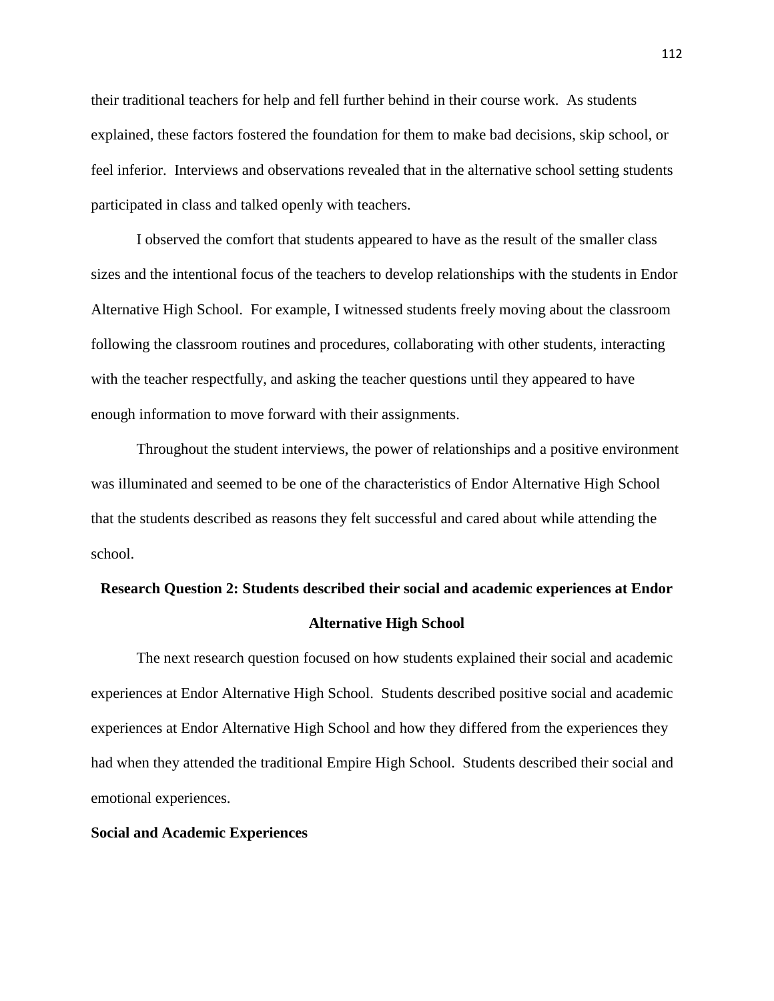their traditional teachers for help and fell further behind in their course work. As students explained, these factors fostered the foundation for them to make bad decisions, skip school, or feel inferior. Interviews and observations revealed that in the alternative school setting students participated in class and talked openly with teachers.

I observed the comfort that students appeared to have as the result of the smaller class sizes and the intentional focus of the teachers to develop relationships with the students in Endor Alternative High School. For example, I witnessed students freely moving about the classroom following the classroom routines and procedures, collaborating with other students, interacting with the teacher respectfully, and asking the teacher questions until they appeared to have enough information to move forward with their assignments.

Throughout the student interviews, the power of relationships and a positive environment was illuminated and seemed to be one of the characteristics of Endor Alternative High School that the students described as reasons they felt successful and cared about while attending the school.

# **Research Question 2: Students described their social and academic experiences at Endor Alternative High School**

The next research question focused on how students explained their social and academic experiences at Endor Alternative High School. Students described positive social and academic experiences at Endor Alternative High School and how they differed from the experiences they had when they attended the traditional Empire High School. Students described their social and emotional experiences.

#### **Social and Academic Experiences**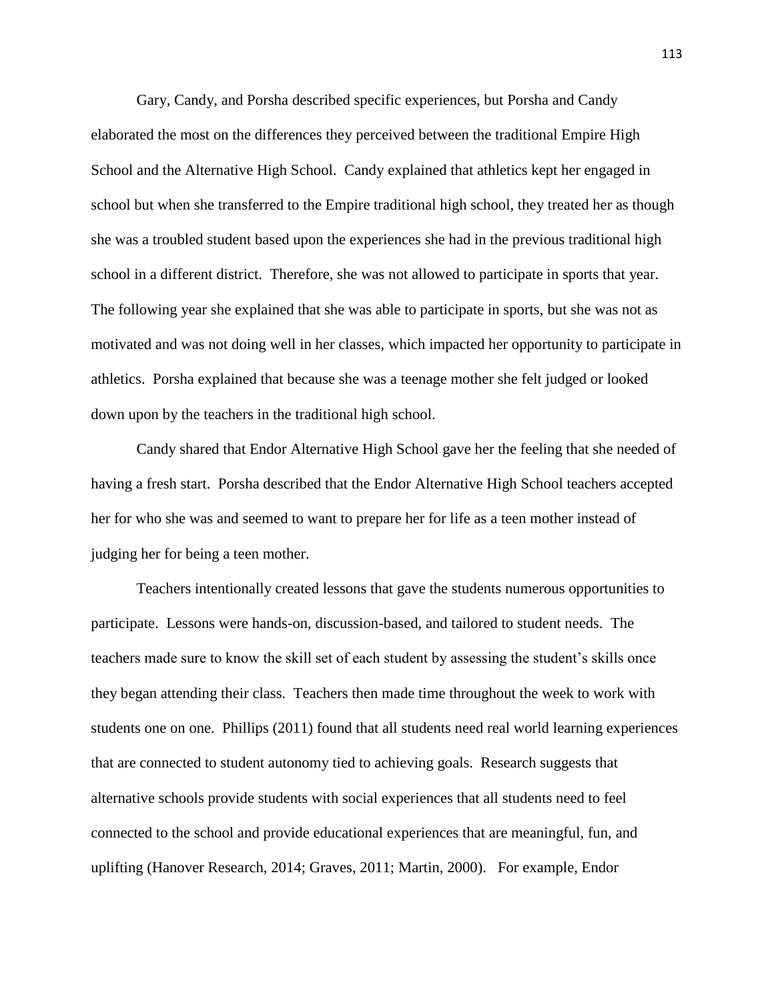Gary, Candy, and Porsha described specific experiences, but Porsha and Candy elaborated the most on the differences they perceived between the traditional Empire High School and the Alternative High School. Candy explained that athletics kept her engaged in school but when she transferred to the Empire traditional high school, they treated her as though she was a troubled student based upon the experiences she had in the previous traditional high school in a different district. Therefore, she was not allowed to participate in sports that year. The following year she explained that she was able to participate in sports, but she was not as motivated and was not doing well in her classes, which impacted her opportunity to participate in athletics. Porsha explained that because she was a teenage mother she felt judged or looked down upon by the teachers in the traditional high school.

Candy shared that Endor Alternative High School gave her the feeling that she needed of having a fresh start. Porsha described that the Endor Alternative High School teachers accepted her for who she was and seemed to want to prepare her for life as a teen mother instead of judging her for being a teen mother.

Teachers intentionally created lessons that gave the students numerous opportunities to participate. Lessons were hands-on, discussion-based, and tailored to student needs. The teachers made sure to know the skill set of each student by assessing the student's skills once they began attending their class. Teachers then made time throughout the week to work with students one on one. Phillips (2011) found that all students need real world learning experiences that are connected to student autonomy tied to achieving goals. Research suggests that alternative schools provide students with social experiences that all students need to feel connected to the school and provide educational experiences that are meaningful, fun, and uplifting (Hanover Research, 2014; Graves, 2011; Martin, 2000). For example, Endor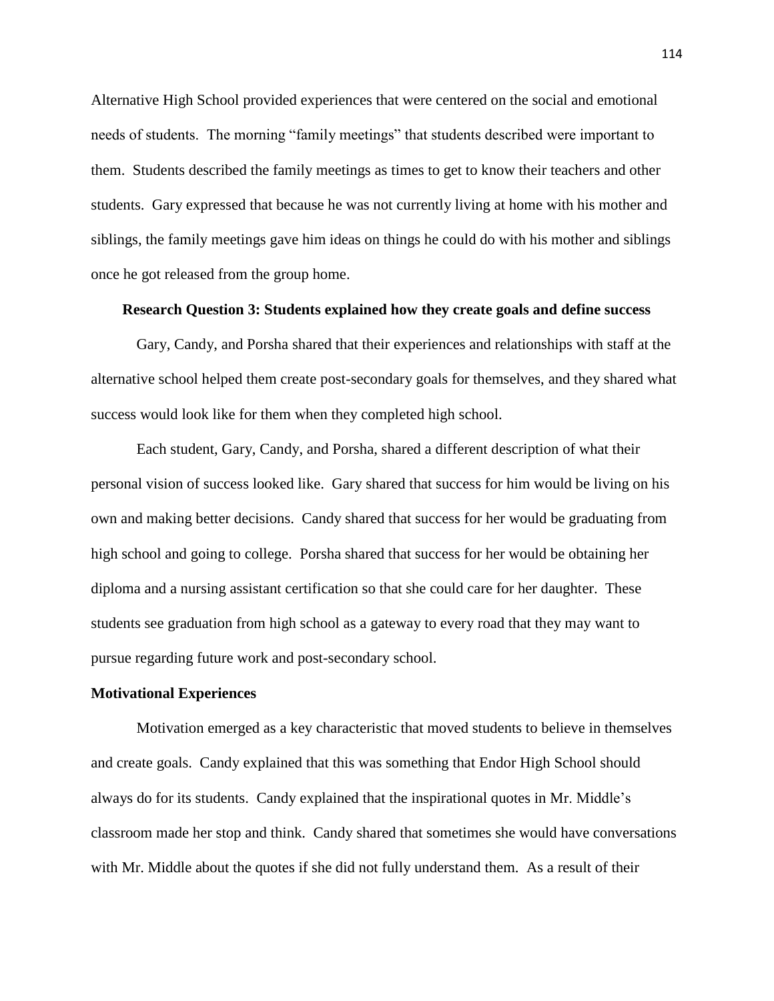Alternative High School provided experiences that were centered on the social and emotional needs of students. The morning "family meetings" that students described were important to them. Students described the family meetings as times to get to know their teachers and other students. Gary expressed that because he was not currently living at home with his mother and siblings, the family meetings gave him ideas on things he could do with his mother and siblings once he got released from the group home.

#### **Research Question 3: Students explained how they create goals and define success**

Gary, Candy, and Porsha shared that their experiences and relationships with staff at the alternative school helped them create post-secondary goals for themselves, and they shared what success would look like for them when they completed high school.

Each student, Gary, Candy, and Porsha, shared a different description of what their personal vision of success looked like. Gary shared that success for him would be living on his own and making better decisions. Candy shared that success for her would be graduating from high school and going to college. Porsha shared that success for her would be obtaining her diploma and a nursing assistant certification so that she could care for her daughter. These students see graduation from high school as a gateway to every road that they may want to pursue regarding future work and post-secondary school.

#### **Motivational Experiences**

Motivation emerged as a key characteristic that moved students to believe in themselves and create goals. Candy explained that this was something that Endor High School should always do for its students. Candy explained that the inspirational quotes in Mr. Middle's classroom made her stop and think. Candy shared that sometimes she would have conversations with Mr. Middle about the quotes if she did not fully understand them. As a result of their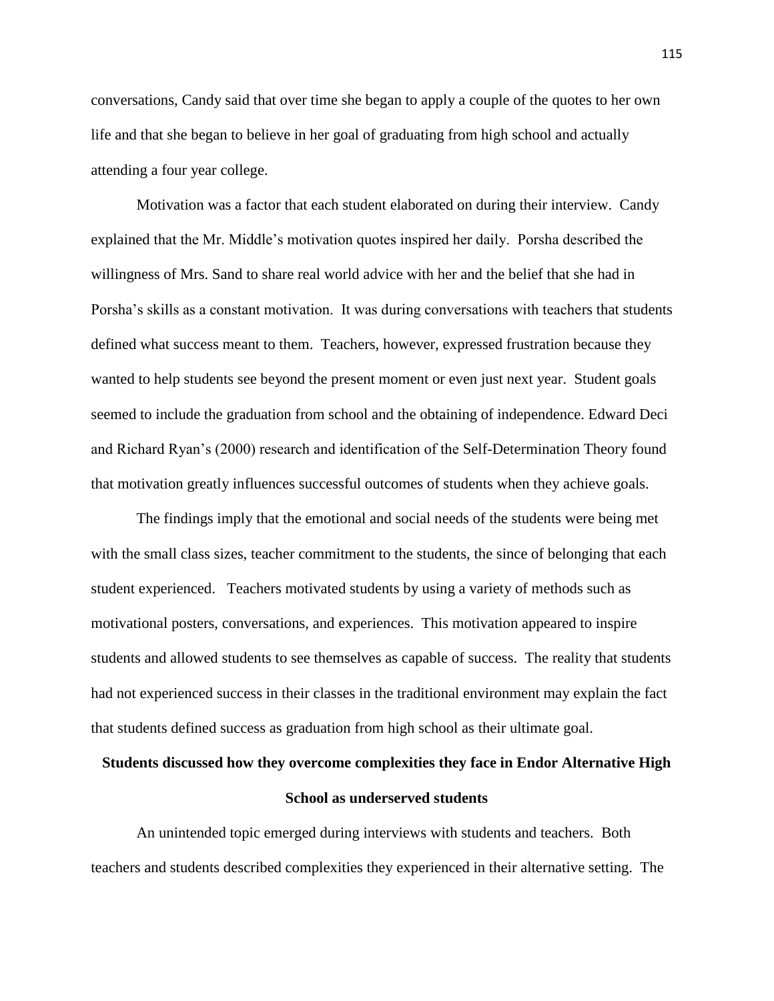conversations, Candy said that over time she began to apply a couple of the quotes to her own life and that she began to believe in her goal of graduating from high school and actually attending a four year college.

Motivation was a factor that each student elaborated on during their interview. Candy explained that the Mr. Middle's motivation quotes inspired her daily. Porsha described the willingness of Mrs. Sand to share real world advice with her and the belief that she had in Porsha's skills as a constant motivation. It was during conversations with teachers that students defined what success meant to them. Teachers, however, expressed frustration because they wanted to help students see beyond the present moment or even just next year. Student goals seemed to include the graduation from school and the obtaining of independence. Edward Deci and Richard Ryan's (2000) research and identification of the Self-Determination Theory found that motivation greatly influences successful outcomes of students when they achieve goals.

The findings imply that the emotional and social needs of the students were being met with the small class sizes, teacher commitment to the students, the since of belonging that each student experienced. Teachers motivated students by using a variety of methods such as motivational posters, conversations, and experiences. This motivation appeared to inspire students and allowed students to see themselves as capable of success. The reality that students had not experienced success in their classes in the traditional environment may explain the fact that students defined success as graduation from high school as their ultimate goal.

# **Students discussed how they overcome complexities they face in Endor Alternative High School as underserved students**

An unintended topic emerged during interviews with students and teachers. Both teachers and students described complexities they experienced in their alternative setting. The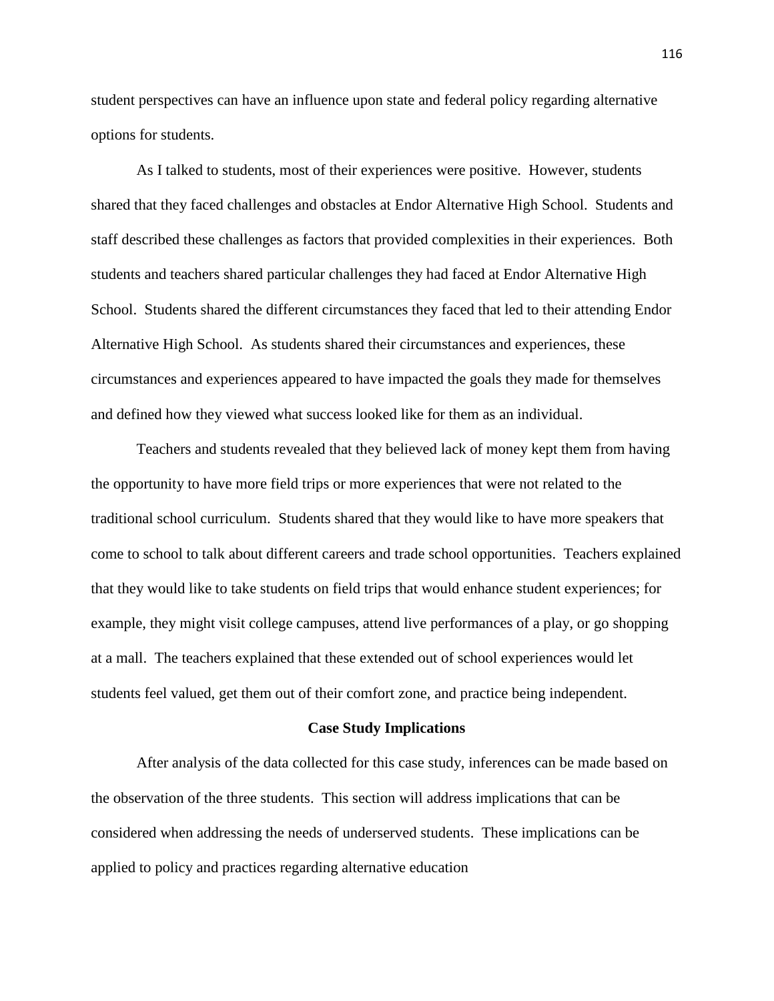student perspectives can have an influence upon state and federal policy regarding alternative options for students.

As I talked to students, most of their experiences were positive. However, students shared that they faced challenges and obstacles at Endor Alternative High School. Students and staff described these challenges as factors that provided complexities in their experiences. Both students and teachers shared particular challenges they had faced at Endor Alternative High School. Students shared the different circumstances they faced that led to their attending Endor Alternative High School. As students shared their circumstances and experiences, these circumstances and experiences appeared to have impacted the goals they made for themselves and defined how they viewed what success looked like for them as an individual.

Teachers and students revealed that they believed lack of money kept them from having the opportunity to have more field trips or more experiences that were not related to the traditional school curriculum. Students shared that they would like to have more speakers that come to school to talk about different careers and trade school opportunities. Teachers explained that they would like to take students on field trips that would enhance student experiences; for example, they might visit college campuses, attend live performances of a play, or go shopping at a mall. The teachers explained that these extended out of school experiences would let students feel valued, get them out of their comfort zone, and practice being independent.

#### **Case Study Implications**

After analysis of the data collected for this case study, inferences can be made based on the observation of the three students. This section will address implications that can be considered when addressing the needs of underserved students. These implications can be applied to policy and practices regarding alternative education

116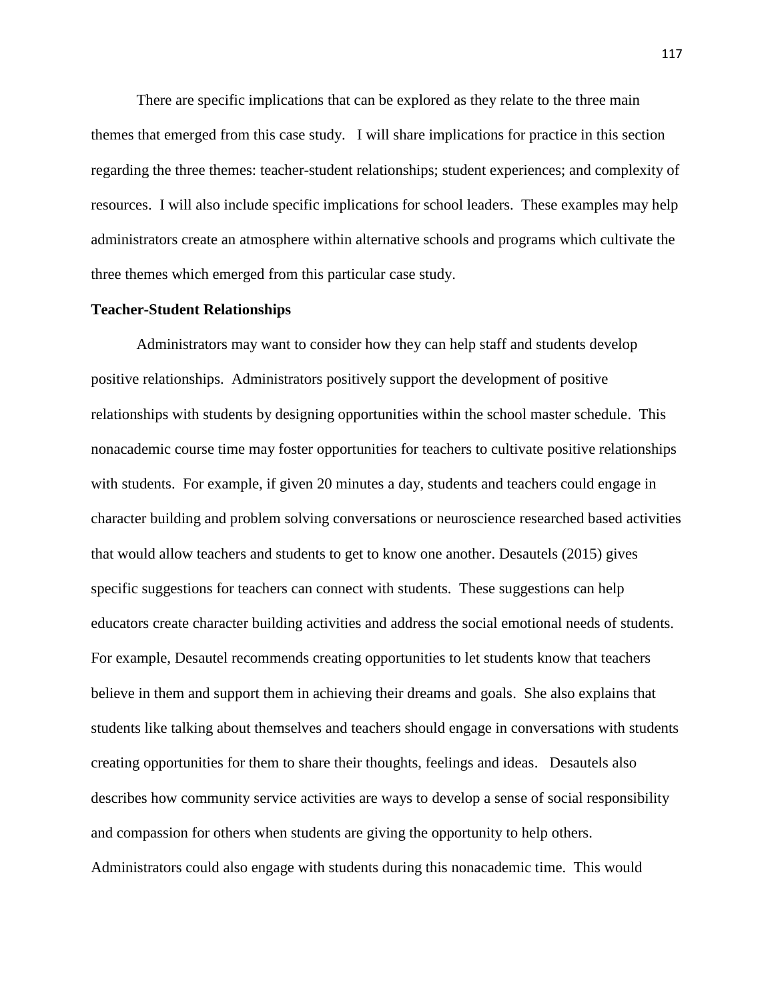There are specific implications that can be explored as they relate to the three main themes that emerged from this case study. I will share implications for practice in this section regarding the three themes: teacher-student relationships; student experiences; and complexity of resources. I will also include specific implications for school leaders. These examples may help administrators create an atmosphere within alternative schools and programs which cultivate the three themes which emerged from this particular case study.

#### **Teacher-Student Relationships**

Administrators may want to consider how they can help staff and students develop positive relationships. Administrators positively support the development of positive relationships with students by designing opportunities within the school master schedule. This nonacademic course time may foster opportunities for teachers to cultivate positive relationships with students. For example, if given 20 minutes a day, students and teachers could engage in character building and problem solving conversations or neuroscience researched based activities that would allow teachers and students to get to know one another. Desautels (2015) gives specific suggestions for teachers can connect with students. These suggestions can help educators create character building activities and address the social emotional needs of students. For example, Desautel recommends creating opportunities to let students know that teachers believe in them and support them in achieving their dreams and goals. She also explains that students like talking about themselves and teachers should engage in conversations with students creating opportunities for them to share their thoughts, feelings and ideas. Desautels also describes how community service activities are ways to develop a sense of social responsibility and compassion for others when students are giving the opportunity to help others. Administrators could also engage with students during this nonacademic time. This would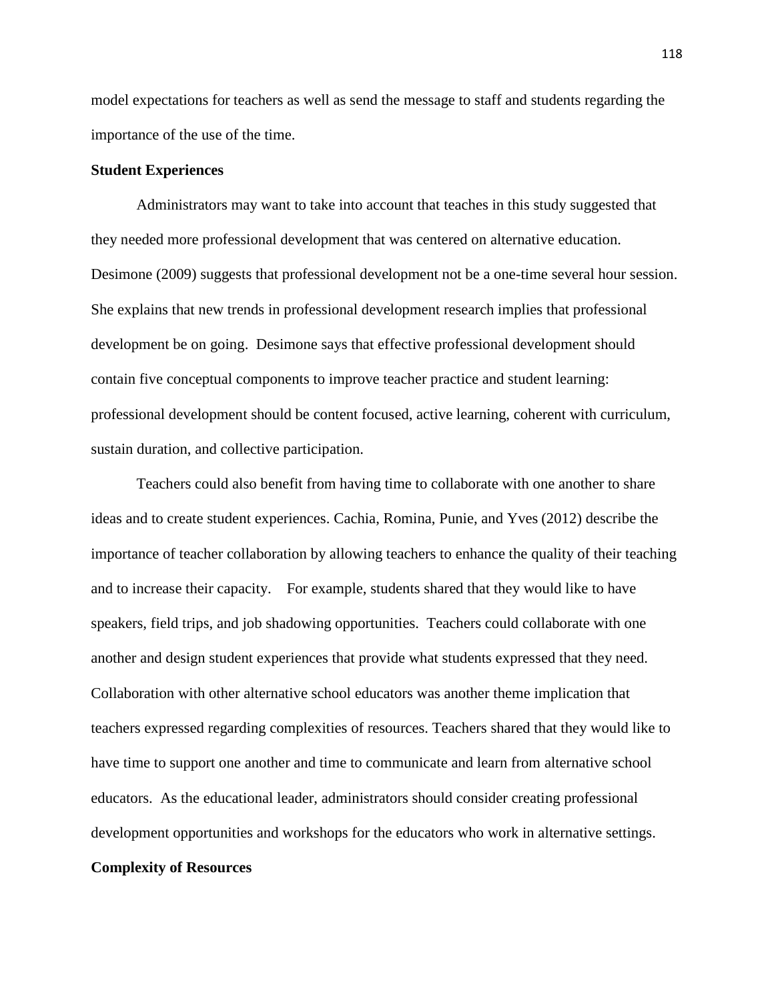model expectations for teachers as well as send the message to staff and students regarding the importance of the use of the time.

#### **Student Experiences**

Administrators may want to take into account that teaches in this study suggested that they needed more professional development that was centered on alternative education. Desimone (2009) suggests that professional development not be a one-time several hour session. She explains that new trends in professional development research implies that professional development be on going. Desimone says that effective professional development should contain five conceptual components to improve teacher practice and student learning: professional development should be content focused, active learning, coherent with curriculum, sustain duration, and collective participation.

Teachers could also benefit from having time to collaborate with one another to share ideas and to create student experiences. Cachia, Romina, Punie, and Yves (2012) describe the importance of teacher collaboration by allowing teachers to enhance the quality of their teaching and to increase their capacity. For example, students shared that they would like to have speakers, field trips, and job shadowing opportunities. Teachers could collaborate with one another and design student experiences that provide what students expressed that they need. Collaboration with other alternative school educators was another theme implication that teachers expressed regarding complexities of resources. Teachers shared that they would like to have time to support one another and time to communicate and learn from alternative school educators. As the educational leader, administrators should consider creating professional development opportunities and workshops for the educators who work in alternative settings.

#### **Complexity of Resources**

118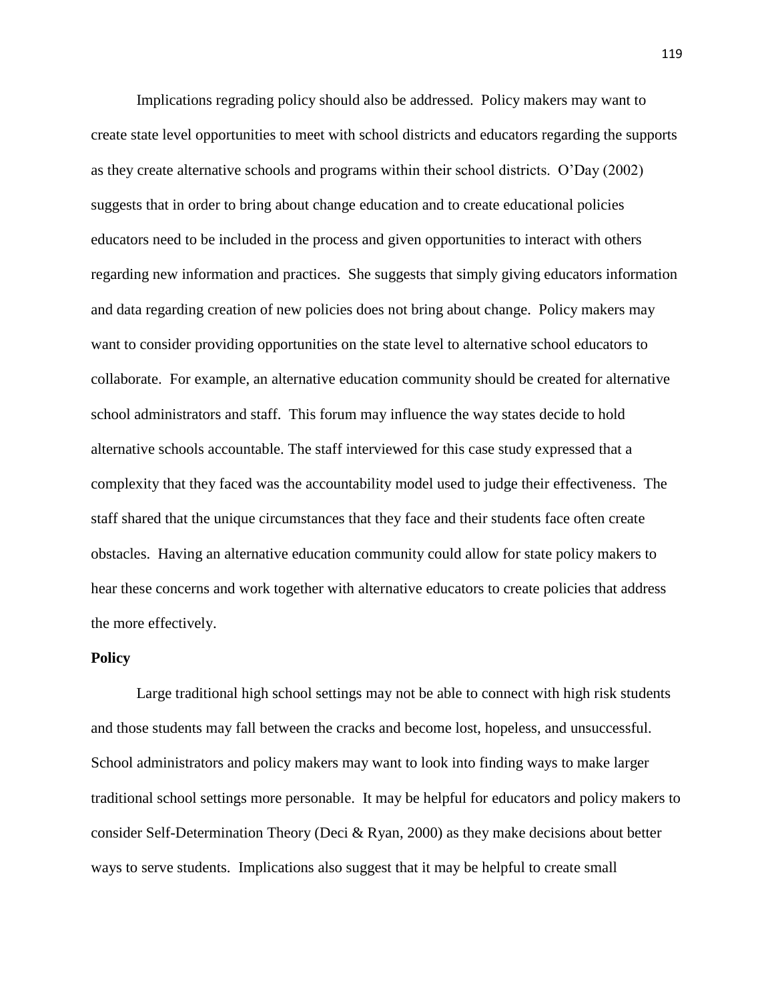Implications regrading policy should also be addressed. Policy makers may want to create state level opportunities to meet with school districts and educators regarding the supports as they create alternative schools and programs within their school districts. O'Day (2002) suggests that in order to bring about change education and to create educational policies educators need to be included in the process and given opportunities to interact with others regarding new information and practices. She suggests that simply giving educators information and data regarding creation of new policies does not bring about change. Policy makers may want to consider providing opportunities on the state level to alternative school educators to collaborate. For example, an alternative education community should be created for alternative school administrators and staff. This forum may influence the way states decide to hold alternative schools accountable. The staff interviewed for this case study expressed that a complexity that they faced was the accountability model used to judge their effectiveness. The staff shared that the unique circumstances that they face and their students face often create obstacles. Having an alternative education community could allow for state policy makers to hear these concerns and work together with alternative educators to create policies that address the more effectively.

#### **Policy**

Large traditional high school settings may not be able to connect with high risk students and those students may fall between the cracks and become lost, hopeless, and unsuccessful. School administrators and policy makers may want to look into finding ways to make larger traditional school settings more personable. It may be helpful for educators and policy makers to consider Self-Determination Theory (Deci & Ryan, 2000) as they make decisions about better ways to serve students. Implications also suggest that it may be helpful to create small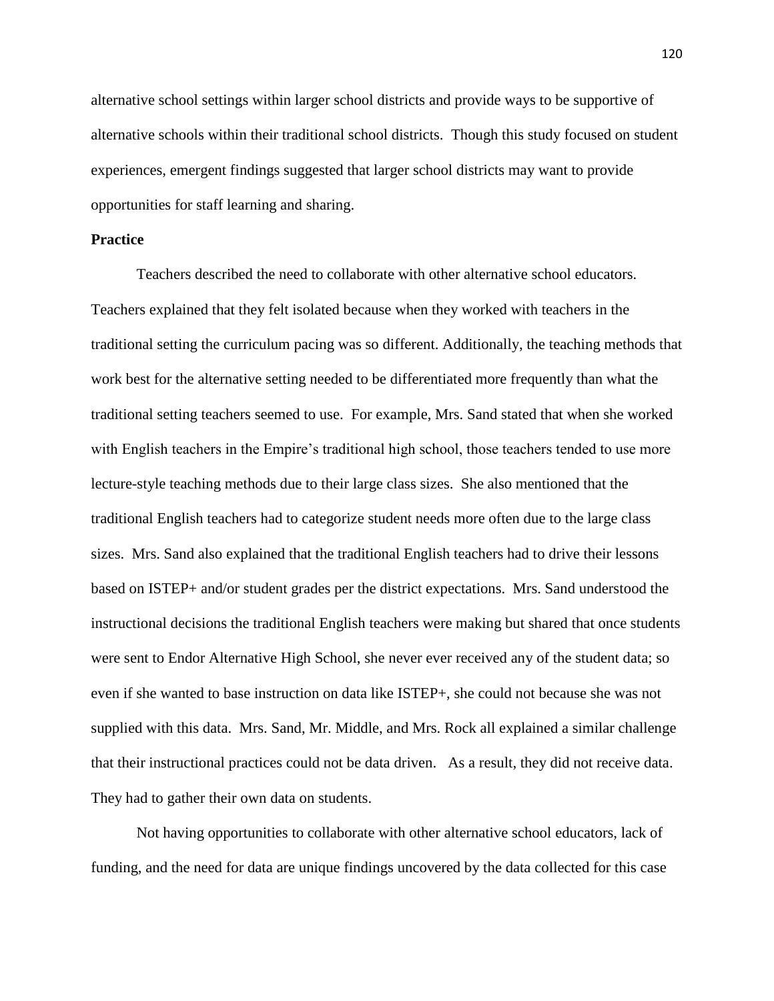alternative school settings within larger school districts and provide ways to be supportive of alternative schools within their traditional school districts. Though this study focused on student experiences, emergent findings suggested that larger school districts may want to provide opportunities for staff learning and sharing.

#### **Practice**

Teachers described the need to collaborate with other alternative school educators. Teachers explained that they felt isolated because when they worked with teachers in the traditional setting the curriculum pacing was so different. Additionally, the teaching methods that work best for the alternative setting needed to be differentiated more frequently than what the traditional setting teachers seemed to use. For example, Mrs. Sand stated that when she worked with English teachers in the Empire's traditional high school, those teachers tended to use more lecture-style teaching methods due to their large class sizes. She also mentioned that the traditional English teachers had to categorize student needs more often due to the large class sizes. Mrs. Sand also explained that the traditional English teachers had to drive their lessons based on ISTEP+ and/or student grades per the district expectations. Mrs. Sand understood the instructional decisions the traditional English teachers were making but shared that once students were sent to Endor Alternative High School, she never ever received any of the student data; so even if she wanted to base instruction on data like ISTEP+, she could not because she was not supplied with this data. Mrs. Sand, Mr. Middle, and Mrs. Rock all explained a similar challenge that their instructional practices could not be data driven. As a result, they did not receive data. They had to gather their own data on students.

Not having opportunities to collaborate with other alternative school educators, lack of funding, and the need for data are unique findings uncovered by the data collected for this case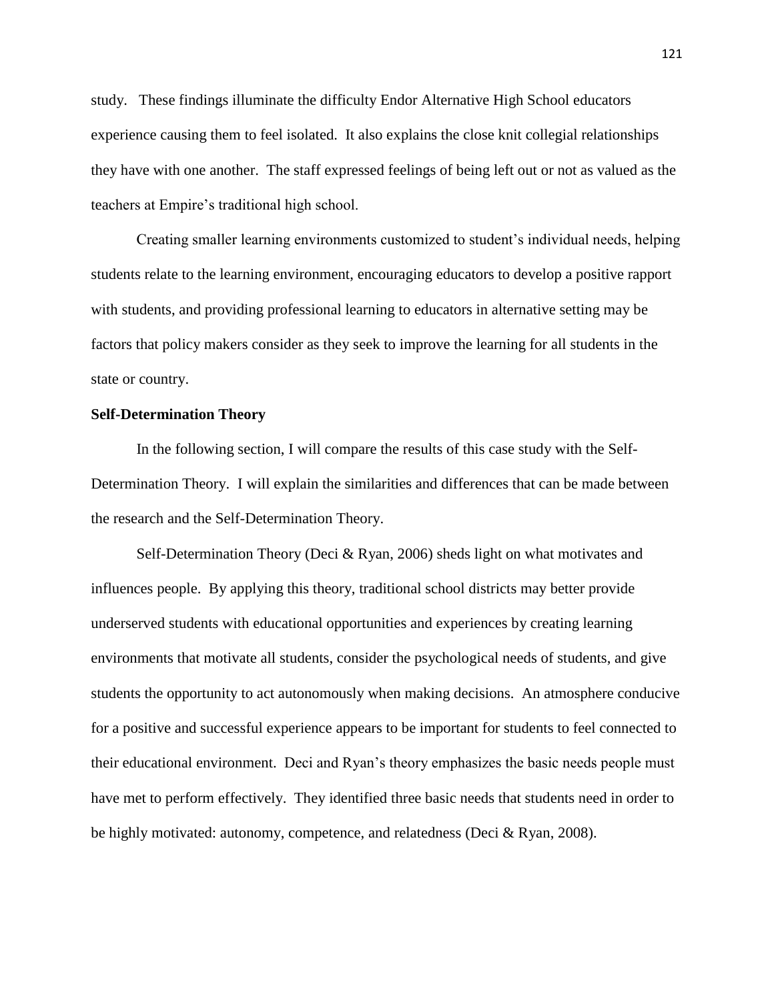study. These findings illuminate the difficulty Endor Alternative High School educators experience causing them to feel isolated. It also explains the close knit collegial relationships they have with one another. The staff expressed feelings of being left out or not as valued as the teachers at Empire's traditional high school.

Creating smaller learning environments customized to student's individual needs, helping students relate to the learning environment, encouraging educators to develop a positive rapport with students, and providing professional learning to educators in alternative setting may be factors that policy makers consider as they seek to improve the learning for all students in the state or country.

#### **Self-Determination Theory**

In the following section, I will compare the results of this case study with the Self-Determination Theory. I will explain the similarities and differences that can be made between the research and the Self-Determination Theory.

Self-Determination Theory (Deci & Ryan, 2006) sheds light on what motivates and influences people. By applying this theory, traditional school districts may better provide underserved students with educational opportunities and experiences by creating learning environments that motivate all students, consider the psychological needs of students, and give students the opportunity to act autonomously when making decisions. An atmosphere conducive for a positive and successful experience appears to be important for students to feel connected to their educational environment. Deci and Ryan's theory emphasizes the basic needs people must have met to perform effectively. They identified three basic needs that students need in order to be highly motivated: autonomy, competence, and relatedness (Deci & Ryan, 2008).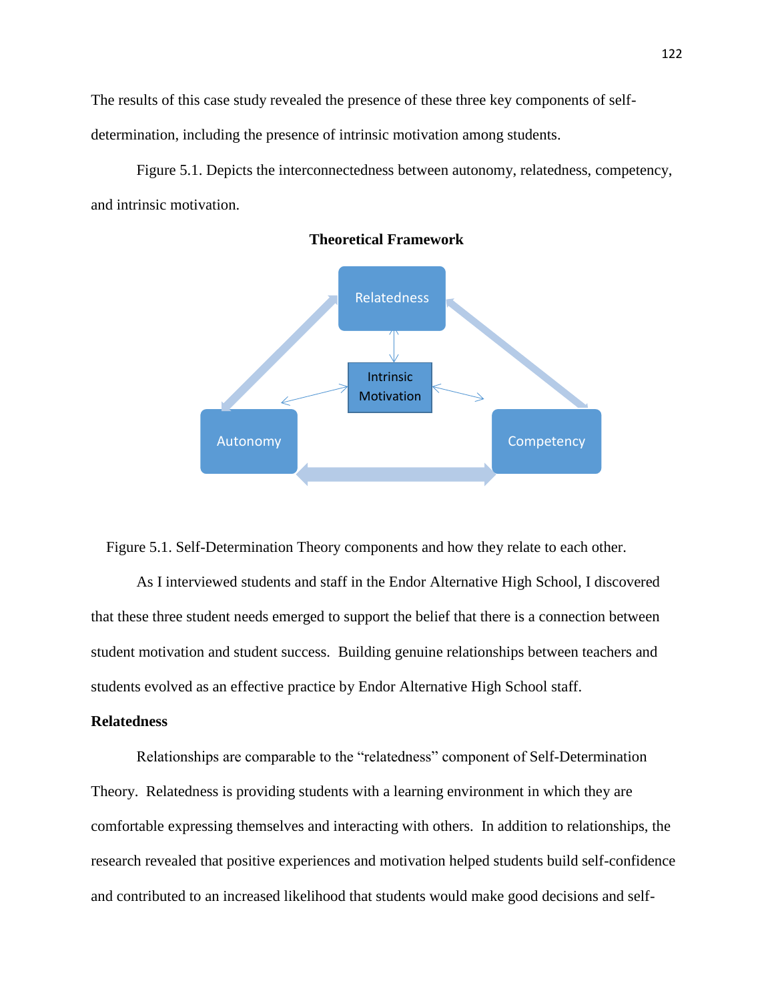The results of this case study revealed the presence of these three key components of selfdetermination, including the presence of intrinsic motivation among students.

Figure 5.1. Depicts the interconnectedness between autonomy, relatedness, competency, and intrinsic motivation.



**Theoretical Framework**

Figure 5.1. Self-Determination Theory components and how they relate to each other.

As I interviewed students and staff in the Endor Alternative High School, I discovered that these three student needs emerged to support the belief that there is a connection between student motivation and student success. Building genuine relationships between teachers and students evolved as an effective practice by Endor Alternative High School staff.

#### **Relatedness**

Relationships are comparable to the "relatedness" component of Self-Determination Theory. Relatedness is providing students with a learning environment in which they are comfortable expressing themselves and interacting with others. In addition to relationships, the research revealed that positive experiences and motivation helped students build self-confidence and contributed to an increased likelihood that students would make good decisions and self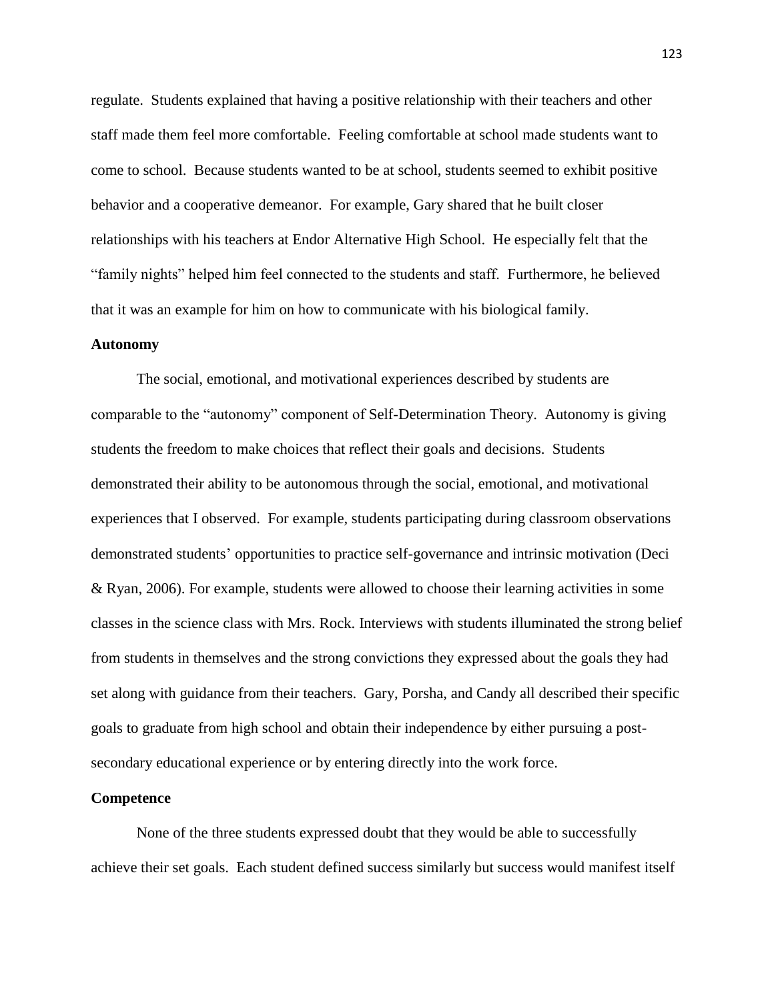regulate. Students explained that having a positive relationship with their teachers and other staff made them feel more comfortable. Feeling comfortable at school made students want to come to school. Because students wanted to be at school, students seemed to exhibit positive behavior and a cooperative demeanor. For example, Gary shared that he built closer relationships with his teachers at Endor Alternative High School. He especially felt that the "family nights" helped him feel connected to the students and staff. Furthermore, he believed that it was an example for him on how to communicate with his biological family.

#### **Autonomy**

The social, emotional, and motivational experiences described by students are comparable to the "autonomy" component of Self-Determination Theory. Autonomy is giving students the freedom to make choices that reflect their goals and decisions. Students demonstrated their ability to be autonomous through the social, emotional, and motivational experiences that I observed. For example, students participating during classroom observations demonstrated students' opportunities to practice self-governance and intrinsic motivation (Deci & Ryan, 2006). For example, students were allowed to choose their learning activities in some classes in the science class with Mrs. Rock. Interviews with students illuminated the strong belief from students in themselves and the strong convictions they expressed about the goals they had set along with guidance from their teachers. Gary, Porsha, and Candy all described their specific goals to graduate from high school and obtain their independence by either pursuing a postsecondary educational experience or by entering directly into the work force.

#### **Competence**

None of the three students expressed doubt that they would be able to successfully achieve their set goals. Each student defined success similarly but success would manifest itself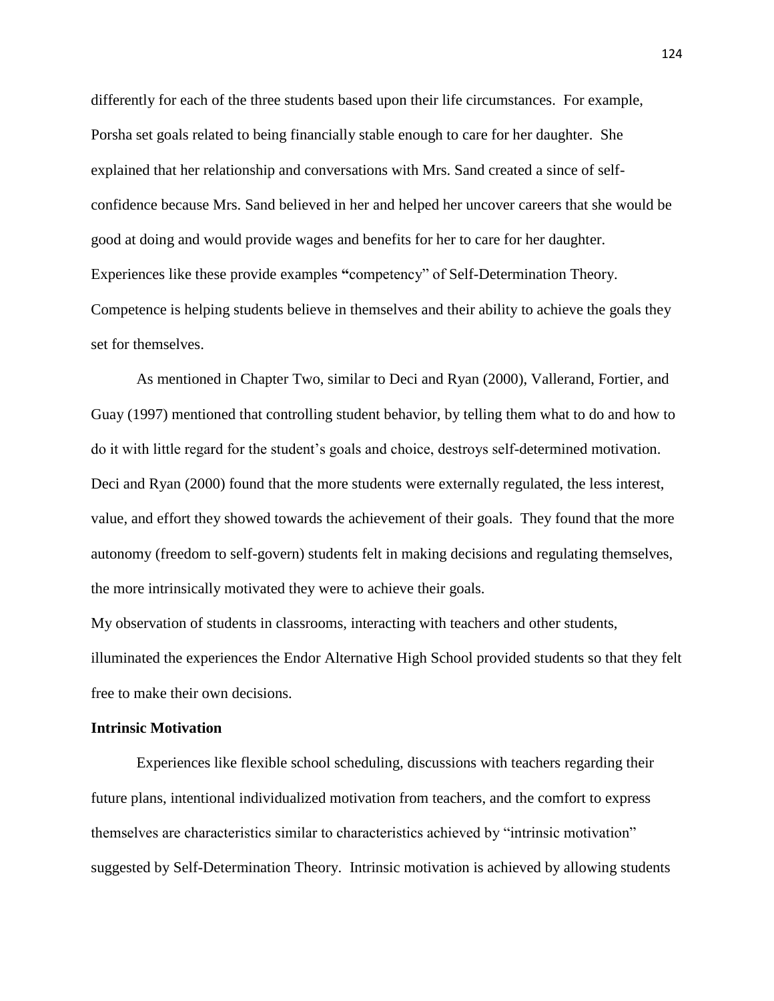differently for each of the three students based upon their life circumstances. For example, Porsha set goals related to being financially stable enough to care for her daughter. She explained that her relationship and conversations with Mrs. Sand created a since of selfconfidence because Mrs. Sand believed in her and helped her uncover careers that she would be good at doing and would provide wages and benefits for her to care for her daughter. Experiences like these provide examples **"**competency" of Self-Determination Theory. Competence is helping students believe in themselves and their ability to achieve the goals they set for themselves.

As mentioned in Chapter Two, similar to Deci and Ryan (2000), Vallerand, Fortier, and Guay (1997) mentioned that controlling student behavior, by telling them what to do and how to do it with little regard for the student's goals and choice, destroys self-determined motivation. Deci and Ryan (2000) found that the more students were externally regulated, the less interest, value, and effort they showed towards the achievement of their goals. They found that the more autonomy (freedom to self-govern) students felt in making decisions and regulating themselves, the more intrinsically motivated they were to achieve their goals.

My observation of students in classrooms, interacting with teachers and other students, illuminated the experiences the Endor Alternative High School provided students so that they felt free to make their own decisions.

#### **Intrinsic Motivation**

Experiences like flexible school scheduling, discussions with teachers regarding their future plans, intentional individualized motivation from teachers, and the comfort to express themselves are characteristics similar to characteristics achieved by "intrinsic motivation" suggested by Self-Determination Theory. Intrinsic motivation is achieved by allowing students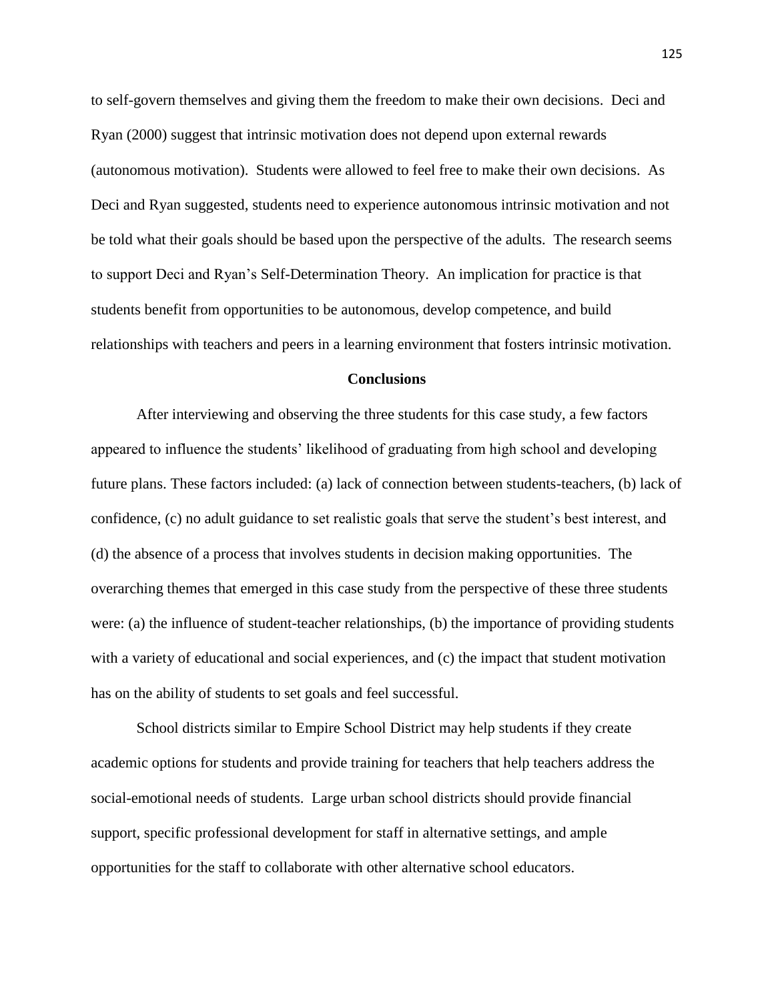to self-govern themselves and giving them the freedom to make their own decisions. Deci and Ryan (2000) suggest that intrinsic motivation does not depend upon external rewards (autonomous motivation). Students were allowed to feel free to make their own decisions. As Deci and Ryan suggested, students need to experience autonomous intrinsic motivation and not be told what their goals should be based upon the perspective of the adults. The research seems to support Deci and Ryan's Self-Determination Theory. An implication for practice is that students benefit from opportunities to be autonomous, develop competence, and build relationships with teachers and peers in a learning environment that fosters intrinsic motivation.

#### **Conclusions**

After interviewing and observing the three students for this case study, a few factors appeared to influence the students' likelihood of graduating from high school and developing future plans. These factors included: (a) lack of connection between students-teachers, (b) lack of confidence, (c) no adult guidance to set realistic goals that serve the student's best interest, and (d) the absence of a process that involves students in decision making opportunities. The overarching themes that emerged in this case study from the perspective of these three students were: (a) the influence of student-teacher relationships, (b) the importance of providing students with a variety of educational and social experiences, and (c) the impact that student motivation has on the ability of students to set goals and feel successful.

School districts similar to Empire School District may help students if they create academic options for students and provide training for teachers that help teachers address the social-emotional needs of students. Large urban school districts should provide financial support, specific professional development for staff in alternative settings, and ample opportunities for the staff to collaborate with other alternative school educators.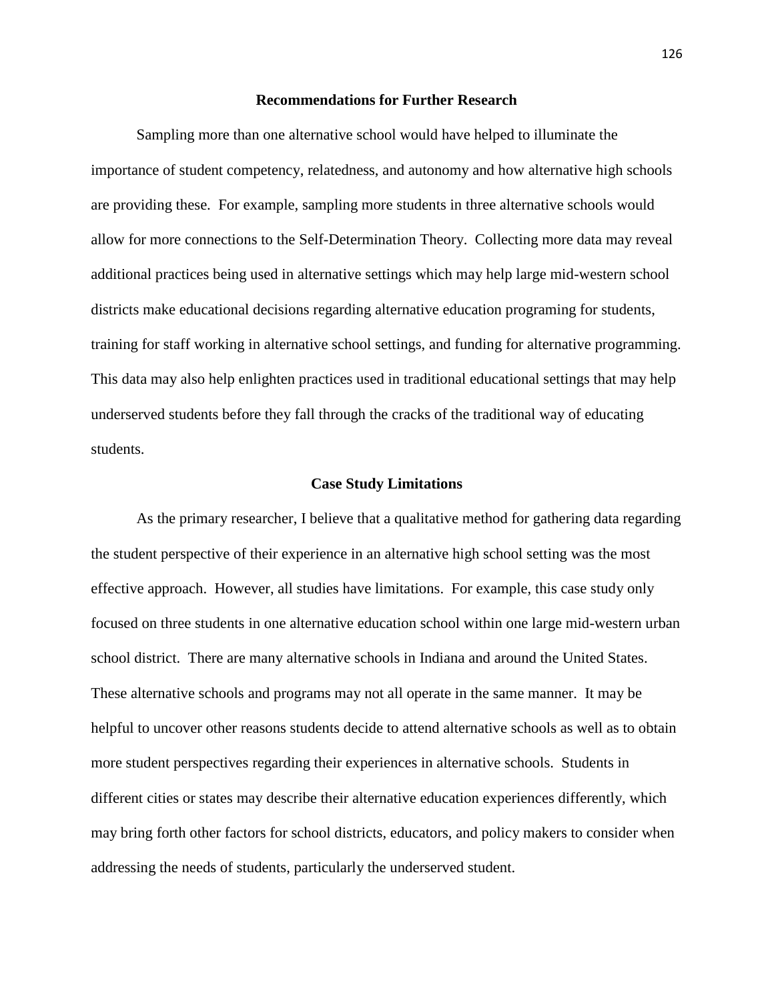#### **Recommendations for Further Research**

Sampling more than one alternative school would have helped to illuminate the importance of student competency, relatedness, and autonomy and how alternative high schools are providing these. For example, sampling more students in three alternative schools would allow for more connections to the Self-Determination Theory. Collecting more data may reveal additional practices being used in alternative settings which may help large mid-western school districts make educational decisions regarding alternative education programing for students, training for staff working in alternative school settings, and funding for alternative programming. This data may also help enlighten practices used in traditional educational settings that may help underserved students before they fall through the cracks of the traditional way of educating students.

#### **Case Study Limitations**

As the primary researcher, I believe that a qualitative method for gathering data regarding the student perspective of their experience in an alternative high school setting was the most effective approach. However, all studies have limitations. For example, this case study only focused on three students in one alternative education school within one large mid-western urban school district. There are many alternative schools in Indiana and around the United States. These alternative schools and programs may not all operate in the same manner. It may be helpful to uncover other reasons students decide to attend alternative schools as well as to obtain more student perspectives regarding their experiences in alternative schools. Students in different cities or states may describe their alternative education experiences differently, which may bring forth other factors for school districts, educators, and policy makers to consider when addressing the needs of students, particularly the underserved student.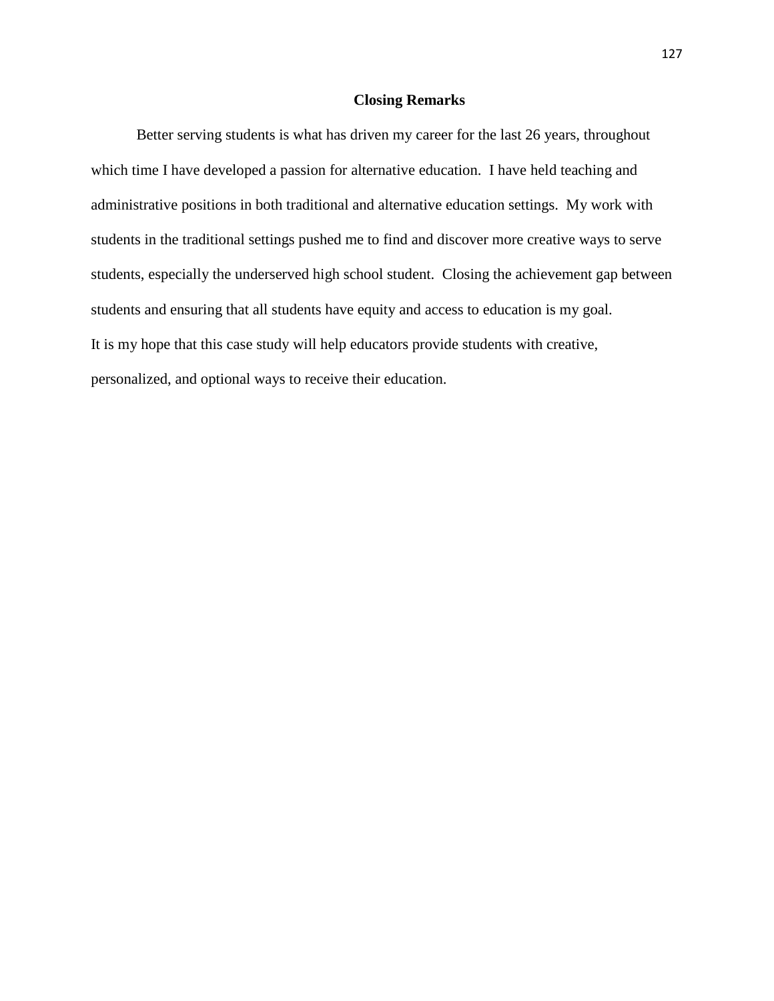#### **Closing Remarks**

Better serving students is what has driven my career for the last 26 years, throughout which time I have developed a passion for alternative education. I have held teaching and administrative positions in both traditional and alternative education settings. My work with students in the traditional settings pushed me to find and discover more creative ways to serve students, especially the underserved high school student. Closing the achievement gap between students and ensuring that all students have equity and access to education is my goal. It is my hope that this case study will help educators provide students with creative, personalized, and optional ways to receive their education.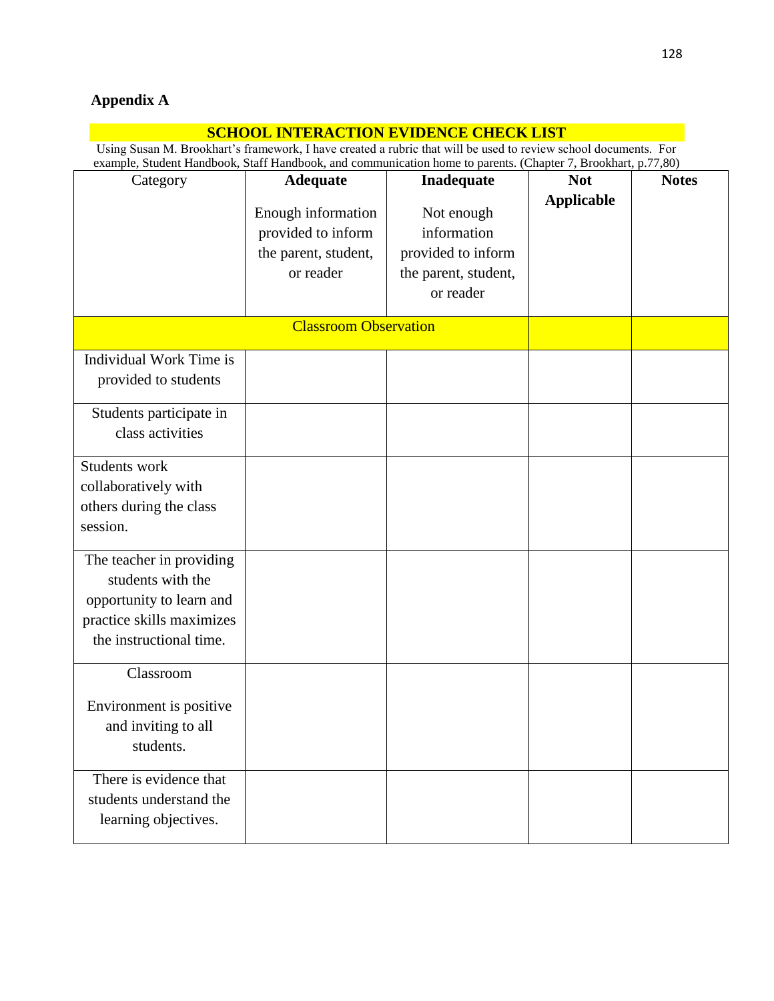# **Appendix A**

| <b>SCHOOL INTERACTION EVIDENCE CHECK LIST</b>                                                                                                                                                                                    |                                                                               |                                                                                      |                   |              |  |
|----------------------------------------------------------------------------------------------------------------------------------------------------------------------------------------------------------------------------------|-------------------------------------------------------------------------------|--------------------------------------------------------------------------------------|-------------------|--------------|--|
| Using Susan M. Brookhart's framework, I have created a rubric that will be used to review school documents. For<br>example, Student Handbook, Staff Handbook, and communication home to parents. (Chapter 7, Brookhart, p.77,80) |                                                                               |                                                                                      |                   |              |  |
| Category                                                                                                                                                                                                                         | <b>Adequate</b>                                                               | Inadequate                                                                           | <b>Not</b>        | <b>Notes</b> |  |
|                                                                                                                                                                                                                                  | Enough information<br>provided to inform<br>the parent, student,<br>or reader | Not enough<br>information<br>provided to inform<br>the parent, student,<br>or reader | <b>Applicable</b> |              |  |
| <b>Classroom Observation</b>                                                                                                                                                                                                     |                                                                               |                                                                                      |                   |              |  |
| Individual Work Time is<br>provided to students                                                                                                                                                                                  |                                                                               |                                                                                      |                   |              |  |
| Students participate in<br>class activities                                                                                                                                                                                      |                                                                               |                                                                                      |                   |              |  |
| Students work<br>collaboratively with<br>others during the class<br>session.                                                                                                                                                     |                                                                               |                                                                                      |                   |              |  |
| The teacher in providing<br>students with the<br>opportunity to learn and<br>practice skills maximizes<br>the instructional time.                                                                                                |                                                                               |                                                                                      |                   |              |  |
| Classroom<br>Environment is positive<br>and inviting to all<br>students.                                                                                                                                                         |                                                                               |                                                                                      |                   |              |  |
| There is evidence that<br>students understand the<br>learning objectives.                                                                                                                                                        |                                                                               |                                                                                      |                   |              |  |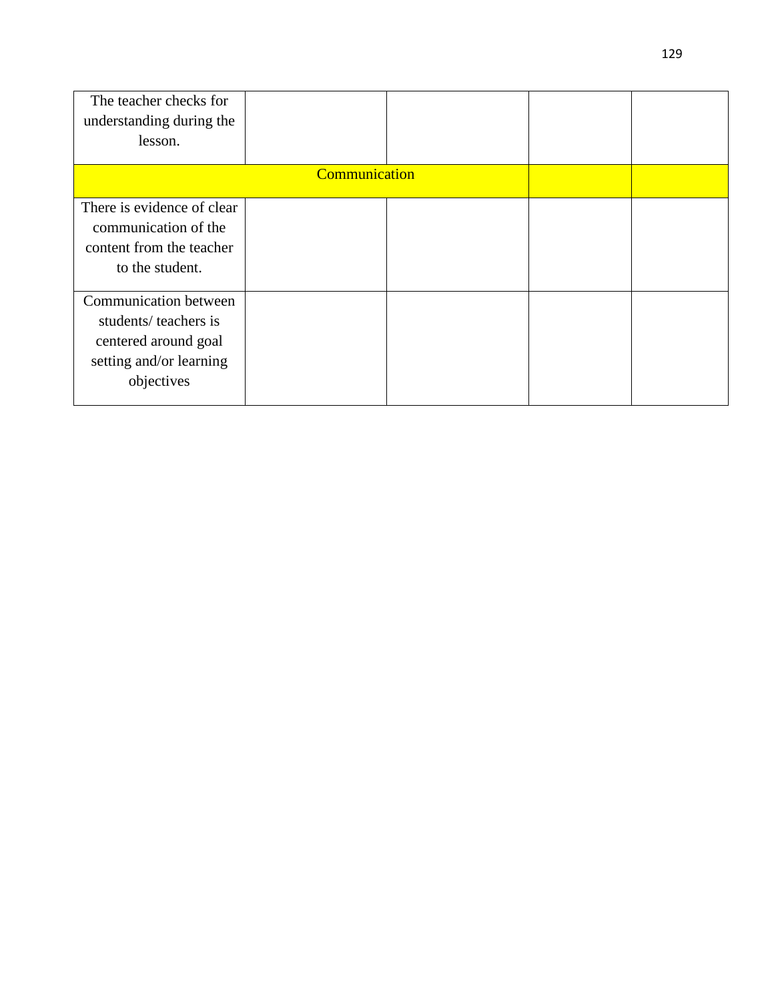| The teacher checks for     |                      |  |  |  |
|----------------------------|----------------------|--|--|--|
| understanding during the   |                      |  |  |  |
| lesson.                    |                      |  |  |  |
|                            | <b>Communication</b> |  |  |  |
|                            |                      |  |  |  |
| There is evidence of clear |                      |  |  |  |
| communication of the       |                      |  |  |  |
| content from the teacher   |                      |  |  |  |
| to the student.            |                      |  |  |  |
|                            |                      |  |  |  |
| Communication between      |                      |  |  |  |
| students/ teachers is      |                      |  |  |  |
| centered around goal       |                      |  |  |  |
| setting and/or learning    |                      |  |  |  |
| objectives                 |                      |  |  |  |
|                            |                      |  |  |  |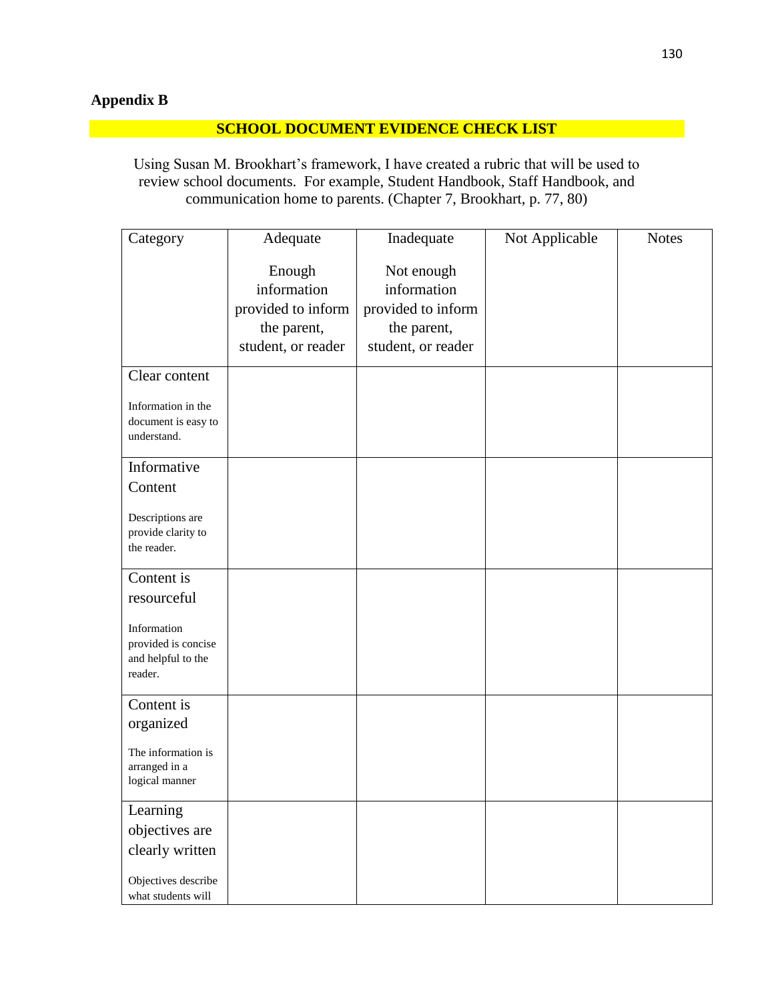# **Appendix B**

# **SCHOOL DOCUMENT EVIDENCE CHECK LIST**

Using Susan M. Brookhart's framework, I have created a rubric that will be used to review school documents. For example, Student Handbook, Staff Handbook, and communication home to parents. (Chapter 7, Brookhart, p. 77, 80)

| Category                                  | Adequate           | Inadequate         | Not Applicable | <b>Notes</b> |
|-------------------------------------------|--------------------|--------------------|----------------|--------------|
|                                           | Enough             | Not enough         |                |              |
|                                           | information        | information        |                |              |
|                                           | provided to inform | provided to inform |                |              |
|                                           | the parent,        | the parent,        |                |              |
|                                           | student, or reader | student, or reader |                |              |
|                                           |                    |                    |                |              |
| Clear content                             |                    |                    |                |              |
| Information in the                        |                    |                    |                |              |
| document is easy to                       |                    |                    |                |              |
| understand.                               |                    |                    |                |              |
| Informative                               |                    |                    |                |              |
| Content                                   |                    |                    |                |              |
| Descriptions are                          |                    |                    |                |              |
| provide clarity to                        |                    |                    |                |              |
| the reader.                               |                    |                    |                |              |
|                                           |                    |                    |                |              |
| Content is                                |                    |                    |                |              |
| resourceful                               |                    |                    |                |              |
| Information                               |                    |                    |                |              |
| provided is concise                       |                    |                    |                |              |
| and helpful to the                        |                    |                    |                |              |
| reader.                                   |                    |                    |                |              |
| Content is                                |                    |                    |                |              |
| organized                                 |                    |                    |                |              |
| The information is                        |                    |                    |                |              |
| arranged in a                             |                    |                    |                |              |
| logical manner                            |                    |                    |                |              |
| Learning                                  |                    |                    |                |              |
| objectives are                            |                    |                    |                |              |
| clearly written                           |                    |                    |                |              |
|                                           |                    |                    |                |              |
| Objectives describe<br>what students will |                    |                    |                |              |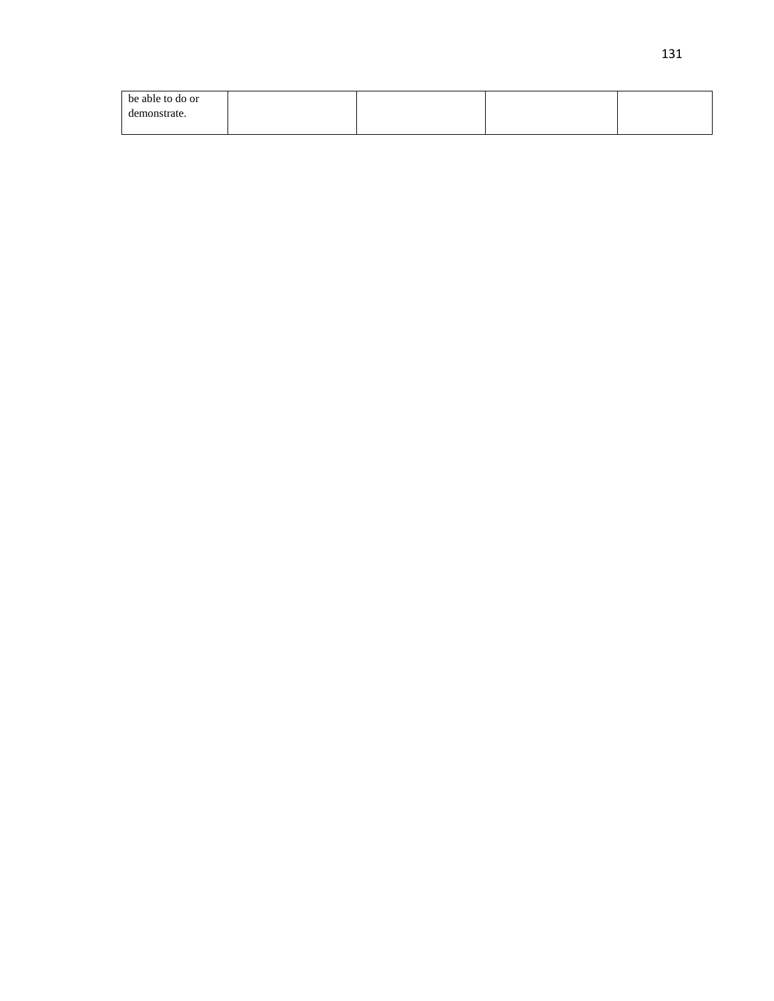| be able to do or |  |  |
|------------------|--|--|
| demonstrate.     |  |  |
|                  |  |  |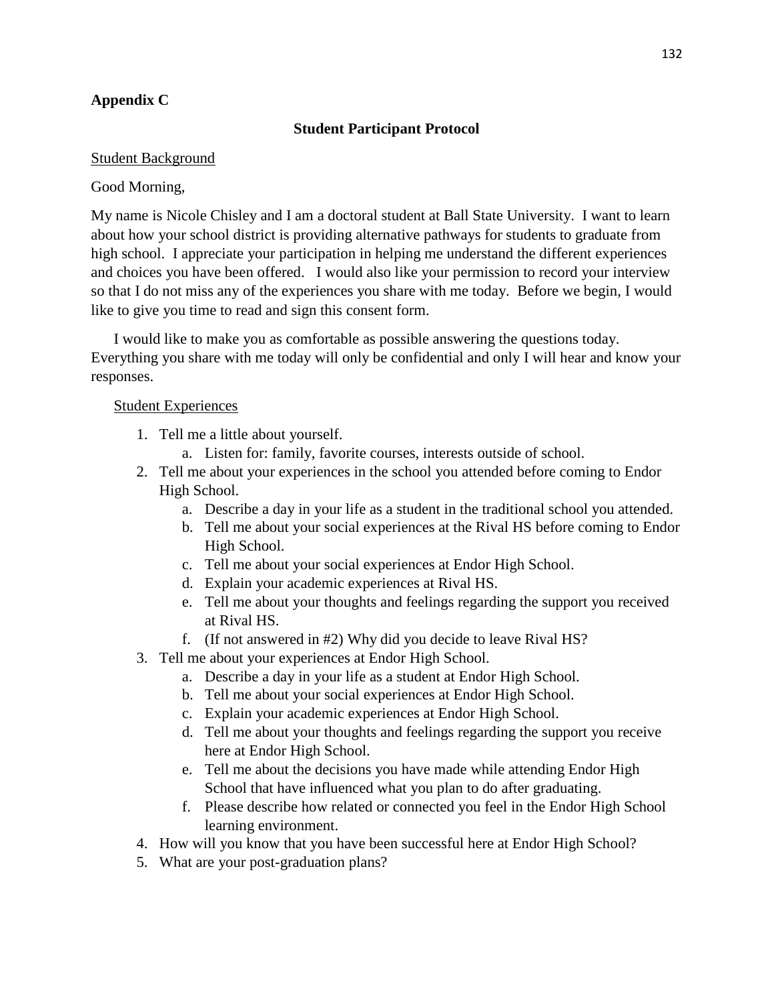# **Appendix C**

# **Student Participant Protocol**

# Student Background

# Good Morning,

My name is Nicole Chisley and I am a doctoral student at Ball State University. I want to learn about how your school district is providing alternative pathways for students to graduate from high school. I appreciate your participation in helping me understand the different experiences and choices you have been offered. I would also like your permission to record your interview so that I do not miss any of the experiences you share with me today. Before we begin, I would like to give you time to read and sign this consent form.

I would like to make you as comfortable as possible answering the questions today. Everything you share with me today will only be confidential and only I will hear and know your responses.

# Student Experiences

- 1. Tell me a little about yourself.
	- a. Listen for: family, favorite courses, interests outside of school.
- 2. Tell me about your experiences in the school you attended before coming to Endor High School.
	- a. Describe a day in your life as a student in the traditional school you attended.
	- b. Tell me about your social experiences at the Rival HS before coming to Endor High School.
	- c. Tell me about your social experiences at Endor High School.
	- d. Explain your academic experiences at Rival HS.
	- e. Tell me about your thoughts and feelings regarding the support you received at Rival HS.
	- f. (If not answered in #2) Why did you decide to leave Rival HS?
- 3. Tell me about your experiences at Endor High School.
	- a. Describe a day in your life as a student at Endor High School.
	- b. Tell me about your social experiences at Endor High School.
	- c. Explain your academic experiences at Endor High School.
	- d. Tell me about your thoughts and feelings regarding the support you receive here at Endor High School.
	- e. Tell me about the decisions you have made while attending Endor High School that have influenced what you plan to do after graduating.
	- f. Please describe how related or connected you feel in the Endor High School learning environment.
- 4. How will you know that you have been successful here at Endor High School?
- 5. What are your post-graduation plans?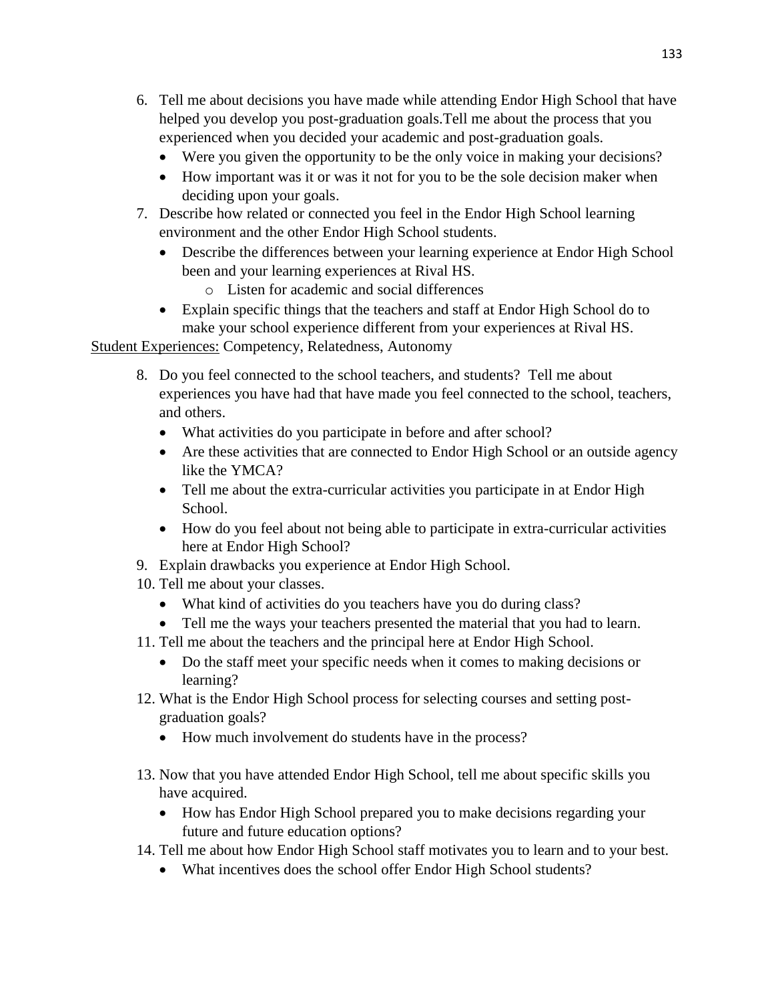- 6. Tell me about decisions you have made while attending Endor High School that have helped you develop you post-graduation goals.Tell me about the process that you experienced when you decided your academic and post-graduation goals.
	- Were you given the opportunity to be the only voice in making your decisions?
	- How important was it or was it not for you to be the sole decision maker when deciding upon your goals.
- 7. Describe how related or connected you feel in the Endor High School learning environment and the other Endor High School students.
	- Describe the differences between your learning experience at Endor High School been and your learning experiences at Rival HS.
		- o Listen for academic and social differences
	- Explain specific things that the teachers and staff at Endor High School do to make your school experience different from your experiences at Rival HS.

Student Experiences: Competency, Relatedness, Autonomy

- 8. Do you feel connected to the school teachers, and students? Tell me about experiences you have had that have made you feel connected to the school, teachers, and others.
	- What activities do you participate in before and after school?
	- Are these activities that are connected to Endor High School or an outside agency like the YMCA?
	- Tell me about the extra-curricular activities you participate in at Endor High School.
	- How do you feel about not being able to participate in extra-curricular activities here at Endor High School?
- 9. Explain drawbacks you experience at Endor High School.
- 10. Tell me about your classes.
	- What kind of activities do you teachers have you do during class?
	- Tell me the ways your teachers presented the material that you had to learn.
- 11. Tell me about the teachers and the principal here at Endor High School.
	- Do the staff meet your specific needs when it comes to making decisions or learning?
- 12. What is the Endor High School process for selecting courses and setting postgraduation goals?
	- How much involvement do students have in the process?
- 13. Now that you have attended Endor High School, tell me about specific skills you have acquired.
	- How has Endor High School prepared you to make decisions regarding your future and future education options?
- 14. Tell me about how Endor High School staff motivates you to learn and to your best.
	- What incentives does the school offer Endor High School students?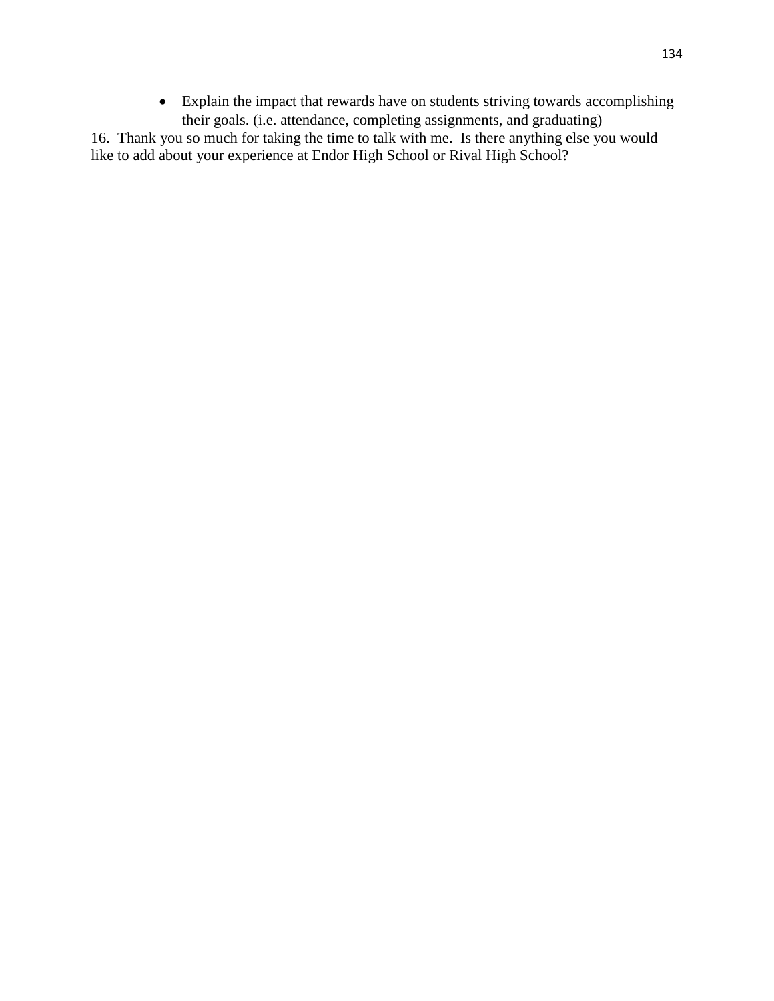• Explain the impact that rewards have on students striving towards accomplishing their goals. (i.e. attendance, completing assignments, and graduating)

16. Thank you so much for taking the time to talk with me. Is there anything else you would like to add about your experience at Endor High School or Rival High School?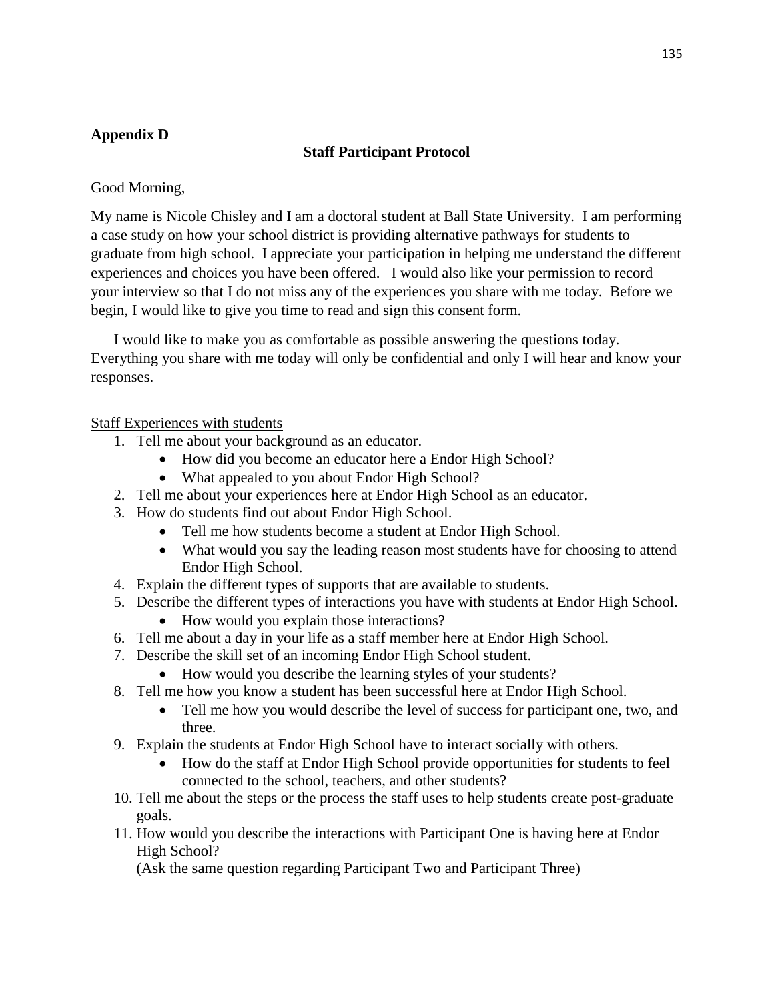# **Appendix D**

# **Staff Participant Protocol**

Good Morning,

My name is Nicole Chisley and I am a doctoral student at Ball State University. I am performing a case study on how your school district is providing alternative pathways for students to graduate from high school. I appreciate your participation in helping me understand the different experiences and choices you have been offered. I would also like your permission to record your interview so that I do not miss any of the experiences you share with me today. Before we begin, I would like to give you time to read and sign this consent form.

I would like to make you as comfortable as possible answering the questions today. Everything you share with me today will only be confidential and only I will hear and know your responses.

# Staff Experiences with students

- 1. Tell me about your background as an educator.
	- How did you become an educator here a Endor High School?
	- What appealed to you about Endor High School?
- 2. Tell me about your experiences here at Endor High School as an educator.
- 3. How do students find out about Endor High School.
	- Tell me how students become a student at Endor High School.
	- What would you say the leading reason most students have for choosing to attend Endor High School.
- 4. Explain the different types of supports that are available to students.
- 5. Describe the different types of interactions you have with students at Endor High School.
	- How would you explain those interactions?
- 6. Tell me about a day in your life as a staff member here at Endor High School.
- 7. Describe the skill set of an incoming Endor High School student.
	- How would you describe the learning styles of your students?
- 8. Tell me how you know a student has been successful here at Endor High School.
	- Tell me how you would describe the level of success for participant one, two, and three.
- 9. Explain the students at Endor High School have to interact socially with others.
	- How do the staff at Endor High School provide opportunities for students to feel connected to the school, teachers, and other students?
- 10. Tell me about the steps or the process the staff uses to help students create post-graduate goals.
- 11. How would you describe the interactions with Participant One is having here at Endor High School?

(Ask the same question regarding Participant Two and Participant Three)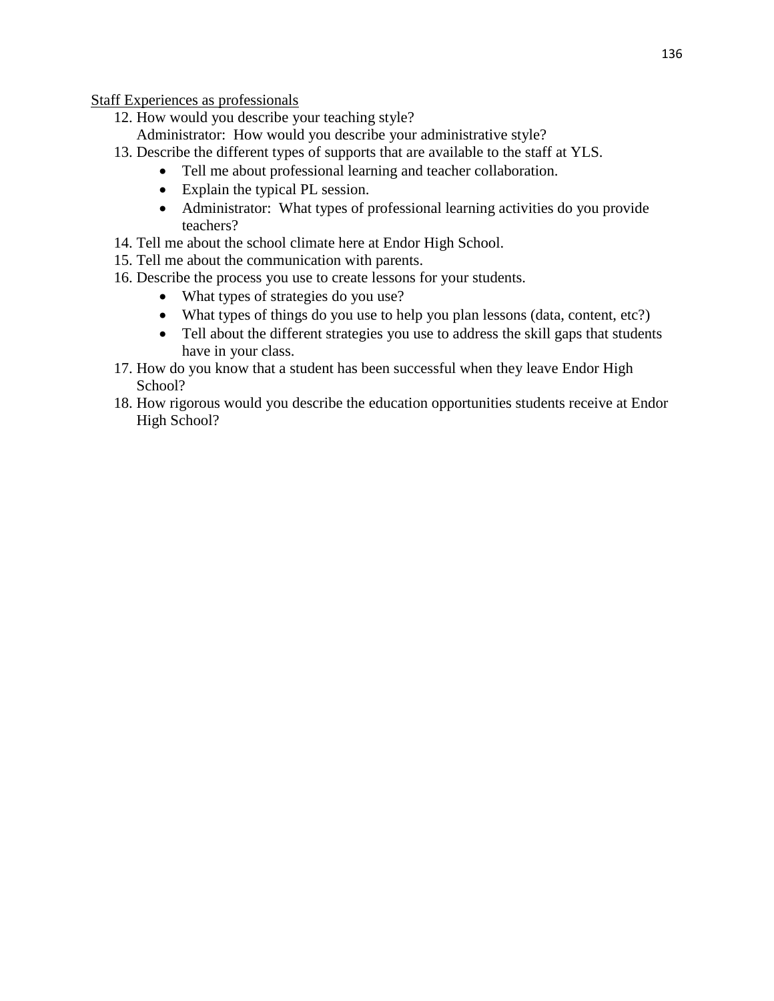Staff Experiences as professionals

- 12. How would you describe your teaching style? Administrator: How would you describe your administrative style?
- 13. Describe the different types of supports that are available to the staff at YLS.
	- Tell me about professional learning and teacher collaboration.
	- Explain the typical PL session.
	- Administrator: What types of professional learning activities do you provide teachers?
- 14. Tell me about the school climate here at Endor High School.
- 15. Tell me about the communication with parents.
- 16. Describe the process you use to create lessons for your students.
	- What types of strategies do you use?
	- What types of things do you use to help you plan lessons (data, content, etc?)
	- Tell about the different strategies you use to address the skill gaps that students have in your class.
- 17. How do you know that a student has been successful when they leave Endor High School?
- 18. How rigorous would you describe the education opportunities students receive at Endor High School?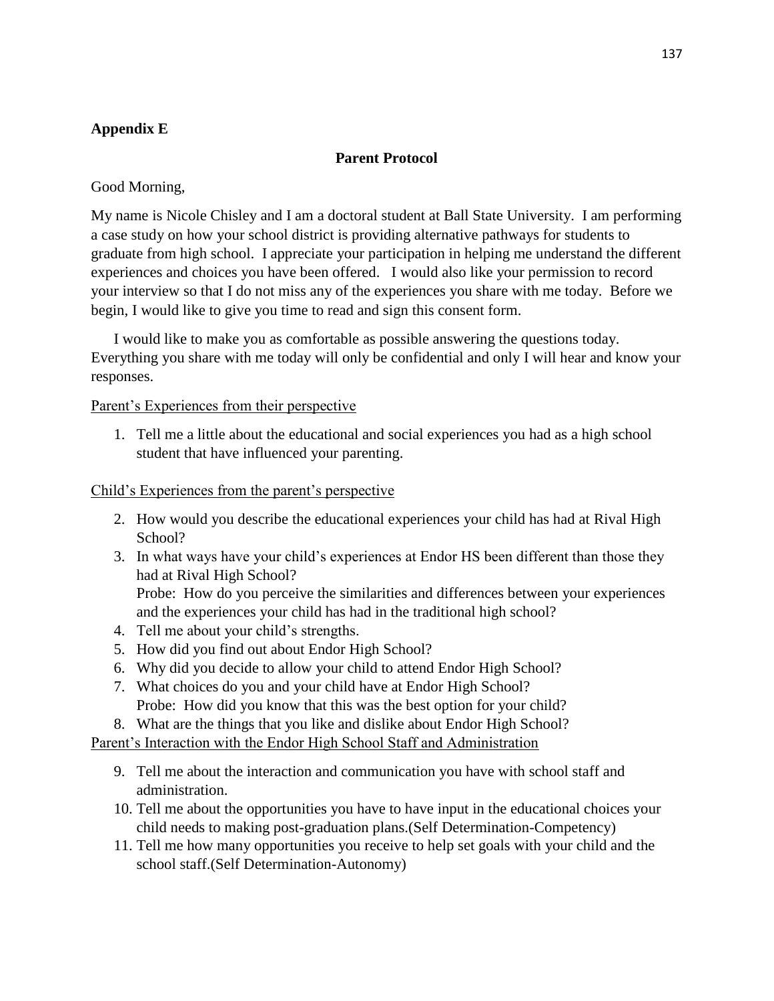# **Appendix E**

## **Parent Protocol**

Good Morning,

My name is Nicole Chisley and I am a doctoral student at Ball State University. I am performing a case study on how your school district is providing alternative pathways for students to graduate from high school. I appreciate your participation in helping me understand the different experiences and choices you have been offered. I would also like your permission to record your interview so that I do not miss any of the experiences you share with me today. Before we begin, I would like to give you time to read and sign this consent form.

I would like to make you as comfortable as possible answering the questions today. Everything you share with me today will only be confidential and only I will hear and know your responses.

### Parent's Experiences from their perspective

1. Tell me a little about the educational and social experiences you had as a high school student that have influenced your parenting.

### Child's Experiences from the parent's perspective

- 2. How would you describe the educational experiences your child has had at Rival High School?
- 3. In what ways have your child's experiences at Endor HS been different than those they had at Rival High School?

Probe: How do you perceive the similarities and differences between your experiences and the experiences your child has had in the traditional high school?

- 4. Tell me about your child's strengths.
- 5. How did you find out about Endor High School?
- 6. Why did you decide to allow your child to attend Endor High School?
- 7. What choices do you and your child have at Endor High School? Probe: How did you know that this was the best option for your child?
- 8. What are the things that you like and dislike about Endor High School?

Parent's Interaction with the Endor High School Staff and Administration

- 9. Tell me about the interaction and communication you have with school staff and administration.
- 10. Tell me about the opportunities you have to have input in the educational choices your child needs to making post-graduation plans.(Self Determination-Competency)
- 11. Tell me how many opportunities you receive to help set goals with your child and the school staff.(Self Determination-Autonomy)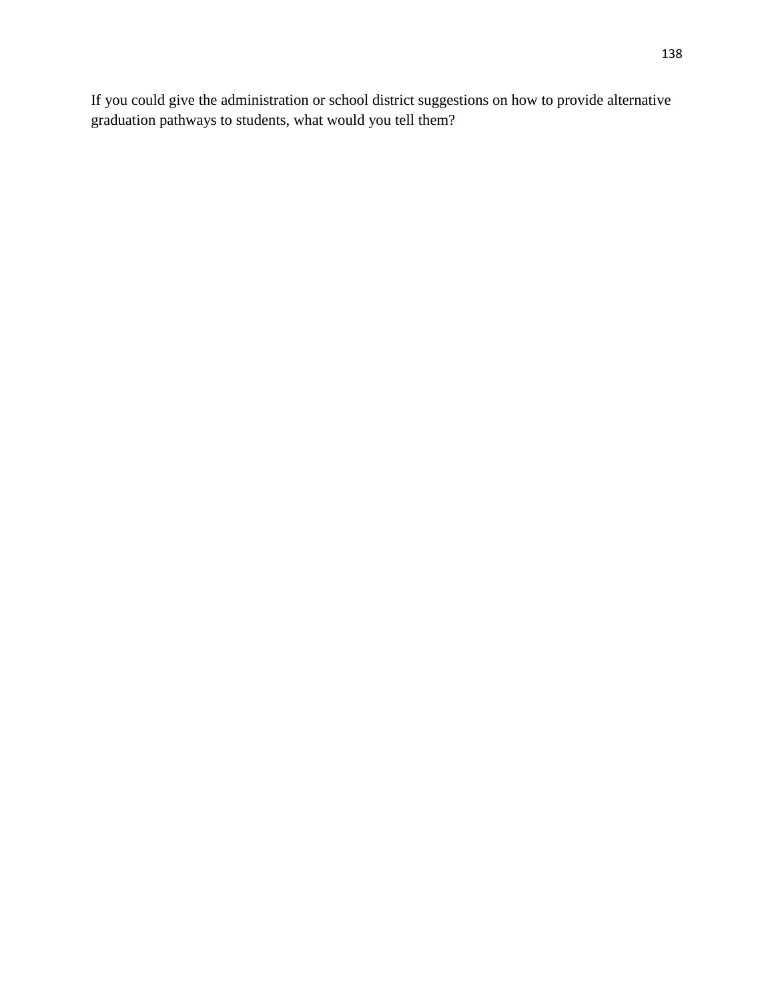If you could give the administration or school district suggestions on how to provide alternative graduation pathways to students, what would you tell them?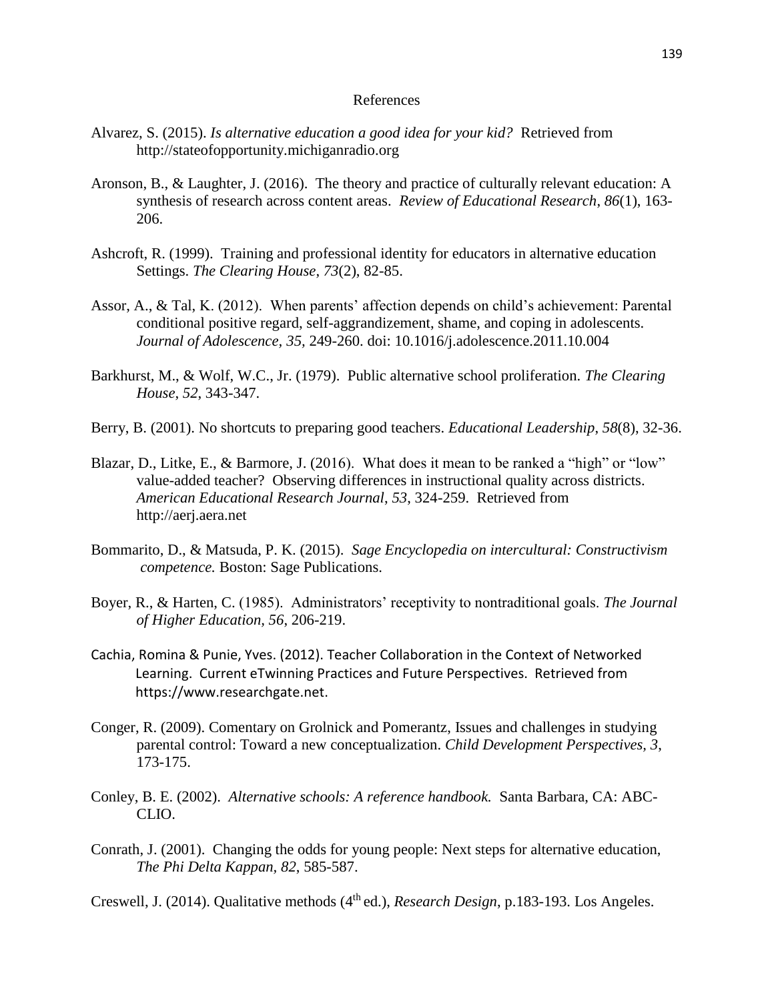## References

- Alvarez, S. (2015). *Is alternative education a good idea for your kid?* Retrieved from http://stateofopportunity.michiganradio.org
- Aronson, B., & Laughter, J. (2016). The theory and practice of culturally relevant education: A synthesis of research across content areas. *Review of Educational Research*, *86*(1), 163- 206.
- Ashcroft, R. (1999). Training and professional identity for educators in alternative education Settings. *The Clearing House*, *73*(2), 82-85.
- Assor, A., & Tal, K. (2012). When parents' affection depends on child's achievement: Parental conditional positive regard, self-aggrandizement, shame, and coping in adolescents. *Journal of Adolescence, 35,* 249-260. doi: 10.1016/j.adolescence.2011.10.004
- Barkhurst, M., & Wolf, W.C., Jr. (1979). Public alternative school proliferation. *The Clearing House*, *52*, 343-347.
- Berry, B. (2001). No shortcuts to preparing good teachers. *Educational Leadership*, *58*(8), 32-36.
- Blazar, D., Litke, E., & Barmore, J. (2016). What does it mean to be ranked a "high" or "low" value-added teacher? Observing differences in instructional quality across districts. *American Educational Research Journal*, *53*, 324-259. Retrieved from http://aerj.aera.net
- Bommarito, D., & Matsuda, P. K. (2015). *Sage Encyclopedia on intercultural: Constructivism competence.* Boston: Sage Publications.
- Boyer, R., & Harten, C. (1985). Administrators' receptivity to nontraditional goals. *The Journal of Higher Education, 56*, 206-219.
- Cachia, Romina & Punie, Yves. (2012). Teacher Collaboration in the Context of Networked Learning. Current eTwinning Practices and Future Perspectives. Retrieved from https://www.researchgate.net.
- Conger, R. (2009). Comentary on Grolnick and Pomerantz, Issues and challenges in studying parental control: Toward a new conceptualization. *Child Development Perspectives, 3*, 173-175.
- Conley, B. E. (2002). *Alternative schools: A reference handbook.* Santa Barbara, CA: ABC-CLIO.
- Conrath, J. (2001). Changing the odds for young people: Next steps for alternative education, *The Phi Delta Kappan, 82*, 585-587.

Creswell, J. (2014). Qualitative methods (4<sup>th</sup> ed.), *Research Design*, p.183-193. Los Angeles.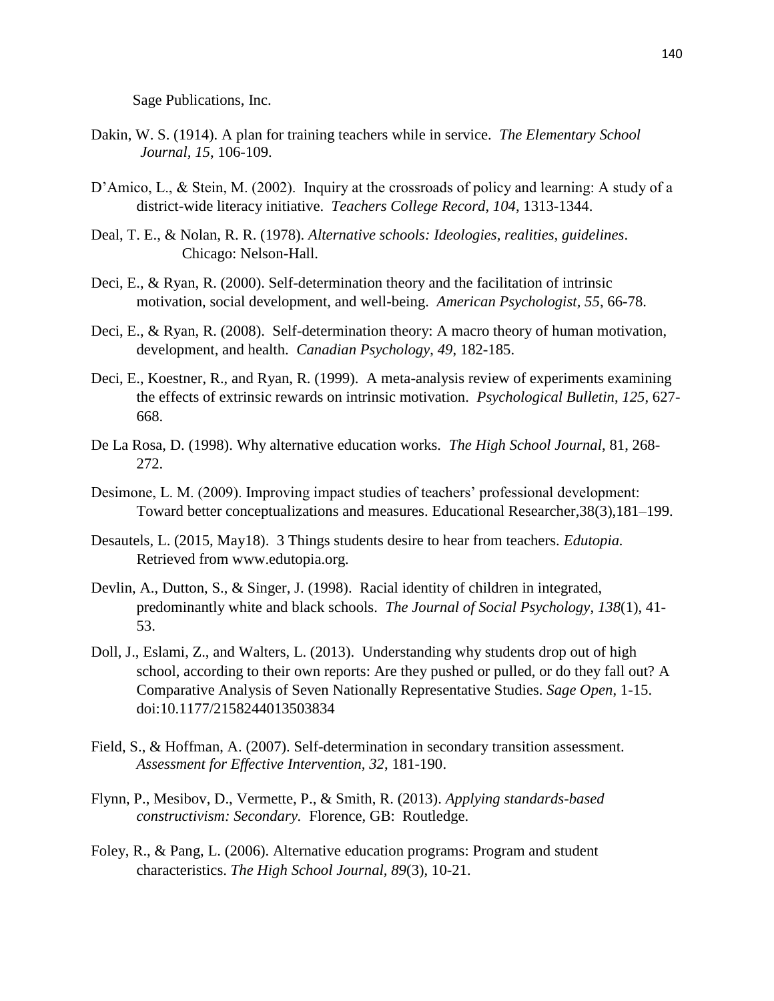Sage Publications, Inc.

- Dakin, W. S. (1914). A plan for training teachers while in service. *The Elementary School Journal, 15*, 106-109.
- D'Amico, L., & Stein, M. (2002). Inquiry at the crossroads of policy and learning: A study of a district-wide literacy initiative. *Teachers College Record*, *104*, 1313-1344.
- Deal, T. E., & Nolan, R. R. (1978). *Alternative schools: Ideologies, realities, guidelines*. Chicago: Nelson-Hall.
- Deci, E., & Ryan, R. (2000). Self-determination theory and the facilitation of intrinsic motivation, social development, and well-being. *American Psychologist, 55*, 66-78.
- Deci, E., & Ryan, R. (2008). Self-determination theory: A macro theory of human motivation, development, and health. *Canadian Psychology*, *49*, 182-185.
- Deci, E., Koestner, R., and Ryan, R. (1999). A meta-analysis review of experiments examining the effects of extrinsic rewards on intrinsic motivation. *Psychological Bulletin*, *125*, 627- 668.
- De La Rosa, D. (1998). Why alternative education works. *The High School Journal*, 81, 268- 272.
- Desimone, L. M. (2009). Improving impact studies of teachers' professional development: Toward better conceptualizations and measures. Educational Researcher,38(3),181–199.
- Desautels, L. (2015, May18). 3 Things students desire to hear from teachers. *Edutopia.*  Retrieved from www.edutopia.org.
- Devlin, A., Dutton, S., & Singer, J. (1998). Racial identity of children in integrated, predominantly white and black schools. *The Journal of Social Psychology*, *138*(1), 41- 53.
- Doll, J., Eslami, Z., and Walters, L. (2013). Understanding why students drop out of high school, according to their own reports: Are they pushed or pulled, or do they fall out? A Comparative Analysis of Seven Nationally Representative Studies. *Sage Open*, 1-15. doi:10.1177/2158244013503834
- Field, S., & Hoffman, A. (2007). Self-determination in secondary transition assessment. *Assessment for Effective Intervention, 32*, 181-190.
- Flynn, P., Mesibov, D., Vermette, P., & Smith, R. (2013). *Applying standards-based constructivism: Secondary.* Florence, GB: Routledge.
- Foley, R., & Pang, L. (2006). Alternative education programs: Program and student characteristics. *The High School Journal, 89*(3), 10-21.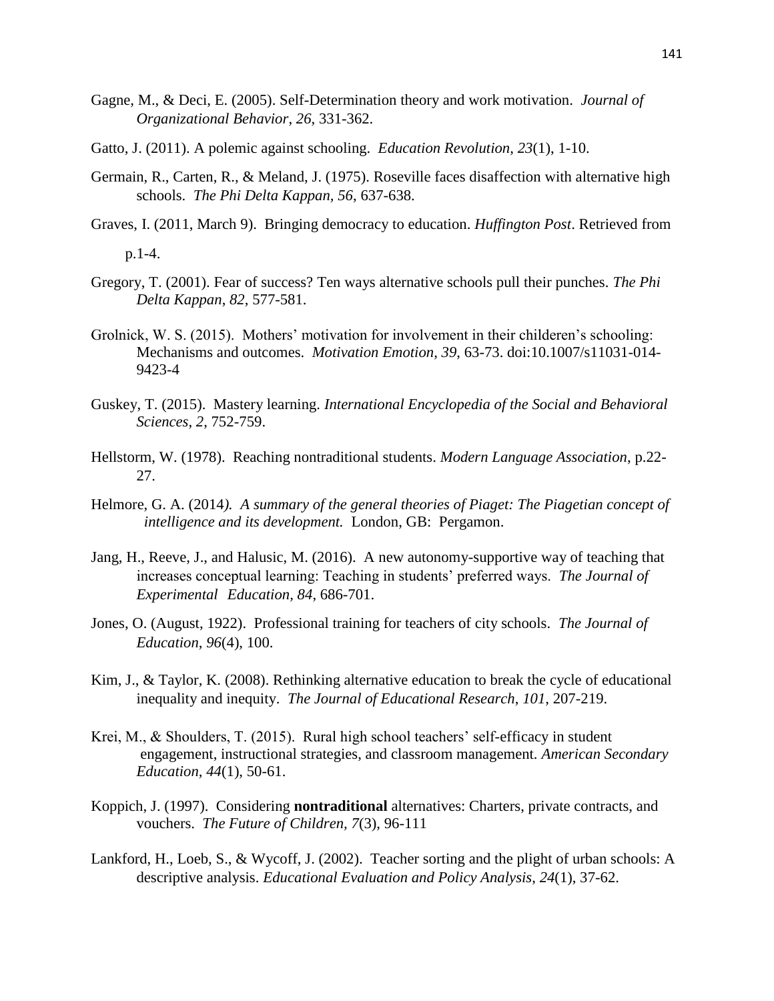- Gagne, M., & Deci, E. (2005). Self-Determination theory and work motivation. *Journal of Organizational Behavior*, *26*, 331-362.
- Gatto, J. (2011). A polemic against schooling. *Education Revolution*, *23*(1), 1-10.
- Germain, R., Carten, R., & Meland, J. (1975). Roseville faces disaffection with alternative high schools. *The Phi Delta Kappan, 56*, 637-638.
- Graves, I. (2011, March 9). Bringing democracy to education. *Huffington Post*. Retrieved from

p.1-4.

- Gregory, T. (2001). Fear of success? Ten ways alternative schools pull their punches. *The Phi Delta Kappan*, *82*, 577-581.
- Grolnick, W. S. (2015). Mothers' motivation for involvement in their childeren's schooling: Mechanisms and outcomes. *Motivation Emotion, 39*, 63-73. doi:10.1007/s11031-014- 9423-4
- Guskey, T. (2015). Mastery learning. *International Encyclopedia of the Social and Behavioral Sciences*, *2*, 752-759.
- Hellstorm, W. (1978). Reaching nontraditional students. *Modern Language Association*, p.22- 27.
- Helmore, G. A. (2014*). A summary of the general theories of Piaget: The Piagetian concept of intelligence and its development.* London, GB: Pergamon.
- Jang, H., Reeve, J., and Halusic, M. (2016). A new autonomy-supportive way of teaching that increases conceptual learning: Teaching in students' preferred ways. *The Journal of Experimental Education, 84*, 686-701.
- Jones, O. (August, 1922). Professional training for teachers of city schools. *The Journal of Education*, *96*(4), 100.
- Kim, J., & Taylor, K. (2008). Rethinking alternative education to break the cycle of educational inequality and inequity. *The Journal of Educational Research*, *101*, 207-219.
- Krei, M., & Shoulders, T. (2015). Rural high school teachers' self-efficacy in student engagement, instructional strategies, and classroom management*. American Secondary Education, 44*(1), 50-61.
- Koppich, J. (1997). Considering **nontraditional** alternatives: Charters, private contracts, and vouchers. *The Future of Children, 7*(3), 96-111
- Lankford, H., Loeb, S., & Wycoff, J. (2002). Teacher sorting and the plight of urban schools: A descriptive analysis. *Educational Evaluation and Policy Analysis*, *24*(1), 37-62.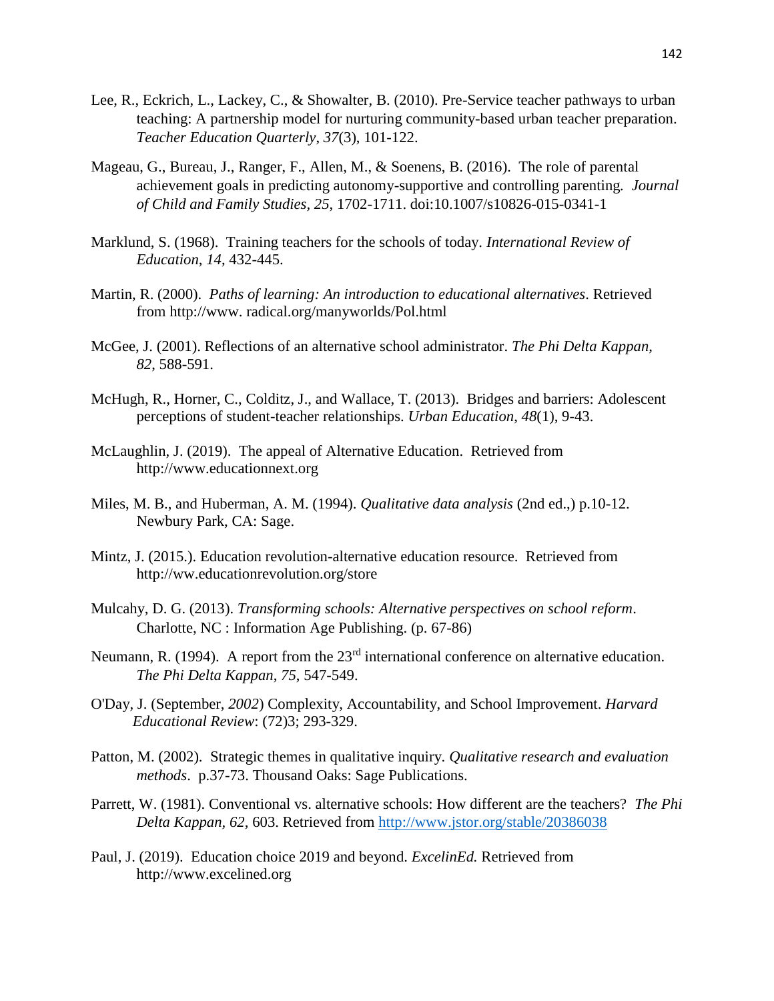- Lee, R., Eckrich, L., Lackey, C., & Showalter, B. (2010). Pre-Service teacher pathways to urban teaching: A partnership model for nurturing community-based urban teacher preparation. *Teacher Education Quarterly*, *37*(3), 101-122.
- Mageau, G., Bureau, J., Ranger, F., Allen, M., & Soenens, B. (2016). The role of parental achievement goals in predicting autonomy-supportive and controlling parenting*. Journal of Child and Family Studies, 25*, 1702-1711. doi:10.1007/s10826-015-0341-1
- Marklund, S. (1968). Training teachers for the schools of today. *International Review of Education*, *14*, 432-445.
- Martin, R. (2000). *Paths of learning: An introduction to educational alternatives*. Retrieved from http://www. radical.org/manyworlds/Pol.html
- McGee, J. (2001). Reflections of an alternative school administrator. *The Phi Delta Kappan, 82*, 588-591.
- McHugh, R., Horner, C., Colditz, J., and Wallace, T. (2013). Bridges and barriers: Adolescent perceptions of student-teacher relationships. *Urban Education*, *48*(1), 9-43.
- McLaughlin, J. (2019). The appeal of Alternative Education. Retrieved from http://www.educationnext.org
- Miles, M. B., and Huberman, A. M. (1994). *Qualitative data analysis* (2nd ed.,) p.10-12. Newbury Park, CA: Sage.
- Mintz, J. (2015.). Education revolution-alternative education resource. Retrieved from http://ww.educationrevolution.org/store
- Mulcahy, D. G. (2013). *Transforming schools: Alternative perspectives on school reform*. Charlotte, NC : Information Age Publishing. (p. 67-86)
- Neumann, R. (1994). A report from the 23<sup>rd</sup> international conference on alternative education. *The Phi Delta Kappan*, *75*, 547-549.
- O'Day, J. (September, *2002*) Complexity, Accountability, and School Improvement. *Harvard Educational Review*: (72)3; 293-329.
- Patton, M. (2002). Strategic themes in qualitative inquiry. *Qualitative research and evaluation methods*. p.37-73. Thousand Oaks: Sage Publications.
- Parrett, W. (1981). Conventional vs. alternative schools: How different are the teachers? *The Phi Delta Kappan, 62*, 603. Retrieved from<http://www.jstor.org/stable/20386038>
- Paul, J. (2019). Education choice 2019 and beyond. *ExcelinEd.* Retrieved from http://www.excelined.org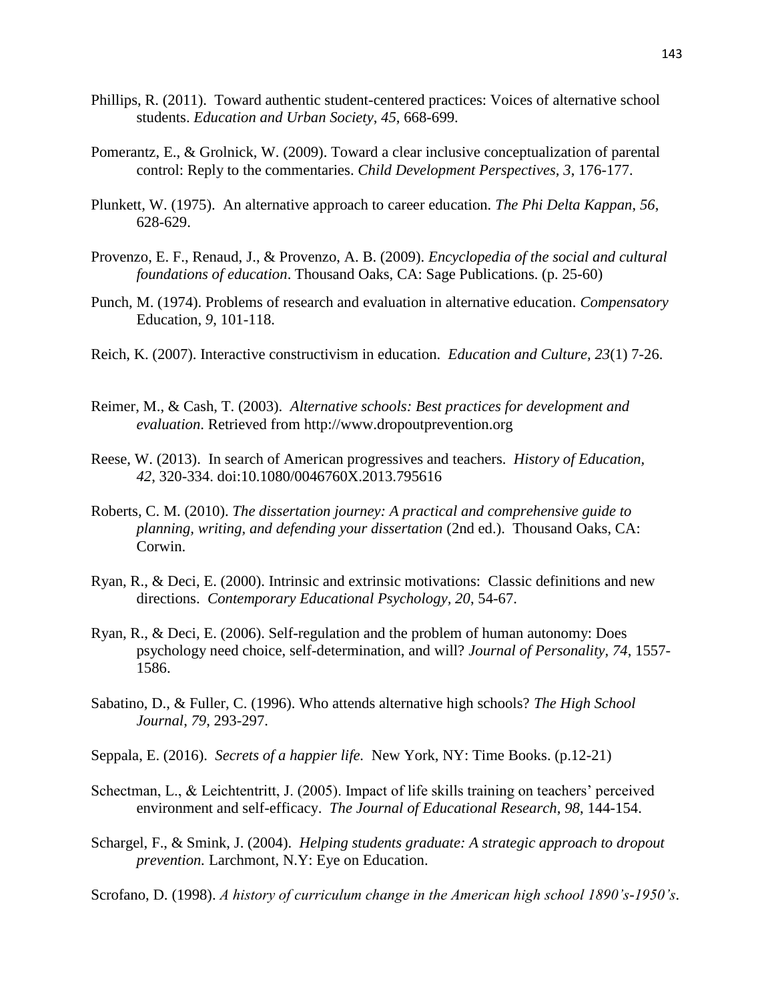- Phillips, R. (2011). Toward authentic student-centered practices: Voices of alternative school students. *Education and Urban Society*, *45*, 668-699.
- Pomerantz, E., & Grolnick, W. (2009). Toward a clear inclusive conceptualization of parental control: Reply to the commentaries. *Child Development Perspectives, 3*, 176-177.
- Plunkett, W. (1975). An alternative approach to career education. *The Phi Delta Kappan*, *56*, 628-629.
- Provenzo, E. F., Renaud, J., & Provenzo, A. B. (2009). *Encyclopedia of the social and cultural foundations of education*. Thousand Oaks, CA: Sage Publications. (p. 25-60)
- Punch, M. (1974). Problems of research and evaluation in alternative education. *Compensatory* Education, *9*, 101-118.
- Reich, K. (2007). Interactive constructivism in education. *Education and Culture, 23*(1) 7-26.
- Reimer, M., & Cash, T. (2003). *Alternative schools: Best practices for development and evaluation*. Retrieved from http://www.dropoutprevention.org
- Reese, W. (2013). In search of American progressives and teachers. *History of Education, 42*, 320-334. doi:10.1080/0046760X.2013.795616
- Roberts, C. M. (2010). *The dissertation journey: A practical and comprehensive guide to planning, writing, and defending your dissertation* (2nd ed.). Thousand Oaks, CA: Corwin.
- Ryan, R., & Deci, E. (2000). Intrinsic and extrinsic motivations: Classic definitions and new directions. *Contemporary Educational Psychology, 20*, 54-67.
- Ryan, R., & Deci, E. (2006). Self-regulation and the problem of human autonomy: Does psychology need choice, self-determination, and will? *Journal of Personality, 74*, 1557- 1586.
- Sabatino, D., & Fuller, C. (1996). Who attends alternative high schools? *The High School Journal*, *79*, 293-297.
- Seppala, E. (2016). *Secrets of a happier life.* New York, NY: Time Books. (p.12-21)
- Schectman, L., & Leichtentritt, J. (2005). Impact of life skills training on teachers' perceived environment and self-efficacy. *The Journal of Educational Research*, *98*, 144-154.
- Schargel, F., & Smink, J. (2004). *Helping students graduate: A strategic approach to dropout prevention.* Larchmont, N.Y: Eye on Education.

Scrofano, D. (1998). *A history of curriculum change in the American high school 1890's-1950's*.